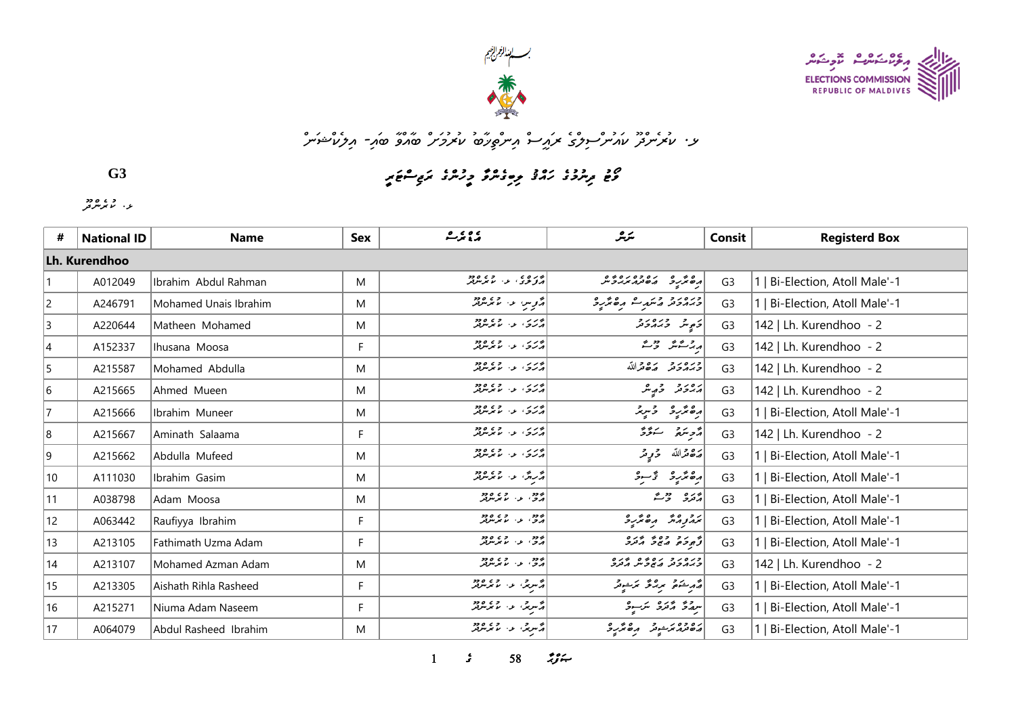



## w*; مذه و «هم مدد وهي مركز سر مرتويركة من المروسر من الأمريح من المرتبات المرتبات المرتبات المرتبات المرتبات ال*

**G3**

*p8mHwEoKm8sCw7q5p>n=w7sCo9oBqYw<m5sCq>q7o@qHv=*

*r r o c s*<br>يو ، الما موسر قر

| #              | <b>National ID</b> | <b>Name</b>           | Sex | <u>پي عرت</u>                                      | سگرمگر                             | Consit         | <b>Registerd Box</b>           |
|----------------|--------------------|-----------------------|-----|----------------------------------------------------|------------------------------------|----------------|--------------------------------|
|                | Lh. Kurendhoo      |                       |     |                                                    |                                    |                |                                |
|                | A012049            | Ibrahim Abdul Rahman  | M   | دره ی .<br>  درگری . د . با بارس                   | 04010201020101                     | G <sub>3</sub> | 1   Bi-Election, Atoll Male'-1 |
| $\overline{c}$ | A246791            | Mohamed Unais Ibrahim | M   | أروپ عن المتحد المريض                              | ورەرو دىر ك مەھكرد                 | G <sub>3</sub> | 1   Bi-Election, Atoll Male'-1 |
| $\overline{3}$ | A220644            | Matheen Mohamed       | M   | درس در اور دور                                     | دَمٍ شَر در در د                   | G <sub>3</sub> | 142   Lh. Kurendhoo - 2        |
| $\overline{4}$ | A152337            | Ihusana Moosa         | F.  | د برکې الله له له دود                              | بریز شنگ ویک                       | G <sub>3</sub> | 142   Lh. Kurendhoo - 2        |
| 5              | A215587            | Mohamed Abdulla       | M   | بربرس و و و دو<br>پرتر <del>ش</del> او اس موسوفر   | وره رو ده دالله                    | G <sub>3</sub> | 142   Lh. Kurendhoo - 2        |
| 6              | A215665            | Ahmed Mueen           | M   |                                                    | پروتر وړیگر                        | G <sub>3</sub> | 142   Lh. Kurendhoo - 2        |
| 7              | A215666            | Ibrahim Muneer        | M   | بربرس و در دود.<br>پرتري او اند موسوفر             | رەئرىرو دىرىر                      | G <sub>3</sub> | 1   Bi-Election, Atoll Male'-1 |
| 8              | A215667            | Aminath Salaama       | F.  | بورس در دره دود<br>درگري در مانگرس                 | رژەپرىق سەۋۇ                       | G <sub>3</sub> | 142   Lh. Kurendhoo - 2        |
| 9              | A215662            | Abdulla Mufeed        | M   | درس و عبد العمر معروفية<br>  درس سرد العمر معروفية | رەقمەللە قەرپىر                    | G <sub>3</sub> | 1   Bi-Election, Atoll Male'-1 |
| 10             | A111030            | Ibrahim Gasim         | M   | ه روگ و موسود.<br>د روگ و موسود                    | رەنزىرو تۇسۇ                       | G <sub>3</sub> | 1   Bi-Election, Atoll Male'-1 |
| 11             | A038798            | Adam Moosa            | M   | به دو .<br>پرو، او . اما موسوفر                    | پر دو میں میں ش                    | G <sub>3</sub> | 1   Bi-Election, Atoll Male'-1 |
| 12             | A063442            | Raufiyya Ibrahim      | F   | ر دو د ده ده دود.<br>امرو ، او ، سر مرت            | برو وه ده مدرد                     | G <sub>3</sub> | 1   Bi-Election, Atoll Male'-1 |
| 13             | A213105            | Fathimath Uzma Adam   | F   | رود د.<br>اړو، د. ما پرس                           | تو بر د ده و د د د                 | G <sub>3</sub> | 1   Bi-Election, Atoll Male'-1 |
| 14             | A213107            | Mohamed Azman Adam    | M   | ۶۶۵ و.<br>  درجي الاراس مي سرفر                    | כנסגב גם כם כגם<br>כגהכת השכית התכ | G <sub>3</sub> | 142   Lh. Kurendhoo - 2        |
| 15             | A213305            | Aishath Rihla Rasheed | F   | پژسری او از موسر پر                                | مەرىشەم بىر مەن ئىزىسى ئە          | G <sub>3</sub> | 1   Bi-Election, Atoll Male'-1 |
| 16             | A215271            | Niuma Adam Naseem     | F   | ا پر سرچي، عند استخدام در در در ا                  | سرچە ئەترە ترسوقى                  | G <sub>3</sub> | 1   Bi-Election, Atoll Male'-1 |
| 17             | A064079            | Abdul Rasheed Ibrahim | М   |                                                    | دەدە ئەخومى مەھكەر 3               | G <sub>3</sub> | 1   Bi-Election, Atoll Male'-1 |

*1 s* 58 *n*<sub>2</sub> *s*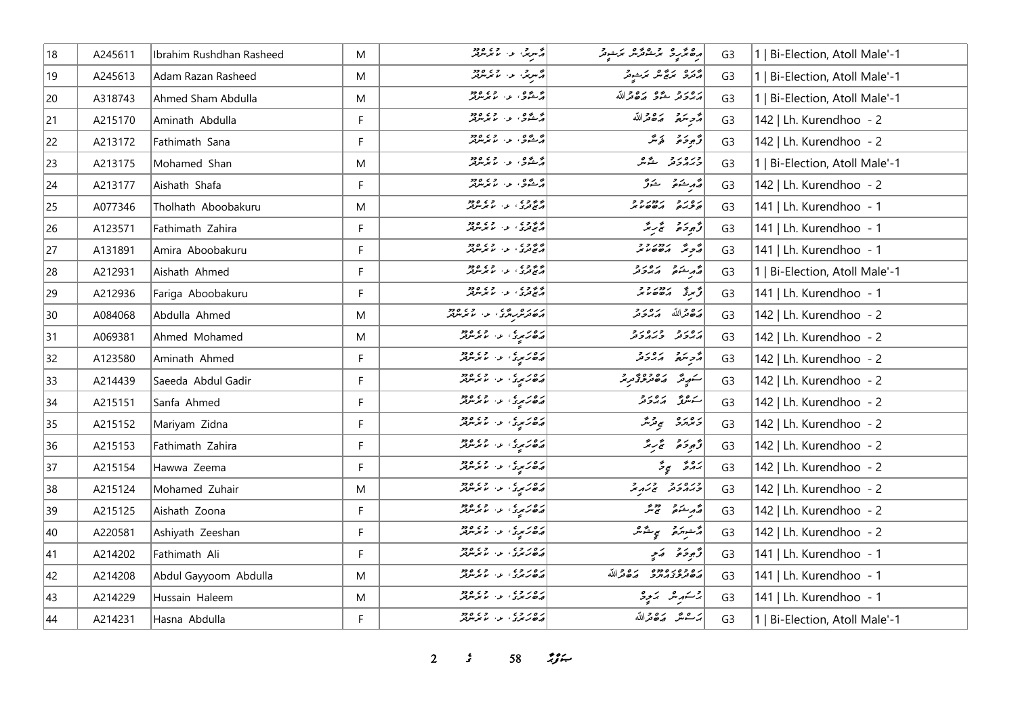| 18 | A245611 | Ibrahim Rushdhan Rasheed | M           | د سرچې او اسماند شريعه                              | رە ئرىرى برىشەئرىر برىدىر                                                       | G <sub>3</sub> | 1   Bi-Election, Atoll Male'-1 |
|----|---------|--------------------------|-------------|-----------------------------------------------------|---------------------------------------------------------------------------------|----------------|--------------------------------|
| 19 | A245613 | Adam Razan Rasheed       | M           | ا دسری د رود د                                      | أوره بروش برشوش                                                                 | G <sub>3</sub> | Bi-Election, Atoll Male'-1     |
| 20 | A318743 | Ahmed Sham Abdulla       | M           | در ده در در دور<br>  در شوی در موسر در              | أرورو يدو روورالله                                                              | G <sub>3</sub> | 1   Bi-Election, Atoll Male'-1 |
| 21 | A215170 | Aminath Abdulla          | $\mathsf F$ | ا دې د دي وو                                        | أمر يتمع مقامته                                                                 | G <sub>3</sub> | 142   Lh. Kurendhoo - 2        |
| 22 | A213172 | Fathimath Sana           | F           | و وه د او ده ود د                                   | قَەجوحىق ھَەمىگر                                                                | G <sub>3</sub> | 142   Lh. Kurendhoo - 2        |
| 23 | A213175 | Mohamed Shan             | M           | و ده و.<br>د کشود ، د ، ما مرس تر                   | ورەر دېگر                                                                       | G <sub>3</sub> | 1   Bi-Election, Atoll Male'-1 |
| 24 | A213177 | Aishath Shafa            | F           | و ده و،<br>د شود، د ، ما تر مرود                    | قەربىئە ھ                                                                       | G <sub>3</sub> | 142   Lh. Kurendhoo - 2        |
| 25 | A077346 | Tholhath Aboobakuru      | M           | پر ده ده ده ده ده ده<br>در کامري د استر مرکز        | נפנד נחנדר                                                                      | G <sub>3</sub> | 141   Lh. Kurendhoo - 1        |
| 26 | A123571 | Fathimath Zahira         | F           | د د د د د د د د د د د د                             | وَجوحَة تَجْرِيمُ                                                               | G <sub>3</sub> | 141   Lh. Kurendhoo - 1        |
| 27 | A131891 | Amira Aboobakuru         | F           | د د د د د د د د د د د د                             |                                                                                 | G <sub>3</sub> | 141   Lh. Kurendhoo - 1        |
| 28 | A212931 | Aishath Ahmed            | F           | ا د ده د د د د د د د د د د                          | أهر شو ده دو                                                                    | G <sub>3</sub> | 1   Bi-Election, Atoll Male'-1 |
| 29 | A212936 | Fariga Aboobakuru        | F           | ه به وی .<br>در پخ تری ، بو ، بر بر برتر            | $\begin{vmatrix} 2 & 2 & 2 & 2 \\ 2 & 2 & 2 & 3 \\ 3 & 2 & 2 & 3 \end{vmatrix}$ | G <sub>3</sub> | 141   Lh. Kurendhoo - 1        |
| 30 | A084068 | Abdulla Ahmed            | M           | در ده ده ده ده ده ده<br>  پره ترس سرگاه دارد موسرتر | أشكام تدرور                                                                     | G <sub>3</sub> | 142   Lh. Kurendhoo - 2        |
| 31 | A069381 | Ahmed Mohamed            | M           | دەرىم دى، ئەس مەدىر                                 | גפניק כנסניק                                                                    | G <sub>3</sub> | 142   Lh. Kurendhoo - 2        |
| 32 | A123580 | Aminath Ahmed            | F           | د ۲۵ د د ۲۵ د و د ۲۵ د و                            | أأوسكم أأرور                                                                    | G <sub>3</sub> | 142   Lh. Kurendhoo - 2        |
| 33 | A214439 | Saeeda Abdul Gadir       | F           | دەرىرى ئەسلىمىس دەرە                                | ر ده وه وه و د حقیقی مورد.<br>استوپینگر از این هر مورد کردند.                   | G <sub>3</sub> | 142   Lh. Kurendhoo - 2        |
| 34 | A215151 | Sanfa Ahmed              | F           | دەرىرى ئەرەپە 2009                                  | سەھەر ئەرەر د                                                                   | G <sub>3</sub> | 142   Lh. Kurendhoo - 2        |
| 35 | A215152 | Mariyam Zidna            | F           | دەر رە دەرە دەرە                                    | د ۱۵ د ص پر پر ش                                                                | G <sub>3</sub> | 142   Lh. Kurendhoo - 2        |
| 36 | A215153 | Fathimath Zahira         | F           | د ه در د د د د د د د د د                            | وَجوحَرْمَ تَجْرِيمُ                                                            | G <sub>3</sub> | 142   Lh. Kurendhoo - 2        |
| 37 | A215154 | Hawwa Zeema              | F           | ده د د د د وده<br>د ه رسي د لاسر سر                 | پروژ پروژ                                                                       | G <sub>3</sub> | 142   Lh. Kurendhoo - 2        |
| 38 | A215124 | Mohamed Zuhair           | M           | دەرىرى ئەرەپە 2009                                  | ورود ورويح                                                                      | G <sub>3</sub> | 142   Lh. Kurendhoo - 2        |
| 39 | A215125 | Aishath Zoona            | F           | ره د د .<br>د ه رس . د . م سرس                      | د مرشور سمج مگر                                                                 | G <sub>3</sub> | 142   Lh. Kurendhoo - 2        |
| 40 | A220581 | Ashiyath Zeeshan         | F           | دەرىرى ئەرەپە 2009                                  | أَرَّ شَورَ مَحْمٍ مِنْ يَمْرُ مِنْ                                             | G <sub>3</sub> | 142   Lh. Kurendhoo - 2        |
| 41 | A214202 | Fathimath Ali            | F           | دەرە، دە دەھ                                        | دٌ پوځ تو په په                                                                 | G <sub>3</sub> | 141   Lh. Kurendhoo - 1        |
| 42 | A214208 | Abdul Gayyoom Abdulla    | M           | د ه د د د د د د د د د د                             | ره ده ده ده ده در الله                                                          | G <sub>3</sub> | 141   Lh. Kurendhoo - 1        |
| 43 | A214229 | Hussain Haleem           | M           | ره روه  وه دود                                      | رجم شهر مرکز کردی که در مرکز                                                    | G <sub>3</sub> | 141   Lh. Kurendhoo - 1        |
| 44 | A214231 | Hasna Abdulla            | F           | ره روه .<br>در ۱۵ کرد . د . ما مرس                  | برعش مكافرالله                                                                  | G <sub>3</sub> | 1   Bi-Election, Atoll Male'-1 |

*s* 58 *i***<sub>S</sub>** $\approx$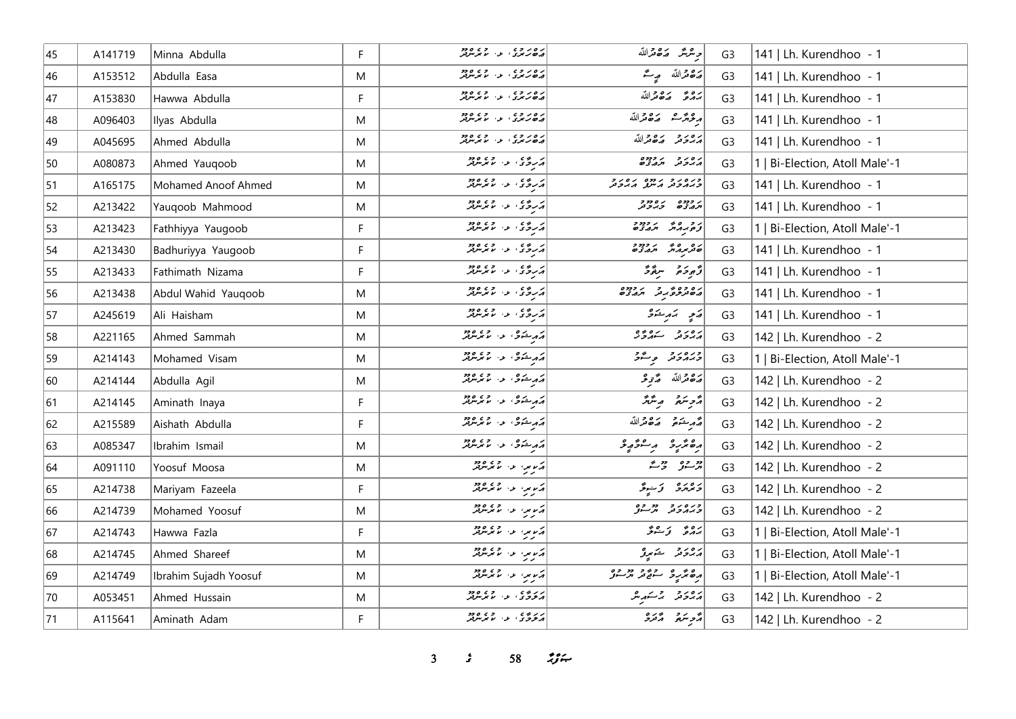| 45 | A141719 | Minna Abdulla         | F         | د ه د د د د د د د د                                                                                                                                                                                                  | <i>وینگر مک</i> ھنگرالله                          | G <sub>3</sub> | 141   Lh. Kurendhoo - 1        |
|----|---------|-----------------------|-----------|----------------------------------------------------------------------------------------------------------------------------------------------------------------------------------------------------------------------|---------------------------------------------------|----------------|--------------------------------|
| 46 | A153512 | Abdulla Easa          | M         | دەرە، دە                                                                                                                                                                                                             | ح قمرالله صِ مُحَمَّد                             | G <sub>3</sub> | 141   Lh. Kurendhoo - 1        |
| 47 | A153830 | Hawwa Abdulla         | F         | دەرە، دە                                                                                                                                                                                                             | بروء رَه مَراللّه                                 | G <sub>3</sub> | 141   Lh. Kurendhoo - 1        |
| 48 | A096403 | Ilyas Abdulla         | M         | د ه د د د .<br>د ه د بری . د . ما برسربر                                                                                                                                                                             | مرقرش مكافرالله                                   | G <sub>3</sub> | 141   Lh. Kurendhoo - 1        |
| 49 | A045695 | Ahmed Abdulla         | M         | ره روه .<br>ه <i>ه د بر</i> ي او الا برس                                                                                                                                                                             | أرور وكامح الله                                   | G <sub>3</sub> | 141   Lh. Kurendhoo - 1        |
| 50 | A080873 | Ahmed Yauqoob         | ${\sf M}$ | درگان اور مایگریزوژ                                                                                                                                                                                                  | נסנים נכחם                                        | G <sub>3</sub> | 1   Bi-Election, Atoll Male'-1 |
| 51 | A165175 | Mohamed Anoof Ahmed   | M         | درگان اور مایگریزوژ                                                                                                                                                                                                  | כנסגב גמס גםגב<br>כגתכת היינג הגבת                | G <sub>3</sub> | 141   Lh. Kurendhoo - 1        |
| 52 | A213422 | Yauqoob Mahmood       | M         | درگان از ۲۵٫۵ وی<br>  درگان از ما مرس                                                                                                                                                                                | י כככם ים ככבר<br>תנג'ונים כ'ייכיבר               | G <sub>3</sub> | 141   Lh. Kurendhoo - 1        |
| 53 | A213423 | Fathhiyya Yaugoob     | F.        |                                                                                                                                                                                                                      | נכ ספי גרבביב<br>צפינות תגצים                     | G <sub>3</sub> | 1   Bi-Election, Atoll Male'-1 |
| 54 | A213430 | Badhuriyya Yaugoob    | F         | د روه د اوه دود.<br>د روه د الاندلال                                                                                                                                                                                 |                                                   | G <sub>3</sub> | 141   Lh. Kurendhoo - 1        |
| 55 | A213433 | Fathimath Nizama      | F         | د روی او او دود                                                                                                                                                                                                      | رُّمِوَةً سِمَّةً                                 | G <sub>3</sub> | 141   Lh. Kurendhoo - 1        |
| 56 | A213438 | Abdul Wahid Yauqoob   | M         | د روی او او د مورد د                                                                                                                                                                                                 | מסינת מידי מידי המידים<br>  המסינת מידי מידי מידי | G <sub>3</sub> | 141   Lh. Kurendhoo - 1        |
| 57 | A245619 | Ali Haisham           | M         | د روی د می مرس                                                                                                                                                                                                       | ړَي پَه ِڪُو                                      | G <sub>3</sub> | 141   Lh. Kurendhoo - 1        |
| 58 | A221165 | Ahmed Sammah          | M         | مەرشۇق بەر قايم ئارود                                                                                                                                                                                                | أرور والمشروع                                     | G <sub>3</sub> | 142   Lh. Kurendhoo - 2        |
| 59 | A214143 | Mohamed Visam         | ${\sf M}$ | د د شوی، او از اند مورد                                                                                                                                                                                              | ورەرو پەر                                         | G <sub>3</sub> | 1   Bi-Election, Atoll Male'-1 |
| 60 | A214144 | Abdulla Agil          | M         | د م شوی، عن الا مرس                                                                                                                                                                                                  | ح قوالله ح توفر                                   | G <sub>3</sub> | 142   Lh. Kurendhoo - 2        |
| 61 | A214145 | Aminath Inaya         | F.        | د د خوی او او دود                                                                                                                                                                                                    | رژحر سرقر مرسنگر                                  | G <sub>3</sub> | 142   Lh. Kurendhoo - 2        |
| 62 | A215589 | Aishath Abdulla       | F         | په دشوی او او موسوي                                                                                                                                                                                                  | أصمر يحقى وكالحدالله                              | G <sub>3</sub> | 142   Lh. Kurendhoo - 2        |
| 63 | A085347 | Ibrahim Ismail        | M         | مەم شكەنى بالا ئاس بولىق                                                                                                                                                                                             | أرهتر ومستحور                                     | G <sub>3</sub> | 142   Lh. Kurendhoo - 2        |
| 64 | A091110 | Yoosuf Moosa          | M         | ړکړې د کابرلرفز                                                                                                                                                                                                      | در ده در در                                       | G <sub>3</sub> | 142   Lh. Kurendhoo - 2        |
| 65 | A214738 | Mariyam Fazeela       | F         | درس المراسم المرسم المرسم المرسم المرسم المرسم المرسم المرسم المرسم المرسم المرسم المرسم المرسم ال<br>المرسم المرسم المرسم المرسم المرسم المرسم المرسم المرسم المرسم المرسم المرسم المرسم المرسم المرسم المرسم المرس | د ۱۳ پېړۍ تخپ تر                                  | G <sub>3</sub> | 142   Lh. Kurendhoo - 2        |
| 66 | A214739 | Mohamed Yoosuf        | M         | در موسط المسلم المسلم المسلم المسلم المسلم المسلم المسلم المسلم المسلم المسلم المسلم المسلم المسلم المسلم ال                                                                                                         | כנים ניבר בפ<br>כגובביה ובעיית                    | G <sub>3</sub> | 142   Lh. Kurendhoo - 2        |
| 67 | A214743 | Hawwa Fazla           | F         | پرسمها اور ۱۹۵۷<br>  پرسمها اور سر سر سر سر بر                                                                                                                                                                       | پروژ تی شرقر                                      | G <sub>3</sub> | 1   Bi-Election, Atoll Male'-1 |
| 68 | A214745 | Ahmed Shareef         | M         | اړسمه او استور د ده د                                                                                                                                                                                                | پرور د سکامپرو                                    | G <sub>3</sub> | Bi-Election, Atoll Male'-1     |
| 69 | A214749 | Ibrahim Sujadh Yoosuf | M         | أيرس عن المتحده المعرفة                                                                                                                                                                                              | ره عرب و به و دو وه<br>ده عرب و سونځ تر مرسونې    | G <sub>3</sub> | 1   Bi-Election, Atoll Male'-1 |
| 70 | A053451 | Ahmed Hussain         | M         | دره ه در در دود<br>  پرنوژی د اس برس                                                                                                                                                                                 | رەپرو برسكىرىش                                    | G <sub>3</sub> | 142   Lh. Kurendhoo - 2        |
| 71 | A115641 | Aminath Adam          | F         | دروه .<br>د تروگ د ام ترس                                                                                                                                                                                            | پر پر په پره                                      | G <sub>3</sub> | 142   Lh. Kurendhoo - 2        |

**3** *3* **58** *if***<sub>x</sub>**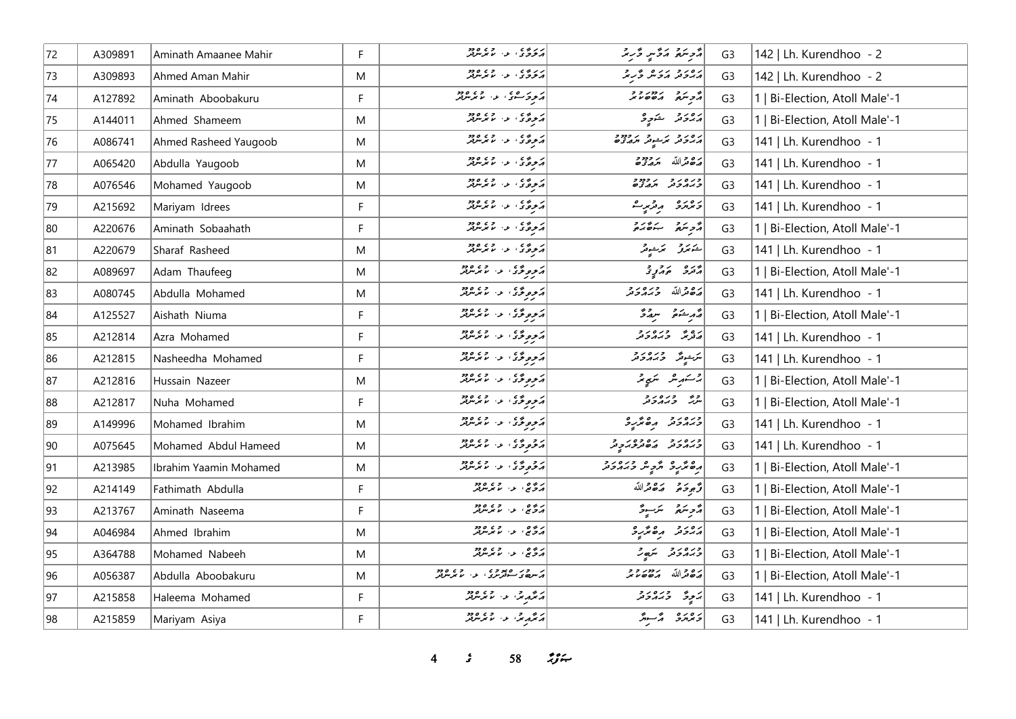| 72           | A309891 | Aminath Amaanee Mahir  | F.        | دروه عليه المتحده من دود.<br>  در خرج ی المتحد المتحد معرف معرف | مُتَّحِسَمُ مَرَّسٍ دُّرِيْرَ                         | G <sub>3</sub> | 142   Lh. Kurendhoo - 2        |
|--------------|---------|------------------------|-----------|-----------------------------------------------------------------|-------------------------------------------------------|----------------|--------------------------------|
| 73           | A309893 | Ahmed Aman Mahir       | M         | دروی د. دی وود                                                  | رور د بروند و به                                      | G <sub>3</sub> | 142   Lh. Kurendhoo - 2        |
| 74           | A127892 | Aminath Aboobakuru     | F         | ار د کرده ی اور استاند کرد.<br>امروکرد کرد استاند کرد           | REAR YELL                                             | G <sub>3</sub> | 1   Bi-Election, Atoll Male'-1 |
| 75           | A144011 | Ahmed Shameem          | M         | د د ځ ی او د د مرکز                                             | دەرو شەرە                                             | G <sub>3</sub> | 1   Bi-Election, Atoll Male'-1 |
| 76           | A086741 | Ahmed Rasheed Yaugoob  | M         | د پرې او د او دو                                                | رور و بر شوتر برودو و<br>  پر بر تر بر شوتر بر پر تون | G <sub>3</sub> | 141   Lh. Kurendhoo - 1        |
| 77           | A065420 | Abdulla Yaugoob        | M         | د وي د ۱۰ مرمزند                                                | أصفعته الله متصفحة                                    | G <sub>3</sub> | 141   Lh. Kurendhoo - 1        |
| 78           | A076546 | Mohamed Yaugoob        | ${\sf M}$ | کروگای اور دور                                                  | כנסנכ נפנכ<br>כגונכנ תגצם                             | G <sub>3</sub> | 141   Lh. Kurendhoo - 1        |
| 79           | A215692 | Mariyam Idrees         | F.        | کروگای اور دور                                                  | 5 پروژو پروژبر ک                                      | G <sub>3</sub> | 141   Lh. Kurendhoo - 1        |
| 80           | A220676 | Aminath Sobaahath      | F         | د پروگان او د او دور                                            | أأزوره والمدور                                        | G <sub>3</sub> | 1   Bi-Election, Atoll Male'-1 |
| 81           | A220679 | Sharaf Rasheed         | M         |                                                                 | أحكامكرفي المكاسيونكر                                 | G <sub>3</sub> | 141   Lh. Kurendhoo - 1        |
| 82           | A089697 | Adam Thaufeeg          | M         | د د و د د ، د ، ما د سر د                                       | دره در د                                              | G <sub>3</sub> | 1   Bi-Election, Atoll Male'-1 |
| 83           | A080745 | Abdulla Mohamed        | M         | د مورځ کې د الم مرس                                             | رە دالله دىرە دو                                      | G <sub>3</sub> | 141   Lh. Kurendhoo - 1        |
| 84           | A125527 | Aishath Niuma          | F         | د مورځ کې د الم مرس                                             | قەرىشى سىقىدى                                         | G <sub>3</sub> | 1   Bi-Election, Atoll Male'-1 |
| 85           | A212814 | Azra Mohamed           | F.        | د مومونځۍ ، مسلم موسر د د د                                     | دە ئەرەر دەر                                          | G <sub>3</sub> | 141   Lh. Kurendhoo - 1        |
| 86           | A212815 | Nasheedha Mohamed      | F         | <br>  پروگوی، عن ماسمبردو                                       | پرشوش وره د و<br>  پرشوش وبرورو                       | G <sub>3</sub> | 141   Lh. Kurendhoo - 1        |
| 87           | A212816 | Hussain Nazeer         | M         | د پوځ کې د د مړيند                                              | 2سىرىش سىپەتمە                                        | G <sub>3</sub> | 1   Bi-Election, Atoll Male'-1 |
| 88           | A212817 | Nuha Mohamed           | F         | د موموگی الله الله مورد ا                                       | روس وره رو<br>سرگ وبرمرونر                            | G <sub>3</sub> | 1   Bi-Election, Atoll Male'-1 |
| 89           | A149996 | Mohamed Ibrahim        | M         | د د و د د ، د ، ما مرس                                          | ورەرو مەھرىرى                                         | G <sub>3</sub> | 141   Lh. Kurendhoo - 1        |
| $ 90\rangle$ | A075645 | Mohamed Abdul Hameed   | ${\sf M}$ | د و وي د د سر د ده                                              | دره رو بره ده را د<br>  د بر رو تر می مرد بر پر       | G <sub>3</sub> | 141   Lh. Kurendhoo - 1        |
| 91           | A213985 | Ibrahim Yaamin Mohamed | M         | د و وي د ۱۶۵ وي ۱۶۵<br>  د تروڅ د ۱۶ مامرس                      | ره و د و په دره د د                                   | G <sub>3</sub> | 1   Bi-Election, Atoll Male'-1 |
| 92           | A214149 | Fathimath Abdulla      | F.        | پرېږي ، پر پر پر پر پر پر پر پر پر پر پر پر ا                   | أقرموحته وكالحدالله                                   | G <sub>3</sub> | 1   Bi-Election, Atoll Male'-1 |
| 93           | A213767 | Aminath Naseema        | F         | پروی په میکرین                                                  | دويتم يترجع                                           | G <sub>3</sub> | 1   Bi-Election, Atoll Male'-1 |
| 94           | A046984 | Ahmed Ibrahim          | M         | پرېږي ، په پرېږي دوه                                            | ده د د ه پر د                                         | G <sub>3</sub> | 1   Bi-Election, Atoll Male'-1 |
| 95           | A364788 | Mohamed Nabeeh         | M         | پرېږي، په په تر ټر ټرتر                                         | ورورو شهر                                             | G <sub>3</sub> | 1   Bi-Election, Atoll Male'-1 |
| 96           | A056387 | Abdulla Aboobakuru     | M         |                                                                 | 22/32/ 2001                                           | G <sub>3</sub> | 1   Bi-Election, Atoll Male'-1 |
| 97           | A215858 | Haleema Mohamed        | F         | پر مگرم مگر در مورد در در در محمد مرکز                          | پر پڑھ در دور د                                       | G <sub>3</sub> | 141   Lh. Kurendhoo - 1        |
| 98           | A215859 | Mariyam Asiya          | F.        | أرجمه برس وي دود                                                | د وره پر شهر                                          | G <sub>3</sub> | 141   Lh. Kurendhoo - 1        |

*4 s* 58 *ig*  $\frac{1}{2}$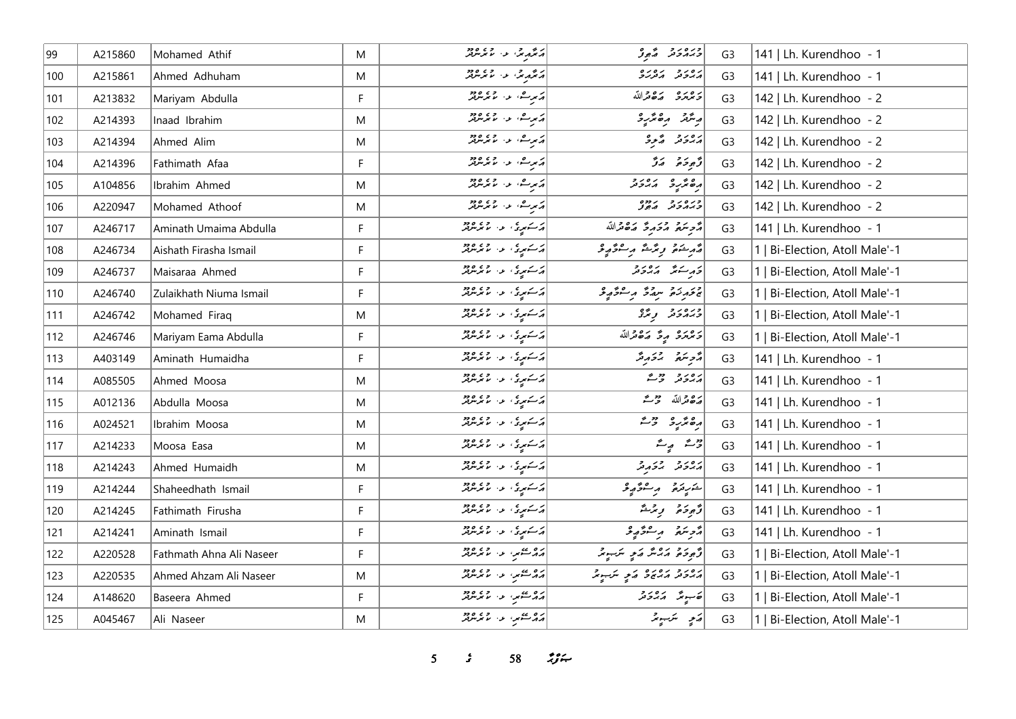| 99            | A215860 | Mohamed Athif            | M  | د محمد چې او ده ده ده د                                                                           | وره د و و                              | G <sub>3</sub> | 141   Lh. Kurendhoo - 1        |
|---------------|---------|--------------------------|----|---------------------------------------------------------------------------------------------------|----------------------------------------|----------------|--------------------------------|
| 100           | A215861 | Ahmed Adhuham            | M  | د عرو عزاء د ۱۶ عرض د                                                                             | גם גם גם גם<br>הגבה הב <i>נ</i> גב     | G <sub>3</sub> | 141   Lh. Kurendhoo - 1        |
| 101           | A213832 | Mariyam Abdulla          | F. | پرسش، عن الایر میں پر                                                                             | وعرمره وكالآله                         | G <sub>3</sub> | 142   Lh. Kurendhoo - 2        |
| 102           | A214393 | Inaad Ibrahim            | M  | د برے، او، اما برسرفر                                                                             | ويترتر وكالرباع                        | G <sub>3</sub> | 142   Lh. Kurendhoo - 2        |
| 103           | A214394 | Ahmed Alim               | M  | ئەبىرىشى ئاس ئۇيمەتلىر                                                                            | برەر ئە ئەر                            | G <sub>3</sub> | 142   Lh. Kurendhoo - 2        |
| 104           | A214396 | Fathimath Afaa           | F. | پرسش، عن الایر میں پر                                                                             | د پوځ تر تر                            | G <sub>3</sub> | 142   Lh. Kurendhoo - 2        |
| 105           | A104856 | Ibrahim Ahmed            | M  | دېمرے، عن الاجر مرکز                                                                              | مەھرىرى مەددىر                         | G <sub>3</sub> | 142   Lh. Kurendhoo - 2        |
| 106           | A220947 | Mohamed Athoof           | M  | درسی، او، اور دور                                                                                 | כנסנכ נחס                              | G <sub>3</sub> | 142   Lh. Kurendhoo - 2        |
| 107           | A246717 | Aminath Umaima Abdulla   | F. | د سکمپری، عن الامریزیز                                                                            | أمجم يترد وحريحه وكالحدالله            | G <sub>3</sub> | 141   Lh. Kurendhoo - 1        |
| 108           | A246734 | Aishath Firasha Ismail   | F  | د کشتمبری، او دار اور دور د                                                                       | قەرشۇ رىڭىشەر سىۋەپى                   | G <sub>3</sub> | 1   Bi-Election, Atoll Male'-1 |
| 109           | A246737 | Maisaraa Ahmed           | F  | د کشمیری او از ۲۶۵ وجو                                                                            | در سنتر اړه د د                        | G <sub>3</sub> | 1   Bi-Election, Atoll Male'-1 |
| 110           | A246740 | Zulaikhath Niuma Ismail  | F. | د سوری، عن المعرض                                                                                 |                                        | G <sub>3</sub> | 1   Bi-Election, Atoll Male'-1 |
| 111           | A246742 | Mohamed Firaq            | M  | د کشمیری، او به امام میرس                                                                         | دبرور د و مرَّة                        | G <sub>3</sub> | 1   Bi-Election, Atoll Male'-1 |
| 112           | A246746 | Mariyam Eama Abdulla     | F. | د کسوری، عن الاتر میرود                                                                           | رەرە رۇ رەقراللە                       | G <sub>3</sub> | 1   Bi-Election, Atoll Male'-1 |
| 113           | A403149 | Aminath Humaidha         | F  | د کشمیری، عن الاجر مرفر                                                                           | أروسكو المتحاديثر                      | G <sub>3</sub> | 141   Lh. Kurendhoo - 1        |
| 114           | A085505 | Ahmed Moosa              | M  | د کشمیری، عن الاتوسرفر                                                                            | رەر دەر                                | G <sub>3</sub> | 141   Lh. Kurendhoo - 1        |
| 115           | A012136 | Abdulla Moosa            | M  | د کشمیری، عن الاتر میرود                                                                          | مَدْهِ مِّرْ اللّهُ حَرْثَةُ           | G <sub>3</sub> | 141   Lh. Kurendhoo - 1        |
| 116           | A024521 | Ibrahim Moosa            | M  | کرکے میری اور اور دور دیا ہے۔<br>امریکی میں اس کا میں مریکو                                       | أرە ئۆرە بىق                           | G <sub>3</sub> | 141   Lh. Kurendhoo - 1        |
| 117           | A214233 | Moosa Easa               | M  | د سوړي، عن عامر مرکز                                                                              | ژے پہ                                  | G <sub>3</sub> | 141   Lh. Kurendhoo - 1        |
| 118           | A214243 | Ahmed Humaidh            | M  | د سوړي، عن عامر مرکز                                                                              | أرەر در دىر                            | G <sub>3</sub> | 141   Lh. Kurendhoo - 1        |
| $ 119\rangle$ | A214244 | Shaheedhath Ismail       | F. | د کشتمبری، او دار اور دور د                                                                       | شريرة برسفوريو                         | G <sub>3</sub> | 141   Lh. Kurendhoo - 1        |
| 120           | A214245 | Fathimath Firusha        | F  | ئەسكەبىرى ، ئەر ئەتكەنلەش                                                                         | وَجوحَة وِيَرْتُمْ                     | G <sub>3</sub> | 141   Lh. Kurendhoo - 1        |
| 121           | A214241 | Aminath Ismail           | F  | د کشتوری، او ۱۰ مورس                                                                              | مزجر مقرار معرض من المراجع             | G <sub>3</sub> | 141   Lh. Kurendhoo - 1        |
| 122           | A220528 | Fathmath Ahna Ali Naseer | F. | ده عصمر، عن معرضه                                                                                 | أَرْجِعَةً وَرَدْ مَدْ بِهِ سَرَجِعْهِ | G <sub>3</sub> | 1   Bi-Election, Atoll Male'-1 |
| 123           | A220535 | Ahmed Ahzam Ali Naseer   | M  | ده منتهم، الاس المعرض من                                                                          | د د د د د ده د مر مرسوم                | G <sub>3</sub> | Bi-Election, Atoll Male'-1     |
| 124           | A148620 | Baseera Ahmed            | F  | ده عصو، عن ما مرس                                                                                 | تەسوپى مەردىر                          | G <sub>3</sub> | Bi-Election, Atoll Male'-1     |
| 125           | A045467 | Ali Naseer               | M  | ده عوم الله الله على منظم الله من الله من الله من الله من الله من الله من الله من الله من الله من | رَمِي سَنَ يَمْ                        | G <sub>3</sub> | 1   Bi-Election, Atoll Male'-1 |

 $5$   $58$   $794$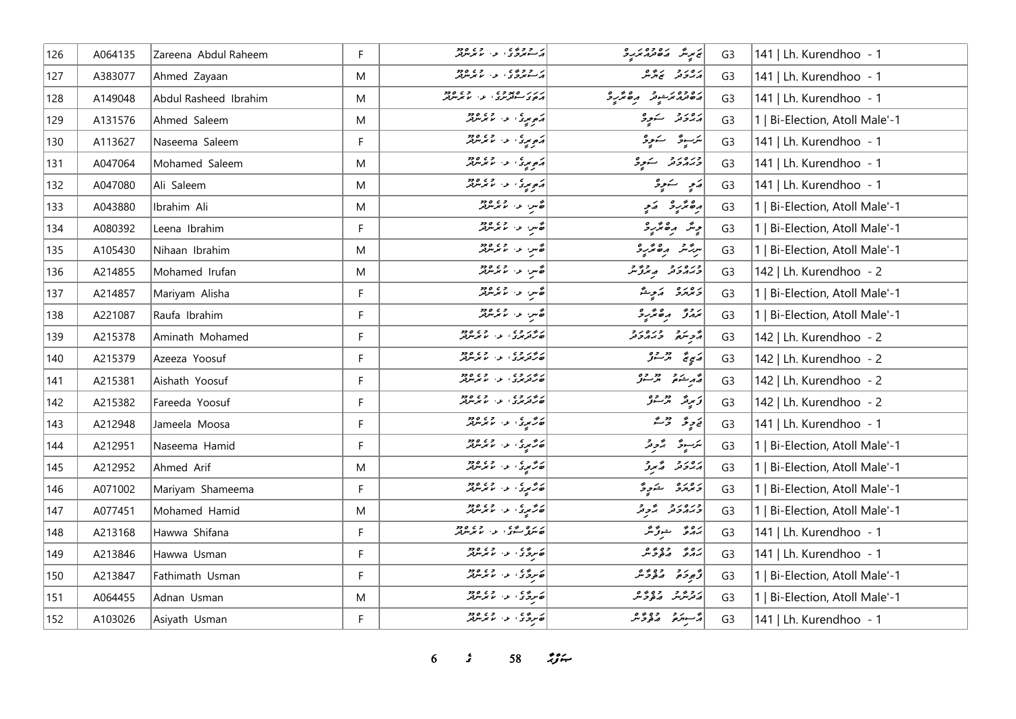| 126 | A064135 | Zareena Abdul Raheem  | F. | در و وه ده د.<br>د سورگان او اس مرس                 | پر پر شهر مقدم محرم دی | G <sub>3</sub> | 141   Lh. Kurendhoo - 1        |
|-----|---------|-----------------------|----|-----------------------------------------------------|------------------------|----------------|--------------------------------|
| 127 | A383077 | Ahmed Zayaan          | M  | ) د د د د د ، و ، د د ود                            | أرەر دېرى              | G <sub>3</sub> | 141   Lh. Kurendhoo - 1        |
| 128 | A149048 | Abdul Rasheed Ibrahim | M  | د د د ه د و د .<br>  د ه د سه ترس د . د . ما برس تر | رەدە ئەشرىق مەھەرد     | G <sub>3</sub> | 141   Lh. Kurendhoo - 1        |
| 129 | A131576 | Ahmed Saleem          | M  | دېمويزي، له ۱۰ مرکزونه                              | پرورو کے یوو           | G <sub>3</sub> | 1   Bi-Election, Atoll Male'-1 |
| 130 | A113627 | Naseema Saleem        | F  | د موری او استمام دور<br>  د موری او استمام مرکز     | سَرَسِودٌ   سَنَوِرْ   | G <sub>3</sub> | 141   Lh. Kurendhoo - 1        |
| 131 | A047064 | Mohamed Saleem        | M  | د موسى، عن عمر مريض                                 | دره رو در کرده         | G <sub>3</sub> | 141   Lh. Kurendhoo - 1        |
| 132 | A047080 | Ali Saleem            | M  | <br>  د پورې او د اما مرس                           | پر په سندوی            | G <sub>3</sub> | 141   Lh. Kurendhoo - 1        |
| 133 | A043880 | Ibrahim Ali           | M  | ه س د روه دو.<br>ه س د رمرس                         | رە ئرىر ئىي            | G <sub>3</sub> | 1   Bi-Election, Atoll Male'-1 |
| 134 | A080392 | Leena Ibrahim         | F  | انه سر، او در ۱۶۵٬۵۶۰                               | دپر ره ټر د            | G <sub>3</sub> | 1   Bi-Election, Atoll Male'-1 |
| 135 | A105430 | Nihaan Ibrahim        | M  | ئەس، مەسىر مەدە                                     | سرشش مرەمگرىز          | G <sub>3</sub> | 1   Bi-Election, Atoll Male'-1 |
| 136 | A214855 | Mohamed Irufan        | M  | اھ س عن موسود                                       | ورەرو ھەدور            | G <sub>3</sub> | 142   Lh. Kurendhoo - 2        |
| 137 | A214857 | Mariyam Alisha        | F  | انچ س او دارد.<br>افغانس او ما موسوفر               | د بر دی په کموسته      | G <sub>3</sub> | 1   Bi-Election, Atoll Male'-1 |
| 138 | A221087 | Raufa Ibrahim         | F  | اھ س عن موسوفر<br>  ھ س                             | أتروز رەترىرو          | G <sub>3</sub> | 1   Bi-Election, Atoll Male'-1 |
| 139 | A215378 | Aminath Mohamed       | F  | د د د د د د د د د د د د د                           | أثرم مترورد            | G <sub>3</sub> | 142   Lh. Kurendhoo - 2        |
| 140 | A215379 | Azeeza Yoosuf         | F  | ر در ده در ده دود.<br>هرگزین د اما مرس              | رَبِيءَ تَرْسَنُ       | G <sub>3</sub> | 142   Lh. Kurendhoo - 2        |
| 141 | A215381 | Aishath Yoosuf        | F  | ر در ده.<br>۱۳ ترتربری، ب- ما برسرتر                | پی شده در دو           | G <sub>3</sub> | 142   Lh. Kurendhoo - 2        |
| 142 | A215382 | Fareeda Yoosuf        | F  | ر در ده در ده دود.<br>هرگزین د اما مرس              | زىرىد تەرجۇ            | G <sub>3</sub> | 142   Lh. Kurendhoo - 2        |
| 143 | A212948 | Jameela Moosa         | F  | د هم دي او د د د د د د د                            | ئەرپۇ - ئۇسە           | G <sub>3</sub> | 141   Lh. Kurendhoo - 1        |
| 144 | A212951 | Naseema Hamid         | F. | د حري د اړه ووه                                     | لترسوق الأوقر          | G <sub>3</sub> | 1   Bi-Election, Atoll Male'-1 |
| 145 | A212952 | Ahmed Arif            | M  | ئەگەپرى، ئەس مەھرىتىرلىر                            | دی دی په په په په      | G <sub>3</sub> | 1   Bi-Election, Atoll Male'-1 |
| 146 | A071002 | Mariyam Shameema      | F. | د هم دي او د د ما مرس ود ا                          | د ۱۵ ده د شورگ         | G <sub>3</sub> | 1   Bi-Election, Atoll Male'-1 |
| 147 | A077451 | Mohamed Hamid         | M  | د هم دي.<br>  ت هم دي. او د اسم مرس                 | ورورو بجاور            | G <sub>3</sub> | 1   Bi-Election, Atoll Male'-1 |
| 148 | A213168 | Hawwa Shifana         | F. | د ره مړي .<br><i>ه مرگي سگ</i> ي او اما مرمونو      | برە ئەرگىگە            | G <sub>3</sub> | 141   Lh. Kurendhoo - 1        |
| 149 | A213846 | Hawwa Usman           | F  | ن ده و ده ده ده ده د                                | رەپ دەپرە              | G <sub>3</sub> | 141   Lh. Kurendhoo - 1        |
| 150 | A213847 | Fathimath Usman       | F  | ن ده و ده ده ده ده د                                | د بر د ده د ه ه        | G <sub>3</sub> | 1   Bi-Election, Atoll Male'-1 |
| 151 | A064455 | Adnan Usman           | M  | که برخ ی او در ۱۶۵۵ ور                              | ر دیگر میگریم          | G <sub>3</sub> | 1   Bi-Election, Atoll Male'-1 |
| 152 | A103026 | Asiyath Usman         | F. |                                                     | په سره ده وره ش        | G <sub>3</sub> | 141   Lh. Kurendhoo - 1        |

 $3$   $58$   $39$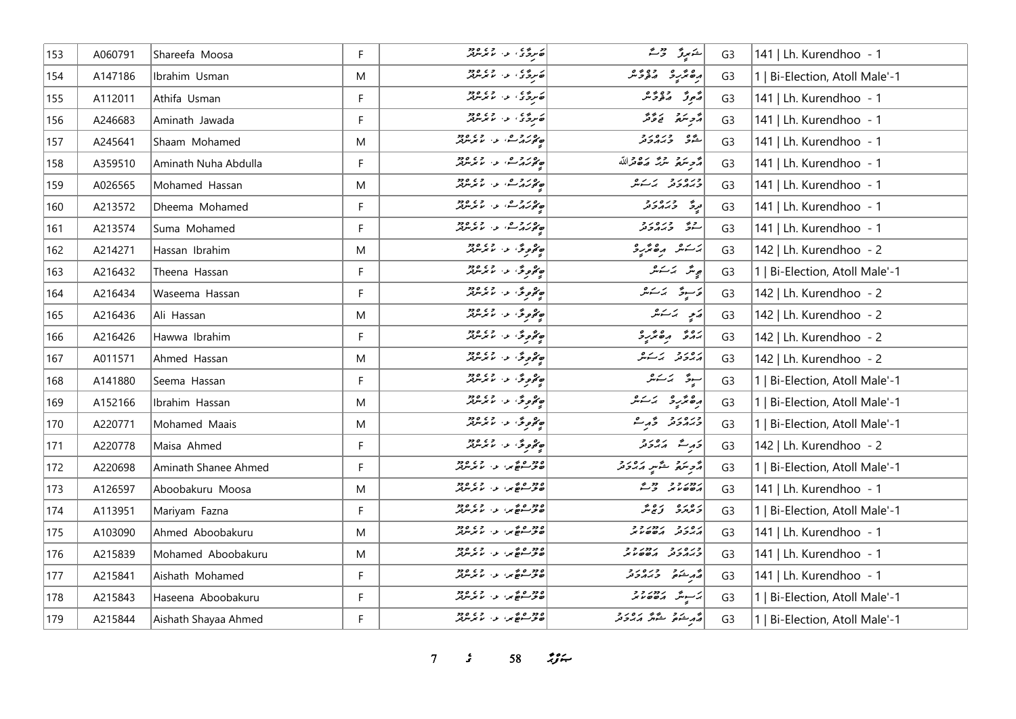| 153 | A060791 | Shareefa Moosa       | F            |                                                                   | ڪيرڙ اور ش                               | G <sub>3</sub> | 141   Lh. Kurendhoo - 1        |
|-----|---------|----------------------|--------------|-------------------------------------------------------------------|------------------------------------------|----------------|--------------------------------|
| 154 | A147186 | Ibrahim Usman        | M            | ن ده د د ده ده ده د                                               | رەپرىر دەپم                              | G <sub>3</sub> | 1   Bi-Election, Atoll Male'-1 |
| 155 | A112011 | Athifa Usman         | F            | ن ده و د ده و ده د                                                | رَّمُورٌ   رَهُ دُرَّ مَرْ               | G <sub>3</sub> | 141   Lh. Kurendhoo - 1        |
| 156 | A246683 | Aminath Jawada       | F            |                                                                   | أأدجت والمحافظ                           | G <sub>3</sub> | 141   Lh. Kurendhoo - 1        |
| 157 | A245641 | Shaam Mohamed        | M            | ھەر دەپ بەر دەھ                                                   | شه وره رو<br>شور وبرورو                  | G <sub>3</sub> | 141   Lh. Kurendhoo - 1        |
| 158 | A359510 | Aminath Nuha Abdulla | F            | ھەر دى. د. ئويمبر                                                 | أُمَّحِ سَمَّعَ سَمَّدَ مَصَّعْرَاللَّهُ | G <sub>3</sub> | 141   Lh. Kurendhoo - 1        |
| 159 | A026565 | Mohamed Hassan       | M            | ھەر دەر دەر                                                       | ورەرو پەسكىر                             | G <sub>3</sub> | 141   Lh. Kurendhoo - 1        |
| 160 | A213572 | Dheema Mohamed       | F            | ھەر دە ئەر دەھ                                                    | ا دره دره در در در در است.<br>ایرنگ      | G <sub>3</sub> | 141   Lh. Kurendhoo - 1        |
| 161 | A213574 | Suma Mohamed         | F            | ھەر دە ئەر دە دە                                                  | رح وره رح<br>سنو وبرورو                  | G <sub>3</sub> | 141   Lh. Kurendhoo - 1        |
| 162 | A214271 | Hassan Ibrahim       | M            | مەھمى ئىسىمى مەدە                                                 | برسكش مرەمگرىرى                          | G <sub>3</sub> | 142   Lh. Kurendhoo - 2        |
| 163 | A216432 | Theena Hassan        | F            | <br> حەمومى بىن مەردىن                                            | پړینځر پر ټرینکر                         | G <sub>3</sub> | 1   Bi-Election, Atoll Male'-1 |
| 164 | A216434 | Waseema Hassan       | F            | ەممۇمۇ، بەر مەردى<br>مەمۇمۇ، بەر مەمرىترىتر                       | قاسوق الكاشر                             | G <sub>3</sub> | 142   Lh. Kurendhoo - 2        |
| 165 | A216436 | Ali Hassan           | M            | مەھمىق، ئەسىمبىرلىر                                               | پی پرسک                                  | G <sub>3</sub> | 142   Lh. Kurendhoo - 2        |
| 166 | A216426 | Hawwa Ibrahim        | F            | په دورځي له د الامريزور                                           |                                          | G <sub>3</sub> | 142   Lh. Kurendhoo - 2        |
| 167 | A011571 | Ahmed Hassan         | M            | ەممۇمۇ، بەر دەرد                                                  | پرورو پر سکرها                           | G <sub>3</sub> | 142   Lh. Kurendhoo - 2        |
| 168 | A141880 | Seema Hassan         | F            | ەم ھەتتى، بەر « » » ««                                            | سوۋە ئەسكىر                              | G <sub>3</sub> | 1   Bi-Election, Atoll Male'-1 |
| 169 | A152166 | Ibrahim Hassan       | M            | مەھمىق، ئەسىر مەدە                                                | أرەنۇر ئەسىر                             | G <sub>3</sub> | 1   Bi-Election, Atoll Male'-1 |
| 170 | A220771 | Mohamed Maais        | M            | په ځومونځو لولو له ده ده ده د                                     | ورورو ومرم                               | G <sub>3</sub> | 1   Bi-Election, Atoll Male'-1 |
| 171 | A220778 | Maisa Ahmed          | F            | مەھمىقى: مەسىر سرىرىد                                             | دَرِتْ دَيْرْدَرْ                        | G <sub>3</sub> | 142   Lh. Kurendhoo - 2        |
| 172 | A220698 | Aminath Shanee Ahmed | $\mathsf F$  | ە دەرە ئەس دەرە<br>ھەرسىقى دارىمى بىر                             | أأتر بترة فتحسي أتراه والمحمد            | G <sub>3</sub> | 1   Bi-Election, Atoll Male'-1 |
| 173 | A126597 | Aboobakuru Moosa     | M            | ۶۶۵ و ۵ م<br>حوسوچ پر، بن برس                                     |                                          | G <sub>3</sub> | 141   Lh. Kurendhoo - 1        |
| 174 | A113951 | Mariyam Fazna        | $\mathsf{F}$ | ۲۵ وه ده مي او د ده دود.<br><mark>نان و سو</mark> ځ بر او بر بربر | رەرە زەپر                                | G <sub>3</sub> | 1   Bi-Election, Atoll Male'-1 |
| 175 | A103090 | Ahmed Aboobakuru     | M            | ۶۶۵ و ۶ و ۶<br>ت <i>خونسوچگی ب</i> ر کامونتولو                    | גפני גמניין                              | G <sub>3</sub> | 141   Lh. Kurendhoo - 1        |
| 176 | A215839 | Mohamed Aboobakuru   | M            | ە دورە ئەس بەر دەرە<br>ھەمەسىھى، بەر بىر بىرلىر                   | כנסנכ נמנכב                              | G <sub>3</sub> | 141   Lh. Kurendhoo - 1        |
| 177 | A215841 | Aishath Mohamed      | $\mathsf F$  | ە دەرە ئەس دەرە<br>ھەرسىقى داسىرس                                 | مجموعة مصروح وروح                        | G <sub>3</sub> | 141   Lh. Kurendhoo - 1        |
| 178 | A215843 | Haseena Aboobakuru   | F            | 220 م م در دي.<br>حوسوم <sub>ک</sub> ې د مرس                      | ئەسىر مەھەم ئىر                          | G <sub>3</sub> | 1   Bi-Election, Atoll Male'-1 |
| 179 | A215844 | Aishath Shayaa Ahmed | F            | ۶۶۵ و ۵ م<br>حوسوچ بر، بر بربربرد                                 | د د د و سنگر د د د د                     | G <sub>3</sub> | 1   Bi-Election, Atoll Male'-1 |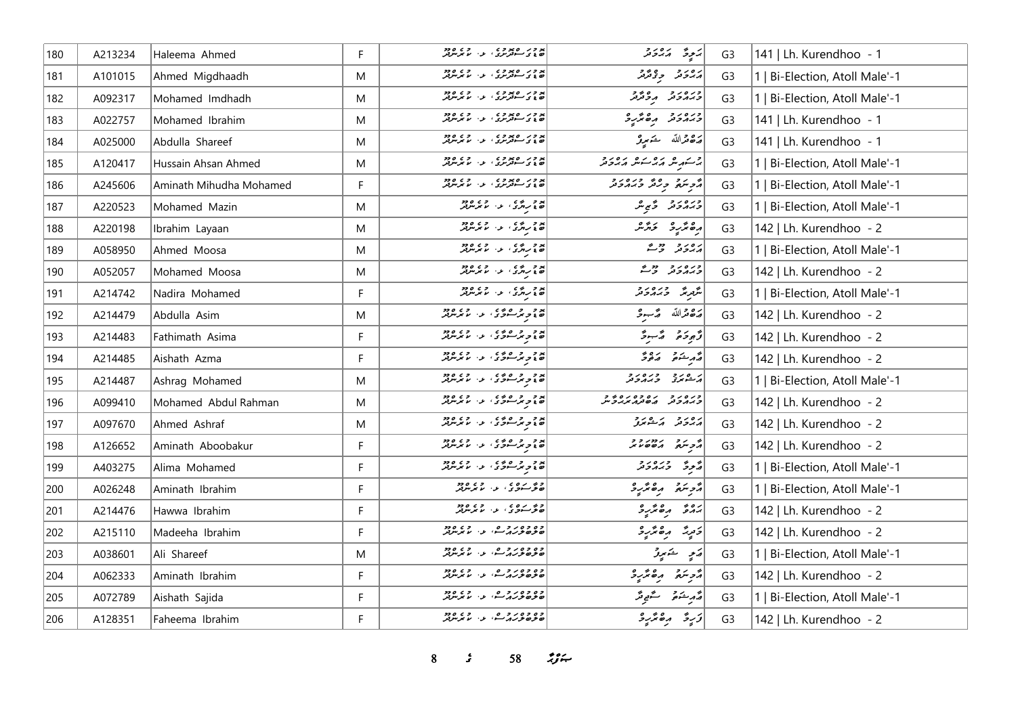| 180 | A213234 | Haleema Ahmed           | F. |                                                               | يَجِردُ الْمَدَوَنَز                | G <sub>3</sub> | 141   Lh. Kurendhoo - 1        |
|-----|---------|-------------------------|----|---------------------------------------------------------------|-------------------------------------|----------------|--------------------------------|
| 181 | A101015 | Ahmed Migdhaadh         | M  | پر در ره پر دی.<br>  نه در سوتر در در سر در در                | ره رو وه وو<br>مەركىس جۇنئرىر       | G <sub>3</sub> | 1   Bi-Election, Atoll Male'-1 |
| 182 | A092317 | Mohamed Imdhadh         | M  |                                                               | ورەر دە بەھ                         | G <sub>3</sub> | 1   Bi-Election, Atoll Male'-1 |
| 183 | A022757 | Mohamed Ibrahim         | M  | پر در ره پر دی.<br>  نه در سه ترس دی. سر سرتر                 | ورەرو مەگرو                         | G <sub>3</sub> | 141   Lh. Kurendhoo - 1        |
| 184 | A025000 | Abdulla Shareef         | M  |                                                               | مَدْهُ مَّرَاللَّهُ شَمَعِيقُ       | G <sub>3</sub> | 141   Lh. Kurendhoo - 1        |
| 185 | A120417 | Hussain Ahsan Ahmed     | M  |                                                               | د در ه ره ره ره رو د                | G <sub>3</sub> | 1   Bi-Election, Atoll Male'-1 |
| 186 | A245606 | Aminath Mihudha Mohamed | F  |                                                               | أزويتهم ورقر وبرورو                 | G <sub>3</sub> | 1   Bi-Election, Atoll Male'-1 |
| 187 | A220523 | Mohamed Mazin           | M  | پر د مرد د د د د د د د د د د                                  | ورەرو گېرم                          | G <sub>3</sub> | 1   Bi-Election, Atoll Male'-1 |
| 188 | A220198 | Ibrahim Layaan          | M  | د د د ده د د د د د د د د د                                    | رەپرىي ئەرە                         | G <sub>3</sub> | 142   Lh. Kurendhoo - 2        |
| 189 | A058950 | Ahmed Moosa             | M  | پر د مرد دی در د د د د د<br>  ن پر برگ د اس بر مرد            | رەر دىگ                             | G <sub>3</sub> | 1   Bi-Election, Atoll Male'-1 |
| 190 | A052057 | Mohamed Moosa           | M  | پر د مردم د د د د د د د د د د                                 | ورەر دەپ                            | G <sub>3</sub> | 142   Lh. Kurendhoo - 2        |
| 191 | A214742 | Nadira Mohamed          | F  | د د ده ده د د ده ده د                                         | أشرير ورورو                         | G <sub>3</sub> | 1   Bi-Election, Atoll Male'-1 |
| 192 | A214479 | Abdulla Asim            | M  | پر د د ه ه ی د د د د د د<br>  ه د د بر سرگری او از امریز بر   | مَدَّقْدَاللَّهُ مَدَّجَةٌ          | G <sub>3</sub> | 142   Lh. Kurendhoo - 2        |
| 193 | A214483 | Fathimath Asima         | F. | پر د د ه ه ه ه د د د د د د د<br>  ن د برسود ک ا د ا اما برس   | دُيودَة - دُسودٌ                    | G <sub>3</sub> | 142   Lh. Kurendhoo - 2        |
| 194 | A214485 | Aishath Azma            | F. | پر د د ده و د د د د د د د د<br>  ن د ت تر سور د ا د ا لاس     | د مشتور ده و                        | G <sub>3</sub> | 142   Lh. Kurendhoo - 2        |
| 195 | A214487 | Ashrag Mohamed          | M  | پر د د ده ده د ده ده د د د د د د                              | د ورو ورورو                         | G <sub>3</sub> | 1   Bi-Election, Atoll Male'-1 |
| 196 | A099410 | Mohamed Abdul Rahman    | M  | پر د د د ه ده د د د د د د د<br>  کا د مرسوری د ۱۰ مرس         | כנסנכ נסכסנסיפר<br>כממכת מסתממניכית | G <sub>3</sub> | 142   Lh. Kurendhoo - 2        |
| 197 | A097670 | Ahmed Ashraf            | M  | پر د د ه ه ه ه د د د د د د د<br>  ت د د برسود د ، او ، او مرس | رورو كالشعر                         | G <sub>3</sub> | 142   Lh. Kurendhoo - 2        |
| 198 | A126652 | Aminath Aboobakur       | F. | پر د د ه د د د د د د د د<br>  ه د د د سرد د ، د ، لا برسربر   |                                     | G <sub>3</sub> | 142   Lh. Kurendhoo - 2        |
| 199 | A403275 | Alima Mohamed           | F  | پر د د ه ه ه د د د د د د د<br>  ن د سرسوی د د مامرس           | چرڅ دبره رو                         | G <sub>3</sub> | 1   Bi-Election, Atoll Male'-1 |
| 200 | A026248 | Aminath Ibrahim         | F  | و ۶ روه د د د د د د د                                         | أأزويته وكالمرو                     | G <sub>3</sub> | 1   Bi-Election, Atoll Male'-1 |
| 201 | A214476 | Hawwa Ibrahim           | F. | د د ده د .<br>  د گرسوی، ب لا بر مربر                         |                                     | G <sub>3</sub> | 142   Lh. Kurendhoo - 2        |
| 202 | A215110 | Madeeha Ibrahim         | F  | وه وه روم .<br><mark>صوصور پر س</mark> ه د اسم <b>ر</b> سرچ   | دَمِيدًا رِهْمَّيْءِ                | G <sub>3</sub> | 142   Lh. Kurendhoo - 2        |
| 203 | A038601 | Ali Shareef             | M  | وه وه روح.<br><mark>صوصور پر</mark> شند از استر سربر          | ے کھیے تو تھ<br>ت<br>صعير           | G <sub>3</sub> | 1   Bi-Election, Atoll Male'-1 |
| 204 | A062333 | Aminath Ibrahim         | F. | وه وه روم.<br><mark>صوصور پر</mark> شاعر مامرس بر             | أأزجتم وقندرة                       | G <sub>3</sub> | 142   Lh. Kurendhoo - 2        |
| 205 | A072789 | Aishath Sajida          | F  | وه وه روحه در ده.<br>م <i>وه وروس</i> ، د. ما پرس             | رام مستوفر مستحقح قد                | G <sub>3</sub> | 1   Bi-Election, Atoll Male'-1 |
| 206 | A128351 | Faheema Ibrahim         | F. | وه وه د د و ه.<br>م <i>وه ور</i> ړ ک. د ام ترس                | زَرِةُ رِهْتُرْرِدْ                 | G <sub>3</sub> | 142   Lh. Kurendhoo - 2        |

**8** *s* **58** *n***<sub>y</sub><sub>***s***</sub>**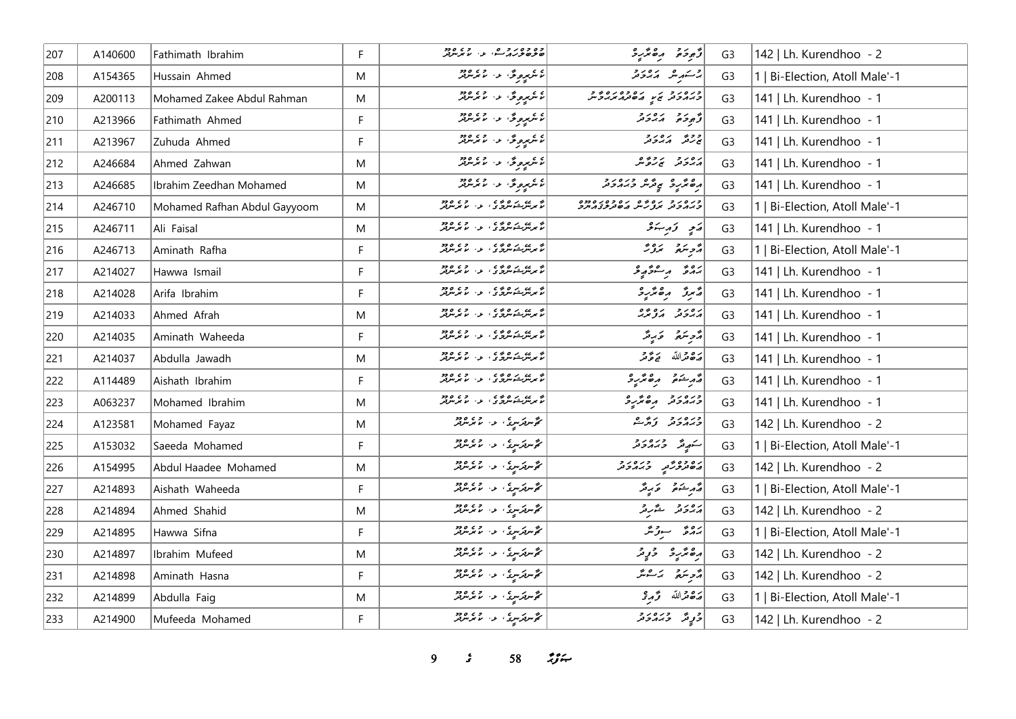| 207 | A140600 | Fathimath Ibrahim            | F         | وه وه روحه .<br>صوصور پر شو، اما مرس                                                                                                                                                                                             | أزّوجه رە ئرىۋ                               | G <sub>3</sub> | 142   Lh. Kurendhoo - 2        |
|-----|---------|------------------------------|-----------|----------------------------------------------------------------------------------------------------------------------------------------------------------------------------------------------------------------------------------|----------------------------------------------|----------------|--------------------------------|
| 208 | A154365 | Hussain Ahmed                | M         |                                                                                                                                                                                                                                  | جر سکهر شد کر در در حر                       | G <sub>3</sub> | 1   Bi-Election, Atoll Male'-1 |
| 209 | A200113 | Mohamed Zakee Abdul Rahman   | M         | ئاشرىپرىرى دا ماشرىتىد                                                                                                                                                                                                           | CIOSCO IN 1979                               | G <sub>3</sub> | 141   Lh. Kurendhoo - 1        |
| 210 | A213966 | Fathimath Ahmed              | F         | ئامگىرىمىگە: ئامگىرىنىڭلەر                                                                                                                                                                                                       | توجوجو مدروجر                                | G <sub>3</sub> | 141   Lh. Kurendhoo - 1        |
| 211 | A213967 | Zuhuda Ahmed                 | F         | ئامرىي <sub>ر</sub> ىرى مەھرىسىدىنى ئامارىيەدىنى ئامارىيەدىكى ئامارىيەدىكى ئامادىكى ئامادىكى ئامادىكى ئامادىكى ئامادىكى ئ                                                                                                        | ج ح شهر م شرکته در ا                         | G <sub>3</sub> | 141   Lh. Kurendhoo - 1        |
| 212 | A246684 | Ahmed Zahwan                 | M         | ئامرىيدىرى كەرەپ مەھ                                                                                                                                                                                                             | رەرد پردەر                                   | G <sub>3</sub> | 141   Lh. Kurendhoo - 1        |
| 213 | A246685 | Ibrahim Zeedhan Mohamed      | ${\sf M}$ | ئامگېروگ <sup>ى</sup> لار مىمگېرىنىد                                                                                                                                                                                             | ره و در و دره در و در در و                   | G <sub>3</sub> | 141   Lh. Kurendhoo - 1        |
| 214 | A246710 | Mohamed Rafhan Abdul Gayyoom | M         |                                                                                                                                                                                                                                  | כנסנכ נסים נספס נספס<br>כממכת מננית מסתיבממכ | G <sub>3</sub> | 1   Bi-Election, Atoll Male'-1 |
| 215 | A246711 | Ali Faisal                   | M         |                                                                                                                                                                                                                                  | ړی تەرىبى                                    | G <sub>3</sub> | 141   Lh. Kurendhoo - 1        |
| 216 | A246713 | Aminath Rafha                | F.        | انو پیوستوسرن و در این دور<br>انو پیوستوسرن و او در موسرپر                                                                                                                                                                       | مزهر مرورٌ                                   | G <sub>3</sub> | 1   Bi-Election, Atoll Male'-1 |
| 217 | A214027 | Hawwa Ismail                 | F         |                                                                                                                                                                                                                                  | >ەۋ رەۋرۇ                                    | G <sub>3</sub> | 141   Lh. Kurendhoo - 1        |
| 218 | A214028 | Arifa Ibrahim                | F.        | م پرس دی ده د .<br>م پرس شورگان او اس بر برو                                                                                                                                                                                     | رسموقر مرھ مركب د                            | G <sub>3</sub> | 141   Lh. Kurendhoo - 1        |
| 219 | A214033 | Ahmed Afrah                  | M         | ه په د ه وي .<br>تا برنتوسوري او ان تا برنتونو                                                                                                                                                                                   | גם גם גם בים.<br>הגבה הציגה                  | G <sub>3</sub> | 141   Lh. Kurendhoo - 1        |
| 220 | A214035 | Aminath Waheeda              | F         | م پرس دی ده د .<br>م پرس شورگان او اس بر برو                                                                                                                                                                                     | مَّرِسَعُ وَرِمَّ                            | G <sub>3</sub> | 141   Lh. Kurendhoo - 1        |
| 221 | A214037 | Abdulla Jawadh               | M         | ه برن ده وي و د و د ده<br>تا برنتوشتملرگري او ا با برنتولر                                                                                                                                                                       | أَصَّاهُ مَقَرَّدَ اللَّهُ مَعَ عَزَّمَتُ    | G <sub>3</sub> | 141   Lh. Kurendhoo - 1        |
| 222 | A114489 | Aishath Ibrahim              | F         |                                                                                                                                                                                                                                  | مەر شەم بەھ مەر چ                            | G <sub>3</sub> | 141   Lh. Kurendhoo - 1        |
| 223 | A063237 | Mohamed Ibrahim              | M         | ه بر ده د و و د .<br>لا بر مرکب مرکز ی . ب . لا بر مرکز                                                                                                                                                                          | ورەرو مەھرىر                                 | G <sub>3</sub> | 141   Lh. Kurendhoo - 1        |
| 224 | A123581 | Mohamed Fayaz                | M         | گەنلەرسىگە بەر مەس ئەھ                                                                                                                                                                                                           | ورەر دېر م                                   | G <sub>3</sub> | 142   Lh. Kurendhoo - 2        |
| 225 | A153032 | Saeeda Mohamed               | F.        | مۇسرىكرسى، ئەس مەرس                                                                                                                                                                                                              | أستهيش وبره رو                               | G <sub>3</sub> | 1   Bi-Election, Atoll Male'-1 |
| 226 | A154995 | Abdul Haadee Mohamed         | ${\sf M}$ | گۆسرتكرسوكى بالا ئەرەردى<br>  گۆسرتكرسوكى بالا ئالىرسرتىر                                                                                                                                                                        | د و و و د د د د د و د                        | G <sub>3</sub> | 142   Lh. Kurendhoo - 2        |
| 227 | A214893 | Aishath Waheeda              | F.        | گەنلەرسى ئەرسىمەدە                                                                                                                                                                                                               | وَأَمْرِ شَنَاهُمْ - وَكَرِ وَرَّ            | G <sub>3</sub> | 1   Bi-Election, Atoll Male'-1 |
| 228 | A214894 | Ahmed Shahid                 | M         | مۇس ترس ئەس مەم بىر بىرى<br>مۇس تىرىس ئەس ئىس تىر                                                                                                                                                                                | پروتر ځېږ                                    | G <sub>3</sub> | 142   Lh. Kurendhoo - 2        |
| 229 | A214895 | Hawwa Sifna                  | F         | گەس كەس كە بار مەن 2009.                                                                                                                                                                                                         | برەپر سوتىر                                  | G <sub>3</sub> | 1   Bi-Election, Atoll Male'-1 |
| 230 | A214897 | Ibrahim Mufeed               | M         | مگرس ترس دی و د د د د د د                                                                                                                                                                                                        | رەپر دۇ توپر                                 | G <sub>3</sub> | 142   Lh. Kurendhoo - 2        |
| 231 | A214898 | Aminath Hasna                | F         | مگرس ترس د از ۲۶۵ وجود در ۱۹۶۵ وجود برای در این ایران در این ایران در ۱۹۶۵ وجود برای برای برای کار در ۱۹۶۵ وجو<br>مرکز ایران کار ایران در ساله مرکز ایران کار در ایران در ایران کار در ایران کار در ایران کار در ایران کار در ای | أأزجر متمر بمستقر                            | G <sub>3</sub> | 142   Lh. Kurendhoo - 2        |
| 232 | A214899 | Abdulla Faig                 | M         | گر سربر سری در محمد سربر برد.<br>مگر سربر سربر سربر سربر سربر بر                                                                                                                                                                 | أضفض الله وحمدهي                             | G <sub>3</sub> | 1   Bi-Election, Atoll Male'-1 |
| 233 | A214900 | Mufeeda Mohamed              | F.        | گەستەس كە بار مەس بىر                                                                                                                                                                                                            | د په د د د د د                               | G <sub>3</sub> | 142   Lh. Kurendhoo - 2        |

*9 s* 58 *i*<sub>3</sub> *i*<sub>4</sub>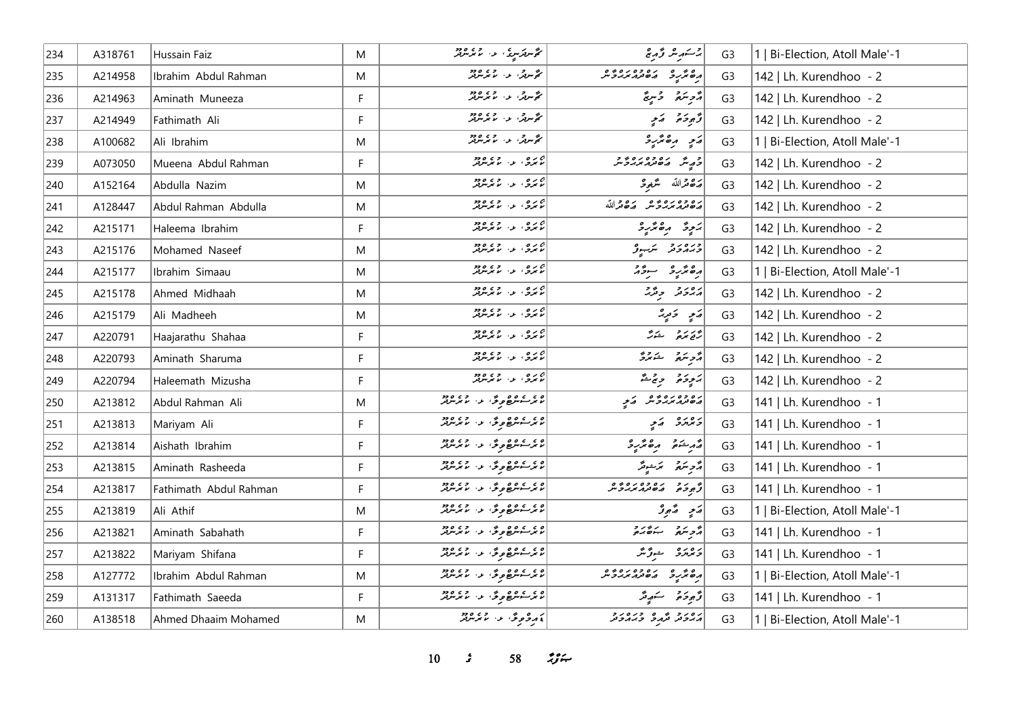| 234 | A318761 | Hussain Faiz           | M            | گەنلەر سورىيە ئەس ئەرەپ ئەرە                                                                                   | پرسٹهرینگ وشہریخ                | G <sub>3</sub> | 1   Bi-Election, Atoll Male'-1 |
|-----|---------|------------------------|--------------|----------------------------------------------------------------------------------------------------------------|---------------------------------|----------------|--------------------------------|
| 235 | A214958 | Ibrahim Abdul Rahman   | M            | مۇس كى ئەرەپىيە ئەرەپ كەندىن كەندىن ئەرەپ كەندىن ئەرەپ كەندىن كەندىن ئۇنىزلەر كەندىن كەندىن كەندىن كەندىن كەند | 02010201020201                  | G <sub>3</sub> | 142   Lh. Kurendhoo - 2        |
| 236 | A214963 | Aminath Muneeza        | F            | مۇس تەرەپىيە ئەرەپەتلىرى<br>مۇس تەرەپ مەيرىلىرى                                                                | أأدمنه وسمج                     | G <sub>3</sub> | 142   Lh. Kurendhoo - 2        |
| 237 | A214949 | Fathimath Ali          | $\mathsf{F}$ | مۇس تەرەپ ئەيدىن ھەر                                                                                           | دَّجوحه وَ ي                    | G <sub>3</sub> | 142   Lh. Kurendhoo - 2        |
| 238 | A100682 | Ali Ibrahim            | M            | مۇس ئى ئەس ئەيدىن ئى                                                                                           | ړی ره ټر د                      | G <sub>3</sub> | 1   Bi-Election, Atoll Male'-1 |
| 239 | A073050 | Mueena Abdul Rahman    | F            | ج پره، او، او دور                                                                                              | د شهر ده ده ده د و              | G <sub>3</sub> | 142   Lh. Kurendhoo - 2        |
| 240 | A152164 | Abdulla Nazim          | M            | ج پره ، پر وي ورو<br>مرکزي بو ، بر تر مرکز                                                                     | أرَى قرالله سَرْمِهِ حَ         | G <sub>3</sub> | 142   Lh. Kurendhoo - 2        |
| 241 | A128447 | Abdul Rahman Abdulla   | M            | ج بره ، رحمه عده د                                                                                             | رە دەرە دە رە دالله             | G <sub>3</sub> | 142   Lh. Kurendhoo - 2        |
| 242 | A215171 | Haleema Ibrahim        | F            | ئەيرە، بەر بەر بەر بور                                                                                         | پَنجِرةٌ و مِعْرَبِهِ           | G <sub>3</sub> | 142   Lh. Kurendhoo - 2        |
| 243 | A215176 | Mohamed Naseef         | M            | جړه ، د عمر ده.<br>  نامرو ، د اندېر مربر                                                                      | درەر د سربىرو                   | G <sub>3</sub> | 142   Lh. Kurendhoo - 2        |
| 244 | A215177 | Ibrahim Simaau         | M            | پره د دي وود                                                                                                   | رەنۇرو سۆز                      | G <sub>3</sub> | 1   Bi-Election, Atoll Male'-1 |
| 245 | A215178 | Ahmed Midhaah          | M            | ج پره ، پر وي ورو<br>مرکزي بو ، بر تر مرکز                                                                     | رور و و ژبر                     | G <sub>3</sub> | 142   Lh. Kurendhoo - 2        |
| 246 | A215179 | Ali Madheeh            | M            | پره د د چې وو                                                                                                  | ړَ په دَ توپر                   | G <sub>3</sub> | 142   Lh. Kurendhoo - 2        |
| 247 | A220791 | Haajarathu Shahaa      | F            | ەرە، بەرىپەدە                                                                                                  | ەرىر دەر ئىكەن.<br>مەنبەت ئىكەن | G <sub>3</sub> | 142   Lh. Kurendhoo - 2        |
| 248 | A220793 | Aminath Sharuma        | F            | ج پره ، پر پر پرور                                                                                             | أُمُّحِ سَمَّ سَنَمْتُرُّ       | G <sub>3</sub> | 142   Lh. Kurendhoo - 2        |
| 249 | A220794 | Haleemath Mizusha      | F            | ج پره ، پر پر پرور                                                                                             | رَمُوحَة وِجْمَةٌ               | G <sub>3</sub> | 142   Lh. Kurendhoo - 2        |
| 250 | A213812 | Abdul Rahman Ali       | M            |                                                                                                                | ره ده ره ده در کرم              | G <sub>3</sub> | 141   Lh. Kurendhoo - 1        |
| 251 | A213813 | Mariyam Ali            | F            | ۲۵ وه ۲۵ وگر، د. ۲۶ و ۲۵ وجو                                                                                   | د ۱۳ په په په                   | G <sub>3</sub> | 141   Lh. Kurendhoo - 1        |
| 252 | A213814 | Aishath Ibrahim        | F            | ۲۰۵۵ می ورود و ۲۵۵۵ میلادیم                                                                                    | أقهر شدة وهقريرة                | G <sub>3</sub> | 141   Lh. Kurendhoo - 1        |
| 253 | A213815 | Aminath Rasheeda       | F            | <br>  پرسش عرض د تمرین                                                                                         | أأدو مكرة أأتكر مركب وتكر       | G <sub>3</sub> | 141   Lh. Kurendhoo - 1        |
| 254 | A213817 | Fathimath Abdul Rahman | F            | د د د ده و د . د د د د .                                                                                       |                                 | G <sub>3</sub> | 141   Lh. Kurendhoo - 1        |
| 255 | A213819 | Ali Athif              | M            | ۲۵ وه ۱۵ و گر، در ۲۶ و دو                                                                                      | پَندِ سَعِيوْ                   | G <sub>3</sub> | 1   Bi-Election, Atoll Male'-1 |
| 256 | A213821 | Aminath Sabahath       | F            | می شوده دی و د در دورد<br>  ما تر شوده د د به ما تر مرس                                                        | أزويتهم بنصره                   | G <sub>3</sub> | 141   Lh. Kurendhoo - 1        |
| 257 | A213822 | Mariyam Shifana        | $\mathsf F$  | مىر سىمھ ھۇئە بەر مىمەر بىر                                                                                    | دەرە ھۆكتر                      | G <sub>3</sub> | 141   Lh. Kurendhoo - 1        |
| 258 | A127772 | Ibrahim Abdul Rahman   | M            | میں عام دی ہے جو ماہ دیا<br>  ماہر سو سر جو ماہ میں ماہر سر ماہر                                               | 040102010401                    | G <sub>3</sub> | 1   Bi-Election, Atoll Male'-1 |
| 259 | A131317 | Fathimath Saeeda       | F            | $\begin{bmatrix} 2 & 2 & 3 & 3 \ 7 & 8 & 1 & 1 \end{bmatrix}$ لا تر سور مرتبر بر                               | وَجوحَۃ سَنہوشر                 | G <sub>3</sub> | 141   Lh. Kurendhoo - 1        |
| 260 | A138518 | Ahmed Dhaaim Mohamed   | M            | پروگوی دا میکرد                                                                                                | رور و محمد و درور و             | G <sub>3</sub> | 1   Bi-Election, Atoll Male'-1 |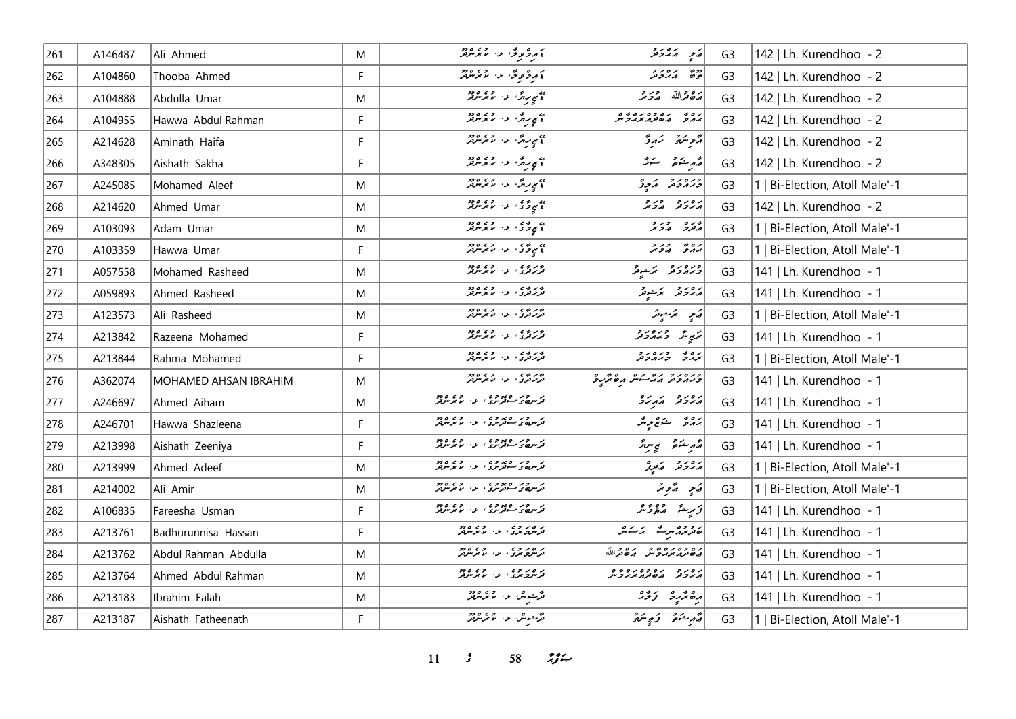| 261 | A146487 | Ali Ahmed             | M            | ، دومودٌ ، ، ، ، ، ، ،                                           | ړی پرورو                                         | G3             | 142   Lh. Kurendhoo - 2        |
|-----|---------|-----------------------|--------------|------------------------------------------------------------------|--------------------------------------------------|----------------|--------------------------------|
| 262 | A104860 | Thooba Ahmed          | F            | ، دوری د میکرد.                                                  | دونه در در د                                     | G <sub>3</sub> | 142   Lh. Kurendhoo - 2        |
| 263 | A104888 | Abdulla Umar          | M            | » سربرگا عام المرسر برد.<br> } سی سرگان عام مرسر بر              | مَصْعَرالله مِرْحَمَد                            | G <sub>3</sub> | 142   Lh. Kurendhoo - 2        |
| 264 | A104955 | Hawwa Abdul Rahman    | $\mathsf{F}$ | » سربرگا عام المرسر برد.<br> } سی سربرگا عام المرسر برد.         | נים ניסיפים ניסים<br>גרנים השינו <i>ת נג</i> לית | G <sub>3</sub> | 142   Lh. Kurendhoo - 2        |
| 265 | A214628 | Aminath Haifa         | F            | پ <sub>ې موس</sub> ر دی ورود<br>  پا <i>مې موسر د ما موسر پر</i> | مزمر سنتمر ترمرقر                                | G <sub>3</sub> | 142   Lh. Kurendhoo - 2        |
| 266 | A348305 | Aishath Sakha         | F            | )<br>) کام روگ عن ما مرسرفر<br>)                                 | أقهر مشتمر استكثر                                | G <sub>3</sub> | 142   Lh. Kurendhoo - 2        |
| 267 | A245085 | Mohamed Aleef         | M            | )<br>) کامپریٹر، عرب ماجر مریمز پر                               | ورەرو كەچە                                       | G <sub>3</sub> | 1   Bi-Election, Atoll Male'-1 |
| 268 | A214620 | Ahmed Umar            | M            | » ده و د ده ده ده د                                              | גפגב בגב                                         | G <sub>3</sub> | 142   Lh. Kurendhoo - 2        |
| 269 | A103093 | Adam Umar             | M            | )<br>  دې په کړې لري لرمرين                                      | گروه در د                                        | G <sub>3</sub> | 1   Bi-Election, Atoll Male'-1 |
| 270 | A103359 | Hawwa Umar            | F            | به ده ده ده ورود.<br>د موځو د سرمرمن                             | بره په در د                                      | G <sub>3</sub> | 1   Bi-Election, Atoll Male'-1 |
| 271 | A057558 | Mohamed Rasheed       | M            | بر د د د .<br>تررتری او . اما ترس                                | ورەرو كەنبەتر                                    | G <sub>3</sub> | 141   Lh. Kurendhoo - 1        |
| 272 | A059893 | Ahmed Rasheed         | M            | ور وه د د و د و وو<br>تررتری او ان ما برس                        | رەرە بەجو                                        | G <sub>3</sub> | 141   Lh. Kurendhoo - 1        |
| 273 | A123573 | Ali Rasheed           | M            | بربر بره و و و و و و د<br>تررتری او اند برنتری                   | پر پر سر پر                                      | G <sub>3</sub> | 1   Bi-Election, Atoll Male'-1 |
| 274 | A213842 | Razeena Mohamed       | F            | بر د ده د .<br>ترکنگری او . اما بر نتولتر                        | ټرې شه د ۱۵۷۶ کل                                 | G <sub>3</sub> | 141   Lh. Kurendhoo - 1        |
| 275 | A213844 | Rahma Mohamed         | $\mathsf{F}$ | برری د ور ور<br>تررتری د مایرس                                   | روه دره دد                                       | G <sub>3</sub> | 1   Bi-Election, Atoll Male'-1 |
| 276 | A362074 | MOHAMED AHSAN IBRAHIM | M            |                                                                  | ورەر د بره ده مره پرده                           | G <sub>3</sub> | 141   Lh. Kurendhoo - 1        |
| 277 | A246697 | Ahmed Aiham           | M            | د سرور ۱۶۵ وی.<br>در سرده د سوترس دی. د سرس                      | גפני הגני                                        | G <sub>3</sub> | 141   Lh. Kurendhoo - 1        |
| 278 | A246701 | Hawwa Shazleena       | F            | د سرور ۱۶۵ وی.<br>در سرده د سوترس دی. د سرس                      | رُەۋ شەھرىگە                                     | G <sub>3</sub> | 141   Lh. Kurendhoo - 1        |
| 279 | A213998 | Aishath Zeeniya       | F            | تر سرور ه مود و ع .<br>تر سرد بر سوتر سری او . اما موسوفر        | أقمر يشكره والمحاسرة                             | G <sub>3</sub> | 141   Lh. Kurendhoo - 1        |
| 280 | A213999 | Ahmed Adeef           | M            | د در وروده ده ده ورود<br>ترس ور مترس در مرس تر                   | پروتر کے تور                                     | G <sub>3</sub> | Bi-Election, Atoll Male'-1     |
| 281 | A214002 | Ali Amir              | M            | د سرور ه پوده و د د د د د د<br>ترس ه د سوترس د د سر سر سرتر      | پَنوِ پُرویژ                                     | G <sub>3</sub> | 1   Bi-Election, Atoll Male'-1 |
| 282 | A106835 | Fareesha Usman        | F            | ترسره بر ان دوره<br>ترسرهای سوترس                                | زىرىش مەمۇر                                      | G <sub>3</sub> | 141   Lh. Kurendhoo - 1        |
| 283 | A213761 | Badhurunnisa Hassan   | F            | د ه د د ه<br>  ترسری بردی از با برسربر                           | موبرو سرے کے کیمر                                | G <sub>3</sub> | 141   Lh. Kurendhoo - 1        |
| 284 | A213762 | Abdul Rahman Abdulla  | M            | د ه د د ، د ، د ود                                               | ره ده ره د د ره دالله                            | G <sub>3</sub> | 141   Lh. Kurendhoo - 1        |
| 285 | A213764 | Ahmed Abdul Rahman    | M            | د ود وه.<br>فرس تردي الله الممرس                                 | ره د د ده ده ده ده و                             | G <sub>3</sub> | 141   Lh. Kurendhoo - 1        |
| 286 | A213183 | Ibrahim Falah         | M            | قرشيش عالم عمر مرض                                               | دە ئەر ئۇي                                       | G <sub>3</sub> | 141   Lh. Kurendhoo - 1        |
| 287 | A213187 | Aishath Fatheenath    | F            | .<br>مگشیانگران او به مگر میگرانی                                | د مر شوه که د مردم د                             | G <sub>3</sub> | 1   Bi-Election, Atoll Male'-1 |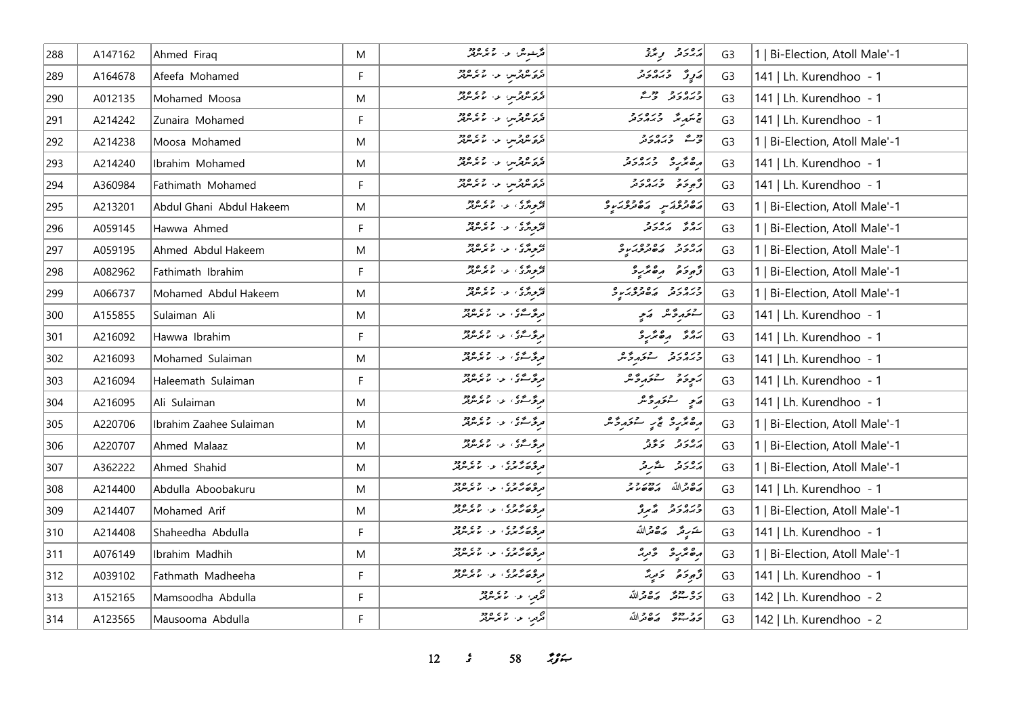| 288    | A147162 | Ahmed Firaq              | M | مگرجوش او در ۱۳۶۵ ور                                       | پروتر پی پژو                  | G <sub>3</sub> | 1   Bi-Election, Atoll Male'-1 |
|--------|---------|--------------------------|---|------------------------------------------------------------|-------------------------------|----------------|--------------------------------|
| 289    | A164678 | Afeefa Mohamed           | F | در ه ورس او ۱۰ مرس در ۱۶۶۵<br>  فره شرفترس او ۱۰ مرس برفتر | בְֿנָלֿ לְבְלִב               | G <sub>3</sub> | 141   Lh. Kurendhoo - 1        |
| 290    | A012135 | Mohamed Moosa            | M | <br>  تره نژورس عن موسر تر                                 | وره دو دورم                   | G <sub>3</sub> | 141   Lh. Kurendhoo - 1        |
| 291    | A214242 | Zunaira Mohamed          | F | ے روز پر دی وود<br><mark>ترو شہر س</mark> ی دی کا شریع تھ  | ج شهر شهر در در د             | G <sub>3</sub> | 141   Lh. Kurendhoo - 1        |
| 292    | A214238 | Moosa Mohamed            | M | ے روزمیں عن مذہبیں<br>مرکز شہر سن مذہبیں                   | وورے ورورور                   | G <sub>3</sub> | 1   Bi-Election, Atoll Male'-1 |
| 293    | A214240 | Ibrahim Mohamed          | M | در ه و در از در ۲۶۵ و د                                    | ده نگرده وره دو               | G <sub>3</sub> | 141   Lh. Kurendhoo - 1        |
| 294    | A360984 | Fathimath Mohamed        | F | در ه ورس او با او دود<br>  فرو شرفر س از اس سرسرفر         | و ده وره ده                   | G <sub>3</sub> | 141   Lh. Kurendhoo - 1        |
| 295    | A213201 | Abdul Ghani Abdul Hakeem | M |                                                            | מסיניכת יש הסיניכת עם         | G <sub>3</sub> | 1   Bi-Election, Atoll Male'-1 |
| 296    | A059145 | Hawwa Ahmed              | F | ئىم ئەسمى ئەرەپە ئەرەپەر<br>  ئىمرىرىتى كىس ئىم ئىمرىتىر   | بروی برور و                   | G <sub>3</sub> | 1   Bi-Election, Atoll Male'-1 |
| 297    | A059195 | Ahmed Abdul Hakeem       | M | ) د دی اور د د د د د د                                     | رورو رەوەرىي                  | G <sub>3</sub> | 1   Bi-Election, Atoll Male'-1 |
| 298    | A082962 | Fathimath Ibrahim        | F | ) د پرې د د ده ده ده د                                     | أزودة مقترد                   | G <sub>3</sub> | 1   Bi-Election, Atoll Male'-1 |
| 299    | A066737 | Mohamed Abdul Hakeem     | M | ده و د د و د د و د و د و د                                 | ورەرو رەدەررە                 | G <sub>3</sub> | 1   Bi-Election, Atoll Male'-1 |
| 300    | A155855 | Sulaiman Ali             | M | ىرگەڭگۇ، بەر 2007                                          | ستخدرتم كالمحيح               | G <sub>3</sub> | 141   Lh. Kurendhoo - 1        |
| 301    | A216092 | Hawwa Ibrahim            | F | درگرگری از انداز دود                                       |                               | G <sub>3</sub> | 141   Lh. Kurendhoo - 1        |
| 302    | A216093 | Mohamed Sulaiman         | M | ىرىگەسىگە ئەرەپ دەرەد                                      | ورەرو ئەرەپى                  | G <sub>3</sub> | 141   Lh. Kurendhoo - 1        |
| 303    | A216094 | Haleemath Sulaiman       | F | ىرگەڭگۇ، ئەر مەيرىرى                                       | كموخي ستخدفه                  | G <sub>3</sub> | 141   Lh. Kurendhoo - 1        |
| 304    | A216095 | Ali Sulaiman             | M | ىرگەشكى، بەر مەيدىلل                                       | ئەمۇر ئەتىر ئەشر              | G <sub>3</sub> | 141   Lh. Kurendhoo - 1        |
| 305    | A220706 | Ibrahim Zaahee Sulaiman  | M | <mark>ىرگەش</mark> ى، ئەرەپچە دەر                          | مەھەر ئەس ئىس ئىكرىدۇ.        | G <sub>3</sub> | 1   Bi-Election, Atoll Male'-1 |
| 306    | A220707 | Ahmed Malaaz             | M | ەرگەسىمى ، بەر 2007<br>ھەرگەسىمى ، بەر مەيتى <i>ھەر</i>    | رەر دىۋە                      | G <sub>3</sub> | 1   Bi-Election, Atoll Male'-1 |
| 307    | A362222 | Ahmed Shahid             | M | ه در ۶ و د .<br>در ژه رنگری از اما مرسوبگر                 | برەر دېم ئىقىرىتى             | G <sub>3</sub> | 1   Bi-Election, Atoll Male'-1 |
| 308    | A214400 | Abdulla Aboobakuru       | M | ه در در در در در در در<br>در ژه رس در از اس سربر           | رە دالله مەدەر د              | G <sub>3</sub> | 141   Lh. Kurendhoo - 1        |
| 309    | A214407 | Mohamed Arif             | M | ەر بەدە دە<br>ترىۋە <i>رىم</i> رى ، ئەس بىر سرتىر          | ورەر د گرو                    | G <sub>3</sub> | 1   Bi-Election, Atoll Male'-1 |
| 310    | A214408 | Shaheedha Abdulla        | F | ه در ۶ و د .<br>ترنژه رسمری از اما مرس                     | <u>ش</u> َرِيمَ رَصْحْراللَّه | G <sub>3</sub> | 141   Lh. Kurendhoo - 1        |
| $ 311$ | A076149 | Ibrahim Madhih           | M | ه دره و ،<br>درخه رسری ، د ، ماسرس                         | أرە ئەر ئەربى                 | G <sub>3</sub> | 1   Bi-Election, Atoll Male'-1 |
| 312    | A039102 | Fathmath Madheeha        | F | ه در ۶ و د .<br>در ژه رنگری از اما مرسوبگر                 | دَّىمِ دَمَ لَهُ دَمَّرٍ دَّ  | G <sub>3</sub> | 141   Lh. Kurendhoo - 1        |
| 313    | A152165 | Mamsoodha Abdulla        | F | ہے۔<br>قریب اور اما تر مرکز                                | ره دو روورالله                | G <sub>3</sub> | 142   Lh. Kurendhoo - 2        |
| 314    | A123565 | Mausooma Abdulla         | F | ج<br>افریس این اندیکریز                                    | دوجع رەقرالله                 | G <sub>3</sub> | 142   Lh. Kurendhoo - 2        |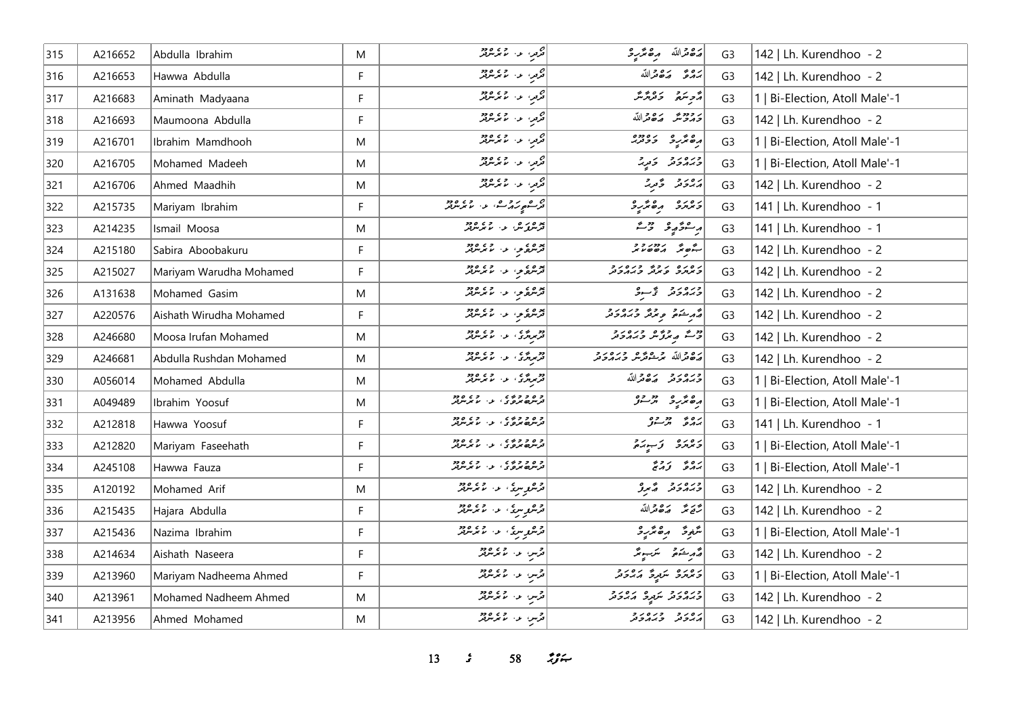| 315 | A216652 | Abdulla Ibrahim         | M | مرمر، ع- ما برس                                                                                    | أضفعنالله مصمرة                        | G <sub>3</sub> | 142   Lh. Kurendhoo - 2        |
|-----|---------|-------------------------|---|----------------------------------------------------------------------------------------------------|----------------------------------------|----------------|--------------------------------|
| 316 | A216653 | Hawwa Abdulla           | F | محمد المسلم المسلم المسلم المسلم المسلم المسلم المسلم المسلم المسلم المسلم المسلم المسلم المسلم ال | بروء رءوته الله                        | G <sub>3</sub> | 142   Lh. Kurendhoo - 2        |
| 317 | A216683 | Aminath Madyaana        | F | هرمز، او ، او و و و و و                                                                            | أأرو سره بره و عرض المستر              | G <sub>3</sub> | 1   Bi-Election, Atoll Male'-1 |
| 318 | A216693 | Maumoona Abdulla        | F | تولي، عن الممرسوس                                                                                  | برودورس وكافرالله                      | G <sub>3</sub> | 142   Lh. Kurendhoo - 2        |
| 319 | A216701 | Ibrahim Mamdhooh        | M | اص<br>  مرمو، الا ما مرس مرض                                                                       | مەھرىرى بەدەرە                         | G <sub>3</sub> | 1   Bi-Election, Atoll Male'-1 |
| 320 | A216705 | Mohamed Madeeh          | M | محمد عبد المتحد المتحد المتحدة المتحدة<br>  محمد المتحد المتحد العمل المتحدة المتحدة               | ورەر دىر                               | G <sub>3</sub> | 1   Bi-Election, Atoll Male'-1 |
| 321 | A216706 | Ahmed Maadhih           | M | مرمر، المال المحر مربع الم                                                                         | أرور ويحدثه                            | G <sub>3</sub> | 142   Lh. Kurendhoo - 2        |
| 322 | A215735 | Mariyam Ibrahim         | F | ام م بروم .<br>در مورد م برابر استمدار برابر برابر .                                               | ومره دهمزرد                            | G <sub>3</sub> | 141   Lh. Kurendhoo - 1        |
| 323 | A214235 | Ismail Moosa            | M | برەر ھەر دەھ<br><mark>ترس كە</mark> ر ئىس ئىس بىر                                                  | رسمو پر دیگر                           | G <sub>3</sub> | 141   Lh. Kurendhoo - 1        |
| 324 | A215180 | Sabira Aboobakuru       | F | پره دی در اور دور                                                                                  | 7777777077077077                       | G <sub>3</sub> | 142   Lh. Kurendhoo - 2        |
| 325 | A215027 | Mariyam Warudha Mohamed | F | پره دي و، د دي ودو                                                                                 | د ه د ه د د د د د د د د                | G <sub>3</sub> | 142   Lh. Kurendhoo - 2        |
| 326 | A131638 | Mohamed Gasim           | M | ترسره مو، اور اس مرسرتر                                                                            | ورورو ويبدو                            | G <sub>3</sub> | 142   Lh. Kurendhoo - 2        |
| 327 | A220576 | Aishath Wirudha Mohamed | F | پره دې په ۱۶۵۶ ورو                                                                                 | د د شکوه و د د د د د د                 | G <sub>3</sub> | 142   Lh. Kurendhoo - 2        |
| 328 | A246680 | Moosa Irufan Mohamed    | M | دو پرې او د موسود                                                                                  |                                        | G <sub>3</sub> | 142   Lh. Kurendhoo - 2        |
| 329 | A246681 | Abdulla Rushdan Mohamed | M | دو ده په ده ده دود.<br>ترمرمري د لامرمريز                                                          | أرە قراللە بىر شەترىن دىرە رو          | G <sub>3</sub> | 142   Lh. Kurendhoo - 2        |
| 330 | A056014 | Mohamed Abdulla         | M | دو ده په ده ده دود.<br>ترمرمري د لامرمريز                                                          | ورەرو رەورالله                         | G <sub>3</sub> | 1   Bi-Election, Atoll Male'-1 |
| 331 | A049489 | Ibrahim Yoosuf          | M | و ه و و ده ی<br>ترس ه مروري او از اما مرس                                                          | اړه تر په دوه ده ده<br>اره تر په در ار | G <sub>3</sub> | 1   Bi-Election, Atoll Male'-1 |
| 332 | A212818 | Hawwa Yoosuf            | F | و ه و و ده ی<br>ترس ه مرو ی ، بی ، با مرس                                                          | برە بە دورە                            | G <sub>3</sub> | 141   Lh. Kurendhoo - 1        |
| 333 | A212820 | Mariyam Faseehath       | F | و ه و وي .<br>ترسمه برو ی ، بی ، با برسربر                                                         | ويوره وسيده                            | G <sub>3</sub> | 1   Bi-Election, Atoll Male'-1 |
| 334 | A245108 | Hawwa Fauza             | F | و ۵ و و ده ی<br>ترس ه مرد و ی او دارد برس                                                          | بره و دره                              | G <sub>3</sub> | Bi-Election, Atoll Male'-1     |
| 335 | A120192 | Mohamed Arif            | M | ا د هر سری، او ۱۳۵، ۱۳۶۴ و در ا                                                                    | ورەر د گېرو                            | G <sub>3</sub> | 142   Lh. Kurendhoo - 2        |
| 336 | A215435 | Hajara Abdulla          | F | د ه مرغ، د ۱۰ م مرمزنر                                                                             | رَّتَهُ مَّدَّ مَدَّاللَّهُ            | G <sub>3</sub> | 142   Lh. Kurendhoo - 2        |
| 337 | A215436 | Nazima Ibrahim          | F | د ه برسی او از ۱۵ ورو<br>  فرس برسی او از ماهرسرفتر                                                | شَعِرَةُ رِصْدَرِدْ                    | G <sub>3</sub> | 1   Bi-Election, Atoll Male'-1 |
| 338 | A214634 | Aishath Naseera         | F | قرس عن الممر شرقتر                                                                                 | أقدم ينكرهم التكريبونتر                | G <sub>3</sub> | 142   Lh. Kurendhoo - 2        |
| 339 | A213960 | Mariyam Nadheema Ahmed  | F | قرسٍ الله المحر شرقتر                                                                              | د ۱۵ د عربری کروبر د                   | G <sub>3</sub> | 1   Bi-Election, Atoll Male'-1 |
| 340 | A213961 | Mohamed Nadheem Ahmed   | M | قرس المراسم برسرير                                                                                 | ورەر د سرگرى كەردى                     | G <sub>3</sub> | 142   Lh. Kurendhoo - 2        |
| 341 | A213956 | Ahmed Mohamed           | M | قرمن الماء المحامر من                                                                              | د ه د د و د ه د و                      | G <sub>3</sub> | 142   Lh. Kurendhoo - 2        |

*13 s* 58 *i*<sub>S</sub> $\approx$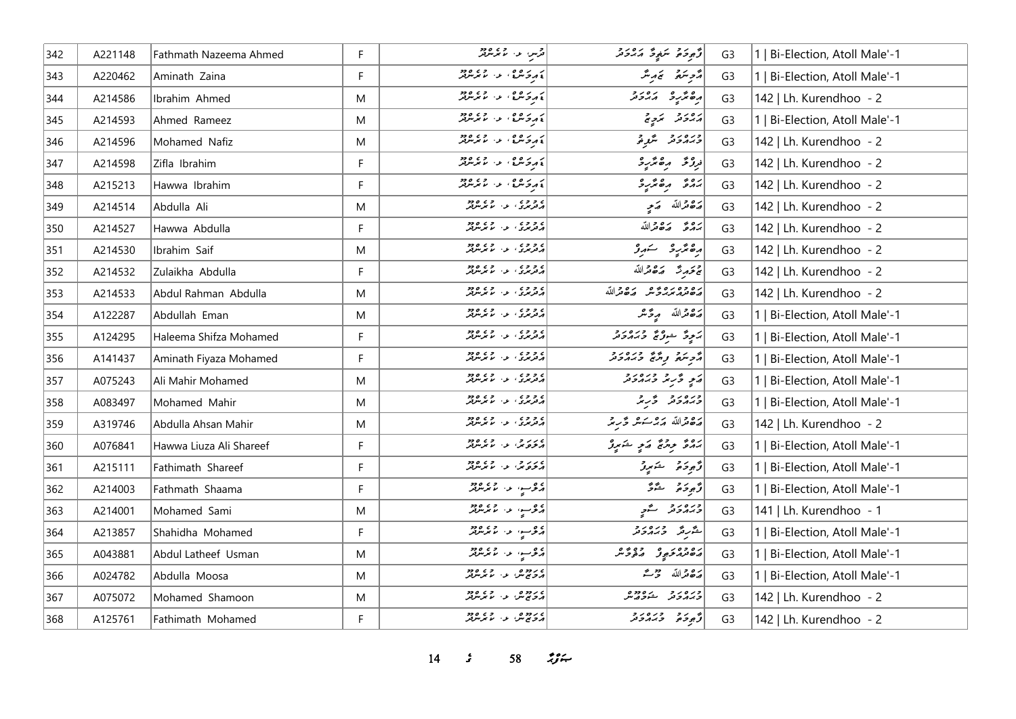| 342 | A221148 | Fathmath Nazeema Ahmed  | F           | ا در سال ۱۹۵۲.<br>افزیلن ایران موسوفل                      | دَّەِ دَەْ يَرَىنِي دَ بَرَ دَيْرَ            | G <sub>3</sub> | 1   Bi-Election, Atoll Male'-1 |
|-----|---------|-------------------------|-------------|------------------------------------------------------------|-----------------------------------------------|----------------|--------------------------------|
| 343 | A220462 | Aminath Zaina           | F           | ، د کره ، د ، ما کرس                                       | مزهر تنم تمرینه                               | G <sub>3</sub> | 1   Bi-Election, Atoll Male'-1 |
| 344 | A214586 | Ibrahim Ahmed           | M           | ) د کاره واله د او د ده                                    | ده نده ده د در د<br>  ده ندر د بر د ند        | G <sub>3</sub> | 142   Lh. Kurendhoo - 2        |
| 345 | A214593 | Ahmed Rameez            | M           | لا بر کاره و به استفاده در ا                               | پرور ترویج                                    | G <sub>3</sub> | 1   Bi-Election, Atoll Male'-1 |
| 346 | A214596 | Mohamed Nafiz           | M           | لا بر د ۵۶ ، و ۷۶۵ ورو                                     | ورەرو شرق                                     | G <sub>3</sub> | 142   Lh. Kurendhoo - 2        |
| 347 | A214598 | Zifla Ibrahim           | F           | ، د کاره و استان                                           | زروعه رەمۇر د                                 | G <sub>3</sub> | 142   Lh. Kurendhoo - 2        |
| 348 | A215213 | Hawwa Ibrahim           | F           | ، د کاره ، د ، ما مرسربر                                   |                                               | G <sub>3</sub> | 142   Lh. Kurendhoo - 2        |
| 349 | A214514 | Abdulla Ali             | M           | ه و وه<br>مرمري الله الله مرمون                            | صكاه مترجم                                    | G <sub>3</sub> | 142   Lh. Kurendhoo - 2        |
| 350 | A214527 | Hawwa Abdulla           | F           | ره و و ی<br>د تریزی او ۱۰ مرکز تریز                        | بروء روورالله                                 | G <sub>3</sub> | 142   Lh. Kurendhoo - 2        |
| 351 | A214530 | Ibrahim Saif            | M           | ه و وه<br>مرمري الله الله مرمون                            | رە ئۈر ئىستىر ئى                              | G <sub>3</sub> | 142   Lh. Kurendhoo - 2        |
| 352 | A214532 | Zulaikha Abdulla        | F           | ه و وه<br>مرمري الاس مرمريز                                | جَمَحَمِينَتْ صَ8ْعَمَاللّهَ                  | G <sub>3</sub> | 142   Lh. Kurendhoo - 2        |
| 353 | A214533 | Abdul Rahman Abdulla    | M           | ه و وه<br>در ترندگی از ۱۰ مانترسرفر                        | ره ده ره ده در دورالله                        | G <sub>3</sub> | 142   Lh. Kurendhoo - 2        |
| 354 | A122287 | Abdullah Eman           | M           | ه و وه<br>د تربري او الا بر برتر تر                        | أضفعثرالله مرځ شر                             | G <sub>3</sub> | 1   Bi-Election, Atoll Male'-1 |
| 355 | A124295 | Haleema Shifza Mohamed  | F           | ر و و و ، د د او و د و د                                   | پَرِ وَ عَوْرٌ وَ بِرَهُ وَ وَ رَ             | G <sub>3</sub> | Bi-Election, Atoll Male'-1     |
| 356 | A141437 | Aminath Fiyaza Mohamed  | $\mathsf F$ | ے و وے<br>ایرفریزی کے در ماہرسرفر                          | أروبته ويرع وبره دو                           | G <sub>3</sub> | Bi-Election, Atoll Male'-1     |
| 357 | A075243 | Ali Mahir Mohamed       | M           | ه و و ه<br>پرتونوی، او ، اما نومبرتو                       | ړی ځریز ډبرورو                                | G <sub>3</sub> | Bi-Election, Atoll Male'-1     |
| 358 | A083497 | Mohamed Mahir           | M           | ه و وه<br>مرمربري الله الممرس                              | درەر د در بر                                  | G <sub>3</sub> | 1   Bi-Election, Atoll Male'-1 |
| 359 | A319746 | Abdulla Ahsan Mahir     | M           | ۲ و و ۲<br>  پرتربری الراز الم برسرتر                      | رەدالله مەمەسىر دىرىم                         | G <sub>3</sub> | 142   Lh. Kurendhoo - 2        |
| 360 | A076841 | Hawwa Liuza Ali Shareef | F           | ، در و.<br>د تروند، به ناندمدند                            | پروژ پروژ کری ځایوژ                           | G <sub>3</sub> | 1   Bi-Election, Atoll Male'-1 |
| 361 | A215111 | Fathimath Shareef       | $\mathsf F$ | ، درج، عن عمر موجود<br><mark>د خروش، عن ما مر</mark> موجود | وَجوحَمْ شَهِروْ                              | G <sub>3</sub> | Bi-Election, Atoll Male'-1     |
| 362 | A214003 | Fathmath Shaama         | F           | دوسو، به ۱۶۵۶ ور                                           | دُمودَه شَدَّ                                 | G <sub>3</sub> | 1   Bi-Election, Atoll Male'-1 |
| 363 | A214001 | Mohamed Sami            | M           | دوسه المال دور                                             | دره رو د گو <sub>چ</sub>                      | G <sub>3</sub> | 141   Lh. Kurendhoo - 1        |
| 364 | A213857 | Shahidha Mohamed        | F           | دوسو، به ۱۶۵۶ ور                                           | شررتر وره دو                                  | G <sub>3</sub> | 1   Bi-Election, Atoll Male'-1 |
| 365 | A043881 | Abdul Latheef Usman     | M           | دوسو، او، اورود<br>  دوسو، او، الایمریزیز                  | د ووړ و د وي و                                | G <sub>3</sub> | Bi-Election, Atoll Male'-1     |
| 366 | A024782 | Abdulla Moosa           | M           | ە رەھ بىر بەرە 25 مەدە<br>مەمەمىس بىر بىر بىر بىرلىر       | أرَدْ قَرْاللّه حَرْثَة                       | G <sub>3</sub> | Bi-Election, Atoll Male'-1     |
| 367 | A075072 | Mohamed Shamoon         | M           | مردومی الله صحیح وجود<br>  مردم ش                          | ورەرو دەھەر<br><i>دىد</i> ەرىر شە <i>ۋە</i> س | G <sub>3</sub> | 142   Lh. Kurendhoo - 2        |
| 368 | A125761 | Fathimath Mohamed       | F           | ے روز میں اور وہ دور<br>ابراز ج س                          | أزجوحه وبره رد                                | G <sub>3</sub> | 142   Lh. Kurendhoo - 2        |

14 *s*<sup>58</sup> *z*<sub>3</sub> *s*<sub>1</sub>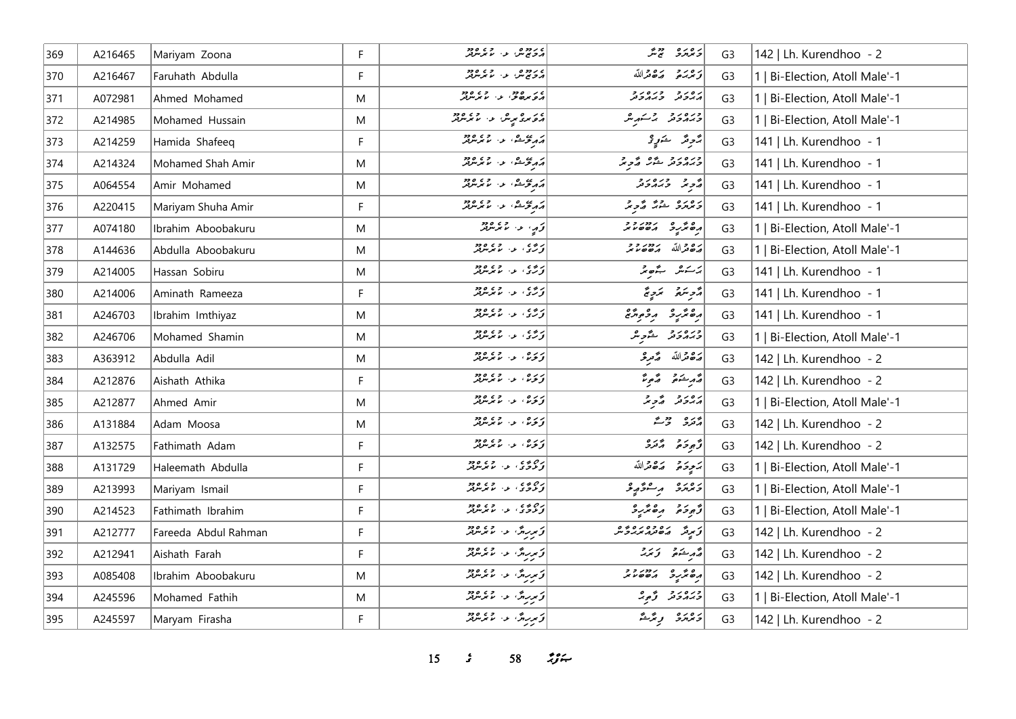| 369   | A216465 | Mariyam Zoona        | F  | ە رەمەر<br>مەمەس بەر مەمەمەر                                                                                  | و وره دورو                                         | G <sub>3</sub> | 142   Lh. Kurendhoo - 2        |
|-------|---------|----------------------|----|---------------------------------------------------------------------------------------------------------------|----------------------------------------------------|----------------|--------------------------------|
| 370   | A216467 | Faruhath Abdulla     | F  | ە رەم بەر دە ھەر دە<br>مەم تەش ئەر ئىم ئىرلىرلىر                                                              | وحرير مكافرالله                                    | G <sub>3</sub> | 1   Bi-Election, Atoll Male'-1 |
| $371$ | A072981 | Ahmed Mohamed        | M  | در وده.<br>د و بره و . د . ما برسربر                                                                          | נפנד בנסנד<br>הגבת בגהבת                           | G <sub>3</sub> | 1   Bi-Election, Atoll Male'-1 |
| 372   | A214985 | Mohamed Hussain      | M  | د کار د عربش الله الله موسر د د                                                                               | ورەرو ئەسىر ش                                      | G <sub>3</sub> | 1   Bi-Election, Atoll Male'-1 |
| 373   | A214259 | Hamida Shafeeq       | F. |                                                                                                               | برَّحرِ مَرَ مَسَورٍ مِ                            | G <sub>3</sub> | 141   Lh. Kurendhoo - 1        |
| 374   | A214324 | Mohamed Shah Amir    | M  | أركبتم عن المستعمد المستوفير                                                                                  | وره روبي عمر المجموعة<br>  وبرابر حمد عمر المجموعة | G <sub>3</sub> | 141   Lh. Kurendhoo - 1        |
| 375   | A064554 | Amir Mohamed         | M  | د دي و.<br>د کرکان د استمبر در                                                                                | د د دره د د                                        | G <sub>3</sub> | 141   Lh. Kurendhoo - 1        |
| 376   | A220415 | Mariyam Shuha Amir   | F. | د دي و.<br>د کرکان د استمبر در                                                                                | د ۱۵ د ورم محمد د محمد بر                          | G <sub>3</sub> | 141   Lh. Kurendhoo - 1        |
| 377   | A074180 | Ibrahim Aboobakuru   | M  | أقرم المستعمد                                                                                                 | 0 00 10000                                         | G <sub>3</sub> | 1   Bi-Election, Atoll Male'-1 |
| 378   | A144636 | Abdulla Aboobakuru   | M  | ارچ، او، اور دور                                                                                              | رە ئ <sub>ەلل</sub> ە بەدە د                       | G <sub>3</sub> | 1   Bi-Election, Atoll Male'-1 |
| 379   | A214005 | Hassan Sobiru        | M  | ا تەسىم بىر مەندە ئەھەدىيەت كەندىيەت بىر ئايدا ئايدا ئايدا ئايدا كەندىيەت كەندىيەت كەندىيەت كەندە كەندە كەندە | برسكش بكصتر                                        | G <sub>3</sub> | 141   Lh. Kurendhoo - 1        |
| 380   | A214006 | Aminath Rameeza      | F  | روی د میگرین                                                                                                  | مزهر سنتمريخ                                       | G <sub>3</sub> | 141   Lh. Kurendhoo - 1        |
| 381   | A246703 | Ibrahim Imthiyaz     | M  | د ه ی .<br>  تورگ . ع . ما موسولو                                                                             | أره تر د و وه                                      | G <sub>3</sub> | 141   Lh. Kurendhoo - 1        |
| 382   | A246706 | Mohamed Shamin       | M  | ار دی.<br>اورگان اس ما بر مرد بر                                                                              | ورەرو ئەچ                                          | G <sub>3</sub> | 1   Bi-Election, Atoll Male'-1 |
| 383   | A363912 | Abdulla Adil         | M  | د ره، او دار و ده د                                                                                           | رَحْمَدْاللّه رَّمَّدِ حْرَ                        | G <sub>3</sub> | 142   Lh. Kurendhoo - 2        |
| 384   | A212876 | Aishath Athika       | F  | ار ده .<br><mark>زن</mark> زه امر رو                                                                          | أقهر يشعوا قموع                                    | G <sub>3</sub> | 142   Lh. Kurendhoo - 2        |
| 385   | A212877 | Ahmed Amir           | M  | ر ره .<br>ق <b>ری ب</b> ربربر                                                                                 | رەرد گېڅ                                           | G <sub>3</sub> | 1   Bi-Election, Atoll Male'-1 |
| 386   | A131884 | Adam Moosa           | M  | د ره ، ع ، ع پرس                                                                                              | ړو ووگ                                             | G <sub>3</sub> | 142   Lh. Kurendhoo - 2        |
| 387   | A132575 | Fathimath Adam       | F. | دره، د. دی.د <del>.</del>                                                                                     | توجوحتم المرتزر                                    | G <sub>3</sub> | 142   Lh. Kurendhoo - 2        |
| 388   | A131729 | Haleemath Abdulla    | F  | رەپ يە سىم تەرەپەر<br>  تى توڭ ئى سىم تىر تىرلىر                                                              | أتهج والمحافظة                                     | G <sub>3</sub> | 1   Bi-Election, Atoll Male'-1 |
| 389   | A213993 | Mariyam Ismail       | F  | ره ده ، د و و وو.<br>تونونوکا این ما موسولتر                                                                  | د وره د مشور و                                     | G <sub>3</sub> | 1   Bi-Election, Atoll Male'-1 |
| 390   | A214523 | Fathimath Ibrahim    | F. | دچ د په د چې موجود<br>  و لار د په سر سر سر ل                                                                 | أزوده مقترد                                        | G <sub>3</sub> | 1   Bi-Election, Atoll Male'-1 |
| 391   | A212777 | Fareeda Abdul Rahman | F  | كوريرة والمحافظ                                                                                               | زیرقر   مەدەبرە دەرە                               | G <sub>3</sub> | 142   Lh. Kurendhoo - 2        |
| 392   | A212941 | Aishath Farah        | F. | <br>  توریرس عن ما موسوفر                                                                                     | أشرختم وتمد                                        | G <sub>3</sub> | 142   Lh. Kurendhoo - 2        |
| 393   | A085408 | Ibrahim Aboobakuru   | M  | تورید در استخدام در ۱۶۶۵<br>  تورید در استخدام در                                                             |                                                    | G <sub>3</sub> | 142   Lh. Kurendhoo - 2        |
| 394   | A245596 | Mohamed Fathih       | M  | كۆمىرىدى. مەم ئىر مەدە                                                                                        | ورەرد په ه                                         | G <sub>3</sub> | 1   Bi-Election, Atoll Male'-1 |
| 395   | A245597 | Maryam Firasha       | F. | كوسرين المستخدم المتور                                                                                        | دەرە بەرگە                                         | G <sub>3</sub> | 142   Lh. Kurendhoo - 2        |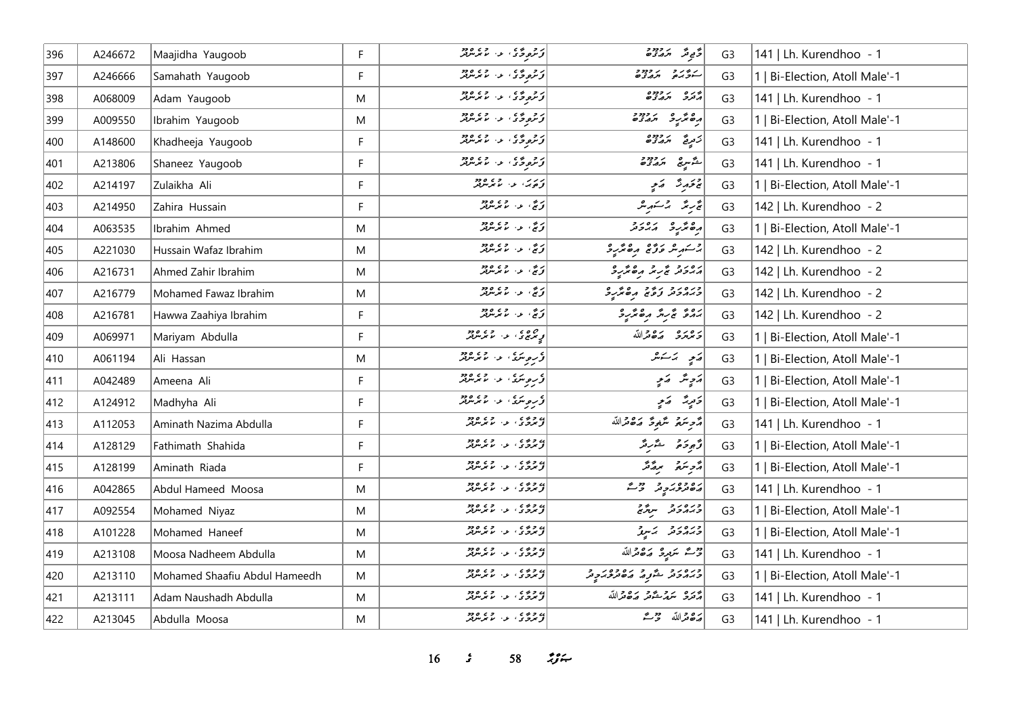| 396 | A246672 | Maajidha Yaugoob              | F  | ر د وی د میکند                                                                                           | دَّى مَدْ 12.7%                       | G <sub>3</sub> | 141   Lh. Kurendhoo - 1        |
|-----|---------|-------------------------------|----|----------------------------------------------------------------------------------------------------------|---------------------------------------|----------------|--------------------------------|
| 397 | A246666 | Samahath Yaugoob              | F  | در ورځ کې د موسر د د                                                                                     | ג זיג גרוד די                         | G <sub>3</sub> | 1   Bi-Election, Atoll Male'-1 |
| 398 | A068009 | Adam Yaugoob                  | M  | د عرومي الله الله على مع د مع د مرض الله من الله من الله من الله من الله من الله من الله من الله م<br> - | פנים גבדבם<br>הבנב ה <i>ההב</i> ים    | G <sub>3</sub> | 141   Lh. Kurendhoo - 1        |
| 399 | A009550 | Ibrahim Yaugoob               | M  | د و د ه ، او ، د و و و و                                                                                 | <br>  משתיב תגצים                     | G <sub>3</sub> | 1   Bi-Election, Atoll Male'-1 |
| 400 | A148600 | Khadheeja Yaugoob             | F  | د و و ه ، او ، او و و و و و                                                                              | <br> زمږيځ پرووړه                     | G <sub>3</sub> | 141   Lh. Kurendhoo - 1        |
| 401 | A213806 | Shaneez Yaugoob               | F. | د و وی د اورود<br>  زیروگری د با بربربر                                                                  | شگر سرچ پر دور د                      | G <sub>3</sub> | 141   Lh. Kurendhoo - 1        |
| 402 | A214197 | Zulaikha Ali                  | F  | دربر، عن عمد مدود                                                                                        | پر خرچه په چې                         | G <sub>3</sub> | 1   Bi-Election, Atoll Male'-1 |
| 403 | A214950 | Zahira Hussain                | F  | ا تەتتى، ئەز ئەندىقىتى ئىشرىتىر                                                                          | ئۇرىئە بەشتىرىنى                      | G <sub>3</sub> | 142   Lh. Kurendhoo - 2        |
| 404 | A063535 | Ibrahim Ahmed                 | M  | زِچَ، ع- عمر مرود                                                                                        | رە ئرىرو بەردىر                       | G <sub>3</sub> | 1   Bi-Election, Atoll Male'-1 |
| 405 | A221030 | Hussain Wafaz Ibrahim         | M  | ئۇنچ، ئەس تەرەپىر                                                                                        | بر سَنهر علی معامل کرد                | G <sub>3</sub> | 142   Lh. Kurendhoo - 2        |
| 406 | A216731 | Ahmed Zahir Ibrahim           | M  | د مي الله د د مي د د                                                                                     | رور د پر بر ره پر د                   | G <sub>3</sub> | 142   Lh. Kurendhoo - 2        |
| 407 | A216779 | Mohamed Fawaz Ibrahim         | M  | زنج، عن الممرکزونژ                                                                                       | ورەر د رود دەر د                      | G <sub>3</sub> | 142   Lh. Kurendhoo - 2        |
| 408 | A216781 | Hawwa Zaahiya Ibrahim         | F  | ئۇنج، عەس قىرىتىللە                                                                                      | بروی پر برگر مرگر برگر                | G <sub>3</sub> | 142   Lh. Kurendhoo - 2        |
| 409 | A069971 | Mariyam Abdulla               | F  | د ه ه ه ه و و و د و د                                                                                    | ترمره ردورالله                        | G <sub>3</sub> | 1   Bi-Election, Atoll Male'-1 |
| 410 | A061194 | Ali Hassan                    | M  | اء روسر، و ، و ، و دو                                                                                    | پر پر پر پر                           | G <sub>3</sub> | 1   Bi-Election, Atoll Male'-1 |
| 411 | A042489 | Ameena Ali                    | F  |                                                                                                          | پرچانگر کے پرچ                        | G <sub>3</sub> | 1   Bi-Election, Atoll Male'-1 |
| 412 | A124912 | Madhyha Ali                   | F  | د سوسری الله الله وجود الله د                                                                            | دَمِيدٌ - رَمِي                       | G <sub>3</sub> | 1   Bi-Election, Atoll Male'-1 |
| 413 | A112053 | Aminath Nazima Abdulla        | F  |                                                                                                          | أُمَّرِ سَمَعَ شَعْرِةً مَصْرَاللَّهُ | G <sub>3</sub> | 141   Lh. Kurendhoo - 1        |
| 414 | A128129 | Fathimath Shahida             | F  | به ده و .<br>د بروی او . اما بر برود                                                                     | وَجوحَا هُمْ اللَّهُ اللَّهُ          | G <sub>3</sub> | 1   Bi-Election, Atoll Male'-1 |
| 415 | A128199 | Aminath Riada                 | F. | ) د وه ، د . د . وه دو.<br>  توسرتری او . اما شرسرتر                                                     | رمح مقررة مقررة من                    | G <sub>3</sub> | 1   Bi-Election, Atoll Male'-1 |
| 416 | A042865 | Abdul Hameed Moosa            | M  | ی وه ی در وی وجود<br><mark>از برو</mark> ی د اما بر برتر                                                 | دەدەبر دەر مەد                        | G <sub>3</sub> | 141   Lh. Kurendhoo - 1        |
| 417 | A092554 | Mohamed Niyaz                 | M  | د و د د د و د و د و د                                                                                    | כמחכת ייתול                           | G <sub>3</sub> | 1   Bi-Election, Atoll Male'-1 |
| 418 | A101228 | Mohamed Haneef                | M  | ی وی و.<br>  توسرخری الله الله موسرتر                                                                    | دره رو برسرو                          | G <sub>3</sub> | 1   Bi-Election, Atoll Male'-1 |
| 419 | A213108 | Moosa Nadheem Abdulla         | M  | ) د وه ، د ، د ، وود                                                                                     | وقت سَعِيدِ صَدَّقَ اللَّهُ           | G <sub>3</sub> | 141   Lh. Kurendhoo - 1        |
| 420 | A213110 | Mohamed Shaafiu Abdul Hameedh | M  | ) د د د .<br>  د برد د . د . با برنترن                                                                   | ورەرو ئەر دەدەر د                     | G <sub>3</sub> | 1   Bi-Election, Atoll Male'-1 |
| 421 | A213111 | Adam Naushadh Abdulla         | M  | در در در در در در<br>  توسرتری از اسلام میرس                                                             | أيره بروية وبره والله                 | G <sub>3</sub> | 141   Lh. Kurendhoo - 1        |
| 422 | A213045 | Abdulla Moosa                 | M  | به وه و .<br>د بروی او . اما برس بر                                                                      | أرَة قرالله وحريم                     | G <sub>3</sub> | 141   Lh. Kurendhoo - 1        |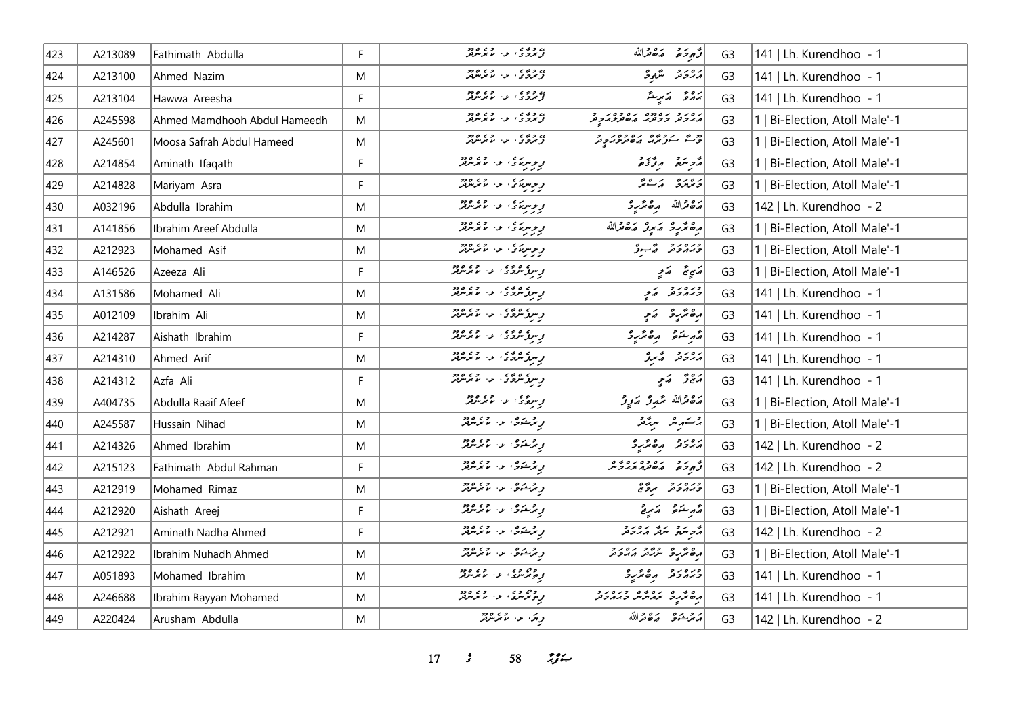| 423 | A213089 | Fathimath Abdulla            | F            | ده و و ه ه<br>تو بردگاه از ما برس بر                    | قرجوحته وكالقائم                      | G <sub>3</sub> | 141   Lh. Kurendhoo - 1        |
|-----|---------|------------------------------|--------------|---------------------------------------------------------|---------------------------------------|----------------|--------------------------------|
| 424 | A213100 | Ahmed Nazim                  | M            | در و ده ده ده و ده وده<br>د تر برگ در اما برسربر        | برەر ئە ئىگەنج                        | G <sub>3</sub> | 141   Lh. Kurendhoo - 1        |
| 425 | A213104 | Hawwa Areesha                | F            | به وه و .<br>د بروی او . اما بر برود                    | پروی کمی پر                           | G <sub>3</sub> | 141   Lh. Kurendhoo - 1        |
| 426 | A245598 | Ahmed Mamdhooh Abdul Hameedh | M            | در و د د د و د د و د و د و د                            | גפגב גפמפ גפבפגב<br>גגבת ככתג גםתכגבת | G <sub>3</sub> | 1   Bi-Election, Atoll Male'-1 |
| 427 | A245601 | Moosa Safrah Abdul Hameed    | M            |                                                         | و مع سور پر مان ده ده بر د            | G <sub>3</sub> | 1   Bi-Election, Atoll Male'-1 |
| 428 | A214854 | Aminath Ifaqath              | F            | د د سربر د ، د ، د د .<br>  د د سربر د ، د ، پر سربر    | ړې سره پروژه                          | G <sub>3</sub> | 1   Bi-Election, Atoll Male'-1 |
| 429 | A214828 | Mariyam Asra                 | F            | و و سربانی او دارد و ده<br>او و سربانی او از اما بوسرفر | ويوره برعايم                          | G <sub>3</sub> | 1   Bi-Election, Atoll Male'-1 |
| 430 | A032196 | Abdulla Ibrahim              | M            | د وسربری او ، د د د د                                   | أرة قرالله مرة مرَّبِ 3               | G <sub>3</sub> | 142   Lh. Kurendhoo - 2        |
| 431 | A141856 | Ibrahim Areef Abdulla        | M            | <br>  د وسره ی عهد الممدس در<br>  د د د                 | رەمگرىي كەمبەر كەھىراللە              | G <sub>3</sub> | 1   Bi-Election, Atoll Male'-1 |
| 432 | A212923 | Mohamed Asif                 | M            | קיימו בי יודע ספר<br>  קיימו בי יודע מא                 | ورەرو ۋىبو                            | G <sub>3</sub> | 1   Bi-Election, Atoll Male'-1 |
| 433 | A146526 | Azeeza Ali                   | F            | وسره عرضی الله الله والله والله و                       | ړې په کو                              | G <sub>3</sub> | 1   Bi-Election, Atoll Male'-1 |
| 434 | A131586 | Mohamed Ali                  | M            | و سرو سرچ د ده ده ده د                                  | ورەر د كم                             | G <sub>3</sub> | 141   Lh. Kurendhoo - 1        |
| 435 | A012109 | Ibrahim Ali                  | M            | وسرو مرده و ده در ده د                                  | رە ئۈر ئەير                           | G <sub>3</sub> | 141   Lh. Kurendhoo - 1        |
| 436 | A214287 | Aishath Ibrahim              | F            | وسره ه ده و ده ده د                                     | أقرم شدة وكالمربوث                    | G <sub>3</sub> | 141   Lh. Kurendhoo - 1        |
| 437 | A214310 | Ahmed Arif                   | M            | و سرگر سرچ در در دره در<br>و سرگر سرچ دار در سرچ سرچر   | برەر ئەس ئەر                          | G <sub>3</sub> | 141   Lh. Kurendhoo - 1        |
| 438 | A214312 | Azfa Ali                     | F            | وسوگرمرگری او داره دو                                   | ړه ژ کې                               | G <sub>3</sub> | 141   Lh. Kurendhoo - 1        |
| 439 | A404735 | Abdulla Raaif Afeef          | M            | و سرچ که در دره دود                                     | رە قەللە مەر ئەربى                    | G <sub>3</sub> | 1   Bi-Election, Atoll Male'-1 |
| 440 | A245587 | Hussain Nihad                | M            | و پرېشوي او د ماندملار                                  | برسكرما مرتزقر                        | G <sub>3</sub> | 1   Bi-Election, Atoll Male'-1 |
| 441 | A214326 | Ahmed Ibrahim                | M            | و برخوی از اندازه                                       | أرور وه محمدة                         | G <sub>3</sub> | 142   Lh. Kurendhoo - 2        |
| 442 | A215123 | Fathimath Abdul Rahman       | $\mathsf{F}$ | و چرخوی او داده و در                                    | ه د د ده ده ده ده و                   | G <sub>3</sub> | 142   Lh. Kurendhoo - 2        |
| 443 | A212919 | Mohamed Rimaz                | M            | و څرخه ي. د د ده ده                                     | وبرەر د برگ                           | G <sub>3</sub> | 1   Bi-Election, Atoll Male'-1 |
| 444 | A212920 | Aishath Areej                | F            | و برخوی از اندازه                                       | ومرسكوه وكالمراخ                      | G <sub>3</sub> | 1   Bi-Election, Atoll Male'-1 |
| 445 | A212921 | Aminath Nadha Ahmed          | F            | و پرېشوی، لار دی وو                                     | د پر په بره برور د                    | G <sub>3</sub> | 142   Lh. Kurendhoo - 2        |
| 446 | A212922 | Ibrahim Nuhadh Ahmed         | M            | و پرېشوي، لار د د پرېدون                                | ره و ده و د و د و د و د               | G <sub>3</sub> | 1   Bi-Election, Atoll Male'-1 |
| 447 | A051893 | Mohamed Ibrahim              | M            | وه وه .<br>وه پرس . و . ما پرس                          | ورەرو مەھرىر                          | G <sub>3</sub> | 141   Lh. Kurendhoo - 1        |
| 448 | A246688 | Ibrahim Rayyan Mohamed       | M            | وه وه .<br>وه پرس . و . ما پرس                          | ם מים נסמם כנסנב<br>הפתנב תהתית במהכת | G <sub>3</sub> | 141   Lh. Kurendhoo - 1        |
| 449 | A220424 | Arusham Abdulla              | M            | ا ویژ، او، اما موسوفر                                   | مرتم شود مكافرالله                    | G <sub>3</sub> | 142   Lh. Kurendhoo - 2        |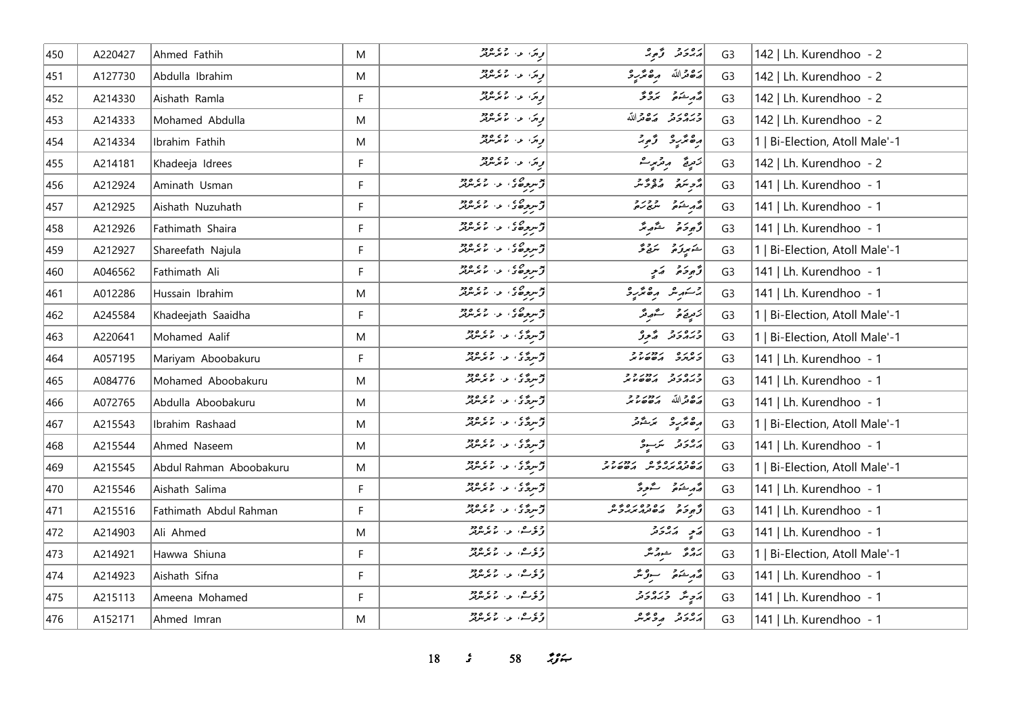| 450 | A220427 | Ahmed Fathih            | M         | توپیک الله الله جمه مرتبطر                                                                                                                                                                                             | برەر تۇم ئە                       | G <sub>3</sub> | 142   Lh. Kurendhoo - 2        |
|-----|---------|-------------------------|-----------|------------------------------------------------------------------------------------------------------------------------------------------------------------------------------------------------------------------------|-----------------------------------|----------------|--------------------------------|
| 451 | A127730 | Abdulla Ibrahim         | ${\sf M}$ | توری الله الله عمد مرض                                                                                                                                                                                                 | رَصْحْراللّه مِصْغَرْبِهِ         | G <sub>3</sub> | 142   Lh. Kurendhoo - 2        |
| 452 | A214330 | Aishath Ramla           | F         | د ټر، او، او مرکزهر                                                                                                                                                                                                    | د م شوید مروانی                   | G <sub>3</sub> | 142   Lh. Kurendhoo - 2        |
| 453 | A214333 | Mohamed Abdulla         | M         | توری او اور اور دور                                                                                                                                                                                                    | وره رو بره دالله                  | G <sub>3</sub> | 142   Lh. Kurendhoo - 2        |
| 454 | A214334 | Ibrahim Fathih          | ${\sf M}$ | ا <i>و</i> ړي او او دوه د                                                                                                                                                                                              | رە ئرىر ئى                        | G <sub>3</sub> | 1   Bi-Election, Atoll Male'-1 |
| 455 | A214181 | Khadeeja Idrees         | F         | توری اور اور موجود                                                                                                                                                                                                     | زَمِرِيَّ مِرْتَزِيدِ ۖ           | G <sub>3</sub> | 142   Lh. Kurendhoo - 2        |
| 456 | A212924 | Aminath Usman           | F         | اپو سرچي د د ده.<br>افزيد د د ماسرس                                                                                                                                                                                    | أوصنع وقومته                      | G <sub>3</sub> | 141   Lh. Kurendhoo - 1        |
| 457 | A212925 | Aishath Nuzuhath        | F         | المجمع و حديد المحمد المحمد المحمد المحمد المحمد المحمد المحمد المحمد المحمد المحمد المحمد المحمد ال<br>المحمد المحمد المحمد المحمد المحمد المحمد المحمد المحمد المحمد المحمد المحمد المحمد المحمد المحمد المحمد المحم | أقهر مشوقو المتعجز والمحمد        | G <sub>3</sub> | 141   Lh. Kurendhoo - 1        |
| 458 | A212926 | Fathimath Shaira        | F         | توسع ھي، عن المحمد المعداد                                                                                                                                                                                             | ژُهِ دَمَ شَهِ پُرُ               | G <sub>3</sub> | 141   Lh. Kurendhoo - 1        |
| 459 | A212927 | Shareefath Najula       | F         |                                                                                                                                                                                                                        | شكىرۇم ئىقى                       | G <sub>3</sub> | 1   Bi-Election, Atoll Male'-1 |
| 460 | A046562 | Fathimath Ali           | F.        | المجمع و حديد المحمد المحمد المحمد المحمد المحمد المحمد المحمد المحمد المحمد المحمد المحمد المحمد ال<br>المحمد المحمد المحمد المحمد المحمد المحمد المحمد المحمد المحمد المحمد المحمد المحمد المحمد المحمد المحمد المحم | د څو خه د کمړ په                  | G <sub>3</sub> | 141   Lh. Kurendhoo - 1        |
| 461 | A012286 | Hussain Ibrahim         | M         | توسر ده د  د  د  د                                                                                                                                                                                                     | بنسكر شره وهقريرة                 | G <sub>3</sub> | 141   Lh. Kurendhoo - 1        |
| 462 | A245584 | Khadeejath Saaidha      | F         | توسرچە ئەرەپە ئەرەپەر                                                                                                                                                                                                  | زَمِرِيَمْ سُمْهِ مُدَّ           | G <sub>3</sub> | 1   Bi-Election, Atoll Male'-1 |
| 463 | A220641 | Mohamed Aalif           | M         | تۆسرەي كەرەپەر جەم ئەرەپ                                                                                                                                                                                               | ورەرو ئەرۋ                        | G <sub>3</sub> | 1   Bi-Election, Atoll Male'-1 |
| 464 | A057195 | Mariyam Aboobakuru      | F         | بوسره ی از در دور<br>افرام پروگوی از مایگر مرکز                                                                                                                                                                        | נסנס נמנדד                        | G <sub>3</sub> | 141   Lh. Kurendhoo - 1        |
| 465 | A084776 | Mohamed Aboobakuru      | M         | تۆسرى ئەس ئەرەپ ئەرەد                                                                                                                                                                                                  | כנסנכ נחנכב<br>כגתכת תססטת        | G <sub>3</sub> | 141   Lh. Kurendhoo - 1        |
| 466 | A072765 | Abdulla Aboobakuru      | M         | تۆسرەي كەرلەر جەم ئەرەد                                                                                                                                                                                                | 22/00/ 2001                       | G <sub>3</sub> | 141   Lh. Kurendhoo - 1        |
| 467 | A215543 | Ibrahim Rashaad         | M         | توسرې و، موسرتر                                                                                                                                                                                                        | رە ئرىر ئىشىر<br>مەمگىر ئىستىمى   | G <sub>3</sub> | 1   Bi-Election, Atoll Male'-1 |
| 468 | A215544 | Ahmed Naseem            | M         | د سرگان اور د ماه مرسر در ۱۹۶۵                                                                                                                                                                                         | رەرە سەرە                         | G <sub>3</sub> | 141   Lh. Kurendhoo - 1        |
| 469 | A215545 | Abdul Rahman Aboobakuru | M         | اپوسرې کې موسر دي.<br>د سرچي کې موسر د                                                                                                                                                                                 | נסכסנסים נמנכב<br>מסמממיכית מססטמ | G <sub>3</sub> | 1   Bi-Election, Atoll Male'-1 |
| 470 | A215546 | Aishath Salima          | F         | اپوسرې کې موسر دي.<br>د سرچي کې موسر د                                                                                                                                                                                 | قەرىشى قىلىقىدۇ                   | G <sub>3</sub> | 141   Lh. Kurendhoo - 1        |
| 471 | A215516 | Fathimath Abdul Rahman  | F         | ئۆسرى يە ئەس ئويىلىدىن ئورتىر                                                                                                                                                                                          | و دو ده ده ده ده و                | G <sub>3</sub> | 141   Lh. Kurendhoo - 1        |
| 472 | A214903 | Ali Ahmed               | ${\sf M}$ | دې مه د مرکز د د                                                                                                                                                                                                       | ړی پرورو                          | G <sub>3</sub> | 141   Lh. Kurendhoo - 1        |
| 473 | A214921 | Hawwa Shiuna            | F.        | ا دې مه، د، لابرلروز                                                                                                                                                                                                   | برە ئەرقىر                        | G <sub>3</sub> | 1   Bi-Election, Atoll Male'-1 |
| 474 | A214923 | Aishath Sifna           | F.        | دېمندا په دې وود                                                                                                                                                                                                       | أَصْدِيسُوهُ سِوْتَرْ             | G <sub>3</sub> | 141   Lh. Kurendhoo - 1        |
| 475 | A215113 | Ameena Mohamed          | F         | دې ه، په پرسرور                                                                                                                                                                                                        | أرَجِ شَرَ وَبَرَ وَجَدَ وَ       | G <sub>3</sub> | 141   Lh. Kurendhoo - 1        |
| 476 | A152171 | Ahmed Imran             | M         | ا دې مه د سرچ ده د                                                                                                                                                                                                     | أرور وويره                        | G <sub>3</sub> | 141   Lh. Kurendhoo - 1        |

*s* 58 *ig*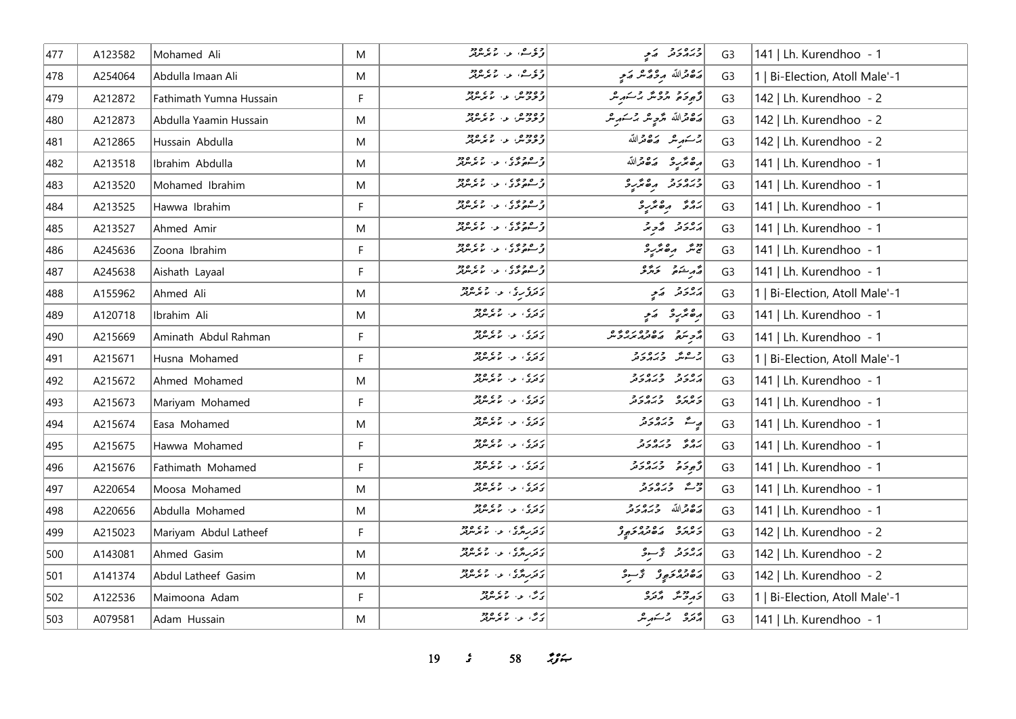| 477 | A123582 | Mohamed Ali             | M  | ا دی ها، د، اما پرس                                                                                                                                                                                                 | ورەرو كەي                      | G <sub>3</sub> | 141   Lh. Kurendhoo - 1        |
|-----|---------|-------------------------|----|---------------------------------------------------------------------------------------------------------------------------------------------------------------------------------------------------------------------|--------------------------------|----------------|--------------------------------|
| 478 | A254064 | Abdulla Imaan Ali       | M  | ا دی ے، اور اور دور ا                                                                                                                                                                                               | أرة قرالله مردوس كمع           | G <sub>3</sub> | 1   Bi-Election, Atoll Male'-1 |
| 479 | A212872 | Fathimath Yumna Hussain | F  | وه دوه الله الله و دوه الله دوه الله دور الله دور الله دور الله دور الله دور الله دور الله دور الل                                                                                                                  | د برد ده و د بر مره            | G <sub>3</sub> | 142   Lh. Kurendhoo - 2        |
| 480 | A212873 | Abdulla Yaamin Hussain  | M  | وه دوره د. د و دور                                                                                                                                                                                                  | رەم قىراللە مۇج ھر مەسكەر مىر  | G <sub>3</sub> | 142   Lh. Kurendhoo - 2        |
| 481 | A212865 | Hussain Abdulla         | M  | وه دوه ه عبد العمل مع دور العمل من العمل من العمل من العمل من العمل العمل من العمل من العمل من ال<br>  المحمد المحمد العمل من العمل من العمل من العمل من العمل من العمل العمل من العمل من العمل من العمل من العمل م | برستمریش وکاهاتله              | G <sub>3</sub> | 142   Lh. Kurendhoo - 2        |
| 482 | A213518 | Ibrahim Abdulla         | M  | ا و ه و و ی<br><mark>از سهون</mark> دی او از مایونتولتر                                                                                                                                                             | أرقح مراج الاقتصالية           | G <sub>3</sub> | 141   Lh. Kurendhoo - 1        |
| 483 | A213520 | Mohamed Ibrahim         | M  | ا و ۶۵ وي .<br>او سهوندي او از مايوسرټر                                                                                                                                                                             | ورەرو مەمگرو                   | G <sub>3</sub> | 141   Lh. Kurendhoo - 1        |
| 484 | A213525 | Hawwa Ibrahim           | F. | ا د ۶۶۵ و.<br>او سومونۍ، لاس موسرهر                                                                                                                                                                                 | ده د ه پر د                    | G <sub>3</sub> | 141   Lh. Kurendhoo - 1        |
| 485 | A213527 | Ahmed Amir              | M  | ا و ۶۵ وي .<br>او سومونۍ او او موس                                                                                                                                                                                  | پرونو گەج پر                   | G <sub>3</sub> | 141   Lh. Kurendhoo - 1        |
| 486 | A245636 | Zoona Ibrahim           | F  | ا و ۶۵ وي.<br>او سهونۍ، او او مورس                                                                                                                                                                                  | پیش مرضر سر د                  | G <sub>3</sub> | 141   Lh. Kurendhoo - 1        |
| 487 | A245638 | Aishath Layaal          | F. | ا و ه و و ي .<br>د سورگان او از اما برس                                                                                                                                                                             | أة مرشق وترقو                  | G <sub>3</sub> | 141   Lh. Kurendhoo - 1        |
| 488 | A155962 | Ahmed Ali               | M  |                                                                                                                                                                                                                     | پروژ په په                     | G <sub>3</sub> | 1   Bi-Election, Atoll Male'-1 |
| 489 | A120718 | Ibrahim Ali             | M  | ردری در دی وی                                                                                                                                                                                                       | رە ئۇر ئە ئەر                  | G <sub>3</sub> | 141   Lh. Kurendhoo - 1        |
| 490 | A215669 | Aminath Abdul Rahman    | F. | د د ې د د د د د د                                                                                                                                                                                                   | م د ده ده ده ده و              | G <sub>3</sub> | 141   Lh. Kurendhoo - 1        |
| 491 | A215671 | Husna Mohamed           | F. | ر د د .<br>د ترکي . د . ما ترمگريز                                                                                                                                                                                  | وعش ورەرو                      | G <sub>3</sub> | 1   Bi-Election, Atoll Male'-1 |
| 492 | A215672 | Ahmed Mohamed           | M  | ر د د .<br>د ترکي او . اما مرموټر                                                                                                                                                                                   | גפני כנסני                     | G <sub>3</sub> | 141   Lh. Kurendhoo - 1        |
| 493 | A215673 | Mariyam Mohamed         | F. | د ر ي .<br>  د ترکي . ع . ما ترمگريز                                                                                                                                                                                | נסנס כנסנכ<br>כינונכ כמוכנ     | G <sub>3</sub> | 141   Lh. Kurendhoo - 1        |
| 494 | A215674 | Easa Mohamed            | M  | د د ې د د د د د د                                                                                                                                                                                                   | په د د د د                     | G <sub>3</sub> | 141   Lh. Kurendhoo - 1        |
| 495 | A215675 | Hawwa Mohamed           | F. | ر د په د د د ده د د                                                                                                                                                                                                 | ره په دره رو<br>بروگر د برابرد | G <sub>3</sub> | 141   Lh. Kurendhoo - 1        |
| 496 | A215676 | Fathimath Mohamed       | F. | ردي د ميگريزود.                                                                                                                                                                                                     | أرجوحه وره دو                  | G <sub>3</sub> | 141   Lh. Kurendhoo - 1        |
| 497 | A220654 | Moosa Mohamed           | M  | رد ده . د . ده ده                                                                                                                                                                                                   | أوسط ورەرو                     | G <sub>3</sub> | 141   Lh. Kurendhoo - 1        |
| 498 | A220656 | Abdulla Mohamed         | M  | ر د د ، د ، د ته د د .                                                                                                                                                                                              | رە دالله دېرورو                | G <sub>3</sub> | 141   Lh. Kurendhoo - 1        |
| 499 | A215023 | Mariyam Abdul Latheef   | F  | در روی در ۲۶۵۵۶                                                                                                                                                                                                     | ر ه ره ده ده ده و              | G <sub>3</sub> | 142   Lh. Kurendhoo - 2        |
| 500 | A143081 | Ahmed Gasim             | M  | در ده ، د. ده ده<br>  د ترر دره ، د. لا بر سرتر                                                                                                                                                                     | دەرو گەسو                      | G <sub>3</sub> | 142   Lh. Kurendhoo - 2        |
| 501 | A141374 | Abdul Latheef Gasim     | M  | در روی او او دو وه                                                                                                                                                                                                  | دەۋەر ئۇسۇ                     | G <sub>3</sub> | 142   Lh. Kurendhoo - 2        |
| 502 | A122536 | Maimoona Adam           | F  | پرس، عبد الرحمن ودو                                                                                                                                                                                                 | و دوغر محمده                   | G <sub>3</sub> | 1   Bi-Election, Atoll Male'-1 |
| 503 | A079581 | Adam Hussain            | M  | ری په دې وود                                                                                                                                                                                                        | دره پر شهر شر                  | G <sub>3</sub> | 141   Lh. Kurendhoo - 1        |

*s* 58 *ig*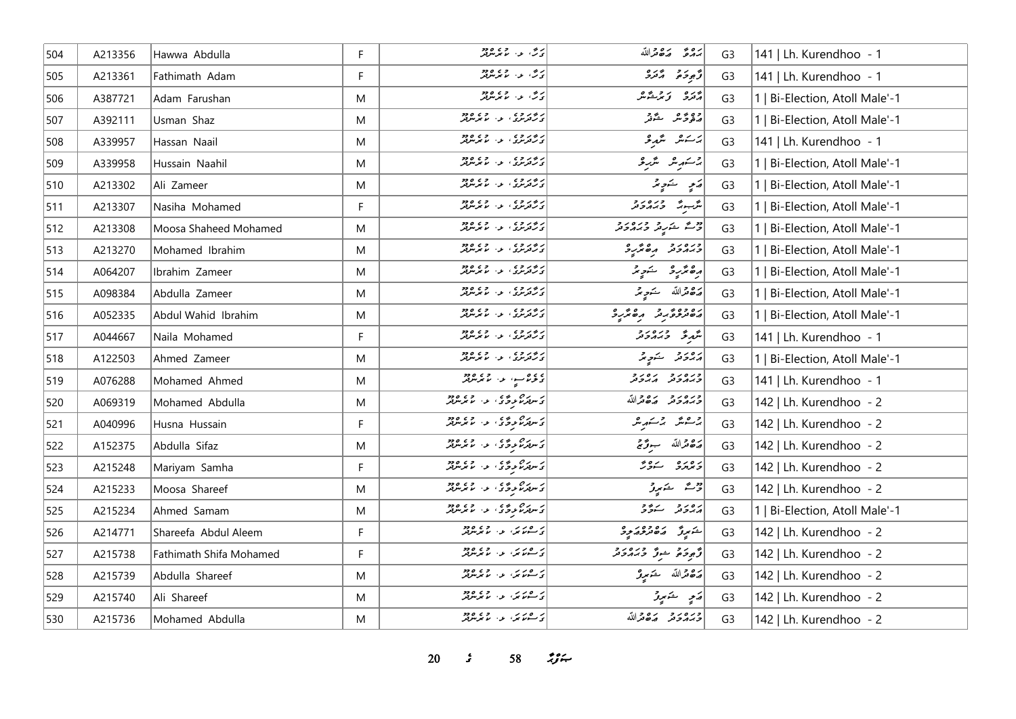| 504 | A213356 | Hawwa Abdulla           | F | ر می اور وی مورد<br>ارگ                        | بروء رووالله                        | G <sub>3</sub> | 141   Lh. Kurendhoo - 1        |
|-----|---------|-------------------------|---|------------------------------------------------|-------------------------------------|----------------|--------------------------------|
| 505 | A213361 | Fathimath Adam          | F | پرس، اور اور دورد<br>  پرس، اور اما مرسولگر    | توجو حرم دره                        | G <sub>3</sub> | 141   Lh. Kurendhoo - 1        |
| 506 | A387721 | Adam Farushan           | M | ری، در دی ودو                                  | أدوه وترشاش                         | G <sub>3</sub> | 1   Bi-Election, Atoll Male'-1 |
| 507 | A392111 | Usman Shaz              | M | د و د و ،<br>د رتوبری ، ب را برنتوبر           | دەپ ھەشقەر                          | G <sub>3</sub> | Bi-Election, Atoll Male'-1     |
| 508 | A339957 | Hassan Naail            | M | ر در د د .<br>د رتونوی ، ب ، با بونتوتو        | ىرىكىش ئىگەبۇ                       | G <sub>3</sub> | 141   Lh. Kurendhoo - 1        |
| 509 | A339958 | Hussain Naahil          | M | ر دروه .<br>در ترس ، او ، اما مرس              | برسمر شرعه                          | G <sub>3</sub> | 1   Bi-Election, Atoll Male'-1 |
| 510 | A213302 | Ali Zameer              | M | ر بر ر و ،<br>ت رتوبوی ، بو ، اما موسولو       | پر په سند پر                        | G <sub>3</sub> | Bi-Election, Atoll Male'-1     |
| 511 | A213307 | Nasiha Mohamed          | F | ر دروه .<br>در ترس : او اس مرس                 | مگر دره در در                       | G <sub>3</sub> | Bi-Election, Atoll Male'-1     |
| 512 | A213308 | Moosa Shaheed Mohamed   | M | ر دروی در وی وود.<br>درتونژی در مانژموټر       | وقت المناس وبره داد                 | G <sub>3</sub> | 1   Bi-Election, Atoll Male'-1 |
| 513 | A213270 | Mohamed Ibrahim         | M | ر دروی در وی وده                               | ورورو مصرور                         | G <sub>3</sub> | 1   Bi-Election, Atoll Male'-1 |
| 514 | A064207 | Ibrahim Zameer          | M | ر دروی در وی وود.                              | رەنۇرۇ سەرىر                        | G <sub>3</sub> | Bi-Election, Atoll Male'-1     |
| 515 | A098384 | Abdulla Zameer          | M | ار و بر و ی<br>  د کترنژی ا بود اما مرتبرلگر   | پره قرالله خويجه                    | G <sub>3</sub> | Bi-Election, Atoll Male'-1     |
| 516 | A052335 | Abdul Wahid Ibrahim     | M | ر دروی در وی دود.                              | دەۋە ئەر مەئرى                      | G <sub>3</sub> | 1   Bi-Election, Atoll Male'-1 |
| 517 | A044667 | Naila Mohamed           | F | د و د و و .<br>  د ر ترس د . ا ا ا ا ا د سر تر | شَهِ قُرَّ = دَيَمَ دَ وَ           | G <sub>3</sub> | 141   Lh. Kurendhoo - 1        |
| 518 | A122503 | Ahmed Zameer            | M | د وروه .<br>د ترترنری او اندگریزی              | پرورو شوپر                          | G <sub>3</sub> | 1   Bi-Election, Atoll Male'-1 |
| 519 | A076288 | Mohamed Ahmed           | M | د وړ سو، او د ده دوه<br>  د وړ سو، او د مامرس  | ورەرو رەرو                          | G <sub>3</sub> | 141   Lh. Kurendhoo - 1        |
| 520 | A069319 | Mohamed Abdulla         | M | ) د بره د د د د د د د د د د                    | وره رو ده دالله                     | G <sub>3</sub> | 142   Lh. Kurendhoo - 2        |
| 521 | A040996 | Husna Hussain           | F | ) د ده ده د د او ده د                          | برسائك برسكهاش                      | G <sub>3</sub> | 142   Lh. Kurendhoo - 2        |
| 522 | A152375 | Abdulla Sifaz           | M | <br>  ئەسلىرىم بوڭ ئەس مەسلىر سرىر             | پرځورالله جوړنم                     | G <sub>3</sub> | 142   Lh. Kurendhoo - 2        |
| 523 | A215248 | Mariyam Samha           | F | د ده ده ده.<br>دسترمورگان د ماسرس              | دەرە سەۋر                           | G <sub>3</sub> | 142   Lh. Kurendhoo - 2        |
| 524 | A215233 | Moosa Shareef           | M | <br>  تاسر مرکزی علی می سر مرکز مرکز           | ژ ئەستىم بورتى                      | G <sub>3</sub> | 142   Lh. Kurendhoo - 2        |
| 525 | A215234 | Ahmed Samam             | M |                                                | پرورو ستوو                          | G <sub>3</sub> | 1   Bi-Election, Atoll Male'-1 |
| 526 | A214771 | Shareefa Abdul Aleem    | F | كەن ئەس بەر تەرەپ ئەرەپ                        | أشهرتز المصر وه را ح                | G <sub>3</sub> | 142   Lh. Kurendhoo - 2        |
| 527 | A215738 | Fathimath Shifa Mohamed | F | كەن ئەس بەر تەرەپ ئەرەپ                        | ژُهِ دَمْ وَسُرُ دَبَرُ مَرْدَ مَرْ | G <sub>3</sub> | 142   Lh. Kurendhoo - 2        |
| 528 | A215739 | Abdulla Shareef         | M | ى سەنەتتى، بەر بەتلەر دەھ                      | رەقمەللە خىمى <i>رى</i>             | G <sub>3</sub> | 142   Lh. Kurendhoo - 2        |
| 529 | A215740 | Ali Shareef             | M | ر ۲۵۵۵ و. ۱۶۵۵ و.<br>کاستمانیکا او با موسولگر  | پَسِ شَهْرِرٌ                       | G <sub>3</sub> | 142   Lh. Kurendhoo - 2        |
| 530 | A215736 | Mohamed Abdulla         | M | ر قاربر، اور دوره دود                          | وره رو رووالله                      | G <sub>3</sub> | 142   Lh. Kurendhoo - 2        |

*s* 58 *ij***<sub>** $\approx$ **</sub>**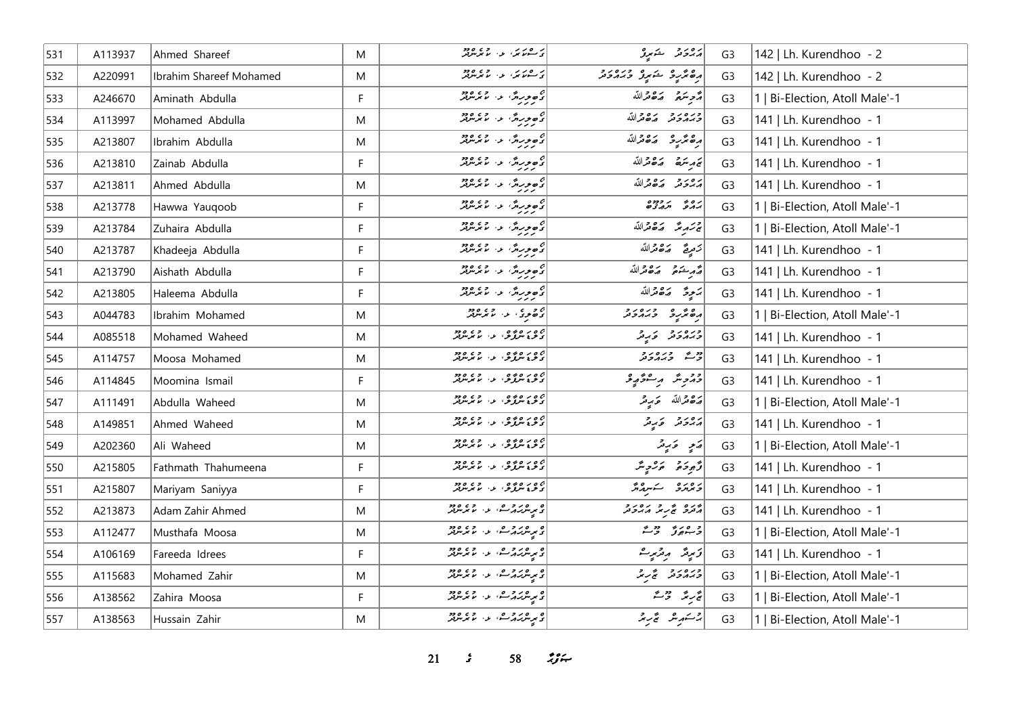| 531 | A113937 | Ahmed Shareef           | M | كەن ئەيدىكى ئەرەپ ئەرەپ ئەرەپ ئەرەپ كەن ئۇن ئولۇر                 | پرورو شهرو                          | G <sub>3</sub> | 142   Lh. Kurendhoo - 2        |
|-----|---------|-------------------------|---|-------------------------------------------------------------------|-------------------------------------|----------------|--------------------------------|
| 532 | A220991 | Ibrahim Shareef Mohamed | M | كەشكەت بەر قايمەتلەر                                              | أرەپرى شەرە دەرد                    | G <sub>3</sub> | 142   Lh. Kurendhoo - 2        |
| 533 | A246670 | Aminath Abdulla         | F | د ه ور ش . د . ما بر سرد.<br>  د سر ر سر الله سر سر سر بر         | أُمُّحِ سَعَةً مَصْعَمُّاللَّهُ     | G <sub>3</sub> | 1   Bi-Election, Atoll Male'-1 |
| 534 | A113997 | Mohamed Abdulla         | M | د هورش د. ۱۶۵، د م                                                | وره رو ده دالله                     | G <sub>3</sub> | 141   Lh. Kurendhoo - 1        |
| 535 | A213807 | Ibrahim Abdulla         | M | ئەھ <i>ور</i> ىدى دارىمىسىدىنى<br>  ئام                           | مەھمگىيە مەھىراللە                  | G <sub>3</sub> | 141   Lh. Kurendhoo - 1        |
| 536 | A213810 | Zainab Abdulla          | F |                                                                   | بتمريحية وكافرالله                  | G <sub>3</sub> | 141   Lh. Kurendhoo - 1        |
| 537 | A213811 | Ahmed Abdulla           | M | ם בנית" לי עדם בר                                                 | برەرو برە قراللە                    | G <sub>3</sub> | 141   Lh. Kurendhoo - 1        |
| 538 | A213778 | Hawwa Yauqoob           | F | ם פינולי עי עדים בר                                               | גם זי גרדם                          | G <sub>3</sub> | 1   Bi-Election, Atoll Male'-1 |
| 539 | A213784 | Zuhaira Abdulla         | F | ام<br>  د حورش و مسروره<br>  د مردر                               | ليحتصر محدثة الله                   | G <sub>3</sub> | 1   Bi-Election, Atoll Male'-1 |
| 540 | A213787 | Khadeeja Abdulla        | F | ם פינות' עי עינות                                                 | كتعريق ضقاة الله                    | G <sub>3</sub> | 141   Lh. Kurendhoo - 1        |
| 541 | A213790 | Aishath Abdulla         | F | ه ورژ، د. دورو.<br>دربر                                           | أَصْمَرِ شَعْمَى صَدَّقَتْدَاللَّهُ | G <sub>3</sub> | 141   Lh. Kurendhoo - 1        |
| 542 | A213805 | Haleema Abdulla         | F | ام<br>  د حورش و مستمدار                                          | برَحِرَة - بَرْهِ قَرْاللّهِ        | G <sub>3</sub> | 141   Lh. Kurendhoo - 1        |
| 543 | A044783 | Ibrahim Mohamed         | M | ه د د د د د د د د د د                                             | ده عزيزة وبرورد                     | G <sub>3</sub> | 1   Bi-Election, Atoll Male'-1 |
| 544 | A085518 | Mohamed Waheed          | M | 2010ء میں مقدم ہے تا ہے۔<br>  تحریج سرگرمن کو سامبرس              | ودره د در د                         | G <sub>3</sub> | 141   Lh. Kurendhoo - 1        |
| 545 | A114757 | Moosa Mohamed           | M | 2010ء میں مقبوض ہے۔<br>  تحریج سرگرمن ہے کہ سرسرتیں               | وو عدد در د                         | G <sub>3</sub> | 141   Lh. Kurendhoo - 1        |
| 546 | A114845 | Moomina Ismail          | F | 2010ء میں مقبوض ہے۔<br>  تحریج سرگرمن ہے کہ سرسرتیں               | دېموېنګر مرگونکوپولو                | G <sub>3</sub> | 141   Lh. Kurendhoo - 1        |
| 547 | A111491 | Abdulla Waheed          | M | ەرەمەدە ئەرەمەدە<br>ئەمەس كەن ئەس بىر بىرلىر                      | پرځغرالله ځېږمتر                    | G <sub>3</sub> | 1   Bi-Election, Atoll Male'-1 |
| 548 | A149851 | Ahmed Waheed            | M | 2010ء میں مقبوض کی مقبر ہوتا ہے۔<br>  تحریج سرگرمز کی اس میں سرگر | دەر د ئەرگ                          | G <sub>3</sub> | 141   Lh. Kurendhoo - 1        |
| 549 | A202360 | Ali Waheed              | M | 2010ء میں مقبوض ہے۔<br>  تحریج سرگرمن ہے کہ سرسرتیں               | ړَی دَرِیْر                         | G <sub>3</sub> | 1   Bi-Election, Atoll Male'-1 |
| 550 | A215805 | Fathmath Thahumeena     | F | 2010ء میں مقبوض ہے۔<br>  تحریج سرگرمن ہے کہ سرسرتیں               | و برو بروپر                         | G <sub>3</sub> | 141   Lh. Kurendhoo - 1        |
| 551 | A215807 | Mariyam Saniyya         | F | 2010ء میں مقبوض ہے۔<br>  تحریج سرگرمن ہے کہ سرسرتیں               | ويرود سكبره ومج                     | G <sub>3</sub> | 141   Lh. Kurendhoo - 1        |
| 552 | A213873 | Adam Zahir Ahmed        | M | ه مرد و ۵ ، د ۶۵ وو.<br>د پرېش کره شو، مانترس                     | دره په دره دره د                    | G <sub>3</sub> | 141   Lh. Kurendhoo - 1        |
| 553 | A112477 | Musthafa Moosa          | M | ه بر مرد و می در در دور<br>د بر مرکز کرد می می بر مرکز            | و وړی ووگ                           | G <sub>3</sub> | 1   Bi-Election, Atoll Male'-1 |
| 554 | A106169 | Fareeda Idrees          | F | ه ۱۶۵۵ میلادی و در ۲۶۵۵<br>د میرمگرداد سفر از مامورس              | زَىرِمَّر رِمْرَىرِتْ               | G <sub>3</sub> | 141   Lh. Kurendhoo - 1        |
| 555 | A115683 | Mohamed Zahir           | M | ه ره در و ه .<br>د مرس د کرد سو، اما مرس بر                       | ورورو پر د                          | G <sub>3</sub> | Bi-Election, Atoll Male'-1     |
| 556 | A138562 | Zahira Moosa            | F | ه پرسربر در شو، او در ۱۶۶۵<br>د پرسربر در شو، اما برسربر          | تجربته ترجمته                       | G <sub>3</sub> | Bi-Election, Atoll Male'-1     |
| 557 | A138563 | Hussain Zahir           | M | ه پرسر در همه در ۲۶۵ ورو<br>د سرسر در کرس در سرسر مر              | 2سكىرىش ئىچرىقى                     | G <sub>3</sub> | 1   Bi-Election, Atoll Male'-1 |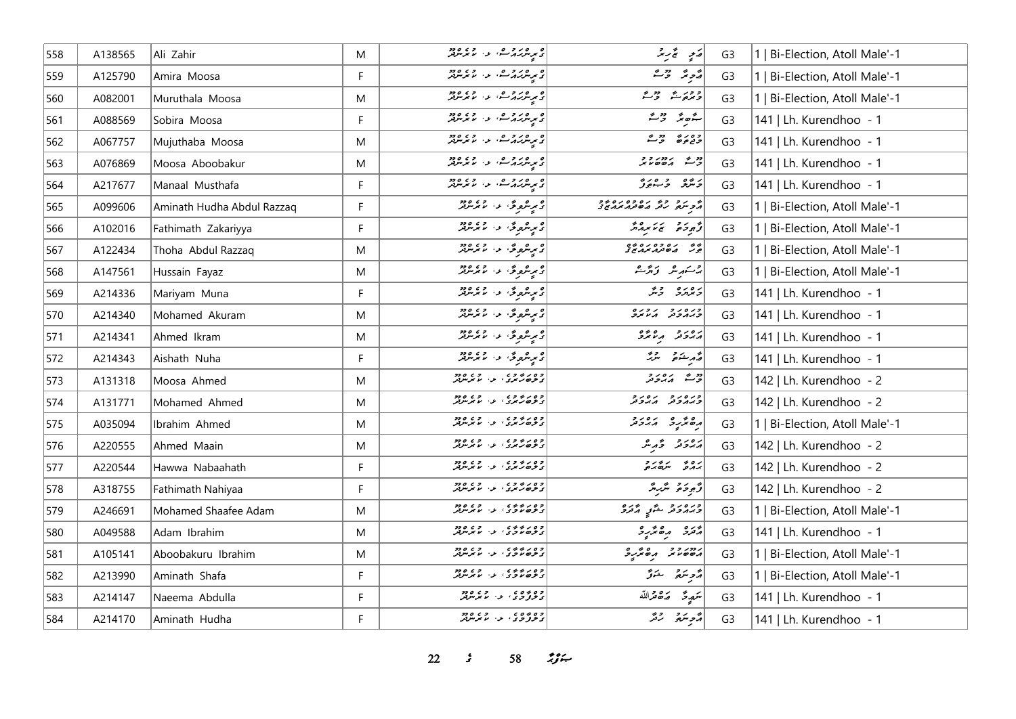| 558 | A138565 | Ali Zahir                  | M         | ه بر مرکز هر به اور ۲۶۵ ورو<br>محمد مرکز در سر محمد مرکز بر ایران          | رَمِي تَحْرَ بِمَرْ                                                                                                                                                                                                             | G3             | Bi-Election, Atoll Male'-1     |
|-----|---------|----------------------------|-----------|----------------------------------------------------------------------------|---------------------------------------------------------------------------------------------------------------------------------------------------------------------------------------------------------------------------------|----------------|--------------------------------|
| 559 | A125790 | Amira Moosa                | F         | ە يورىروگ، بەر يوروپور                                                     | ړ په دره د                                                                                                                                                                                                                      | G <sub>3</sub> | Bi-Election, Atoll Male'-1     |
| 560 | A082001 | Muruthala Moosa            | M         | ە بەر بەر مەن دەھ دەھ                                                      | و وريځ د حقیق                                                                                                                                                                                                                   | G <sub>3</sub> | 1   Bi-Election, Atoll Male'-1 |
| 561 | A088569 | Sobira Moosa               | F         | ه بر مرکز ها، او دارد و در د                                               | $\stackrel{\circ}{\sim} \stackrel{\circ}{\sim} \stackrel{\circ}{\sim} \stackrel{\circ}{\sim}$                                                                                                                                   | G <sub>3</sub> | 141   Lh. Kurendhoo - 1        |
| 562 | A067757 | Mujuthaba Moosa            | M         | ە بەر بەر مەن دەھ دەھ                                                      | وه رو دو م                                                                                                                                                                                                                      | G <sub>3</sub> | 141   Lh. Kurendhoo - 1        |
| 563 | A076869 | Moosa Aboobakur            | M         | ه پر ۱۳۷۵ ه.<br>د بر مرکز در شاعر از ۱۳۷۷ ک                                | 22222                                                                                                                                                                                                                           | G <sub>3</sub> | 141   Lh. Kurendhoo - 1        |
| 564 | A217677 | Manaal Musthafa            | F         | ە پەر دەر دەر.<br>ئەير شرىر ئەس بىر بىر سر سر شرىر                         | د شو د ورو                                                                                                                                                                                                                      | G <sub>3</sub> | 141   Lh. Kurendhoo - 1        |
| 565 | A099606 | Aminath Hudha Abdul Razzaq | F         | د بر شروعٌ، د ۲۰ مرسربر                                                    | ه مرد و و مره وه مره و و                                                                                                                                                                                                        | G <sub>3</sub> | 1   Bi-Election, Atoll Male'-1 |
| 566 | A102016 | Fathimath Zakariyya        | F         | دىرىئروگ <sup>ى ب</sup> ەر مەمەر                                           | أزَّوْدَهُ يَمْ مِهْ مَّ                                                                                                                                                                                                        | G <sub>3</sub> | 1   Bi-Election, Atoll Male'-1 |
| 567 | A122434 | Thoha Abdul Razzaq         | M         | دىرىئرو ئى، د، مامرىزىز                                                    | ه ده ده ده ده ده و<br>جرگ مان در مرد مخ                                                                                                                                                                                         | G <sub>3</sub> | 1   Bi-Election, Atoll Male'-1 |
| 568 | A147561 | Hussain Fayaz              | M         | د بر شروعٌ، د. م تر سر در                                                  | رحم میں مقرر میں مقدمت اللہ کے مقدمت کے ان کے مقدمت کے مقدمت کے مقدمت کے مقدمت کے مقدمت کے مقدمت کے مقدمت کے ا<br>مقدمت اللہ مقدمت اللہ مقدمت اللہ مقدمت اللہ مقدمت اللہ مقدمت اللہ مقدمت اللہ مقدمت اللہ مقدمت اللہ مقدمت اللہ | G <sub>3</sub> | 1   Bi-Election, Atoll Male'-1 |
| 569 | A214336 | Mariyam Muna               | F         | د بېرىنگرىق دا ماتىرىنگر                                                   | أروره وير                                                                                                                                                                                                                       | G <sub>3</sub> | 141   Lh. Kurendhoo - 1        |
| 570 | A214340 | Mohamed Akuram             | M         | د بر سره قري الله د ۱۹۶۵ ورو                                               | כנסנכ גננס                                                                                                                                                                                                                      | G <sub>3</sub> | 141   Lh. Kurendhoo - 1        |
| 571 | A214341 | Ahmed Ikram                | ${\sf M}$ | ە يەشھەق بەر مەردە «                                                       | גפיב הייתב                                                                                                                                                                                                                      | G <sub>3</sub> | 141   Lh. Kurendhoo - 1        |
| 572 | A214343 | Aishath Nuha               | F         | ە برىكروگ <sup>ى ب</sup> ور بولمان 2009.<br>ئىم بىرىكروگى بور بولمانلىقلىر | قەرىشىنى ئىرگ                                                                                                                                                                                                                   | G <sub>3</sub> | 141   Lh. Kurendhoo - 1        |
| 573 | A131318 | Moosa Ahmed                | M         | وه رو وه<br>د تون تری د ۱۰ مرس                                             | دی پره رو                                                                                                                                                                                                                       | G <sub>3</sub> | 142   Lh. Kurendhoo - 2        |
| 574 | A131771 | Mohamed Ahmed              | M         | وه د د و د د<br>د نوه ر برو ، بو ، با برسربر                               | כנסנכ גסנכ                                                                                                                                                                                                                      | G <sub>3</sub> | 142   Lh. Kurendhoo - 2        |
| 575 | A035094 | Ibrahim Ahmed              | M         | وه د بروه .<br>د نوه ترسری او از اسر سرتر                                  | ده نده ده دره<br>  ده ند در از در در                                                                                                                                                                                            | G <sub>3</sub> | 1   Bi-Election, Atoll Male'-1 |
| 576 | A220555 | Ahmed Maain                | M         | وه د بروه .<br>د نوه ترسری او از اسر سرتر                                  | أرەر ئەرش                                                                                                                                                                                                                       | G <sub>3</sub> | 142   Lh. Kurendhoo - 2        |
| 577 | A220544 | Hawwa Nabaahath            | F         | وه د بروه .<br>د نوه ترسری او از اسر سرتر                                  | ره د در                                                                                                                                                                                                                         | G <sub>3</sub> | 142   Lh. Kurendhoo - 2        |
| 578 | A318755 | Fathimath Nahiyaa          | F         | وه د بروه .<br>د نوه ترسری او از اسر سرتر                                  | قُهْ وَحَقَّ سَرْبِهِ مَّ                                                                                                                                                                                                       | G <sub>3</sub> | 142   Lh. Kurendhoo - 2        |
| 579 | A246691 | Mohamed Shaafee Adam       | M         | وه ر د د د .<br>د تره ناگری ، بر ، نامرس                                   | وبره برو مشربي المرتزى                                                                                                                                                                                                          | G <sub>3</sub> | 1   Bi-Election, Atoll Male'-1 |
| 580 | A049588 | Adam Ibrahim               | M         | وه ر د ده د .<br>د نوه ناتری ، بر ، نامرس                                  | دره ده دره                                                                                                                                                                                                                      | G <sub>3</sub> | 141   Lh. Kurendhoo - 1        |
| 581 | A105141 | Aboobakuru Ibrahim         | M         | وه ر د د د .<br>د نوه ناگری ا د ا اما برسربر                               | גמיני פי פי פי פי                                                                                                                                                                                                               | G <sub>3</sub> | 1   Bi-Election, Atoll Male'-1 |
| 582 | A213990 | Aminath Shafa              | F.        | وه د د ده د .<br>د ترخاندگان او . اند برنترن                               | أرٌ حِ سَرَ تَ وَ حَرَ                                                                                                                                                                                                          | G <sub>3</sub> | 1   Bi-Election, Atoll Male'-1 |
| 583 | A214147 | Naeema Abdulla             | F         | وه ۶۵ ه ده و و وود<br>ترمونو د د کاموسرتر                                  | تتميرمح ضقرالله                                                                                                                                                                                                                 | G <sub>3</sub> | 141   Lh. Kurendhoo - 1        |
| 584 | A214170 | Aminath Hudha              | F.        |                                                                            | مزمر سرقر مرتقر                                                                                                                                                                                                                 | G3             | 141   Lh. Kurendhoo - 1        |

**22** *s* **58** *n***<sub>3</sub>**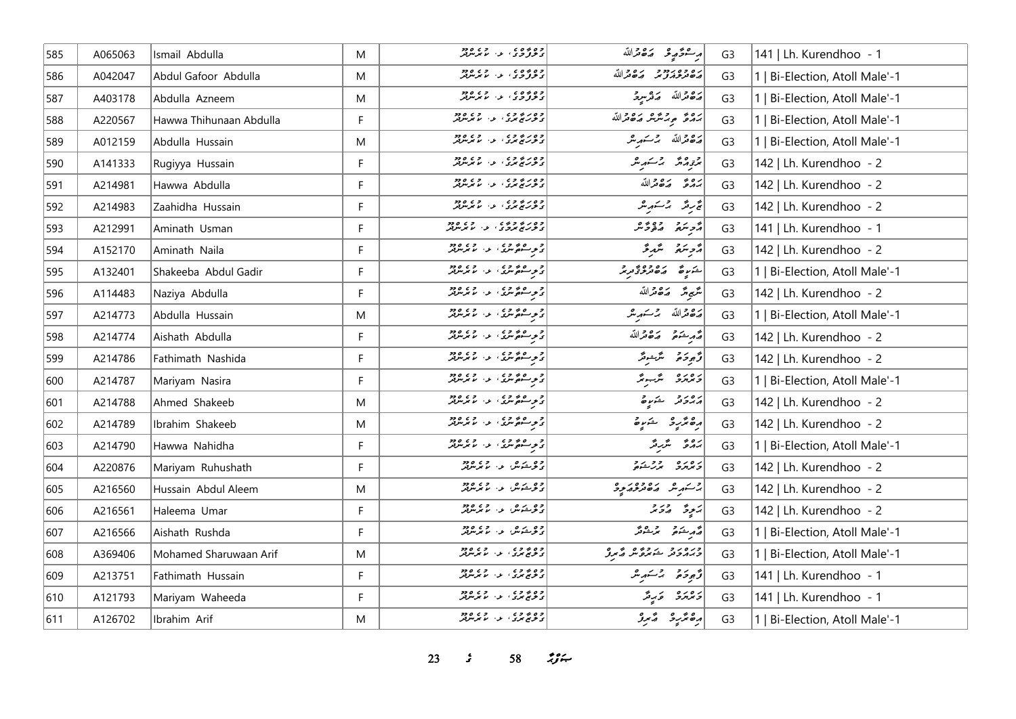| 585 | A065063 | Ismail Abdulla          | M         | وه ۶۵ ه و د و د ورو<br>تح <b>وتون</b> و کا موسولتر       | مرحوً موسطى من الله                                  | G <sub>3</sub> | 141   Lh. Kurendhoo - 1        |
|-----|---------|-------------------------|-----------|----------------------------------------------------------|------------------------------------------------------|----------------|--------------------------------|
| 586 | A042047 | Abdul Gafoor Abdulla    | ${\sf M}$ | وه ده ه ،<br>د ترو ژ د ، او ، او دو                      | ره ده ردد و به دالله                                 | G <sub>3</sub> | 1   Bi-Election, Atoll Male'-1 |
| 587 | A403178 | Abdulla Azneem          | M         | وه ده ه ، د ، د ورو<br>د تروگرد ی از اما مرس             | رەقمەللە ھەرىبوق                                     | G <sub>3</sub> | Bi-Election, Atoll Male'-1     |
| 588 | A220567 | Hawwa Thihunaan Abdulla | F         | وہ رہ وہ<br>  ی تحریہ تحریک الموالی اللہ میں موجود       | بره و به دوه بره درالله                              | G <sub>3</sub> | 1   Bi-Election, Atoll Male'-1 |
| 589 | A012159 | Abdulla Hussain         | M         | وہ رہ وہ<br>  ی توریج بری او اس برس بر                   | رەقمەللە جەمئىر                                      | G <sub>3</sub> | 1   Bi-Election, Atoll Male'-1 |
| 590 | A141333 | Rugiyya Hussain         | F.        | وہ رہ وہ<br>  وی رہے بری   یہ ان برنترلر                 | برتور مرتشر مرشر ملكر                                | G <sub>3</sub> | 142   Lh. Kurendhoo - 2        |
| 591 | A214981 | Hawwa Abdulla           | F         | وه د به وي .<br>د ترریخ بری او از با برنترلر             | بَهْرَةَ مَهْ مِّرَاللَّه                            | G <sub>3</sub> | 142   Lh. Kurendhoo - 2        |
| 592 | A214983 | Zaahidha Hussain        | F.        | وه د به وي .<br>د توریخ بری او از با برسرتر              | غرير برستيرير                                        | G <sub>3</sub> | 142   Lh. Kurendhoo - 2        |
| 593 | A212991 | Aminath Usman           | F         | وه د په وه وه<br>  د څرمنځ مرد و ،   بو ،   مرمريز       | أزج سرد وه وه وه                                     | G <sub>3</sub> | 141   Lh. Kurendhoo - 1        |
| 594 | A152170 | Aminath Naila           | F         | ا د د ه د د د د د د د د د د د د                          | أُمُّحِ سَمَّعٍ مُسْتَمَرٍ مَّنْ                     | G <sub>3</sub> | 142   Lh. Kurendhoo - 2        |
| 595 | A132401 | Shakeeba Abdul Gadir    | F         | ا د په هغه وي.<br>د په سوه سری الله الله سرسرفتر         | ) شرع مصر ده ده به رحم                               | G <sub>3</sub> | 1   Bi-Election, Atoll Male'-1 |
| 596 | A114483 | Naziya Abdulla          | F.        | و د ه د و د و د و د و د و د و<br>د م سر سر د اس سر سر بر | شیخ شر م <i>ت</i> ک قمرالله                          | G <sub>3</sub> | 142   Lh. Kurendhoo - 2        |
| 597 | A214773 | Abdulla Hussain         | M         | ا د و ه د و د د و د و د و د و د                          | أرَّة مِّرَاللَّهُ بِرَّسَمَ مِثْرٍ                  | G <sub>3</sub> | 1   Bi-Election, Atoll Male'-1 |
| 598 | A214774 | Aishath Abdulla         | F         | ا د و هم د ، د ، د ، د د .<br>د د سوه مرد ، د ، ما مرمرد | أشربته مقصرالله                                      | G <sub>3</sub> | 142   Lh. Kurendhoo - 2        |
| 599 | A214786 | Fathimath Nashida       | F.        | و د ه و د د د د د د د د د د                              | قرج وخرقه الترشيقر                                   | G <sub>3</sub> | 142   Lh. Kurendhoo - 2        |
| 600 | A214787 | Mariyam Nasira          | F         | د وره ده ده.<br>د د سه کمین د اس کرمی                    | دەرە شەر                                             | G <sub>3</sub> | 1   Bi-Election, Atoll Male'-1 |
| 601 | A214788 | Ahmed Shakeeb           | M         | د وره وي.<br>د توسکوگسری او از ما مرس                    | رەرد شىرە                                            | G <sub>3</sub> | 142   Lh. Kurendhoo - 2        |
| 602 | A214789 | Ibrahim Shakeeb         | M         | و د ه و د د د د د د د د د د                              | رە ئرىر ئىستىدە                                      | G <sub>3</sub> | 142   Lh. Kurendhoo - 2        |
| 603 | A214790 | Hawwa Nahidha           | F.        | ا د و هم د ، د ، د ، د د .<br>د د سوه مرد ، د ، ما مرمرد | برەۋ ئىرىد                                           | G <sub>3</sub> | 1   Bi-Election, Atoll Male'-1 |
| 604 | A220876 | Mariyam Ruhushath       | F         | وو په در ووه                                             | دەرە بەرىنى                                          | G <sub>3</sub> | 142   Lh. Kurendhoo - 2        |
| 605 | A216560 | Hussain Abdul Aleem     | M         | وه مړي لو، لومون                                         | بر شر می موجود د د                                   | G <sub>3</sub> | 142   Lh. Kurendhoo - 2        |
| 606 | A216561 | Haleema Umar            | F.        | وو د شکس او د او دود.<br>او گرېندن او او مانگر مرکز      | رَجِعٌ الْمُحَامَرُ                                  | G <sub>3</sub> | 142   Lh. Kurendhoo - 2        |
| 607 | A216566 | Aishath Rushda          | F         | وه درمه، د د ۱۶۵، ود                                     | مەر ئىكتى ئىم ئىشرىتى                                | G <sub>3</sub> | 1   Bi-Election, Atoll Male'-1 |
| 608 | A369406 | Mohamed Sharuwaan Arif  | M         | وه بروی .<br>د نوی برد ، بر ، با برنترنز                 | دره ر د د د ده م ه ر و<br>  د بر د د د شمره ش ه مربو | G <sub>3</sub> | 1   Bi-Election, Atoll Male'-1 |
| 609 | A213751 | Fathimath Hussain       | F.        | وه بو وه .<br>د نویج بوري او . اما بوسرتو                | توجوجو المركبريثر                                    | G <sub>3</sub> | 141   Lh. Kurendhoo - 1        |
| 610 | A121793 | Mariyam Waheeda         | F         | وه بو و ی<br>ک مخریج بوری از اما موسولتر                 | د ۱۵ د کار مرکز                                      | G <sub>3</sub> | 141   Lh. Kurendhoo - 1        |
| 611 | A126702 | Ibrahim Arif            | M         | وه پروې د د وې ووو<br>د نوم مرد او اما مرس               | أرە ئۇر ئەستىر ئە                                    | G <sub>3</sub> | 1   Bi-Election, Atoll Male'-1 |

**23** *s* **58** *n***<sub>y</sub><sub>***n***</sub>**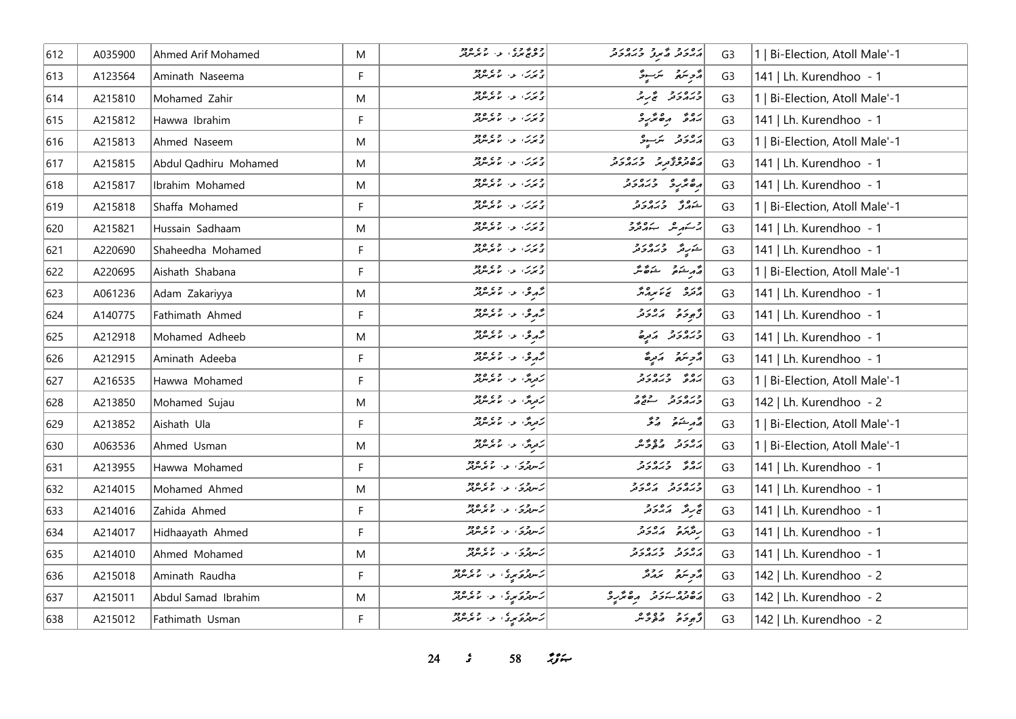| 612 | A035900 | Ahmed Arif Mohamed    | M  | وه به وه<br>  د څري بری او او ما برسربر                                                            | رور د که د د درور د                   | G <sub>3</sub> | 1   Bi-Election, Atoll Male'-1 |
|-----|---------|-----------------------|----|----------------------------------------------------------------------------------------------------|---------------------------------------|----------------|--------------------------------|
| 613 | A123564 | Aminath Naseema       | F. | ورس، عن ما برندود.<br>  ی بورت، عن ما بوندولر                                                      | أَرَّحِ سَرَبِ وَ أَرْسِيرَ مَنْ      | G <sub>3</sub> | 141   Lh. Kurendhoo - 1        |
| 614 | A215810 | Mohamed Zahir         | M  | وړی د میکرمونو                                                                                     | ورەرو ئەرىر                           | G <sub>3</sub> | 1   Bi-Election, Atoll Male'-1 |
| 615 | A215812 | Hawwa Ibrahim         | F  | درس، به در دود                                                                                     | بروء رەئزىرو                          | G <sub>3</sub> | 141   Lh. Kurendhoo - 1        |
| 616 | A215813 | Ahmed Naseem          | M  | ا و ر ر<br>  د برر ، او ، اما برسرفر                                                               | پروتر برسوژ                           | G <sub>3</sub> | 1   Bi-Election, Atoll Male'-1 |
| 617 | A215815 | Abdul Qadhiru Mohamed | M  | د بربر، او ، او دو                                                                                 | رە دەپر دەر دەرد<br>  ھەمرىرتى مەھرىر | G <sub>3</sub> | 141   Lh. Kurendhoo - 1        |
| 618 | A215817 | Ibrahim Mohamed       | M  | د برس عن مهر معروف                                                                                 | <br>  ده تر در ۲۰۰۶ در در د           | G <sub>3</sub> | 141   Lh. Kurendhoo - 1        |
| 619 | A215818 | Shaffa Mohamed        | F  | ورس، عن ما برسود.<br>  د برگ عن ما برسود.                                                          | ے وہ ورہ رو<br>شہرتی تربر دیگر        | G <sub>3</sub> | 1   Bi-Election, Atoll Male'-1 |
| 620 | A215821 | Hussain Sadhaam       | M  | د برس ع بر سر د د د                                                                                | بر مسر مقدم المستخدم المستخدم         | G <sub>3</sub> | 141   Lh. Kurendhoo - 1        |
| 621 | A220690 | Shaheedha Mohamed     | F. | ورس - د ه دود<br>  د برت - ما برس                                                                  | شریگر وره رو                          | G <sub>3</sub> | 141   Lh. Kurendhoo - 1        |
| 622 | A220695 | Aishath Shabana       | F. | دىرى، ئەس ئەھەدىر                                                                                  | قرم شوق شوق متر                       | G <sub>3</sub> | 1   Bi-Election, Atoll Male'-1 |
| 623 | A061236 | Adam Zakariyya        | M  | رهم دي المسلم المسلم المسلم السلم السلم السلم السلم السلم السلم السلم السلم السلم السلم السلم السل | أوره بيءَ برور                        | G <sub>3</sub> | 141   Lh. Kurendhoo - 1        |
| 624 | A140775 | Fathimath Ahmed       | F  | رحمدی، عن متمر معرض                                                                                | أزجوحه أكالحدد                        | G <sub>3</sub> | 141   Lh. Kurendhoo - 1        |
| 625 | A212918 | Mohamed Adheeb        | M  | رحمدی الله الله علم معرضه                                                                          | ورەرو كەيرە                           | G <sub>3</sub> | 141   Lh. Kurendhoo - 1        |
| 626 | A212915 | Aminath Adeeba        | F. | رحمدی، او، اور میکریندور                                                                           | أزويتم أرترة                          | G <sub>3</sub> | 141   Lh. Kurendhoo - 1        |
| 627 | A216535 | Hawwa Mohamed         | F  | ژورگ <sup>3</sup> و موسر در ۱۹۶۵                                                                   | ره دره در<br>پهرو دپهرونر             | G <sub>3</sub> | 1   Bi-Election, Atoll Male'-1 |
| 628 | A213850 | Mohamed Sujau         | M  | رَمَزِيْنَ عَنْ الْمُتَرَسُّرْتُمْرَ                                                               | ورەر دەرد                             | G <sub>3</sub> | 142   Lh. Kurendhoo - 2        |
| 629 | A213852 | Aishath Ula           | F  | رَمِرِيْنَ، عَنْ الْمُرْسُرِيْنَ                                                                   | أصمر شتمتى الصفى                      | G <sub>3</sub> | 1   Bi-Election, Atoll Male'-1 |
| 630 | A063536 | Ahmed Usman           | M  | رَمْزِيْنَ عَنْ عَمْدَ مِنْ                                                                        | رەرد دەپرە                            | G <sub>3</sub> | 1   Bi-Election, Atoll Male'-1 |
| 631 | A213955 | Hawwa Mohamed         | F. | زىرور، ئەسىرىرور                                                                                   | ره دره دور                            | G <sub>3</sub> | 141   Lh. Kurendhoo - 1        |
| 632 | A214015 | Mohamed Ahmed         | M  | ر سرچري کې د موسولار                                                                               | כנסנכ נסנכ<br>כגתכת הגבת              | G <sub>3</sub> | 141   Lh. Kurendhoo - 1        |
| 633 | A214016 | Zahida Ahmed          | F. | ژىرورى كەر ئەتمەتلەر                                                                               | تجربرته المرورو                       | G <sub>3</sub> | 141   Lh. Kurendhoo - 1        |
| 634 | A214017 | Hidhaayath Ahmed      | F. | ر سرچري کې د موسولار                                                                               | ر در ده دورو                          | G <sub>3</sub> | 141   Lh. Kurendhoo - 1        |
| 635 | A214010 | Ahmed Mohamed         | M  | كەندەك بەر مەھەم بەر ئايرىلىرلىر                                                                   | גפניק כנסניק                          | G <sub>3</sub> | 141   Lh. Kurendhoo - 1        |
| 636 | A215018 | Aminath Raudha        | F  | ئەس ئەركە بىرى ئەرەر ئەرەرد                                                                        | أرمح سرور المروش                      | G <sub>3</sub> | 142   Lh. Kurendhoo - 2        |
| 637 | A215011 | Abdul Samad Ibrahim   | M  | ژسرفرکویزی، عها از ۱۶۵ وج                                                                          | פיכה ביני הפיניקים                    | G <sub>3</sub> | 142   Lh. Kurendhoo - 2        |
| 638 | A215012 | Fathimath Usman       | F. | که سرچري دي.<br>  که سرچري کرده د سرچر سرچر                                                        | ژبوڅو مقومځمر                         | G <sub>3</sub> | 142   Lh. Kurendhoo - 2        |

**24** *s* **58** *i***<sub>3</sub><sup>***c***</sup>**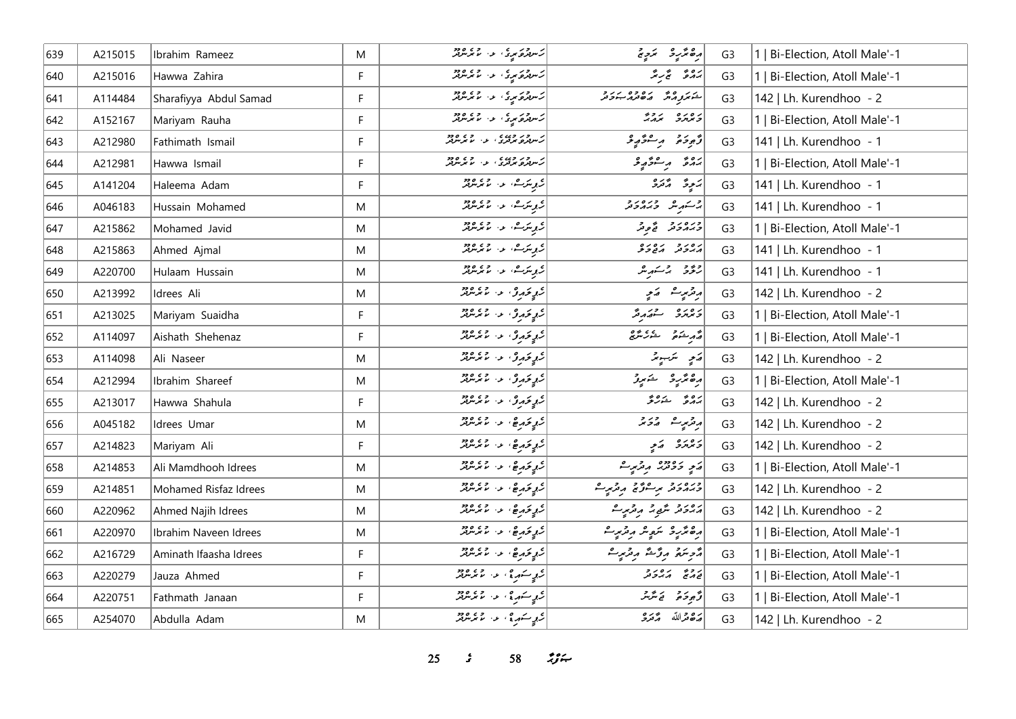| 639 | A215015 | Ibrahim Rameez         | M  | ژسرفرکویزی، عها از ۱۶۵ وج                                                                                                                                                                                                        | رە ئرىر ئىچ ئ                                         | G <sub>3</sub> | Bi-Election, Atoll Male'-1     |
|-----|---------|------------------------|----|----------------------------------------------------------------------------------------------------------------------------------------------------------------------------------------------------------------------------------|-------------------------------------------------------|----------------|--------------------------------|
| 640 | A215016 | Hawwa Zahira           | F  | د سرور د د .<br>  د سربرو مړي د . د م مرسربر                                                                                                                                                                                     | يَهُرَمَّةُ لَمَجْ سِمَّدٌ                            | G <sub>3</sub> | 1   Bi-Election, Atoll Male'-1 |
| 641 | A114484 | Sharafiyya Abdul Samad | F. | که سرچر سره در ۲۶۵ وجود                                                                                                                                                                                                          | در وه ده وه در و<br>شخص دهر های در جوی                | G <sub>3</sub> | 142   Lh. Kurendhoo - 2        |
| 642 | A152167 | Mariyam Rauha          | F. | ژسوټر کړي کې د ۱۶۵ کل                                                                                                                                                                                                            | ر ور و رور                                            | G <sub>3</sub> | 1   Bi-Election, Atoll Male'-1 |
| 643 | A212980 | Fathimath Ismail       | F. | ژبرور وروه د د د د د ورو<br>  ژبېړنو تولوی او او موس                                                                                                                                                                             | أزودة وسفروع                                          | G <sub>3</sub> | 141   Lh. Kurendhoo - 1        |
| 644 | A212981 | Hawwa Ismail           | F. | از سود وروه و در و در دورو<br>  زسربرو بربری او از ما برسربر                                                                                                                                                                     | پروژ پر شو ژبو و                                      | G <sub>3</sub> | 1   Bi-Election, Atoll Male'-1 |
| 645 | A141204 | Haleema Adam           | F  | ژېږمترک، او، او دور                                                                                                                                                                                                              | پَرچونَ او وَتَرَوْ                                   | G <sub>3</sub> | 141   Lh. Kurendhoo - 1        |
| 646 | A046183 | Hussain Mohamed        | M  | ئ <sub>ەبە</sub> سكە ئەرەپ ئەھمەتلەرل <b>ى</b> ر                                                                                                                                                                                 | وكسرر ورورة                                           | G <sub>3</sub> | 141   Lh. Kurendhoo - 1        |
| 647 | A215862 | Mohamed Javid          | M  | ئۇ بىرگ، ئەس ئەتلەر ئە                                                                                                                                                                                                           | ورەر د قوتر                                           | G <sub>3</sub> | 1   Bi-Election, Atoll Male'-1 |
| 648 | A215863 | Ahmed Ajmal            | M  | ر بر سرے، اور اس میں مرید کر دیا تھا<br>اگر بر سرکار میں میں مرید کر دیا تھا کہ اس کی میں مرید کر دیا تھا کہ اس کے باہر کر اس کے میں اس کے میں ان کے ا                                                                           | גפניק גפנים                                           | G <sub>3</sub> | 141   Lh. Kurendhoo - 1        |
| 649 | A220700 | Hulaam Hussain         | M  | ار <sub>گر</sub> مرے، عن ماجر مرکز                                                                                                                                                                                               | رۇق باسىرىر                                           | G <sub>3</sub> | 141   Lh. Kurendhoo - 1        |
| 650 | A213992 | Idrees Ali             | M  | ار <sub>گو</sub> ئۇم <sub>و</sub> مى، ئەس ئەسرىتىر                                                                                                                                                                               | پرترمړے تھے                                           | G <sub>3</sub> | 142   Lh. Kurendhoo - 2        |
| 651 | A213025 | Mariyam Suaidha        | F  | ئوپۇر ئۇرۇ، ئەر ئەتكەندىر                                                                                                                                                                                                        | ويمهرو ويريحه                                         | G <sub>3</sub> | 1   Bi-Election, Atoll Male'-1 |
| 652 | A114097 | Aishath Shehenaz       | F. | ار <sub>گیر</sub> بحمد و از ماهر معرفتر                                                                                                                                                                                          | أقرم شكوم المستور يترجى                               | G <sub>3</sub> | 1   Bi-Election, Atoll Male'-1 |
| 653 | A114098 | Ali Naseer             | M  | ار <sub>وپ</sub> ئومرز، او، ام مرسرمر                                                                                                                                                                                            | رَمِ سَنَ يَدْ                                        | G <sub>3</sub> | 142   Lh. Kurendhoo - 2        |
| 654 | A212994 | Ibrahim Shareef        | M  | ار <sub>وپ</sub> ئومرز، او، اور دورد                                                                                                                                                                                             | رەڭرو خىرۇ                                            | G <sub>3</sub> | 1   Bi-Election, Atoll Male'-1 |
| 655 | A213017 | Hawwa Shahula          | F. | كروتروث عن المتمامين                                                                                                                                                                                                             | رەپ خەربى                                             | G <sub>3</sub> | 142   Lh. Kurendhoo - 2        |
| 656 | A045182 | Idrees Umar            | M  | كرو ترميقى المراسم برسر بر                                                                                                                                                                                                       | أرقر مريثة المرورة                                    | G <sub>3</sub> | 142   Lh. Kurendhoo - 2        |
| 657 | A214823 | Mariyam Ali            | F. | كرو ترمر في المستخدم المرسر بر                                                                                                                                                                                                   | د ۱۳۶۶ که د په                                        | G <sub>3</sub> | 142   Lh. Kurendhoo - 2        |
| 658 | A214853 | Ali Mamdhooh Idrees    | M  | كري ترمر هي، در المرسرين                                                                                                                                                                                                         | پر پرووو پروژید ع                                     | G <sub>3</sub> | 1   Bi-Election, Atoll Male'-1 |
| 659 | A214851 | Mohamed Risfaz Idrees  | M  | كرو خرم ها المستعمل المستقر                                                                                                                                                                                                      | دره رو بر عدو د برتر برا<br>  د برود تر برگزی برتر بر | G <sub>3</sub> | 142   Lh. Kurendhoo - 2        |
| 660 | A220962 | Ahmed Najih Idrees     | M  | كرو خرم ع، المستخدم من                                                                                                                                                                                                           | پروژو سرویز اروزیر ۱۰۰۰                               | G <sub>3</sub> | 142   Lh. Kurendhoo - 2        |
| 661 | A220970 | Ibrahim Naveen Idrees  | M  | كرو خرم ها المستخدم المستخدم المستخدم المستخدم المستخدم المستخدم المستخدم المستخدم المستخدم المستخد                                                                                                                              | رەپرىدى سەپ مەمەرىپ                                   | G <sub>3</sub> | 1   Bi-Election, Atoll Male'-1 |
| 662 | A216729 | Aminath Ifaasha Idrees | F. | كرو خرم ها المستعمل المستقر                                                                                                                                                                                                      | أرجاعهم ورزمة وترمريث                                 | G <sub>3</sub> | Bi-Election, Atoll Male'-1     |
| 663 | A220279 | Jauza Ahmed            | F  | ار د سکه پای د او د د د د                                                                                                                                                                                                        | د د په د پرور د                                       | G <sub>3</sub> | Bi-Election, Atoll Male'-1     |
| 664 | A220751 | Fathmath Janaan        | F  | ار د سکه دی از ۱۳۶۴ مربع در ۱۳۶۴ میلی در این استان برای در این استان به این استان به این استان به این استان اس<br>مسئولیت استان به این استان برای استان برای استان برای برای استان برای استان برای استان برای استان برای برای ای | ژَّبِوحَمْ یَمَتَّرْسَ                                | G <sub>3</sub> | 1   Bi-Election, Atoll Male'-1 |
| 665 | A254070 | Abdulla Adam           | M  | ان مستهده ، الاس و داره دو                                                                                                                                                                                                       | مَدْهِ مِرْ اللّهِ مَرْ مَرْدَدْ                      | G <sub>3</sub> | 142   Lh. Kurendhoo - 2        |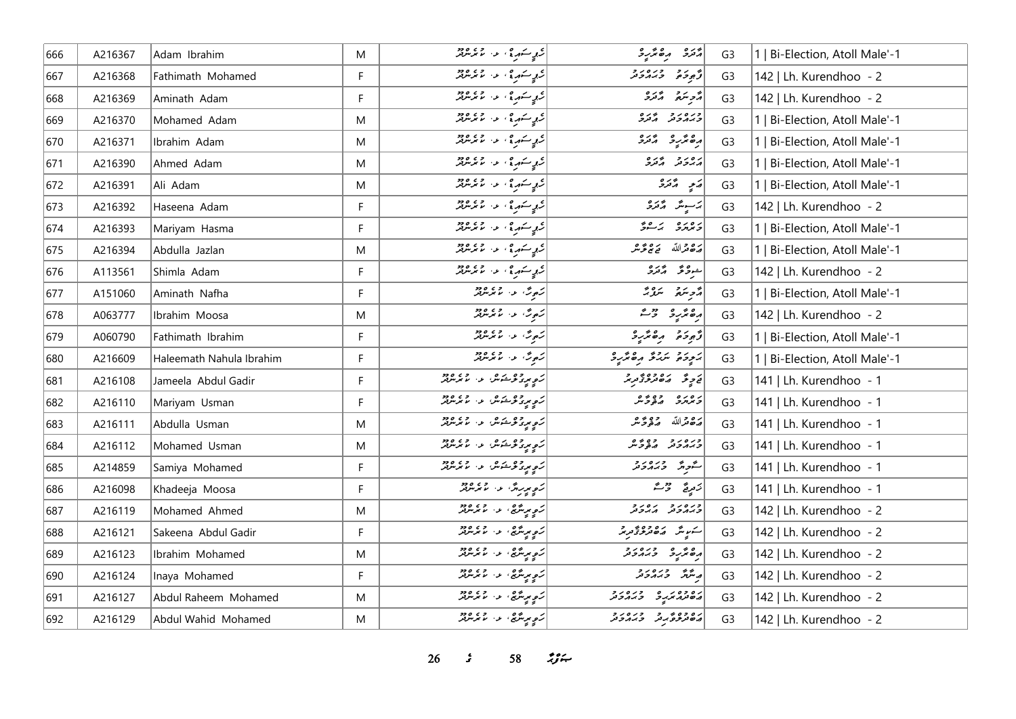| 666 | A216367 | Adam Ibrahim             | M  | د ده سکوره ، او ، ۱۶۵ ورو                                                                                          | د تره د ه ټر په د                      | G <sub>3</sub> | 1   Bi-Election, Atoll Male'-1 |
|-----|---------|--------------------------|----|--------------------------------------------------------------------------------------------------------------------|----------------------------------------|----------------|--------------------------------|
| 667 | A216368 | Fathimath Mohamed        | F. | ار د سکه دي او د د د د د د د                                                                                       | أو رو وره رو                           | G <sub>3</sub> | 142   Lh. Kurendhoo - 2        |
| 668 | A216369 | Aminath Adam             | F  | ار د سکه دي او د د د د د د                                                                                         | أأزجر سمائهم أأزره                     | G <sub>3</sub> | 142   Lh. Kurendhoo - 2        |
| 669 | A216370 | Mohamed Adam             | M  | ار د سکه دي او د ساعت ۱۹۶۹                                                                                         | כנסנכ בנס                              | G <sub>3</sub> | 1   Bi-Election, Atoll Male'-1 |
| 670 | A216371 | Ibrahim Adam             | M  | ر موسكور في الموسكور من موقعه<br>مستقرر الموسكور الموسكور الموسكور الموسكور الموسكور الموسكور الموسكور الموسكور ال | دە ئەر ئەرە                            | G <sub>3</sub> | 1   Bi-Election, Atoll Male'-1 |
| 671 | A216390 | Ahmed Adam               | M  | ار د سکه دی از در ۲۶۵ وجود براند.<br> - د سکه د سکه د سایم سرفتر                                                   | برەر د پردە                            | G <sub>3</sub> | 1   Bi-Election, Atoll Male'-1 |
| 672 | A216391 | Ali Adam                 | M  | ار د سکه دي او د د د د د د د                                                                                       | پَي پر پرو                             | G <sub>3</sub> | 1   Bi-Election, Atoll Male'-1 |
| 673 | A216392 | Haseena Adam             | F  | ار د سکه دي او د ۱۶۵ ورو                                                                                           |                                        | G <sub>3</sub> | 142   Lh. Kurendhoo - 2        |
| 674 | A216393 | Mariyam Hasma            | F  | ار د سکه دي او د ساعت ۱۹۶۹                                                                                         | دەرە بەرەپچ                            | G <sub>3</sub> | 1   Bi-Election, Atoll Male'-1 |
| 675 | A216394 | Abdulla Jazlan           | M  |                                                                                                                    | أَرَدْ قَرْاللَّهُ ۖ يَوْ تَرْ شَرْ    | G <sub>3</sub> | 1   Bi-Election, Atoll Male'-1 |
| 676 | A113561 | Shimla Adam              | F. | ار د سکه دي او د د د د د د د                                                                                       | شوۋ گەترە                              | G <sub>3</sub> | 142   Lh. Kurendhoo - 2        |
| 677 | A151060 | Aminath Nafha            | F  | رَمِرٌ، عَنْ الْمَعْرَ مِنْ قَرْ                                                                                   | ړې شره په سرورته                       | G <sub>3</sub> | 1   Bi-Election, Atoll Male'-1 |
| 678 | A063777 | Ibrahim Moosa            | M  | ئەمەش، مەسىم ئىرىدىنى ئ                                                                                            | رە ئرىر ئىستى                          | G <sub>3</sub> | 142   Lh. Kurendhoo - 2        |
| 679 | A060790 | Fathimath Ibrahim        | F  | ژ <sub>مو</sub> ژ، او، او دور                                                                                      | توجوخو مرەتمرى                         | G <sub>3</sub> | 1   Bi-Election, Atoll Male'-1 |
| 680 | A216609 | Haleemath Nahula Ibrahim | F  | ژ <sub>مو</sub> ژ، او، او دو                                                                                       | أبرود والردوم وهامرو                   | G <sub>3</sub> | 1   Bi-Election, Atoll Male'-1 |
| 681 | A216108 | Jameela Abdul Gadir      | F  | ژ <sub>ه پیر</sub> وه شور و در ۲۶۵ و در                                                                            | پر چوگر در چارچ کوچر پر چ              | G <sub>3</sub> | 141   Lh. Kurendhoo - 1        |
| 682 | A216110 | Mariyam Usman            | F  | ژوپروتوڪس و، معرض                                                                                                  | رەرە دەۋر                              | G <sub>3</sub> | 141   Lh. Kurendhoo - 1        |
| 683 | A216111 | Abdulla Usman            | M  | ژه پروتوڅس و، معرس                                                                                                 | أرَدُّ هَمَّ اللَّهُ مَنْ دَعْرَ مَّرَ | G <sub>3</sub> | 141   Lh. Kurendhoo - 1        |
| 684 | A216112 | Mohamed Usman            | M  | ر<br>د موړۍ څو شومتر، لول مورس پر                                                                                  | ورەرو وەپرە<br><i>وبى</i> دولا ھۇۋىر   | G <sub>3</sub> | 141   Lh. Kurendhoo - 1        |
| 685 | A214859 | Samiya Mohamed           | F. | ژ <sub>ې مو</sub> روش و. د ۱۳۶۴ و.<br>  ژ <sub>ې مو</sub> روش و. لامرس                                             | سەرەر 370.00                           | G <sub>3</sub> | 141   Lh. Kurendhoo - 1        |
| 686 | A216098 | Khadeeja Moosa           | F  | ژوپرېدگ <sup>5</sup> په ۱۶۵۶ ورو                                                                                   | زَمِرِجٌ رَحْمَدٌ                      | G <sub>3</sub> | 141   Lh. Kurendhoo - 1        |
| 687 | A216119 | Mohamed Ahmed            | M  | رَهِ بِرِيسٌ يه عن الله على الله عن الله عن الله عن الله عن الله عن الله عن الله عن الله عن الله عن                | כנסנכ גסנכ                             | G <sub>3</sub> | 142   Lh. Kurendhoo - 2        |
| 688 | A216121 | Sakeena Abdul Gadir      | F  | ئەمەيدىنگىچ، ئەس مەھرىتىرلىر                                                                                       | <br>  سرس مەھىرىر توپىر                | G <sub>3</sub> | 142   Lh. Kurendhoo - 2        |
| 689 | A216123 | Ibrahim Mohamed          | M  | ژ <sub>ېم</sub> پېرىنگى ، ئى ، ئا ئورىنگەر                                                                         | ره عزيز و دره د و د                    | G <sub>3</sub> | 142   Lh. Kurendhoo - 2        |
| 690 | A216124 | Inaya Mohamed            | F  | ژ <sub>ه مو</sub> سره، د. د موسرمر                                                                                 | و شرح دره د و                          | G <sub>3</sub> | 142   Lh. Kurendhoo - 2        |
| 691 | A216127 | Abdul Raheem Mohamed     | M  | ژ <sub>ې مړ</sub> مترچ، لا، اړې ووو                                                                                | ره وه در و در ور                       | G <sub>3</sub> | 142   Lh. Kurendhoo - 2        |
| 692 | A216129 | Abdul Wahid Mohamed      | M  | ئەھمىيەتتىقى غەر قاھ دەھ                                                                                           | رە دەپر د درەر د                       | G <sub>3</sub> | 142   Lh. Kurendhoo - 2        |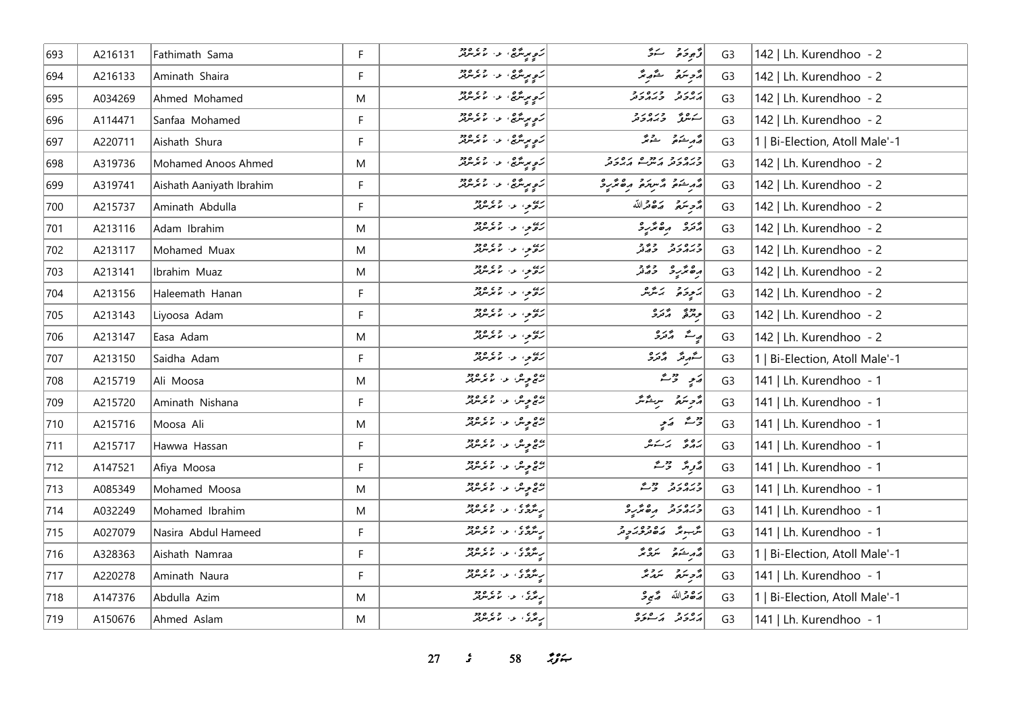| 693 | A216131 | Fathimath Sama           | F  | ئىمپ ئىرىمى ئىلىنى ئىلىمىتىلىر<br>  ئىمپ ئىرىمى ئىلىنى ئىلىمىتىلىر | قەبۇر ئەھ                                                                          | G <sub>3</sub> | 142   Lh. Kurendhoo - 2        |
|-----|---------|--------------------------|----|--------------------------------------------------------------------|------------------------------------------------------------------------------------|----------------|--------------------------------|
| 694 | A216133 | Aminath Shaira           | F  | ر<br>د موسر پېړۍ و له موسر پر                                      | أرمح سقر المقرار                                                                   | G <sub>3</sub> | 142   Lh. Kurendhoo - 2        |
| 695 | A034269 | Ahmed Mohamed            | M  | <br> رَهِ بِرِسَّرِي، عن ما برسربر                                 | גפניק כנסניק                                                                       | G <sub>3</sub> | 142   Lh. Kurendhoo - 2        |
| 696 | A114471 | Sanfaa Mohamed           | F. | ژ <sub>ې مو</sub> سره، د ۱۶۵، د د                                  | سەھۇر ئەيرەر ئە                                                                    | G <sub>3</sub> | 142   Lh. Kurendhoo - 2        |
| 697 | A220711 | Aishath Shura            | F  | ئەمەيدىگە ئەرەپ مەھرىرى<br>  ئەمەيدىگە ئەرەپ مەمەيدىن              | أقرم يشقون سقوتكه                                                                  | G <sub>3</sub> | 1   Bi-Election, Atoll Male'-1 |
| 698 | A319736 | Mohamed Anoos Ahmed      | M  | رَ <sub>مٍ</sub> مِرِسَّرِي <sup>،</sup> په ۲۶۵، م                 | دره د د دروه ده دورو<br>دربردند برس                                                | G <sub>3</sub> | 142   Lh. Kurendhoo - 2        |
| 699 | A319741 | Aishath Aaniyath Ibrahim | F  | ئەمەيدىگە ئەرەپ مەھرىرى<br>  ئەمەيدىگە ئەرەپ مەمەيدىن              | ومنقر مستركو مقتررة                                                                | G <sub>3</sub> | 142   Lh. Kurendhoo - 2        |
| 700 | A215737 | Aminath Abdulla          | F  | ره د د او ده د                                                     | قرح متعدة التقارية                                                                 | G <sub>3</sub> | 142   Lh. Kurendhoo - 2        |
| 701 | A213116 | Adam Ibrahim             | M  | ره د د او ده د                                                     | د تره د ه ټر د                                                                     | G <sub>3</sub> | 142   Lh. Kurendhoo - 2        |
| 702 | A213117 | Mohamed Muax             | M  | دره در ۱۶۵٬۰۶۰<br>  روم در ۱۶ برمزد                                | ورەر دەر                                                                           | G <sub>3</sub> | 142   Lh. Kurendhoo - 2        |
| 703 | A213141 | Ibrahim Muaz             | M  | رسم در در ۱۶۵۵                                                     | دە ئەرە دەر                                                                        | G <sub>3</sub> | 142   Lh. Kurendhoo - 2        |
| 704 | A213156 | Haleemath Hanan          | F  | رەيدان ئەرەپەر ئەرەپەر                                             | ىكتوخى ئائىر                                                                       | G <sub>3</sub> | 142   Lh. Kurendhoo - 2        |
| 705 | A213143 | Liyoosa Adam             | F  | ره د د ده ده ده                                                    | والمحمد والمحمدة                                                                   | G <sub>3</sub> | 142   Lh. Kurendhoo - 2        |
| 706 | A213147 | Easa Adam                | M  | روه د .<br>  روم د . ما برس پر                                     | ړ شه پر ټرو                                                                        | G <sub>3</sub> | 142   Lh. Kurendhoo - 2        |
| 707 | A213150 | Saidha Adam              | F. | ربيع د المال د ده د د                                              | سەر ئەرە                                                                           | G <sub>3</sub> | 1   Bi-Election, Atoll Male'-1 |
| 708 | A215719 | Ali Moosa                | M  | دی په هر د ۱۶۵، دو                                                 | $\begin{array}{cc} \mathbb{Z} & \mathbb{Z} \\ \mathbb{Z} & \mathbb{Z} \end{array}$ | G <sub>3</sub> | 141   Lh. Kurendhoo - 1        |
| 709 | A215720 | Aminath Nishana          | F  | پره <sub>مو</sub> ش د . لانگرمزمز                                  | أدويتم سيشتر                                                                       | G <sub>3</sub> | 141   Lh. Kurendhoo - 1        |
| 710 | A215716 | Moosa Ali                | M  | پره مویش او ۱۳۵، مورد کرد.<br>  رسم مویش                           | روشہ کہ ج                                                                          | G <sub>3</sub> | 141   Lh. Kurendhoo - 1        |
| 711 | A215717 | Hawwa Hassan             | F  | پرچ پېره د د او پر مربر<br>  رغ پېره د او مربربر                   | رەم ئەسكىر                                                                         | G <sub>3</sub> | 141   Lh. Kurendhoo - 1        |
| 712 | A147521 | Afiya Moosa              | F  | پره <sub>مو</sub> ش د . د ورود                                     | پژونژ تر مشتر                                                                      | G <sub>3</sub> | 141   Lh. Kurendhoo - 1        |
| 713 | A085349 | Mohamed Moosa            | M  | پره مویش او ۱۰ مرکز در                                             | ورەرو دورم                                                                         | G <sub>3</sub> | 141   Lh. Kurendhoo - 1        |
| 714 | A032249 | Mohamed Ibrahim          | M  | ر شهری در ۲۶۵،۶۶                                                   | ورەرو مەھرىر                                                                       | G <sub>3</sub> | 141   Lh. Kurendhoo - 1        |
| 715 | A027079 | Nasira Abdul Hameed      | F  | په دې د لابرلروز                                                   | مگر باره وه در جا<br>  مگر باره محمد محمد برابر                                    | G <sub>3</sub> | 141   Lh. Kurendhoo - 1        |
| 716 | A328363 | Aishath Namraa           | F  | ر شهری در ۲۶۵،۵۶                                                   | قەربىئە قاسىمى تە                                                                  | G <sub>3</sub> | 1   Bi-Election, Atoll Male'-1 |
| 717 | A220278 | Aminath Naura            | F  | ر شهری او در ۱۳۵۵                                                  | أأزجر سندانه                                                                       | G <sub>3</sub> | 141   Lh. Kurendhoo - 1        |
| 718 | A147376 | Abdulla Azim             | M  | ر پر دی وی وجود د                                                  | رَصْحَرْاللّهُ صَّبِي                                                              | G <sub>3</sub> | 1   Bi-Election, Atoll Male'-1 |
| 719 | A150676 | Ahmed Aslam              | M  | ر دی. د. دی.دو                                                     | أرور ومستوفر                                                                       | G <sub>3</sub> | 141   Lh. Kurendhoo - 1        |

**27** *s* **58** *n***<sub>3</sub>**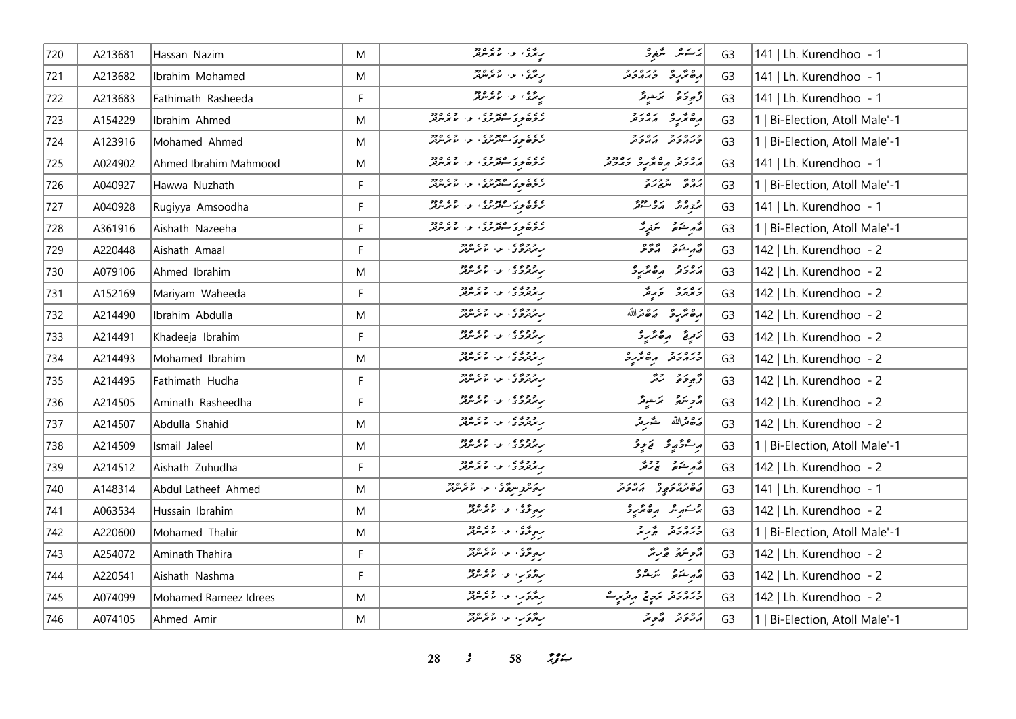| 720 | A213681 | Hassan Nazim          | M           | ر پرې د دې وه ده                                                               | ىر سەش سىتىنجى 3                                                                                                                                                                                                                   | G <sub>3</sub> | 141   Lh. Kurendhoo - 1        |
|-----|---------|-----------------------|-------------|--------------------------------------------------------------------------------|------------------------------------------------------------------------------------------------------------------------------------------------------------------------------------------------------------------------------------|----------------|--------------------------------|
| 721 | A213682 | Ibrahim Mohamed       | M           | ر ده د او ده ده د                                                              | دە ئەرەر دىرە                                                                                                                                                                                                                      | G <sub>3</sub> | 141   Lh. Kurendhoo - 1        |
| 722 | A213683 | Fathimath Rasheeda    | F           | ر پرې د لاتر ده وه                                                             | وَجوحَامَ - مَرَسْوِمَّرَ                                                                                                                                                                                                          | G <sub>3</sub> | 141   Lh. Kurendhoo - 1        |
| 723 | A154229 | Ibrahim Ahmed         | M           |                                                                                | ده نده دره دره<br>  ده ندر در از دره                                                                                                                                                                                               | G <sub>3</sub> | 1   Bi-Election, Atoll Male'-1 |
| 724 | A123916 | Mohamed Ahmed         | M           |                                                                                | כנסנכ גסנכ                                                                                                                                                                                                                         | G <sub>3</sub> | 1   Bi-Election, Atoll Male'-1 |
| 725 | A024902 | Ahmed Ibrahim Mahmood | M           | ۲۵ د ۲۵ د وه<br>  رنوه نود سوتر نړو او د موسرتر                                | رەر دە ھەر ئەرەدد                                                                                                                                                                                                                  | G <sub>3</sub> | 141   Lh. Kurendhoo - 1        |
| 726 | A040927 | Hawwa Nuzhath         | $\mathsf F$ | ) ده د ه د ده د د د د د د د د د<br>  روه و د سهرس د ا د برس                    | بره په دورو<br>برګرو سرچ <i>ده</i>                                                                                                                                                                                                 | G <sub>3</sub> | 1   Bi-Election, Atoll Male'-1 |
| 727 | A040928 | Rugiyya Amsoodha      | F           | ) د د د د د د د د د د د د د د د د د د<br>  رنوه نوک سه تر نړۍ او ۱۰ تا تر نړين | و ەپر رە دوپر<br>بر <sub>ۇ</sub> رگر كەن سىر                                                                                                                                                                                       | G <sub>3</sub> | 141   Lh. Kurendhoo - 1        |
| 728 | A361916 | Aishath Nazeeha       | F           | ) ده د بر ره ده د د .<br>  رنوده نو د سه تر بر با برس تر                       | مَّەرِ شَعْرِ مَسْرِيَّ                                                                                                                                                                                                            | G <sub>3</sub> | 1   Bi-Election, Atoll Male'-1 |
| 729 | A220448 | Aishath Amaal         | F           | ر ووه ی .<br>ریزتروی ا بی ایرلیز                                               | أقمر شتم المركوفى                                                                                                                                                                                                                  | G <sub>3</sub> | 142   Lh. Kurendhoo - 2        |
| 730 | A079106 | Ahmed Ibrahim         | M           | ر و و ده ی<br>ریمزفردگی ا لو از مایمزمونور                                     | أمهوم مقترع                                                                                                                                                                                                                        | G <sub>3</sub> | 142   Lh. Kurendhoo - 2        |
| 731 | A152169 | Mariyam Waheeda       | F           | ر و و ده ه<br>ریزترو د که د مایرس                                              | ويروم وبرقر                                                                                                                                                                                                                        | G <sub>3</sub> | 142   Lh. Kurendhoo - 2        |
| 732 | A214490 | Ibrahim Abdulla       | M           | ر و و ده ی<br>ریمزفردگی ا لو از مایمزمونور                                     | أرة مرَّرِهِ مَدْه قراللّه                                                                                                                                                                                                         | G <sub>3</sub> | 142   Lh. Kurendhoo - 2        |
| 733 | A214491 | Khadeeja Ibrahim      | F           | ر دوه ده در وده ودو                                                            | زَمِيعٌ مِنْ مُرْكَبِرْدُ                                                                                                                                                                                                          | G <sub>3</sub> | 142   Lh. Kurendhoo - 2        |
| 734 | A214493 | Mohamed Ibrahim       | M           | ر و و ده د.<br>ریزتروگ او از مایوسرتر                                          | ورەرو مەمرى                                                                                                                                                                                                                        | G <sub>3</sub> | 142   Lh. Kurendhoo - 2        |
| 735 | A214495 | Fathimath Hudha       | F           | ر و و ده ه<br>ریزترو د که د مایرس                                              | وَّجِودَةً رَقَّہُ                                                                                                                                                                                                                 | G <sub>3</sub> | 142   Lh. Kurendhoo - 2        |
| 736 | A214505 | Aminath Rasheedha     | F           | ر و و ده د.<br>ریزتروژی او ۱۰ مرس                                              | أمزح سكره التمرشوند                                                                                                                                                                                                                | G <sub>3</sub> | 142   Lh. Kurendhoo - 2        |
| 737 | A214507 | Abdulla Shahid        | M           | ر دوه ده او دوه دوه                                                            | أرة قرالله مقربة                                                                                                                                                                                                                   | G <sub>3</sub> | 142   Lh. Kurendhoo - 2        |
| 738 | A214509 | Ismail Jaleel         | M           | ر ووده د او د دود.                                                             | برڪوڻيءُ تخ پڻ                                                                                                                                                                                                                     | G <sub>3</sub> | 1   Bi-Election, Atoll Male'-1 |
| 739 | A214512 | Aishath Zuhudha       | F           | ر ووده د او د دود.                                                             | د مرد و د د پر<br>  د مرشوم سم پروگر                                                                                                                                                                                               | G <sub>3</sub> | 142   Lh. Kurendhoo - 2        |
| 740 | A148314 | Abdul Latheef Ahmed   | M           | <br> رەنزوسرە ئ د مامرسرى                                                      | د ۱۵۶۵ م د ۱۵۶۵                                                                                                                                                                                                                    | G <sub>3</sub> | 141   Lh. Kurendhoo - 1        |
| 741 | A063534 | Hussain Ibrahim       | M           | رەۋۇ، ئەر مەرەپەر                                                              | جستنز من المتحديدة                                                                                                                                                                                                                 | G <sub>3</sub> | 142   Lh. Kurendhoo - 2        |
| 742 | A220600 | Mohamed Thahir        | M           | روڅۍ په ۱۶۵۶ وو                                                                | ورورو ورو                                                                                                                                                                                                                          | G <sub>3</sub> | 1   Bi-Election, Atoll Male'-1 |
| 743 | A254072 | Aminath Thahira       | F           | رە ۋى ئەر مەھەدىن ھەدىر                                                        | أزمر سنرتم وتجربته                                                                                                                                                                                                                 | G <sub>3</sub> | 142   Lh. Kurendhoo - 2        |
| 744 | A220541 | Aishath Nashma        | F           | رژوپ دا موسود                                                                  | $\begin{bmatrix} \mathcal{E}_{\mathcal{A}} & \mathcal{E}_{\mathcal{A}} & \mathcal{E}_{\mathcal{A}} \\ \mathcal{E}_{\mathcal{A}} & \mathcal{E}_{\mathcal{A}} & \mathcal{E}_{\mathcal{A}} & \mathcal{E}_{\mathcal{A}} \end{bmatrix}$ | G <sub>3</sub> | 142   Lh. Kurendhoo - 2        |
| 745 | A074099 | Mohamed Rameez Idrees | M           | روگري، عن الاعرامزيز                                                           | دبرورد تردٍ پر مرتز ہوتے                                                                                                                                                                                                           | G <sub>3</sub> | 142   Lh. Kurendhoo - 2        |
| 746 | A074105 | Ahmed Amir            | M           | رژوَب د معهود                                                                  | رەر د گەجىگە                                                                                                                                                                                                                       | G <sub>3</sub> | 1   Bi-Election, Atoll Male'-1 |

**28** *s* **58** *n***<sub>3</sub>** *n*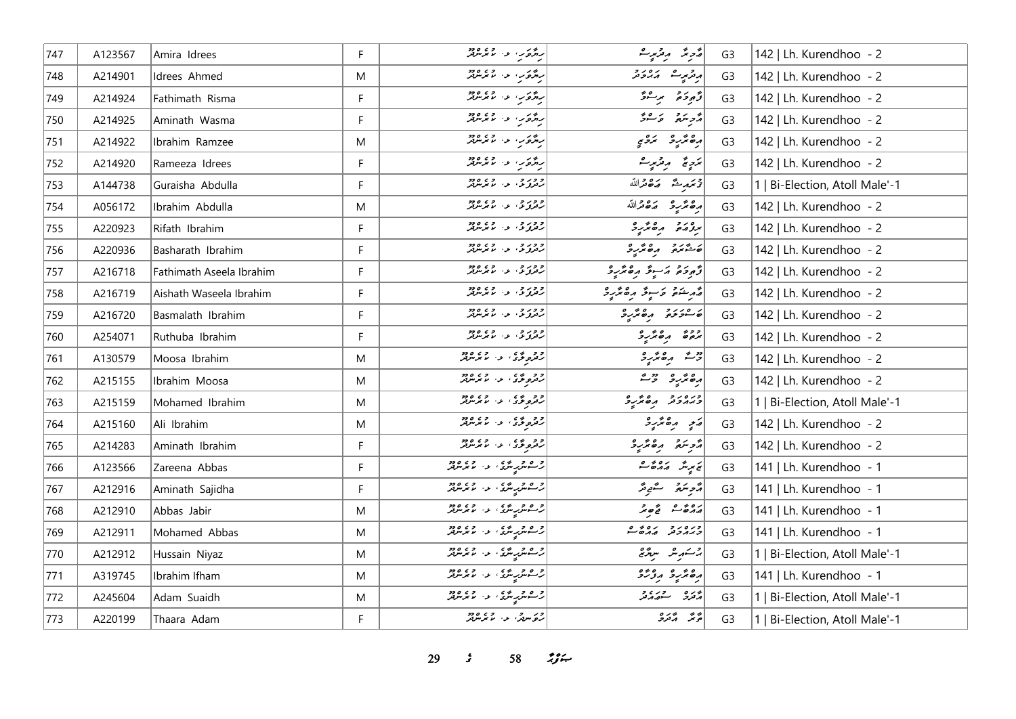| 747 | A123567 | Amira Idrees             | F. | رژوس و عبر مرور<br>  رژوس و عبر مرور                                                                                                                  | رژحرنتر الروزمورے                                                                                                                                                                                                                                                                                                                                                                    | G <sub>3</sub> | 142   Lh. Kurendhoo - 2        |
|-----|---------|--------------------------|----|-------------------------------------------------------------------------------------------------------------------------------------------------------|--------------------------------------------------------------------------------------------------------------------------------------------------------------------------------------------------------------------------------------------------------------------------------------------------------------------------------------------------------------------------------------|----------------|--------------------------------|
| 748 | A214901 | Idrees Ahmed             | M  | رژوَب عن ما مرسرفتر                                                                                                                                   | أرقر من مدورة                                                                                                                                                                                                                                                                                                                                                                        | G <sub>3</sub> | 142   Lh. Kurendhoo - 2        |
| 749 | A214924 | Fathimath Risma          | F. | روځ کې د اند لومړند                                                                                                                                   | د څوخه د سرگ                                                                                                                                                                                                                                                                                                                                                                         | G <sub>3</sub> | 142   Lh. Kurendhoo - 2        |
| 750 | A214925 | Aminath Wasma            | F. | رژة با دا المتمارين                                                                                                                                   | د پره په پاکستر                                                                                                                                                                                                                                                                                                                                                                      | G <sub>3</sub> | 142   Lh. Kurendhoo - 2        |
| 751 | A214922 | Ibrahim Ramzee           | M  | رژوئر، عن الاتر مرود                                                                                                                                  | رە ئرىر ئىگە ئ                                                                                                                                                                                                                                                                                                                                                                       | G <sub>3</sub> | 142   Lh. Kurendhoo - 2        |
| 752 | A214920 | Rameeza Idrees           | F. | رژه برا در ۲۶۵۵۶                                                                                                                                      | ئەج ئىچ مەرتىرىشە                                                                                                                                                                                                                                                                                                                                                                    | G <sub>3</sub> | 142   Lh. Kurendhoo - 2        |
| 753 | A144738 | Guraisha Abdulla         | F  | ا د ور و ، او د د د د د د د                                                                                                                           | ترتمديد مكافرالله                                                                                                                                                                                                                                                                                                                                                                    | G <sub>3</sub> | 1   Bi-Election, Atoll Male'-1 |
| 754 | A056172 | Ibrahim Abdulla          | M  | د وړ چې لور له د د د د د د                                                                                                                            | أرە ئرىرو مەھىراللە                                                                                                                                                                                                                                                                                                                                                                  | G <sub>3</sub> | 142   Lh. Kurendhoo - 2        |
| 755 | A220923 | Rifath Ibrahim           | F  | ا <i>د وړ</i> د ، د ، د وې وو                                                                                                                         | بروره ره پر د                                                                                                                                                                                                                                                                                                                                                                        | G <sub>3</sub> | 142   Lh. Kurendhoo - 2        |
| 756 | A220936 | Basharath Ibrahim        | F. | د وړ و، د ، د ، وړود                                                                                                                                  | $\begin{bmatrix} 0 & 0 & 0 & 0 & 0 & 0 \\ 0 & -\frac{\partial}{\partial y} & \partial_x \partial_y & 0 & 0 \\ 0 & 0 & \partial_y \partial_y & 0 & 0 \\ 0 & 0 & 0 & \partial_y \partial_y & 0 & 0 \\ 0 & 0 & 0 & 0 & 0 & 0 \\ 0 & 0 & 0 & 0 & 0 & 0 \\ 0 & 0 & 0 & 0 & 0 & 0 \\ 0 & 0 & 0 & 0 & 0 & 0 \\ 0 & 0 & 0 & 0 & 0 & 0 & 0 \\ 0 & 0 & 0 & 0 & 0 & 0 & 0 \\ 0 & 0 & 0 & 0 & 0$ | G <sub>3</sub> | 142   Lh. Kurendhoo - 2        |
| 757 | A216718 | Fathimath Aseela Ibrahim | F. | د در د ، د ، د د ود                                                                                                                                   | أزّوجهم وسبعٌ وه محرج                                                                                                                                                                                                                                                                                                                                                                | G <sub>3</sub> | 142   Lh. Kurendhoo - 2        |
| 758 | A216719 | Aishath Waseela Ibrahim  | F  | د وړ و، د . د . وه<br>  رتونو تي . د . ما بگرسرهر                                                                                                     | مەر شەم كۆسىۋا رەھ ئرىي                                                                                                                                                                                                                                                                                                                                                              | G <sub>3</sub> | 142   Lh. Kurendhoo - 2        |
| 759 | A216720 | Basmalath Ibrahim        | F  | <i>دور و، ع</i> ن عمد میں<br>  رفزونکی عن الا تر میں                                                                                                  | مسوخه موسیح                                                                                                                                                                                                                                                                                                                                                                          | G <sub>3</sub> | 142   Lh. Kurendhoo - 2        |
| 760 | A254071 | Ruthuba Ibrahim          | F  | ا <i>د وړ</i> د ، د ، د وې وو                                                                                                                         | بروځ ره برگړو                                                                                                                                                                                                                                                                                                                                                                        | G <sub>3</sub> | 142   Lh. Kurendhoo - 2        |
| 761 | A130579 | Moosa Ibrahim            | M  | د و می و د ما د و و د و                                                                                                                               | دیم دەندىرد                                                                                                                                                                                                                                                                                                                                                                          | G <sub>3</sub> | 142   Lh. Kurendhoo - 2        |
| 762 | A215155 | Ibrahim Moosa            | M  | دومونځۍ لاستمبر ده.<br>  رومونځۍ لاستمبر دره                                                                                                          | أرە ئۆر ئەست                                                                                                                                                                                                                                                                                                                                                                         | G <sub>3</sub> | 142   Lh. Kurendhoo - 2        |
| 763 | A215159 | Mohamed Ibrahim          | Μ  | ا د و غی عبد المعرض د د                                                                                                                               | ورەرو مەمگرو                                                                                                                                                                                                                                                                                                                                                                         | G <sub>3</sub> | 1   Bi-Election, Atoll Male'-1 |
| 764 | A215160 | Ali Ibrahim              | M  | د د د ي و د د ما برمربر<br>  رفزو د د اس برمربر                                                                                                       | رَمِ پره مَّرِهِ                                                                                                                                                                                                                                                                                                                                                                     | G <sub>3</sub> | 142   Lh. Kurendhoo - 2        |
| 765 | A214283 | Aminath Ibrahim          | F  | دومونځۍ لاسلمبرمړين                                                                                                                                   | أزويتني مصريرة                                                                                                                                                                                                                                                                                                                                                                       | G <sub>3</sub> | 142   Lh. Kurendhoo - 2        |
| 766 | A123566 | Zareena Abbas            | F  | اژه و په په دې ووه<br>د سربې ترو، لار سربر لر                                                                                                         | يَا يَدِيرُ الْمَارُهُ فَ                                                                                                                                                                                                                                                                                                                                                            | G <sub>3</sub> | 141   Lh. Kurendhoo - 1        |
| 767 | A212916 | Aminath Sajidha          | F  | اژ ۱۳۵۵ تر می ۲۶۵ و در ۱۳۶۵ میلادیم.<br>  رئیست میرس میکن برای میلادیم برای میلادیم برای میلادیم برای برای میلادیم برای میلادیم برای میلادیم برای کار | مزجر سكرة مستقبح تحرير                                                                                                                                                                                                                                                                                                                                                               | G <sub>3</sub> | 141   Lh. Kurendhoo - 1        |
| 768 | A212910 | Abbas Jabir              | M  | اژه و په په په ۲۶۵ وو.<br> رسمانتریپرترۍ لو، لانتریپرتر                                                                                               | $500 - 201$                                                                                                                                                                                                                                                                                                                                                                          | G <sub>3</sub> | 141   Lh. Kurendhoo - 1        |
| 769 | A212911 | Mohamed Abbas            | M  | اژ شمېر شري د او موسر پر                                                                                                                              | ورەرو رەۋے                                                                                                                                                                                                                                                                                                                                                                           | G <sub>3</sub> | 141   Lh. Kurendhoo - 1        |
| 770 | A212912 | Hussain Niyaz            | M  | د ۱۳۵۵ میلی کلی و د ۱۳۵۵ میلیونو<br>  د سه میلی میلی از ۱۳۷۰ میلیونو                                                                                  | ير سكر مثل من مريد من الم                                                                                                                                                                                                                                                                                                                                                            | G <sub>3</sub> | 1   Bi-Election, Atoll Male'-1 |
| 771 | A319745 | Ibrahim Ifham            | M  | اژ ه د په په ۲۶ ور ورو<br> رسمانتریپ ترکی او ۱۰ موسر تر                                                                                               | رە ئرىر روزد                                                                                                                                                                                                                                                                                                                                                                         | G <sub>3</sub> | 141   Lh. Kurendhoo - 1        |
| 772 | A245604 | Adam Suaidh              | Μ  | اژه ور شی از ان ۲۶۵ ورو                                                                                                                               | پره وري و<br>مر <sub>فر</sub> و سو <i>ړ</i> مر                                                                                                                                                                                                                                                                                                                                       | G <sub>3</sub> | 1   Bi-Election, Atoll Male'-1 |
| 773 | A220199 | Thaara Adam              | F. | در سرچي او دار ده ده<br>  روسرچي او از مرس                                                                                                            | پر پر دره<br>مر <sub>کم</sub> گرفرو                                                                                                                                                                                                                                                                                                                                                  | G <sub>3</sub> | 1   Bi-Election, Atoll Male'-1 |

**29** *s* **58** *n***<sub>3</sub> <b>***n*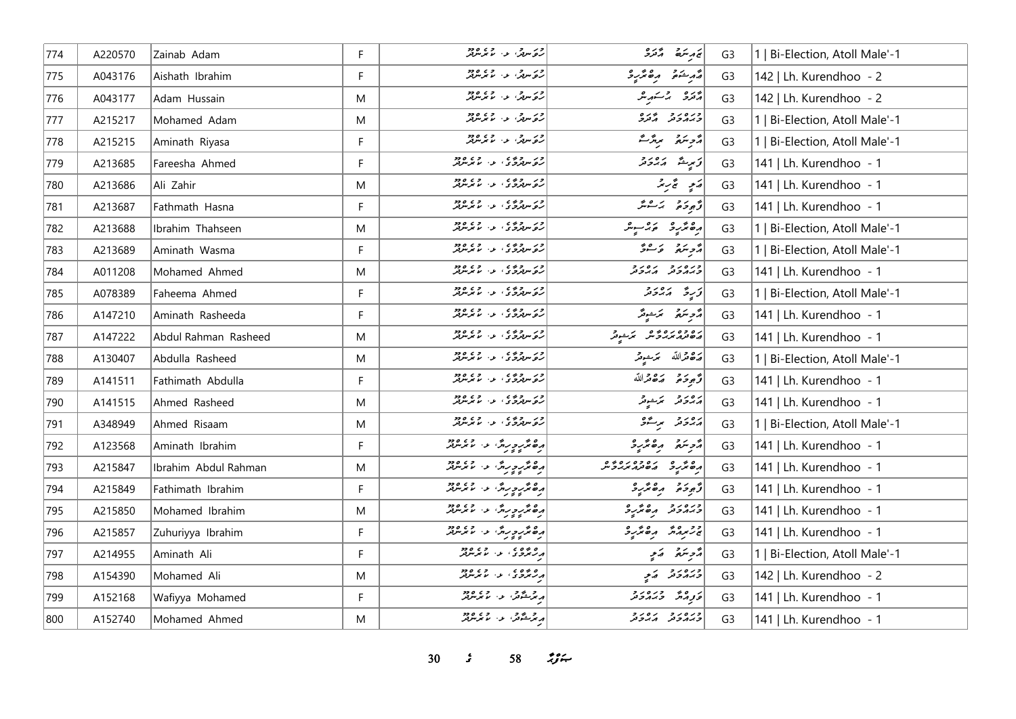| 774 | A220570 | Zainab Adam          | F | ور ده.<br>روسرټر، د ، ما برسرټر                                 | يجديته أزدو                    | G3             | 1   Bi-Election, Atoll Male'-1 |
|-----|---------|----------------------|---|-----------------------------------------------------------------|--------------------------------|----------------|--------------------------------|
| 775 | A043176 | Aishath Ibrahim      | F | ر در در در در دور<br>د کاروگر، د اما مرس                        | أقرم يمقو برەتمرىي             | G <sub>3</sub> | 142   Lh. Kurendhoo - 2        |
| 776 | A043177 | Adam Hussain         | M |                                                                 | أروره المركبة المرامر          | G <sub>3</sub> | 142   Lh. Kurendhoo - 2        |
| 777 | A215217 | Mohamed Adam         | M |                                                                 | وره رو په ده<br>د پروژنو گرفرو | G <sub>3</sub> | 1   Bi-Election, Atoll Male'-1 |
| 778 | A215215 | Aminath Riyasa       | F | ور ده.<br>روسه، دا لایرسهر                                      | رمحمد مرتزعة                   | G <sub>3</sub> | 1   Bi-Election, Atoll Male'-1 |
| 779 | A213685 | Fareesha Ahmed       | F | ور دوه په دوره<br>روسهروی د لاسرس                               | أقرسي مقادرة                   | G <sub>3</sub> | 141   Lh. Kurendhoo - 1        |
| 780 | A213686 | Ali Zahir            | M | ور دوه په دوره<br>روسهروی د لامرسهر                             | مَدِ تَجْرِيمُ                 | G <sub>3</sub> | 141   Lh. Kurendhoo - 1        |
| 781 | A213687 | Fathmath Hasna       | F | ور دوه په دوره<br>روسهروی د لاسرس                               | توجوخوا المراقبة               | G <sub>3</sub> | 141   Lh. Kurendhoo - 1        |
| 782 | A213688 | Ibrahim Thahseen     | M | ا و د اوه په د د د ده.<br><mark>د و سهرو</mark> کې او د اما مرس | أرە ئۆر ئەس ئە                 | G <sub>3</sub> | 1   Bi-Election, Atoll Male'-1 |
| 783 | A213689 | Aminath Wasma        | F | ور دوه په دوره<br>روسهروی د لاسرس                               | دوسَع عَسْرَة                  | G <sub>3</sub> | 1   Bi-Election, Atoll Male'-1 |
| 784 | A011208 | Mohamed Ahmed        | M | ا و د سوه ده د و د و ده و ده<br>  روسربرو ی ا د ا اما مرسربر    | ورەرو رەرو                     | G <sub>3</sub> | 141   Lh. Kurendhoo - 1        |
| 785 | A078389 | Faheema Ahmed        | F | ور دوه په دوه<br>روسهروی د لاس                                  | از په پېښور د د                | G <sub>3</sub> | 1   Bi-Election, Atoll Male'-1 |
| 786 | A147210 | Aminath Rasheeda     | F | ا و د اوه په د د د ده.<br><mark>د و سهرو</mark> کې او د اما مرس | مەھ ئىقسىدىگە                  | G <sub>3</sub> | 141   Lh. Kurendhoo - 1        |
| 787 | A147222 | Abdul Rahman Rasheed | M | ا و د اوه په د د د ده.<br><mark>د و سهرو</mark> کې او د اما مرس | ره ده ره ده د کرد د            | G <sub>3</sub> | 141   Lh. Kurendhoo - 1        |
| 788 | A130407 | Abdulla Rasheed      | M | ور دوه په دوره<br>روسهروی د لاسرس                               | أرة قرالله تمتحد               | G <sub>3</sub> | 1   Bi-Election, Atoll Male'-1 |
| 789 | A141511 | Fathimath Abdulla    | F | ور دوه ، د ، وه<br>ره سهروی د ، با برسهر                        | وحجوحه وكاله الله              | G <sub>3</sub> | 141   Lh. Kurendhoo - 1        |
| 790 | A141515 | Ahmed Rasheed        | M | ور دوه په دوه<br>روسهروی د لاس                                  | برەر بەيئون                    | G <sub>3</sub> | 141   Lh. Kurendhoo - 1        |
| 791 | A348949 | Ahmed Risaam         | M | ور بروی د اورود<br>روسهروی د بابرسهر                            | دەرو برگۇ                      | G <sub>3</sub> | 1   Bi-Election, Atoll Male'-1 |
| 792 | A123568 | Aminath Ibrahim      | F | دەنئەرەرىدىن بەر مەرەدە<br>  دەنئەرەرىدىن بور مەندىدىن          | أزوبته وهتربرد                 | G <sub>3</sub> | 141   Lh. Kurendhoo - 1        |
| 793 | A215847 | Ibrahim Abdul Rahman | M |                                                                 | 04010701 040                   | G <sub>3</sub> | 141   Lh. Kurendhoo - 1        |
| 794 | A215849 | Fathimath Ibrahim    | F | ده مر د درون و . د . د . د . د                                  | أزودة مقترد                    | G <sub>3</sub> | 141   Lh. Kurendhoo - 1        |
| 795 | A215850 | Mohamed Ibrahim      | M | دەنئەرەرىدىن ئەس مەرىپىدىدە<br>  رەنئەرەرىدىن ئەس مەندىيدىد     | ورەرو مەمرى                    | G <sub>3</sub> | 141   Lh. Kurendhoo - 1        |
| 796 | A215857 | Zuhuriyya Ibrahim    | F | دەنئەرەرىدىن ئەس ئەرەردە<br>  دەنئەرەرىدىن ئەس ئابىر سرىردى     | جرمرمر مقتررة                  | G <sub>3</sub> | 141   Lh. Kurendhoo - 1        |
| 797 | A214955 | Aminath Ali          | F | د ه ده ده ده ده ده ده د                                         | ړٌ د سَهُ کَ کَمَ پ            | G <sub>3</sub> | 1   Bi-Election, Atoll Male'-1 |
| 798 | A154390 | Mohamed Ali          | M | و ه ده د .<br>درگردی از اما مرس                                 | ورەر د دېر                     | G <sub>3</sub> | 142   Lh. Kurendhoo - 2        |
| 799 | A152168 | Wafiyya Mohamed      | F | د چرک و در وي ورو<br>د برگشتور، او اما برس                      | وتومد ورەرو                    | G <sub>3</sub> | 141   Lh. Kurendhoo - 1        |
| 800 | A152740 | Mohamed Ahmed        | M | بر تر شکس او اور اور در مورد                                    | כנסנכ גסנכ                     | G <sub>3</sub> | 141   Lh. Kurendhoo - 1        |

**30** *s* **58** *n***<sub>3</sub>** *n*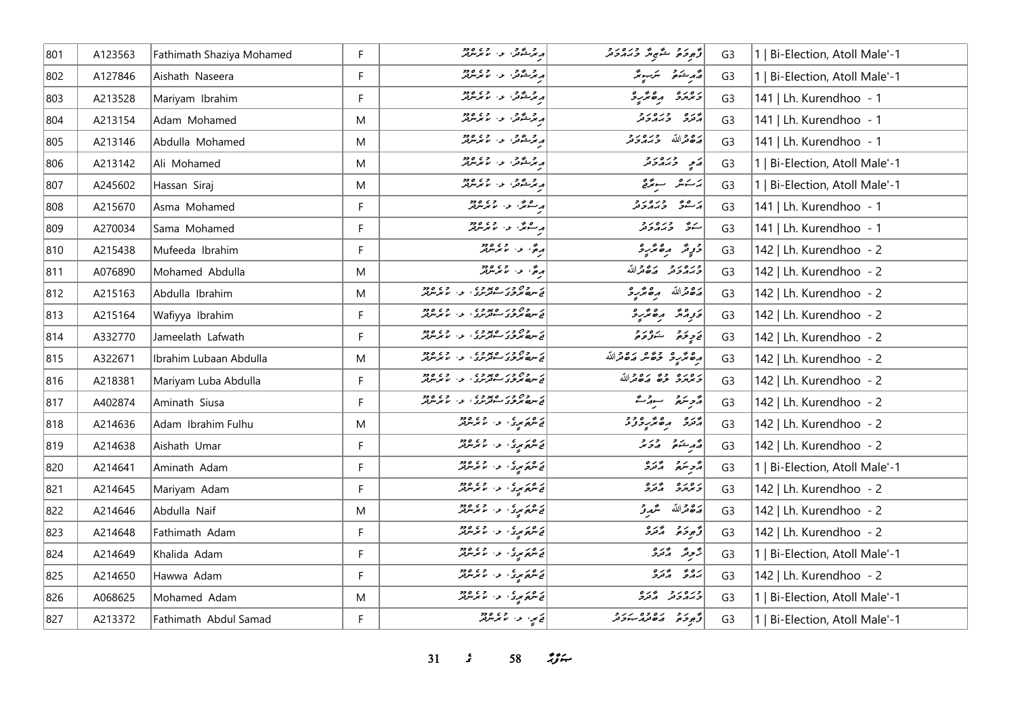| 801 | A123563 | Fathimath Shaziya Mohamed | F. | د چرخور در دره دو.<br>د برخوش در ما برس                                  | وتجودة لمشجرة وبرورد             | G <sub>3</sub> | Bi-Election, Atoll Male'-1     |
|-----|---------|---------------------------|----|--------------------------------------------------------------------------|----------------------------------|----------------|--------------------------------|
| 802 | A127846 | Aishath Naseera           | F  | ا د مر شگانس، او دارد و در د                                             | قەرشۇق سىرسونتى                  | G <sub>3</sub> | 1   Bi-Election, Atoll Male'-1 |
| 803 | A213528 | Mariyam Ibrahim           | F. | ار تر شگانش، او در ۱۹۶۵ میلاد                                            | وبرمره ره محرج                   | G <sub>3</sub> | 141   Lh. Kurendhoo - 1        |
| 804 | A213154 | Adam Mohamed              | M  | ار تر شود.<br>ابر تر شود به سایر مرکز                                    | برره وره رو<br>مرتزق وبرمروتر    | G <sub>3</sub> | 141   Lh. Kurendhoo - 1        |
| 805 | A213146 | Abdulla Mohamed           | M  | ەر ئەشقى بەر بەر بەر بەر                                                 | رە دالله درەرد                   | G <sub>3</sub> | 141   Lh. Kurendhoo - 1        |
| 806 | A213142 | Ali Mohamed               | M  | ەر ئەشكەر مەردىن ئەھ                                                     | پَي دِيرورد                      | G <sub>3</sub> | 1   Bi-Election, Atoll Male'-1 |
| 807 | A245602 | Hassan Siraj              | M  | ە ئەشقىق بەر مەندىق                                                      | يركبش الباجرقي                   | G <sub>3</sub> | 1   Bi-Election, Atoll Male'-1 |
| 808 | A215670 | Asma Mohamed              | F  | ەرھەش، بەر مەيزىتەت<br>مەسىمىش، بور مەيزىتىتىتى                          | ړ وي وره دو                      | G <sub>3</sub> | 141   Lh. Kurendhoo - 1        |
| 809 | A270034 | Sama Mohamed              | F. | ەرھەش، بەر مەيرىن دە<br>مەسىمىش، بەر مەيرىن <i>بە</i> ر                  | سترقب وره رو                     | G <sub>3</sub> | 141   Lh. Kurendhoo - 1        |
| 810 | A215438 | Mufeeda Ibrahim           | F. | .<br>دەكى بىن بىرلىرلىر                                                  | 3 دٍ شَر مِنْ مِنْ رِ 2          | G <sub>3</sub> | 142   Lh. Kurendhoo - 2        |
| 811 | A076890 | Mohamed Abdulla           | M  | معج، عن المتحده معرض                                                     | وره رو رووالله                   | G <sub>3</sub> | 142   Lh. Kurendhoo - 2        |
| 812 | A215163 | Abdulla Ibrahim           | Μ  | د ده ود ه دوه .<br>د سره مروی سه ترس ، ب از محدس تر                      |                                  | G <sub>3</sub> | 142   Lh. Kurendhoo - 2        |
| 813 | A215164 | Wafiyya Ibrahim           | F  | ن سره ۶ و ر ه پوه د .<br>د سره مرموی سوتورنوی او . اما موسوتور           | وزمر مقترع                       | G <sub>3</sub> | 142   Lh. Kurendhoo - 2        |
| 814 | A332770 | Jameelath Lafwath         | F  | در ۱۶۵۶ ور ۲۵۵۵ وی.<br>  نئ سرده برخری سوترس دی. در مدیر ترتر            | د پره د بره بر د                 | G <sub>3</sub> | 142   Lh. Kurendhoo - 2        |
| 815 | A322671 | Ibrahim Lubaan Abdulla    | M  | ن روح ور ه پوو ، ع . و ، ه و .<br>نج سمایی مربوی سوتورنو ، ع . ما موسوتو | رەم ئەرە جۇھىر مەھىراللە         | G <sub>3</sub> | 142   Lh. Kurendhoo - 2        |
| 816 | A218381 | Mariyam Luba Abdulla      | F  | د روح ور ه یووی .<br>نخ سمایی مربوی سوتوری ، بود . ما موسوتو             | د وره وی روم الله                | G <sub>3</sub> | 142   Lh. Kurendhoo - 2        |
| 817 | A402874 | Aminath Siusa             | F. | نه سره ۶ و را او پواوان او داده<br>ای سره مرموی سوتورنوی او از ماموسوتور | رژحر سرقر شهر مقر                | G <sub>3</sub> | 142   Lh. Kurendhoo - 2        |
| 818 | A214636 | Adam Ibrahim Fulhu        | M  | د ۱۵ د په ۱۵ د ۱۹۶۵ ورو                                                  | پرو ره ټرپه دو                   | G <sub>3</sub> | 142   Lh. Kurendhoo - 2        |
| 819 | A214638 | Aishath Umar              | F  | د ه د د د د د ده ود ود                                                   | أصمر شده ورو                     | G <sub>3</sub> | 142   Lh. Kurendhoo - 2        |
| 820 | A214641 | Aminath Adam              | F  | ) د ه د په د او د د د د د                                                | أو بره و المحمدة                 | G <sub>3</sub> | 1   Bi-Election, Atoll Male'-1 |
| 821 | A214645 | Mariyam Adam              | F. | ار ور د د .<br>ای شهریزی از اندیز شرید                                   | ر ه ره د مجرده                   | G <sub>3</sub> | 142   Lh. Kurendhoo - 2        |
| 822 | A214646 | Abdulla Naif              | M  | ار ور د د .<br>ای شهریزی از اندیز شرید                                   | پره قرالله سگهرنر                | G <sub>3</sub> | 142   Lh. Kurendhoo - 2        |
| 823 | A214648 | Fathimath Adam            | F. | د ه د د د د د د د د د د د                                                | توجوجو المعرف                    | G <sub>3</sub> | 142   Lh. Kurendhoo - 2        |
| 824 | A214649 | Khalida Adam              | F  | <br>  نے سرچ مری کا دارالہ میں سربر                                      | رَّحِةً ادْرَةً                  | G <sub>3</sub> | 1   Bi-Election, Atoll Male'-1 |
| 825 | A214650 | Hawwa Adam                | F  | ) د ه د په د او د د د د د                                                | رەپ پەرە<br>پەيرى پەنىر <i>ى</i> | G <sub>3</sub> | 142   Lh. Kurendhoo - 2        |
| 826 | A068625 | Mohamed Adam              | M  | د ه د سري الله الله د د د د                                              | ورەر دىرە                        | G <sub>3</sub> | 1   Bi-Election, Atoll Male'-1 |
| 827 | A213372 | Fathimath Abdul Samad     | F. | کے سیء اس والی ہے وہ                                                     | كم برود ده وه در و               | G <sub>3</sub> | 1   Bi-Election, Atoll Male'-1 |

*31 s* 58  $\div$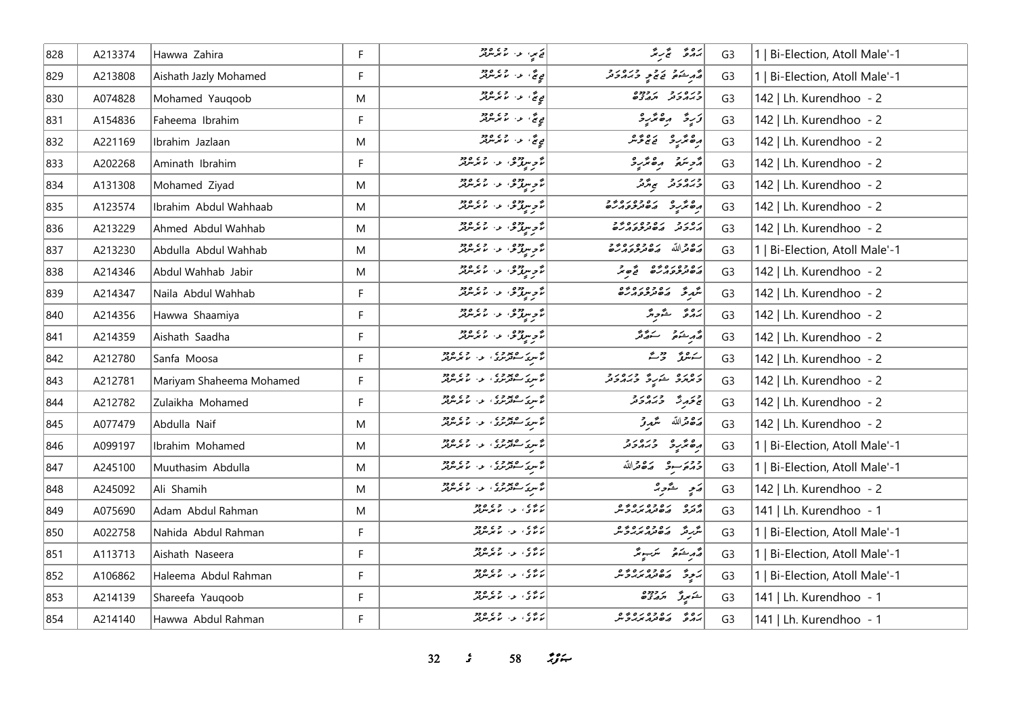| 828 | A213374 | Hawwa Zahira             | F  | ق مر، الا، المعرض ودو                                                                                                                                                                                                          | بروثه الجرابة                               | G <sub>3</sub> | 1   Bi-Election, Atoll Male'-1 |
|-----|---------|--------------------------|----|--------------------------------------------------------------------------------------------------------------------------------------------------------------------------------------------------------------------------------|---------------------------------------------|----------------|--------------------------------|
| 829 | A213808 | Aishath Jazly Mohamed    | F  | يې تنگه او د مورد کلی د دورو له د                                                                                                                                                                                              | أقهر شده و دره در در د                      | G <sub>3</sub> | 1   Bi-Election, Atoll Male'-1 |
| 830 | A074828 | Mohamed Yauqoob          | M  | يږيم، په روړود                                                                                                                                                                                                                 | כנסנכ נפנס<br>כגונכני תגצפים                | G <sub>3</sub> | 142   Lh. Kurendhoo - 2        |
| 831 | A154836 | Faheema Ibrahim          | F  | يې چې ، عن سر مرکز وجو                                                                                                                                                                                                         | زَرِةُ رِهِ تَرْرِدْ                        | G <sub>3</sub> | 142   Lh. Kurendhoo - 2        |
| 832 | A221169 | Ibrahim Jazlaan          | M  | يې چې او د سر ترورو                                                                                                                                                                                                            | رەڭرىۋە ئەقەقىر                             | G <sub>3</sub> | 142   Lh. Kurendhoo - 2        |
| 833 | A202268 | Aminath Ibrahim          | F. | ان دوه .<br>انگوس و . د . با برس بر                                                                                                                                                                                            | أمرستم مقترع                                | G <sub>3</sub> | 142   Lh. Kurendhoo - 2        |
| 834 | A131308 | Mohamed Ziyad            | M  | مۇسرومۇ، بەر مەرەم                                                                                                                                                                                                             | ورەرو پەر                                   | G <sub>3</sub> | 142   Lh. Kurendhoo - 2        |
| 835 | A123574 | Ibrahim Abdul Wahhaab    | M  | ئۇ ئەردومى بەر مەرەمەد<br>  ئۇ ئەسىرلىرى بىر ئەس ئەس                                                                                                                                                                           |                                             | G <sub>3</sub> | 142   Lh. Kurendhoo - 2        |
| 836 | A213229 | Ahmed Abdul Wahhab       | M  | ئۇ ئەمدەرى بەر مەن ئەرەردە<br>  ئۇ ئەسىرلەش بور مەنى ئىرلىرىد                                                                                                                                                                  | د ه د و د د ه د و د و و و و و               | G <sub>3</sub> | 142   Lh. Kurendhoo - 2        |
| 837 | A213230 | Abdulla Abdul Wahhab     | M  | ئۇ سرز قالىرى مەرد                                                                                                                                                                                                             | بره والله بره وه ره و و                     | G <sub>3</sub> | 1   Bi-Election, Atoll Male'-1 |
| 838 | A214346 | Abdul Wahhab Jabir       | M  | ئۇم بولۇش بەر مەرەبەد<br>  ئۇم بولۇش بور بولمى بولۇر                                                                                                                                                                           | رە دەرە دە ئەر                              | G <sub>3</sub> | 142   Lh. Kurendhoo - 2        |
| 839 | A214347 | Naila Abdul Wahhab       | F. | مۇسرومۇ، ئەستىر مەدە                                                                                                                                                                                                           | شرق رە دەرە دە                              | G <sub>3</sub> | 142   Lh. Kurendhoo - 2        |
| 840 | A214356 | Hawwa Shaamiya           | F  | ئۇ جەمدە تەرەپ ئەرەپ ئەرەپ ئە                                                                                                                                                                                                  | برە ئە ئەر                                  | G <sub>3</sub> | 142   Lh. Kurendhoo - 2        |
| 841 | A214359 | Aishath Saadha           | F  | نۇپ يور ق ئام ئەرەد                                                                                                                                                                                                            | لقهر ينتونه المستورثين                      | G <sub>3</sub> | 142   Lh. Kurendhoo - 2        |
| 842 | A212780 | Sanfa Moosa              | F. | ه سرک معروف او در ۱۶۵ ورو<br>مسرکی سوفرمری او اس موسوفر                                                                                                                                                                        | سەھەر جەمئە                                 | G <sub>3</sub> | 142   Lh. Kurendhoo - 2        |
| 843 | A212781 | Mariyam Shaheema Mohamed | F  | ۱۵ مرکز ۱۵ مورد ۱۵ مرکز در ۱۵ مرکز در ۱۵ مرکز در ۱۵ مرکز در ۱۵ مرکز در ۱۵ مرکز در ۱۵ مرکز در ۱۵ مرکز در ۱۵ م<br>  در این کارگرفت در ۱۵ مرکز در ۱۵ مرکز در ۱۵ مرکز در ۱۵ مرکز در ۱۵ مرکز در ۱۵ مرکز در ۱۵ مرکز در ۱۵ مرکز در ۱۵ | د ۱۵۷۵ د د ۱۵۷۶ وره د و                     | G <sub>3</sub> | 142   Lh. Kurendhoo - 2        |
| 844 | A212782 | Zulaikha Mohamed         | F. | ان به روسود د د د د د د د د د                                                                                                                                                                                                  | كالمحمدة ورودور                             | G <sub>3</sub> | 142   Lh. Kurendhoo - 2        |
| 845 | A077479 | Abdulla Naif             | M  | شرکر صعوری در اور وجود<br>  ما سرکا سفوسری در ما سرسرفر                                                                                                                                                                        | أصفاه متمدر                                 | G <sub>3</sub> | 142   Lh. Kurendhoo - 2        |
| 846 | A099197 | Ibrahim Mohamed          | M  | ان سرک میووی در اور وی دود.<br>  ناسری سوترس                                                                                                                                                                                   | ده عربه دره دور د                           | G <sub>3</sub> | 1   Bi-Election, Atoll Male'-1 |
| 847 | A245100 | Muuthasim Abdulla        | M  | ه سرک میووه .<br>مسرک مستقرمری این اما مرسوبتر                                                                                                                                                                                 | ودير و روم الله                             | G <sub>3</sub> | 1   Bi-Election, Atoll Male'-1 |
| 848 | A245092 | Ali Shamih               | M  | ه سرک معروف او در ۱۶۵ ورو<br>مسرکی سوفرمری او اس موسوفر                                                                                                                                                                        | رَمِ شَرْحِهُ                               | G <sub>3</sub> | 142   Lh. Kurendhoo - 2        |
| 849 | A075690 | Adam Abdul Rahman        | M  | ئەنۇعى بەر جەنبە ھەج                                                                                                                                                                                                           | وره ره ده ده ده.<br>منرد مقادم دروس         | G <sub>3</sub> | 141   Lh. Kurendhoo - 1        |
| 850 | A022758 | Nahida Abdul Rahman      | F  | ار دی.<br>الانتړی، الان الاندېس پېر                                                                                                                                                                                            | شرقه ره ده ره ده و                          | G <sub>3</sub> | 1   Bi-Election, Atoll Male'-1 |
| 851 | A113713 | Aishath Naseera          | F. | ر ده په د سر د ده ده                                                                                                                                                                                                           | قەرىشكە قىسىر ئىسىم                         | G <sub>3</sub> | 1   Bi-Election, Atoll Male'-1 |
| 852 | A106862 | Haleema Abdul Rahman     | F  | ر ده ده او ده ده در                                                                                                                                                                                                            | ) د و ده ده ده و و                          | G <sub>3</sub> | 1   Bi-Election, Atoll Male'-1 |
| 853 | A214139 | Shareefa Yauqoob         | F  | ر ده ده او ده ده د                                                                                                                                                                                                             | شكميرگر اخرورده                             | G <sub>3</sub> | 141   Lh. Kurendhoo - 1        |
| 854 | A214140 | Hawwa Abdul Rahman       | F. | ر ده په ده ده دود                                                                                                                                                                                                              | ره ده ده ده ده ده.<br>براد و ها در مربر د س | G <sub>3</sub> | 141   Lh. Kurendhoo - 1        |

*32 s* 58 *<i>n*<sub>3</sub> *i*</sup>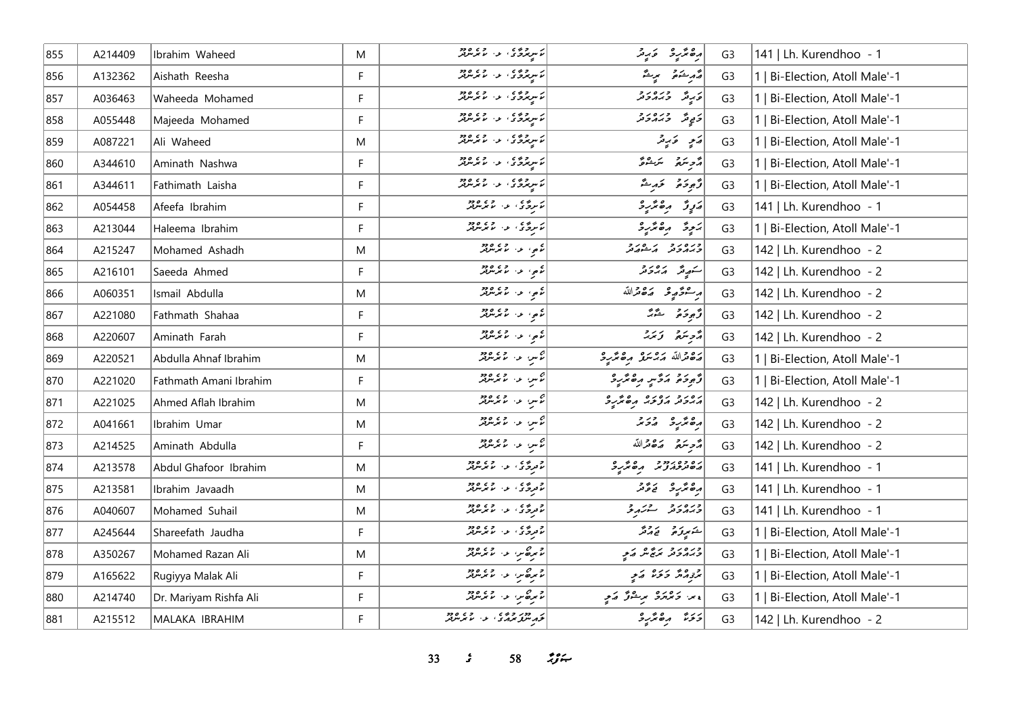| 855 | A214409 | Ibrahim Waheed         | M  | ر سرچينې د ده ده ده.<br>را سرچري د را مرس                                                                                                                                                                               | رە ئەر ئەيە                          | G <sub>3</sub> | 141   Lh. Kurendhoo - 1        |
|-----|---------|------------------------|----|-------------------------------------------------------------------------------------------------------------------------------------------------------------------------------------------------------------------------|--------------------------------------|----------------|--------------------------------|
| 856 | A132362 | Aishath Reesha         | F  | ئاس دەپ مەس دەپ ھەر                                                                                                                                                                                                     | أقمر شدة مريشة                       | G <sub>3</sub> | 1   Bi-Election, Atoll Male'-1 |
| 857 | A036463 | Waheeda Mohamed        | F  | ئاس دەر، بەر، ئاس ئاس                                                                                                                                                                                                   | دره دره دره<br>  در پیش در در در     | G <sub>3</sub> | 1   Bi-Election, Atoll Male'-1 |
| 858 | A055448 | Majeeda Mohamed        | F  | که سرچرخ که در اور در ۱۶۶۵                                                                                                                                                                                              | دَ پِیْ تَ دِیرو تر و                | G <sub>3</sub> | 1   Bi-Election, Atoll Male'-1 |
| 859 | A087221 | Ali Waheed             | M  | ئاس دەر، بەر بەرەدە                                                                                                                                                                                                     | پَنسِ کَرِینَرُ                      | G <sub>3</sub> | 1   Bi-Election, Atoll Male'-1 |
| 860 | A344610 | Aminath Nashwa         | F  | ئاس دەر، بەر بەرەرد                                                                                                                                                                                                     | أُمُّحِ سَعَةً مَسَنَّةً مَنْ        | G <sub>3</sub> | 1   Bi-Election, Atoll Male'-1 |
| 861 | A344611 | Fathimath Laisha       | F. | ر ده ده و ده و ده ده در د                                                                                                                                                                                               | وٌجوحَمَ حَدِثٌ                      | G <sub>3</sub> | 1   Bi-Election, Atoll Male'-1 |
| 862 | A054458 | Afeefa Ibrahim         | F  | ئاپرېژي له د الامریکی                                                                                                                                                                                                   | پَروِرٌ دِهْ مُرْبِرُ                | G <sub>3</sub> | 141   Lh. Kurendhoo - 1        |
| 863 | A213044 | Haleema Ibrahim        | F  | ئايرۇي بەر قۇرەتق                                                                                                                                                                                                       | يَجِرَّ رِهْتَرِ وَ                  | G <sub>3</sub> | 1   Bi-Election, Atoll Male'-1 |
| 864 | A215247 | Mohamed Ashadh         | M  | مکمو، عن ما مرسوفر<br>  مکمونو استعماد                                                                                                                                                                                  | ورەرو پرەرو                          | G <sub>3</sub> | 142   Lh. Kurendhoo - 2        |
| 865 | A216101 | Saeeda Ahmed           | F. | ء کا در دی ورد                                                                                                                                                                                                          | سكهيع أره راد                        | G <sub>3</sub> | 142   Lh. Kurendhoo - 2        |
| 866 | A060351 | Ismail Abdulla         | M  | مکھی اور اور دور<br>  مکھی اور اس مکر سرفر                                                                                                                                                                              | مرحوح وكامتهالله                     | G <sub>3</sub> | 142   Lh. Kurendhoo - 2        |
| 867 | A221080 | Fathmath Shahaa        | F. | مکهی، عن المتحد میں<br>  مکھی اللہ عن مل مل                                                                                                                                                                             | وَجِعَةِ صَدَّبَتِ                   | G <sub>3</sub> | 142   Lh. Kurendhoo - 2        |
| 868 | A220607 | Aminath Farah          | F  | ء په په ۱۶۵،۶۶                                                                                                                                                                                                          | أزويتمر وتررد                        | G <sub>3</sub> | 142   Lh. Kurendhoo - 2        |
| 869 | A220521 | Abdulla Ahnaf Ibrahim  | M  | م<br>ما تكسي الدار المحمد معرض المحمد التي                                                                                                                                                                              | أرە قراللە مەمىگە مەھەر ئو           | G <sub>3</sub> | 1   Bi-Election, Atoll Male'-1 |
| 870 | A221020 | Fathmath Amani Ibrahim | F. | حس المسلم المسلم المسلم المسلم المسلم المسلم المسلم المسلم المسلم المسلم المسلم المسلم المسلم المس                                                                                                                      | أزًو دَمَ أَدَّى مِنْ الْمُؤْمَرِ وَ | G <sub>3</sub> | 1   Bi-Election, Atoll Male'-1 |
| 871 | A221025 | Ahmed Aflah Ibrahim    | M  | ان دارد و در ۱۹۶۵ م                                                                                                                                                                                                     | ג ביני ג ביני גם ביני                | G <sub>3</sub> | 142   Lh. Kurendhoo - 2        |
| 872 | A041661 | Ibrahim Umar           | M  | ئۇس مەس ئۇيدىقر                                                                                                                                                                                                         | 7772220                              | G <sub>3</sub> | 142   Lh. Kurendhoo - 2        |
| 873 | A214525 | Aminath Abdulla        | F  | رس د. دورو<br>  رس د. ما برس                                                                                                                                                                                            | أُمَّحِ سَمَّعَ مَصْحَدَاللَّهُ      | G <sub>3</sub> | 142   Lh. Kurendhoo - 2        |
| 874 | A213578 | Abdul Ghafoor Ibrahim  | M  | د پرې کې د مورد د د                                                                                                                                                                                                     | ره ده درد در مرگ و                   | G <sub>3</sub> | 141   Lh. Kurendhoo - 1        |
| 875 | A213581 | Ibrahim Javaadh        | M  | د ده د او د د د د د د                                                                                                                                                                                                   | دەنگەر ئە ئەھ                        | G <sub>3</sub> | 141   Lh. Kurendhoo - 1        |
| 876 | A040607 | Mohamed Suhail         | M  | د د ځ ی د د سر چې د د د                                                                                                                                                                                                 | ورەرو ئەر                            | G <sub>3</sub> | 141   Lh. Kurendhoo - 1        |
| 877 | A245644 | Shareefath Jaudha      | F  | د ده د از د د د د د                                                                                                                                                                                                     | شكموتوهى المحامد                     | G <sub>3</sub> | 1   Bi-Election, Atoll Male'-1 |
| 878 | A350267 | Mohamed Razan Ali      | M  | المحمد حين المحمد المحمد المحمد المحمد المحمد المحمد المحمد المحمد المحمد المحمد المحمد المحمد المحمد<br>المحمد المحمد المحمد المحمد المحمد المحمد المحمد المحمد المحمد المحمد المحمد المحمد المحمد المحمد المحمد المحم | وره رو ره ه کرد                      | G <sub>3</sub> | Bi-Election, Atoll Male'-1     |
| 879 | A165622 | Rugiyya Malak Ali      | F. | المحمد حين المحمد المحمد المحمد المحمد المحمد المحمد المحمد المحمد المحمد المحمد المحمد المحمد المحمد<br>المحمد المحمد المحمد المحمد المحمد المحمد المحمد المحمد المحمد المحمد المحمد المحمد المحمد المحمد المحمد المحم | برومرم المردم المالي                 | G <sub>3</sub> | Bi-Election, Atoll Male'-1     |
| 880 | A214740 | Dr. Mariyam Rishfa Ali | F  | مرکه مر، اور اور در ۱۹۶۵                                                                                                                                                                                                | ء > و > و و و عرفو كه و د و د        | G <sub>3</sub> | 1   Bi-Election, Atoll Male'-1 |
| 881 | A215512 | MALAKA IBRAHIM         | F. | کر دور وی در وی ورود<br>  توابر سرفی برخی در سر سرس                                                                                                                                                                     | دره دهگرد                            | G <sub>3</sub> | 142   Lh. Kurendhoo - 2        |

**33** *s* **58** *n***<sub>y</sub>**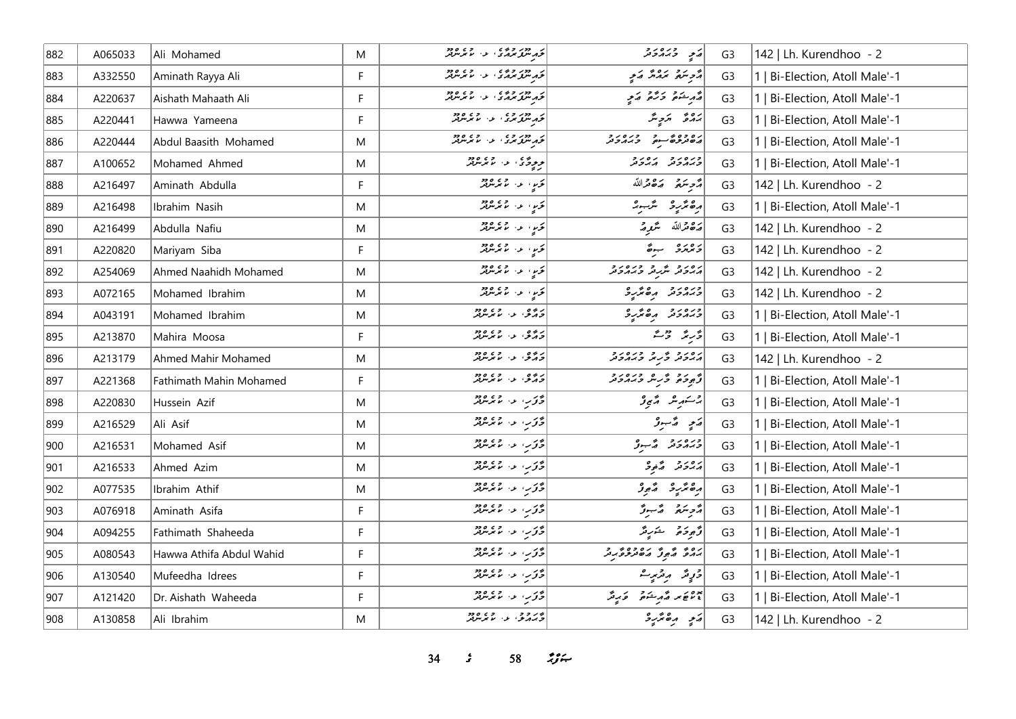| 882 | A065033 | Ali Mohamed              | M  | د دور وه د د و و و و و<br>نوم سرگر بوم د از از موسربر                                              | پر دره دو                                                                                                                                                                                               | G <sub>3</sub> | 142   Lh. Kurendhoo - 2        |
|-----|---------|--------------------------|----|----------------------------------------------------------------------------------------------------|---------------------------------------------------------------------------------------------------------------------------------------------------------------------------------------------------------|----------------|--------------------------------|
| 883 | A332550 | Aminath Rayya Ali        | F  | د دور وه د د و و و و و و و<br>نوم سرو سرمري او اس سرسرير                                           | أترجيح بمدش تمي                                                                                                                                                                                         | G <sub>3</sub> | 1   Bi-Election, Atoll Male'-1 |
| 884 | A220637 | Aishath Mahaath Ali      | F  | كر دور و ده ده ده و ده و ده                                                                        | د د خوه د و د د د                                                                                                                                                                                       | G <sub>3</sub> | Bi-Election, Atoll Male'-1     |
| 885 | A220441 | Hawwa Yameena            | F  | که دور وی در وی ماده<br> نخه شمارسی از اس سرس                                                      | برە ئەر ئەر                                                                                                                                                                                             | G <sub>3</sub> | Bi-Election, Atoll Male'-1     |
| 886 | A220444 | Abdul Baasith Mohamed    | M  | که دور وی در وی ودو                                                                                | ره وه محمد وره رو<br>مصر ژخص سعود از زرد و د                                                                                                                                                            | G <sub>3</sub> | 1   Bi-Election, Atoll Male'-1 |
| 887 | A100652 | Mohamed Ahmed            | M  | د د دي ، د ، رود                                                                                   | وره رو ده رو                                                                                                                                                                                            | G <sub>3</sub> | 1   Bi-Election, Atoll Male'-1 |
| 888 | A216497 | Aminath Abdulla          | F. | كور، والمملكة                                                                                      | أُمُّحِ سَمَّعَ مَصْحَدَاللَّهُ                                                                                                                                                                         | G <sub>3</sub> | 142   Lh. Kurendhoo - 2        |
| 889 | A216498 | Ibrahim Nasih            | M  | کې د روه ده.<br>د مرسمه                                                                            | رەنزىر ئىسى                                                                                                                                                                                             | G <sub>3</sub> | 1   Bi-Election, Atoll Male'-1 |
| 890 | A216499 | Abdulla Nafiu            | M  | ئ <i>ۆيە: مەنگەنلە</i> ر                                                                           | پره قرالله گريز پر                                                                                                                                                                                      | G <sub>3</sub> | 142   Lh. Kurendhoo - 2        |
| 891 | A220820 | Mariyam Siba             | F. | تخرید از در ۱۶۵٬۵۶۰                                                                                | وبروره بدهً                                                                                                                                                                                             | G <sub>3</sub> | 142   Lh. Kurendhoo - 2        |
| 892 | A254069 | Ahmed Naahidh Mohamed    | M  | تور، عن معرض                                                                                       | رور د شرد وروره                                                                                                                                                                                         | G <sub>3</sub> | 142   Lh. Kurendhoo - 2        |
| 893 | A072165 | Mohamed Ibrahim          | M  | كحرباء المماثلة                                                                                    | ورەرو مەھرىرو                                                                                                                                                                                           | G <sub>3</sub> | 142   Lh. Kurendhoo - 2        |
| 894 | A043191 | Mohamed Ibrahim          | M  | د ۶۶ و. د ۶۶ ورو                                                                                   | ورەرو مەھرىر                                                                                                                                                                                            | G <sub>3</sub> | 1   Bi-Election, Atoll Male'-1 |
| 895 | A213870 | Mahira Moosa             | F. | د د و، ع د سر سر د د                                                                               | د سمبر د حق                                                                                                                                                                                             | G <sub>3</sub> | 1   Bi-Election, Atoll Male'-1 |
| 896 | A213179 | Ahmed Mahir Mohamed      | M  | دروه، د. دی. دود                                                                                   | ג סגב ביני כי סגב<br>הגבה כנית כמהכת                                                                                                                                                                    | G <sub>3</sub> | 142   Lh. Kurendhoo - 2        |
| 897 | A221368 | Fathimath Mahin Mohamed  | F. | د ده و، د د په دود                                                                                 | د و و د مه د د و د و د                                                                                                                                                                                  | G <sub>3</sub> | 1   Bi-Election, Atoll Male'-1 |
| 898 | A220830 | Hussein Azif             | M  | د د ب د ماردود<br>  د د ب مارس                                                                     | 2سكەبىر مەيدۇ                                                                                                                                                                                           | G <sub>3</sub> | Bi-Election, Atoll Male'-1     |
| 899 | A216529 | Ali Asif                 | M  | د کاربا او د اما مرسومتر                                                                           | پَه په په په په په په په                                                                                                                                                                                | G <sub>3</sub> | 1   Bi-Election, Atoll Male'-1 |
| 900 | A216531 | Mohamed Asif             | M  | د کور او د اما بر مورد<br>  د کور او اما بر مورد                                                   | ورەرو ھەبدۇ                                                                                                                                                                                             | G <sub>3</sub> | 1   Bi-Election, Atoll Male'-1 |
| 901 | A216533 | Ahmed Azim               | M  | د تور، عبد المعامد العالم العالم العالم العالم العالم العالم العالم العالم العالم العالم العالم ال | برەر د ئەرە                                                                                                                                                                                             | G <sub>3</sub> | 1   Bi-Election, Atoll Male'-1 |
| 902 | A077535 | Ibrahim Athif            | M  | وتحرب الماله المعرض ودو                                                                            | أرەندىر ئەبور                                                                                                                                                                                           | G <sub>3</sub> | 1   Bi-Election, Atoll Male'-1 |
| 903 | A076918 | Aminath Asifa            | F. | د در، او، او دود                                                                                   | رمح سنقر المستقرر                                                                                                                                                                                       | G <sub>3</sub> | 1   Bi-Election, Atoll Male'-1 |
| 904 | A094255 | Fathimath Shaheeda       | F  | د کاربا اور اور ماندر مربعد                                                                        | ژَهِ دَمَ شَدَرِ مَدْ                                                                                                                                                                                   | G <sub>3</sub> | 1   Bi-Election, Atoll Male'-1 |
| 905 | A080543 | Hawwa Athifa Abdul Wahid | F. | د تور، عن الممر مرور                                                                               | رە بە ئەبۇ ئەھىر جويرى                                                                                                                                                                                  | G <sub>3</sub> | Bi-Election, Atoll Male'-1     |
| 906 | A130540 | Mufeedha Idrees          | F. | د کوب علی عمومتر                                                                                   | 3 دٍ شَر سِرْ سِرْ سِ                                                                                                                                                                                   | G <sub>3</sub> | Bi-Election, Atoll Male'-1     |
| 907 | A121420 | Dr. Aishath Waheeda      | F  | دىر، ئەرتەتلەردىنى ئاردو                                                                           | $\begin{bmatrix} 1 & 1 & 1 \\ 1 & 1 & 1 \\ 1 & 1 & 1 \end{bmatrix} \begin{bmatrix} 1 & 1 & 1 \\ 1 & 1 & 1 \\ 1 & 1 & 1 \end{bmatrix} \begin{bmatrix} 1 & 1 & 1 \\ 1 & 1 & 1 \\ 1 & 1 & 1 \end{bmatrix}$ | G <sub>3</sub> | 1   Bi-Election, Atoll Male'-1 |
| 908 | A130858 | Ali Ibrahim              | M  | در د د د د د د د د                                                                                 | ړَ په پره پر په                                                                                                                                                                                         | G <sub>3</sub> | 142   Lh. Kurendhoo - 2        |

**34** *s* **58** *i***<sub>s</sub><sub>***i***</sup>**</sub>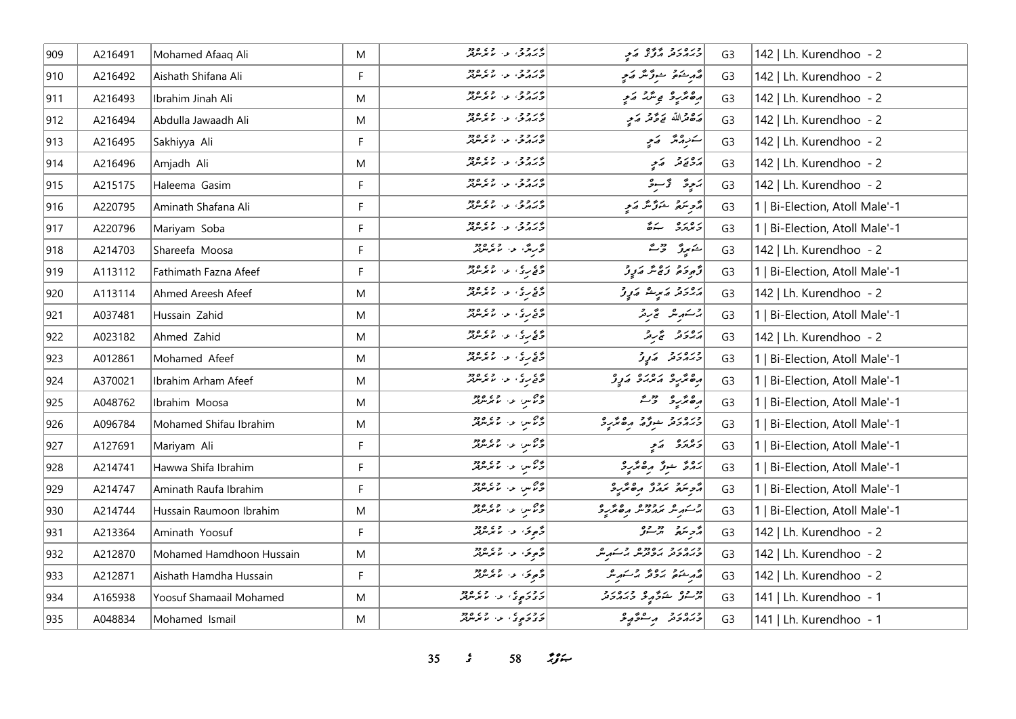| 909 | A216491 | Mohamed Afaaq Ali        | M | بر د د د .<br>د بر کرد . او ما بر سربر        | ورەرد پېړه کړې                   | G <sub>3</sub> | 142   Lh. Kurendhoo - 2        |
|-----|---------|--------------------------|---|-----------------------------------------------|----------------------------------|----------------|--------------------------------|
| 910 | A216492 | Aishath Shifana Ali      | F | ور دو.<br>وردو، د مرس                         | مەر ئەمۇر سوق ئىر كەمچە          | G <sub>3</sub> | 142   Lh. Kurendhoo - 2        |
| 911 | A216493 | Ibrahim Jinah Ali        | M | ور و و .<br>ورگرفی، ب الاتر افزایش            | رەڭرىۋ بې ئىڭ مەي                | G <sub>3</sub> | 142   Lh. Kurendhoo - 2        |
| 912 | A216494 | Abdulla Jawaadh Ali      | M | ور د د د د د و د د                            | رَصْحْرَاللّهِ ۖ يَوَمَّرْ رَسِي | G <sub>3</sub> | 142   Lh. Kurendhoo - 2        |
| 913 | A216495 | Sakhiyya Ali             | F | ور ده.<br>د برگرمي او استر مرکز               | سەرەھ كەي                        | G <sub>3</sub> | 142   Lh. Kurendhoo - 2        |
| 914 | A216496 | Amjadh Ali               | M | وروو، دا مرتزمز                               | پروړ ته په په                    | G <sub>3</sub> | 142   Lh. Kurendhoo - 2        |
| 915 | A215175 | Haleema Gasim            | F | ور دو.<br>وردو، د مرس                         | پَرۡ پِرۡ تَوۡ ۖ وَ یَ           | G <sub>3</sub> | 142   Lh. Kurendhoo - 2        |
| 916 | A220795 | Aminath Shafana Ali      | F | ور د د .<br>تربر بر د . ما برسرتر             | د څر سور شو تر که د په           | G <sub>3</sub> | 1   Bi-Election, Atoll Male'-1 |
| 917 | A220796 | Mariyam Soba             | F | ور وو.<br>د برگري او اس مرس                   | د ه ده ه به ش                    | G <sub>3</sub> | 1   Bi-Election, Atoll Male'-1 |
| 918 | A214703 | Shareefa Moosa           | F | ۇرې <i>گە بەر مەيدىن</i> لار                  | المتميرة المحاشر                 | G <sub>3</sub> | 142   Lh. Kurendhoo - 2        |
| 919 | A113112 | Fathimath Fazna Afeef    | F | دی دی در دی ورد<br>  در دی در ما مرس          | أَدْوِدَةَ رَءْشَ مَرِرْ         | G <sub>3</sub> | 1   Bi-Election, Atoll Male'-1 |
| 920 | A113114 | Ahmed Areesh Afeef       | M | دې کړې او دا موسره د                          | پرورو کامریکا ایکالی             | G <sub>3</sub> | 142   Lh. Kurendhoo - 2        |
| 921 | A037481 | Hussain Zahid            | M | دې مړي او دا موسره د                          | جستهرینز گمچ سرچر                | G <sub>3</sub> | 1   Bi-Election, Atoll Male'-1 |
| 922 | A023182 | Ahmed Zahid              | M | دي ري.<br>د فع برگ او او ما مگر مرکز          | پرورو گروگر                      | G <sub>3</sub> | 142   Lh. Kurendhoo - 2        |
| 923 | A012861 | Mohamed Afeef            | M | وي <sub>مو</sub> ي الماس وي ودوا              | ورەرو كەرۇ                       | G <sub>3</sub> | 1   Bi-Election, Atoll Male'-1 |
| 924 | A370021 | Ibrahim Arham Afeef      | M | دی دی د در دور<br>  دی ری د لامر مریم         | رەپر دىردە دېرو                  | G <sub>3</sub> | Bi-Election, Atoll Male'-1     |
| 925 | A048762 | Ibrahim Moosa            | M | در ۱۳۵۴ و ۱۳۵۴                                | دەنئەر قالىقى                    | G <sub>3</sub> | Bi-Election, Atoll Male'-1     |
| 926 | A096784 | Mohamed Shifau Ibrahim   | M |                                               | ورەر د بوژه رەپرى                | G <sub>3</sub> | 1   Bi-Election, Atoll Male'-1 |
| 927 | A127691 | Mariyam Ali              | F | در ۱۳۵۴ و. ۱۳۶٬۰۰۶                            | د بر پر د کم پر                  | G <sub>3</sub> | 1   Bi-Election, Atoll Male'-1 |
| 928 | A214741 | Hawwa Shifa Ibrahim      | F | در ۱۳۵۴ و. ۱۳۶٬۰۰۶                            | بروءٌ شرِرٌ الله عمَّدِهِ        | G <sub>3</sub> | 1   Bi-Election, Atoll Male'-1 |
| 929 | A214747 | Aminath Raufa Ibrahim    | F | در ۱۳۵۴ و. موسر پر                            | أأزمره بمدق مقتررة               | G <sub>3</sub> | 1   Bi-Election, Atoll Male'-1 |
| 930 | A214744 | Hussain Raumoon Ibrahim  | M | دیم س اور دی دود                              | پر شهر مردوده ره تر ره           | G <sub>3</sub> | 1   Bi-Election, Atoll Male'-1 |
| 931 | A213364 | Aminath Yoosuf           | F | د صوتو، الاس الموسوفير<br>  د حوالي الموسوفير | پر سره در ده وه                  | G <sub>3</sub> | 142   Lh. Kurendhoo - 2        |
| 932 | A212870 | Mohamed Hamdhoon Hussain | M | د موکو، او، او دور                            | دره در ده ده ده در به شور ش      | G <sub>3</sub> | 142   Lh. Kurendhoo - 2        |
| 933 | A212871 | Aishath Hamdha Hussain   | F | د پوک عن ما تر مرورد                          | مەر شەھ بىر قەر بىر شەر ش        | G <sub>3</sub> | 142   Lh. Kurendhoo - 2        |
| 934 | A165938 | Yoosuf Shamaail Mohamed  | M | د د د ې د او د د د د د د                      | و ده شرگه و دره د د              | G <sub>3</sub> | 141   Lh. Kurendhoo - 1        |
| 935 | A048834 | Mohamed Ismail           | M | د وړ ، ع الله عرض وو                          | ورەرو برىشۇپپۇ                   | G <sub>3</sub> | 141   Lh. Kurendhoo - 1        |

**35** *s* **58** *n***<sub>y</sub>**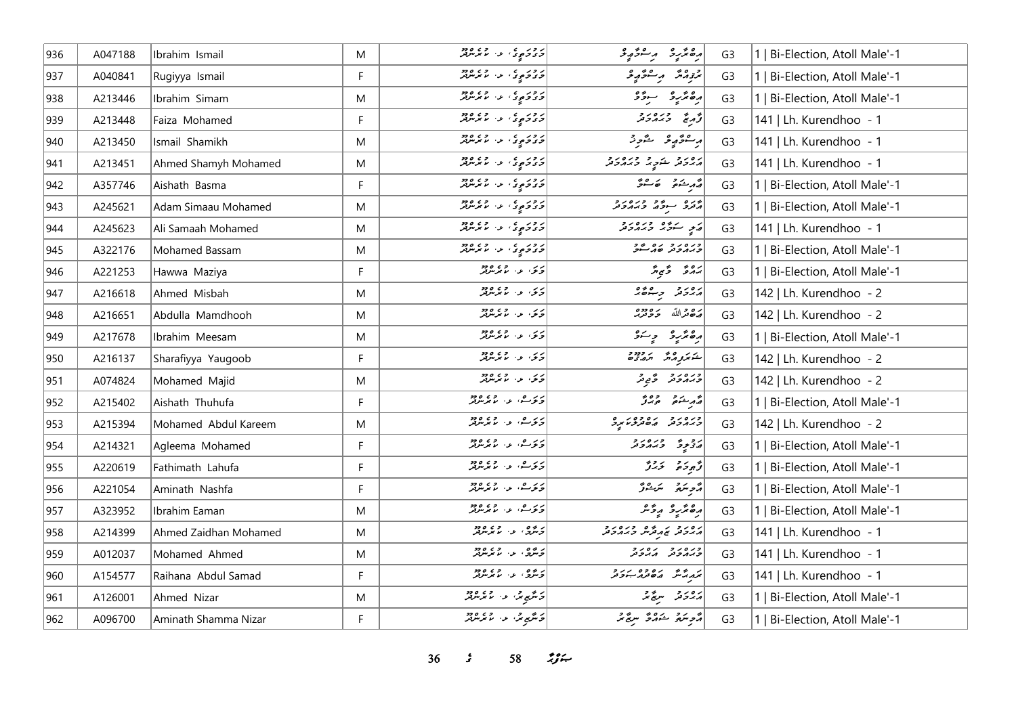| 936 | A047188 | Ibrahim Ismail        | M         | د ور <sub>و</sub> ی د از دی ورو              | أرەندىپ رىشۇرغ                   | G <sub>3</sub> | Bi-Election, Atoll Male'-1     |
|-----|---------|-----------------------|-----------|----------------------------------------------|----------------------------------|----------------|--------------------------------|
| 937 | A040841 | Rugiyya Ismail        | F         | د ور د د د د د ده ور                         | بمزمده مستوري                    | G <sub>3</sub> | Bi-Election, Atoll Male'-1     |
| 938 | A213446 | Ibrahim Simam         | M         | د ور ع ع د ع م ور م                          | رەنۇر ئىسىدى                     | G <sub>3</sub> | 1   Bi-Election, Atoll Male'-1 |
| 939 | A213448 | Faiza Mohamed         | F         | ر ور ع ع د و ع و و و                         | و دره در د                       | G <sub>3</sub> | 141   Lh. Kurendhoo - 1        |
| 940 | A213450 | Ismail Shamikh        | M         | د وړه علي د هغه موجود ا                      | أراع وتحرير والمحاورة            | G <sub>3</sub> | 141   Lh. Kurendhoo - 1        |
| 941 | A213451 | Ahmed Shamyh Mohamed  | ${\sf M}$ | د ور ع<br><mark>در د</mark> دي و موسربر      | رور د ځوړ ورورو                  | G <sub>3</sub> | 141   Lh. Kurendhoo - 1        |
| 942 | A357746 | Aishath Basma         | F         | د ور ع ع د ع م ور م                          | مجمد شوق ہے کہ شرقر              | G <sub>3</sub> | 1   Bi-Election, Atoll Male'-1 |
| 943 | A245621 | Adam Simaau Mohamed   | M         | د وړ د د د وړه ده.<br>  د د د دې د ۱۰ مرمربر | أروق سوء أو دره د و              | G <sub>3</sub> | 1   Bi-Election, Atoll Male'-1 |
| 944 | A245623 | Ali Samaah Mohamed    | ${\sf M}$ | د ور <sub>وړ</sub> و، د وه وو                | ړی سرګړ وره د د                  | G <sub>3</sub> | 141   Lh. Kurendhoo - 1        |
| 945 | A322176 | Mohamed Bassam        | M         | د ور ع ع د ع ه وو<br>  و د و ه د ع ع مرس     | ورەر دەرە دە                     | G <sub>3</sub> | 1   Bi-Election, Atoll Male'-1 |
| 946 | A221253 | Hawwa Maziya          | F         | ئەت مەس ئەرەپىر                              | پروڅ د څې پر                     | G <sub>3</sub> | 1   Bi-Election, Atoll Male'-1 |
| 947 | A216618 | Ahmed Misbah          | M         |                                              | ره رو ده ده ده                   | G <sub>3</sub> | 142   Lh. Kurendhoo - 2        |
| 948 | A216651 | Abdulla Mamdhooh      | M         | دى. ئەر ئەھەم                                | أروم الله ودوه                   | G <sub>3</sub> | 142   Lh. Kurendhoo - 2        |
| 949 | A217678 | Ibrahim Meesam        | M         | ئەتى، ئەس ئەتلەر ئە                          | أرە ئۆر دىسى                     | G <sub>3</sub> | 1   Bi-Election, Atoll Male'-1 |
| 950 | A216137 | Sharafiyya Yaugoob    | F         | ئەتى، ئەس ئەتلەر ئە                          | أشو برور و برودود                | G <sub>3</sub> | 142   Lh. Kurendhoo - 2        |
| 951 | A074824 | Mohamed Majid         | M         | رى ئەر مەردە                                 | ورور و و د                       | G <sub>3</sub> | 142   Lh. Kurendhoo - 2        |
| 952 | A215402 | Aishath Thuhufa       | F         | ئەتەمىق بەر مەندەردە ئەھ                     | د مرشور موبرژ                    | G <sub>3</sub> | 1   Bi-Election, Atoll Male'-1 |
| 953 | A215394 | Mohamed Abdul Kareem  | M         | دىرگ، ئەسىمىرىدىن                            | ورەرو رەدەرە بو                  | G <sub>3</sub> | 142   Lh. Kurendhoo - 2        |
| 954 | A214321 | Agleema Mohamed       | F         | ر د مه د د ده ده<br>د کار د ما برمان         | د و دره دره<br>  د د و د د د د د | G <sub>3</sub> | 1   Bi-Election, Atoll Male'-1 |
| 955 | A220619 | Fathimath Lahufa      | F         | رىر ھەر بەردە دە                             | دٌمودَه کَ کَرَدٌ                | G <sub>3</sub> | Bi-Election, Atoll Male'-1     |
| 956 | A221054 | Aminath Nashfa        | F.        | ىرىرىق، ئەس مەھەم بىر                        | د پر پر سر پر دی دی              | G <sub>3</sub> | 1   Bi-Election, Atoll Male'-1 |
| 957 | A323952 | Ibrahim Eaman         | M         | ئەنزىسى، ئەنزىر ئەرەد                        | رەپر بە بەۋىر                    | G <sub>3</sub> | 1   Bi-Election, Atoll Male'-1 |
| 958 | A214399 | Ahmed Zaidhan Mohamed | M         | د ژه، د عمرمهر                               | رور د بر مهمده در در د           | G <sub>3</sub> | 141   Lh. Kurendhoo - 1        |
| 959 | A012037 | Mohamed Ahmed         | M         | ئەنگەنى بەر ئەنگەردىن                        | ورەرو دەرو                       | G <sub>3</sub> | 141   Lh. Kurendhoo - 1        |
| 960 | A154577 | Raihana Abdul Samad   | F         | ئەشرى، بەر بەر يەرەد                         | كريم محمد مده در د               | G <sub>3</sub> | 141   Lh. Kurendhoo - 1        |
| 961 | A126001 | Ahmed Nizar           | M         | د شهر شهر المستقبل المستقبل                  | روبر د سرچ تر                    | G <sub>3</sub> | 1   Bi-Election, Atoll Male'-1 |
| 962 | A096700 | Aminath Shamma Nizar  | F.        | ئەنگەپ تىر، سىما تىر شرقىز                   | مُحِسَمٌ شَهْرٌ مِنْ مَرْ        | G <sub>3</sub> | Bi-Election, Atoll Male'-1     |

**36** *s* **58** *n***<sub>3</sub> <b>***n*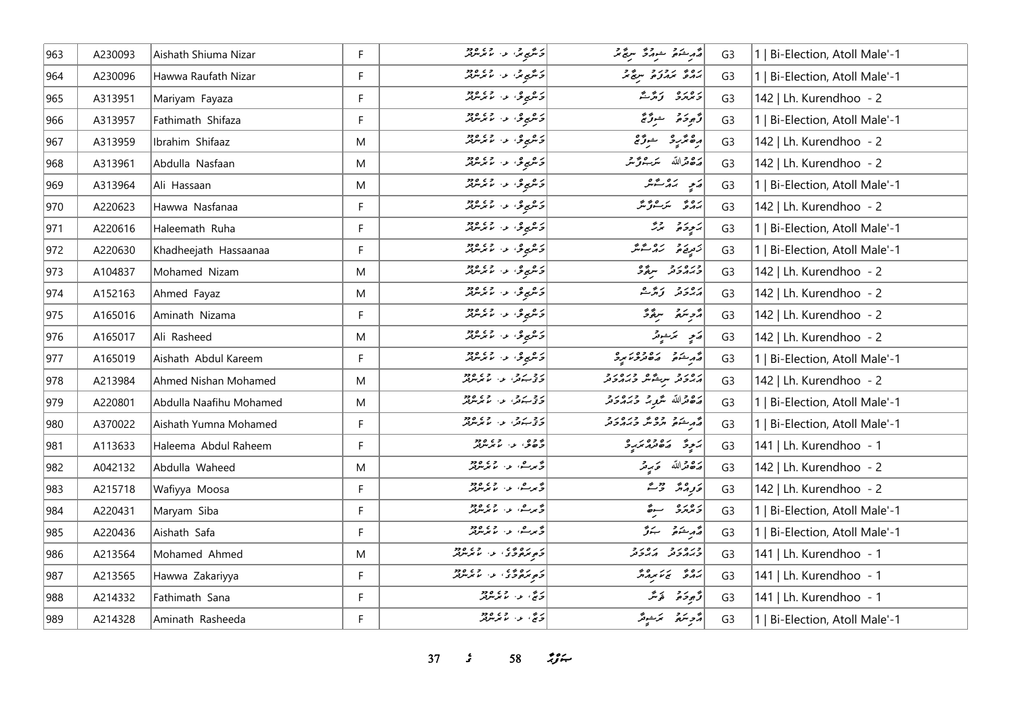| 963 | A230093 | Aishath Shiuma Nizar    | F  | ئەنگەپەتما مەس مەھرىلىرلىر                    | أقهر منكوم المستركز المرتج تمر | G <sub>3</sub> | 1   Bi-Election, Atoll Male'-1 |
|-----|---------|-------------------------|----|-----------------------------------------------|--------------------------------|----------------|--------------------------------|
| 964 | A230096 | Hawwa Raufath Nizar     | F. | د شمېر شي. د ۱۳۶،۰۰۰                          | دە ئەردىرو سېڭىگە              | G <sub>3</sub> | 1   Bi-Election, Atoll Male'-1 |
| 965 | A313951 | Mariyam Fayaza          | F  | د عربي عن المعرض                              | د وره زړی                      | G <sub>3</sub> | 142   Lh. Kurendhoo - 2        |
| 966 | A313957 | Fathimath Shifaza       | F  | د همې یې د اړه مرس                            | ژُهِ دَهُ شَرَرٌ جُ            | G <sub>3</sub> | 1   Bi-Election, Atoll Male'-1 |
| 967 | A313959 | Ibrahim Shifaaz         | M  | د همبری، د ، ماندمبرټر                        | رە ئرىر ئىن ئ                  | G <sub>3</sub> | 142   Lh. Kurendhoo - 2        |
| 968 | A313961 | Abdulla Nasfaan         | M  | د هرمو د له دره د                             | رە قراللە سىرجۇ تىر            | G <sub>3</sub> | 142   Lh. Kurendhoo - 2        |
| 969 | A313964 | Ali Hassaan             | M  | د هموی د الممکن                               | پَه په شکر                     | G <sub>3</sub> | 1   Bi-Election, Atoll Male'-1 |
| 970 | A220623 | Hawwa Nasfanaa          | F  | د هموی د ۱۰ همرمزند                           | برە ئەسىر شۇ ئىگە              | G <sub>3</sub> | 142   Lh. Kurendhoo - 2        |
| 971 | A220616 | Haleemath Ruha          | F  | د عربي د ، ما بر مورد                         | پروژه پرژ                      | G <sub>3</sub> | 1   Bi-Election, Atoll Male'-1 |
| 972 | A220630 | Khadheejath Hassaanaa   | F  | د هموی د الممکن                               | زىردۇ زەرمىق                   | G <sub>3</sub> | 1   Bi-Election, Atoll Male'-1 |
| 973 | A104837 | Mohamed Nizam           | M  | د هرمو د له دره د                             | ورەرو سۆۋ                      | G <sub>3</sub> | 142   Lh. Kurendhoo - 2        |
| 974 | A152163 | Ahmed Fayaz             | M  | زەيدۇ، ئەسىرلىرىد                             | برەر دېر و                     | G <sub>3</sub> | 142   Lh. Kurendhoo - 2        |
| 975 | A165016 | Aminath Nizama          | F. | زەيدۇ، ئەسىرلىرىد                             | مزهر سرقرة                     | G <sub>3</sub> | 142   Lh. Kurendhoo - 2        |
| 976 | A165017 | Ali Rasheed             | M  | د همېږي، د ، مامرسرټر                         | رَمِ سَمَسُوثَرُ               | G <sub>3</sub> | 142   Lh. Kurendhoo - 2        |
| 977 | A165019 | Aishath Abdul Kareem    | F. | د هموی د الممکن                               | و دو ده ده ده ده د             | G <sub>3</sub> | 1   Bi-Election, Atoll Male'-1 |
| 978 | A213984 | Ahmed Nishan Mohamed    | M  | د چ پ و، او د او د د کارون                    | أرور و سرعيش ورور و            | G <sub>3</sub> | 142   Lh. Kurendhoo - 2        |
| 979 | A220801 | Abdulla Naafihu Mohamed | M  | د و برو، او د ۱۵ ووډ                          | رەداللە مىگرىز دېرەرد          | G <sub>3</sub> | 1   Bi-Election, Atoll Male'-1 |
| 980 | A370022 | Aishath Yumna Mohamed   | F. | د د پرو، او د او دو                           | ه مشوه وه و دره د و            | G <sub>3</sub> | 1   Bi-Election, Atoll Male'-1 |
| 981 | A113633 | Haleema Abdul Raheem    | F. | د وو، بن بربرد د                              | ) پر ده ده ده در و             | G <sub>3</sub> | 141   Lh. Kurendhoo - 1        |
| 982 | A042132 | Abdulla Waheed          | M  | گەرگ، ئەس مەھەم                               | پره قرالله ځېږمتر              | G <sub>3</sub> | 142   Lh. Kurendhoo - 2        |
| 983 | A215718 | Wafiyya Moosa           | F  | گەرگ، بەر بەيدە «                             | مَ وِرْدَ مَرْ مِيْنَ مِنْ     | G <sub>3</sub> | 142   Lh. Kurendhoo - 2        |
| 984 | A220431 | Maryam Siba             | F  | گەرگ، ئەس مەھەم                               | و ده ده سرځ                    | G <sub>3</sub> | 1   Bi-Election, Atoll Male'-1 |
| 985 | A220436 | Aishath Safa            | F  | ۇيرىش، بەر بۇيرولل                            | قەرىشىق سىزگە                  | G <sub>3</sub> | 1   Bi-Election, Atoll Male'-1 |
| 986 | A213564 | Mohamed Ahmed           | M  | ر رەپ، دې دەر                                 | ورەرو رەرو                     | G <sub>3</sub> | 141   Lh. Kurendhoo - 1        |
| 987 | A213565 | Hawwa Zakariyya         | F  | د ده ده د.<br><mark>خېرمون</mark> ز، د مرمربر | גם " ביצאת ה                   | G <sub>3</sub> | 141   Lh. Kurendhoo - 1        |
| 988 | A214332 | Fathimath Sana          | F  | ئەنگە، ئەن ئەن ئەرەپىر                        | وتجوخره الأنثر                 | G <sub>3</sub> | 141   Lh. Kurendhoo - 1        |
| 989 | A214328 | Aminath Rasheeda        | F  | ئەنچ، بەر، سىم ئىرلىر                         | أأترجع أترسوش                  | G <sub>3</sub> | 1   Bi-Election, Atoll Male'-1 |

**37** *s* **58** *n***<sub>y</sub><sub>***s***</sub>**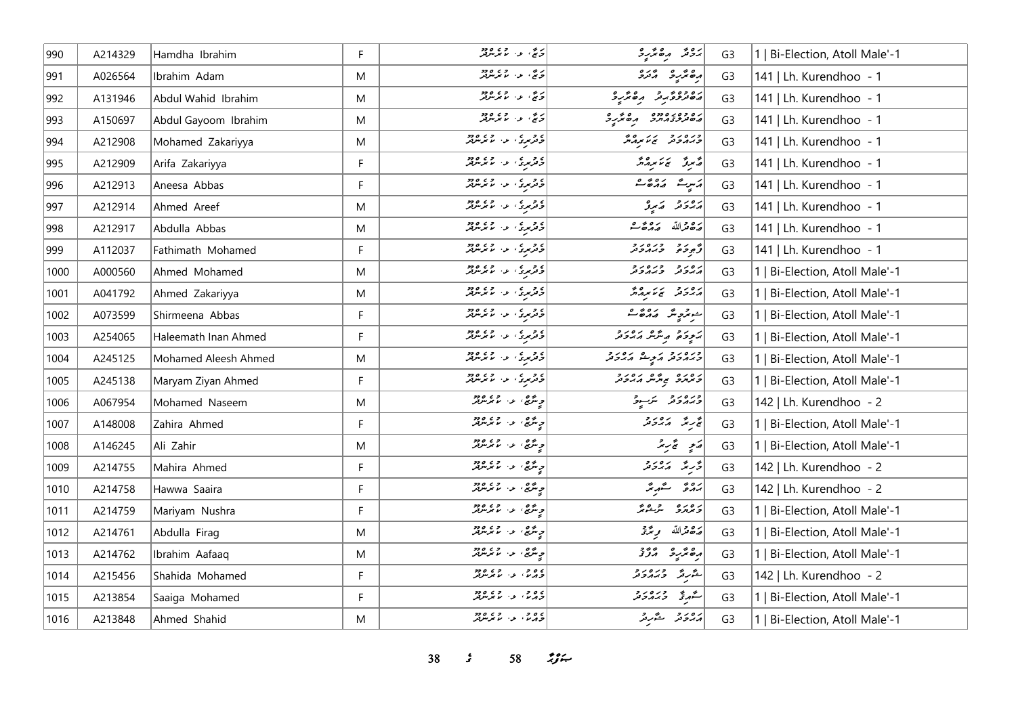| 990  | A214329 | Hamdha Ibrahim       | F           | ر ده او در در در در                                  | پرونتر برگتر و                                                                                                                                                                                                                                                                                                                            | G <sub>3</sub> | 1   Bi-Election, Atoll Male'-1 |
|------|---------|----------------------|-------------|------------------------------------------------------|-------------------------------------------------------------------------------------------------------------------------------------------------------------------------------------------------------------------------------------------------------------------------------------------------------------------------------------------|----------------|--------------------------------|
| 991  | A026564 | Ibrahim Adam         | M           | ر چ، په روه دو                                       | أرە پر دىنى                                                                                                                                                                                                                                                                                                                               | G <sub>3</sub> | 141   Lh. Kurendhoo - 1        |
| 992  | A131946 | Abdul Wahid Ibrahim  | M           | د چ، د ، د په دو                                     | دەۋە ئەر ئەھەر ئەرە                                                                                                                                                                                                                                                                                                                       | G <sub>3</sub> | 141   Lh. Kurendhoo - 1        |
| 993  | A150697 | Abdul Gayoom Ibrahim | M           | پرچ، او، او دور                                      | גם כם גם כם משילים                                                                                                                                                                                                                                                                                                                        | G <sub>3</sub> | 141   Lh. Kurendhoo - 1        |
| 994  | A212908 | Mohamed Zakariyya    | M           | د د د د .<br>  د ترېږي ، د ، نامرنترنگر              | כנסני זיגם                                                                                                                                                                                                                                                                                                                                | G <sub>3</sub> | 141   Lh. Kurendhoo - 1        |
| 995  | A212909 | Arifa Zakariyya      | F           | ) و د ع الله د د د د د د د د د                       | میرو پر میرمار                                                                                                                                                                                                                                                                                                                            | G <sub>3</sub> | 141   Lh. Kurendhoo - 1        |
| 996  | A212913 | Aneesa Abbas         | F           | د و د د د د د د د د د د د                            | $\begin{bmatrix} \begin{array}{ccc} 0 & 0 & 0 & 0 \\ 0 & 0 & 0 & 0 \\ 0 & 0 & 0 & 0 \\ 0 & 0 & 0 & 0 \\ 0 & 0 & 0 & 0 \\ 0 & 0 & 0 & 0 \\ 0 & 0 & 0 & 0 \\ 0 & 0 & 0 & 0 \\ 0 & 0 & 0 & 0 \\ 0 & 0 & 0 & 0 \\ 0 & 0 & 0 & 0 \\ 0 & 0 & 0 & 0 \\ 0 & 0 & 0 & 0 \\ 0 & 0 & 0 & 0 \\ 0 & 0 & 0 & 0 \\ 0 & 0 & 0 & 0 \\ 0 & 0 & 0 & 0 \\ 0 &$ | G <sub>3</sub> | 141   Lh. Kurendhoo - 1        |
| 997  | A212914 | Ahmed Areef          | M           | ه و د ه د د و د د ود و                               | پروتر کمبرو                                                                                                                                                                                                                                                                                                                               | G <sub>3</sub> | 141   Lh. Kurendhoo - 1        |
| 998  | A212917 | Abdulla Abbas        | M           | د وړي او د او دو.<br>  د ترمړي او الامريک            |                                                                                                                                                                                                                                                                                                                                           | G <sub>3</sub> | 141   Lh. Kurendhoo - 1        |
| 999  | A112037 | Fathimath Mohamed    | F           | د و د د د او د د د د وو                              | تو د دره دره<br>توجده د دروند                                                                                                                                                                                                                                                                                                             | G <sub>3</sub> | 141   Lh. Kurendhoo - 1        |
| 1000 | A000560 | Ahmed Mohamed        | M           | د و د د د د د د د د د                                | גפני כגמביב                                                                                                                                                                                                                                                                                                                               | G <sub>3</sub> | 1   Bi-Election, Atoll Male'-1 |
| 1001 | A041792 | Ahmed Zakariyya      | M           | د و د د د او د د د د د ورو<br>  د ترمړي او او مرمرتر | גפנים גלאת בא                                                                                                                                                                                                                                                                                                                             | G <sub>3</sub> | 1   Bi-Election, Atoll Male'-1 |
| 1002 | A073599 | Shirmeena Abbas      | F           | د و د د او د د د وود                                 | أحوجر حيده بره و حيده                                                                                                                                                                                                                                                                                                                     | G <sub>3</sub> | 1   Bi-Election, Atoll Male'-1 |
| 1003 | A254065 | Haleemath Inan Ahmed | F           | د تربری از اندازه در                                 | برودة به شهر مهادو                                                                                                                                                                                                                                                                                                                        | G <sub>3</sub> | 1   Bi-Election, Atoll Male'-1 |
| 1004 | A245125 | Mohamed Aleesh Ahmed | M           | د د ري د ۱۰ مرمزند                                   | ورەرو روش مەدو                                                                                                                                                                                                                                                                                                                            | G <sub>3</sub> | 1   Bi-Election, Atoll Male'-1 |
| 1005 | A245138 | Maryam Ziyan Ahmed   | F           | د د بري او د اړه وو                                  | ره ره ه په په ره رو                                                                                                                                                                                                                                                                                                                       | G <sub>3</sub> | 1   Bi-Election, Atoll Male'-1 |
| 1006 | A067954 | Mohamed Naseem       | M           | ج مرتج، عن المحرمرتيز                                | ورەرو شەر                                                                                                                                                                                                                                                                                                                                 | G <sub>3</sub> | 142   Lh. Kurendhoo - 2        |
| 1007 | A148008 | Zahira Ahmed         | F           | د شهار داردود                                        | چې سرچ د چې په د                                                                                                                                                                                                                                                                                                                          | G <sub>3</sub> | 1   Bi-Election, Atoll Male'-1 |
| 1008 | A146245 | Ali Zahir            | M           | د مريع، الا د مر مريد د                              | ەكىيە ئىچ سىر                                                                                                                                                                                                                                                                                                                             | G <sub>3</sub> | 1   Bi-Election, Atoll Male'-1 |
| 1009 | A214755 | Mahira Ahmed         | $\mathsf F$ | ج مگرچ، او، ام مگر مگرچر                             | د پر په دره د د                                                                                                                                                                                                                                                                                                                           | G <sub>3</sub> | 142   Lh. Kurendhoo - 2        |
| 1010 | A214758 | Hawwa Saaira         | F           | جِ مَرَّجٌ، اللهُ المُحَمَّدُ اللهُ                  | برە ئەستىر                                                                                                                                                                                                                                                                                                                                | G <sub>3</sub> | 142   Lh. Kurendhoo - 2        |
| 1011 | A214759 | Mariyam Nushra       | F           | ى ئىگى ، ئا ئا ئىر ئىرىد                             | رەرە شىشر                                                                                                                                                                                                                                                                                                                                 | G <sub>3</sub> | 1   Bi-Election, Atoll Male'-1 |
| 1012 | A214761 | Abdulla Firaq        | M           | جِ مَرَّجٌ، اللهُ المُحَمَّرُ وَلَا                  | پره قرالله مریمهٔ تر                                                                                                                                                                                                                                                                                                                      | G <sub>3</sub> | 1   Bi-Election, Atoll Male'-1 |
| 1013 | A214762 | Ibrahim Aafaaq       | M           | ىر ئىگى، ئەس ئىگەنلەش                                | ەھەرد مۇق                                                                                                                                                                                                                                                                                                                                 | G <sub>3</sub> | 1   Bi-Election, Atoll Male'-1 |
| 1014 | A215456 | Shahida Mohamed      | F           | ە مەدە بەر مەمەدە<br>ئەمەم بەر مەمەر مەمەدىر         | شرير وره دو                                                                                                                                                                                                                                                                                                                               | G <sub>3</sub> | 142   Lh. Kurendhoo - 2        |
| 1015 | A213854 | Saaiga Mohamed       | F           | ے و و .<br>دراس ، ع اسم سربر                         | سگهرنخ وبرودر                                                                                                                                                                                                                                                                                                                             | G <sub>3</sub> | 1   Bi-Election, Atoll Male'-1 |
| 1016 | A213848 | Ahmed Shahid         | M           | ە مەدە بەر مەمەدە بولدۇر.<br>مەمە بەر بولدى بولدۇر   | دەرە ئەرە                                                                                                                                                                                                                                                                                                                                 | G <sub>3</sub> | 1   Bi-Election, Atoll Male'-1 |

**38** *s* **58** *n***<sub>3</sub>** *n*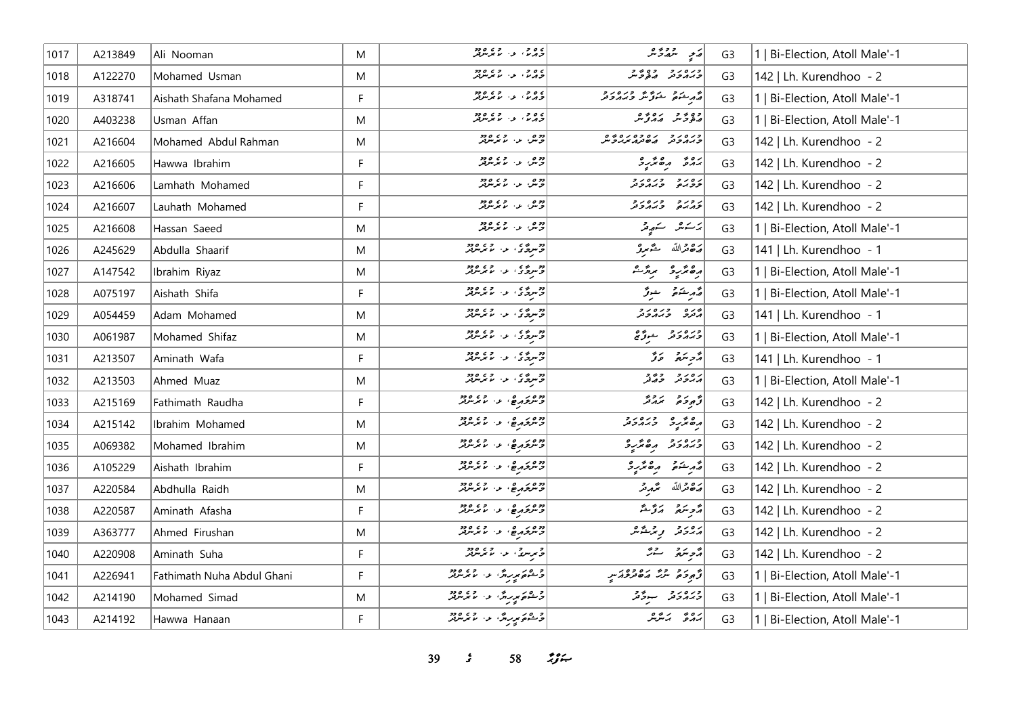| 1017 | A213849 | Ali Nooman                 | M           | ۵۵ و.<br>د در پارس بر سربروتر                                                                                                                                                                                                    | أەيج اسمەت شر                                                       | G <sub>3</sub> | 1   Bi-Election, Atoll Male'-1 |
|------|---------|----------------------------|-------------|----------------------------------------------------------------------------------------------------------------------------------------------------------------------------------------------------------------------------------|---------------------------------------------------------------------|----------------|--------------------------------|
| 1018 | A122270 | Mohamed Usman              | M           | ە مەدە بەر مەمەدە<br>ئەمەم بەر مەمەر مەمەدىر                                                                                                                                                                                     | כנים נים בים ביית.<br>כגוגיבות היה בית                              | G <sub>3</sub> | 142   Lh. Kurendhoo - 2        |
| 1019 | A318741 | Aishath Shafana Mohamed    | F           | ە دە دە دە دە دە دە دە د                                                                                                                                                                                                         | و مشتور متورش وبره د و                                              | G <sub>3</sub> | 1   Bi-Election, Atoll Male'-1 |
| 1020 | A403238 | Usman Affan                | M           | ۵۵ و.<br>د در پارس بر سربروتر                                                                                                                                                                                                    | وە ئور بەر بەر                                                      | G <sub>3</sub> | 1   Bi-Election, Atoll Male'-1 |
| 1021 | A216604 | Mohamed Abdul Rahman       | M           | دوم، او، او دوم                                                                                                                                                                                                                  | כנסנכ נסכסנספס<br>כגמכנ מסנמינגליל                                  | G <sub>3</sub> | 142   Lh. Kurendhoo - 2        |
| 1022 | A216605 | Hawwa Ibrahim              | F           | ووه، عن عرضهو                                                                                                                                                                                                                    | $\begin{array}{cc} 0 & 0 & 0 \\ 0 & 0 & 0 \\ 0 & 0 & 0 \end{array}$ | G <sub>3</sub> | 142   Lh. Kurendhoo - 2        |
| 1023 | A216606 | Lamhath Mohamed            | F           | دورو، اور ما تر مردور                                                                                                                                                                                                            | رەرد درەرد                                                          | G <sub>3</sub> | 142   Lh. Kurendhoo - 2        |
| 1024 | A216607 | Lauhath Mohamed            | F           | ادوم المراجع مع معرفيز<br>  جريش المراجع المراجع                                                                                                                                                                                 | رورو ورەرو                                                          | G <sub>3</sub> | 142   Lh. Kurendhoo - 2        |
| 1025 | A216608 | Hassan Saeed               | M           | دو مهر ده دو دو                                                                                                                                                                                                                  | پر سه سه سه محمد محمد                                               | G <sub>3</sub> | 1   Bi-Election, Atoll Male'-1 |
| 1026 | A245629 | Abdulla Shaarif            | M           | وه ده ده ده ده ورو                                                                                                                                                                                                               | رە تەللە شەرىر                                                      | G <sub>3</sub> | 141   Lh. Kurendhoo - 1        |
| 1027 | A147542 | Ibrahim Riyaz              | M           | در دی.<br>  در سرگان از ماسر سرد                                                                                                                                                                                                 | أرەندىر ئىر                                                         | G <sub>3</sub> | 1   Bi-Election, Atoll Male'-1 |
| 1028 | A075197 | Aishath Shifa              | F           | وو ده ده ده ده دود.<br>د سرچاري او د ماموسرفر                                                                                                                                                                                    | قەرىشىمۇ ھوق                                                        | G <sub>3</sub> | 1   Bi-Election, Atoll Male'-1 |
| 1029 | A054459 | Adam Mohamed               | M           | وو سره د د د د د د د د وو                                                                                                                                                                                                        | برده وره رو<br>پرترو وبرپروتر                                       | G <sub>3</sub> | 141   Lh. Kurendhoo - 1        |
| 1030 | A061987 | Mohamed Shifaz             | M           | دوره ی از در ورود<br> در سرگاری از ماکر سرگار                                                                                                                                                                                    | ورەرو ئىرگى                                                         | G <sub>3</sub> | 1   Bi-Election, Atoll Male'-1 |
| 1031 | A213507 | Aminath Wafa               | F           | دوره ده ده ورود.<br>د سرچار او اما مرسوبتر                                                                                                                                                                                       | ړٌ پر پر کو                                                         | G <sub>3</sub> | 141   Lh. Kurendhoo - 1        |
| 1032 | A213503 | Ahmed Muaz                 | M           | <mark>دو</mark> په عامل ده دوه کې دوه کې د                                                                                                                                                                                       | رەر دەر<br>مەردىر جەنر                                              | G <sub>3</sub> | 1   Bi-Election, Atoll Male'-1 |
| 1033 | A215169 | Fathimath Raudha           | F           | دوه در ۵۶۵ و.<br>د سرگرمرغ، د ۱۰ مرس                                                                                                                                                                                             | و دو دوو                                                            | G <sub>3</sub> | 142   Lh. Kurendhoo - 2        |
| 1034 | A215142 | Ibrahim Mohamed            | M           | دوه در مهار دور دور                                                                                                                                                                                                              | مەئەر دىمەدد                                                        | G <sub>3</sub> | 142   Lh. Kurendhoo - 2        |
| 1035 | A069382 | Mohamed Ibrahim            | M           | دوم ده و دوم                                                                                                                                                                                                                     | ورەرو مەئرو                                                         | G <sub>3</sub> | 142   Lh. Kurendhoo - 2        |
| 1036 | A105229 | Aishath Ibrahim            | F           | وده درها والمستعمل                                                                                                                                                                                                               | أقرم شوقو الره مدرجه                                                | G <sub>3</sub> | 142   Lh. Kurendhoo - 2        |
| 1037 | A220584 | Abdhulla Raidh             | M           | دوه درها المساور و دود                                                                                                                                                                                                           | أرَة قرالله مُحْمِدِ قر                                             | G <sub>3</sub> | 142   Lh. Kurendhoo - 2        |
| 1038 | A220587 | Aminath Afasha             | F           | دده در ۵، د. ده دود<br>د سرگرم ۵، د. ما سرسربر                                                                                                                                                                                   | مَّحْرِسَهُ لَمَرَّسُدَّ                                            | G <sub>3</sub> | 142   Lh. Kurendhoo - 2        |
| 1039 | A363777 | Ahmed Firushan             | M           | כי מי בן פי מי מי מי היו בן בי היו היו היו בי היו בי היו בי היו בי היו בי היו בי היו בי היו בי היו בי היו בי ה<br>היו בי היו בי היו היו היו מי היו היו היו היו היו בי היו בי היו בי היו בי היו בי היו בי היו בי היו בי היו בי הי | رەرە پەشقىر                                                         | G <sub>3</sub> | 142   Lh. Kurendhoo - 2        |
| 1040 | A220908 | Aminath Suha               | F           | $\begin{bmatrix} 2 & 2 & 3 & 3 \ 2 & 3 & 3 & 4 \end{bmatrix}$                                                                                                                                                                    | مزهر مقرر حم                                                        | G <sub>3</sub> | 142   Lh. Kurendhoo - 2        |
| 1041 | A226941 | Fathimath Nuha Abdul Ghani | $\mathsf F$ | و ۵ د پرېږون لو، لامریزور<br>  د شوه پرېږون لو، لامریزور                                                                                                                                                                         | د پر د ده ره دور س                                                  | G <sub>3</sub> | 1   Bi-Election, Atoll Male'-1 |
| 1042 | A214190 | Mohamed Simad              | M           | و ۵ د پرېږي.<br>  و شوه پرېږي. لا ، الا برېږي                                                                                                                                                                                    | ورەرو جوگر                                                          | G <sub>3</sub> | 1   Bi-Election, Atoll Male'-1 |
| 1043 | A214192 | Hawwa Hanaan               | F           | ا د ه د بر برگ او د او د د د                                                                                                                                                                                                     | ىرە ئەسىر                                                           | G <sub>3</sub> | 1   Bi-Election, Atoll Male'-1 |

**39** *s* **58** *i***<sub>S</sub>** *i***<sub>S</sub>**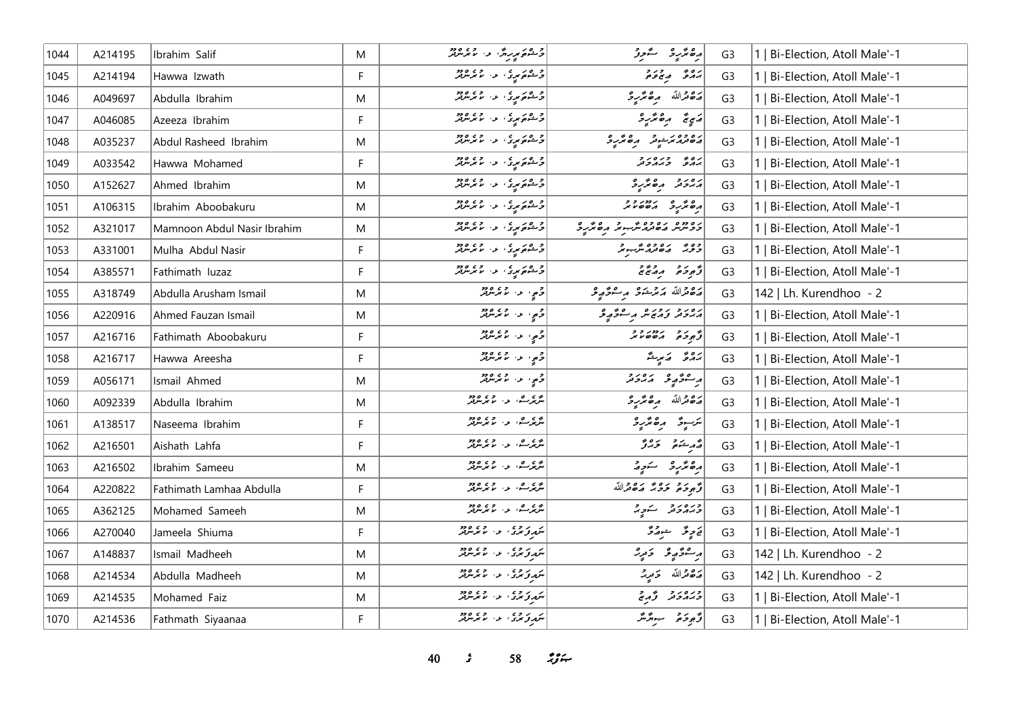| 1044 | A214195 | Ibrahim Salif               | M  | د هم پر برگ د ۱۰ تر مرکز                                           | رە ئەر ئىسىز                                                 | G <sub>3</sub> | 1   Bi-Election, Atoll Male'-1 |
|------|---------|-----------------------------|----|--------------------------------------------------------------------|--------------------------------------------------------------|----------------|--------------------------------|
| 1045 | A214194 | Hawwa Izwath                | F  | و ۱۵ د ع او د ۱۵ د و و د و د                                       | بره به در د                                                  | G <sub>3</sub> | Bi-Election, Atoll Male'-1     |
| 1046 | A049697 | Abdulla Ibrahim             | M  | و ۱۵ د ۱۵ د ۱۵ و و و و و                                           | لصفعدالله مصمر والمحتار                                      | G <sub>3</sub> | Bi-Election, Atoll Male'-1     |
| 1047 | A046085 | Azeeza Ibrahim              | F  | و ۱۵ د ۱۵ د ۱۵ و و و و و و و                                       |                                                              | G <sub>3</sub> | Bi-Election, Atoll Male'-1     |
| 1048 | A035237 | Abdul Rasheed Ibrahim       | M  | و ۱۵ د او د ۱۵ د و و و و و و و                                     | גפרפת ביבוד תפתקיב                                           | G <sub>3</sub> | Bi-Election, Atoll Male'-1     |
| 1049 | A033542 | Hawwa Mohamed               | F. | و ۱۵ د او د او و د ۱۵ د و د<br>  و شوه مېږي او د اما مرس           | נים בניםניב<br>גרפ בגרבע                                     | G <sub>3</sub> | Bi-Election, Atoll Male'-1     |
| 1050 | A152627 | Ahmed Ibrahim               | M  | او ۱۵ م د د د د د د د د د د د                                      | ג סיכ הפיתייכ                                                | G <sub>3</sub> | Bi-Election, Atoll Male'-1     |
| 1051 | A106315 | Ibrahim Aboobakuru          | M  | و ۵ د د د د د د و و و و و                                          | 000 - 2000 x 000 x                                           | G <sub>3</sub> | 1   Bi-Election, Atoll Male'-1 |
| 1052 | A321017 | Mamnoon Abdul Nasir Ibrahim | M  | و ۵ د ر د د د د و و وو                                             | גם כב הם גם כם מגבה בהם מקבר.<br>ככיתיות המשתחת ייתה המימקיב | G <sub>3</sub> | Bi-Election, Atoll Male'-1     |
| 1053 | A331001 | Mulha Abdul Nasir           | F  | د ۱۳۵۵ م د ۲۶۵۵ و د ۱۳۶۵ و د ۲۶۵۵ و د ا                            | ووی روده پر د                                                | G <sub>3</sub> | 1   Bi-Election, Atoll Male'-1 |
| 1054 | A385571 | Fathimath luzaz             | F. | $\begin{bmatrix} 2 & 2 & 3 & 3 \ 6 & 2 & 3 & 4 \end{bmatrix}$      | EER REE                                                      | G <sub>3</sub> | 1   Bi-Election, Atoll Male'-1 |
| 1055 | A318749 | Abdulla Arusham Ismail      | M  | و <sub>ح</sub> ي، عن المحمد المعرض                                 | أرە والله مەمرىشى موسىۋە يو                                  | G <sub>3</sub> | 142   Lh. Kurendhoo - 2        |
| 1056 | A220916 | Ahmed Fauzan Ismail         | M  | و <sub>حم</sub> ه عن ما برسربر<br>  وح <sub>م</sub> ه عن ما برسربر | رەرد رورو مرحوم گە                                           | G <sub>3</sub> | 1   Bi-Election, Atoll Male'-1 |
| 1057 | A216716 | Fathimath Aboobakuru        | F  | د مي الاستخدام د د د                                               | Ence reces                                                   | G <sub>3</sub> | Bi-Election, Atoll Male'-1     |
| 1058 | A216717 | Hawwa Areesha               | F  |                                                                    | رُه وَ الله عَ                                               | G <sub>3</sub> | Bi-Election, Atoll Male'-1     |
| 1059 | A056171 | Ismail Ahmed                | M  | و په عه الاسربرو د                                                 | ر عوصو رورد                                                  | G <sub>3</sub> | Bi-Election, Atoll Male'-1     |
| 1060 | A092339 | Abdulla Ibrahim             | M  | شرکت به المعرض                                                     | أرة قرالله مرەمگرىي 3                                        | G <sub>3</sub> | Bi-Election, Atoll Male'-1     |
| 1061 | A138517 | Naseema Ibrahim             | F  | انترىكە <sup>ر ب</sup> ەردە ئەرەپلەر                               | يرسوق الرەمجرىيى                                             | G <sub>3</sub> | 1   Bi-Election, Atoll Male'-1 |
| 1062 | A216501 | Aishath Lahfa               | F  | ا پرېز ک ده لري ده ده د                                            | مەر شەق ئۇرۇ                                                 | G <sub>3</sub> | Bi-Election, Atoll Male'-1     |
| 1063 | A216502 | Ibrahim Sameeu              | M  | ا پرې کې، د ما تر پروو                                             | رەنۇر ئەدە                                                   | G <sub>3</sub> | Bi-Election, Atoll Male'-1     |
| 1064 | A220822 | Fathimath Lamhaa Abdulla    | F  | شرىر ئەس ئەرەپ ئەرەپ ئەرەپ ئەرەپ ئەرەپ ئەر                         | وَجِهِ حَمَدَ حَمَدُ اللَّهُ                                 | G <sub>3</sub> | 1   Bi-Election, Atoll Male'-1 |
| 1065 | A362125 | Mohamed Sameeh              | M  | گرې گرگ، لو، لاجر مرکز                                             | ورەرو سور                                                    | G <sub>3</sub> | 1   Bi-Election, Atoll Male'-1 |
| 1066 | A270040 | Jameela Shiuma              | F  | شروی د با ده ده                                                    | ق حرٍ حَمَّدٍ حَمْدَةٌ                                       | G <sub>3</sub> | 1   Bi-Election, Atoll Male'-1 |
| 1067 | A148837 | Ismail Madheeh              | M  | شمېر وي د د د ده ده ده د                                           | پرسمو پر پر تورید                                            | G <sub>3</sub> | 142   Lh. Kurendhoo - 2        |
| 1068 | A214534 | Abdulla Madheeh             | M  | شروی د با ده ده                                                    | مَدْهُ مَرْاللّه دَمِيدٌ                                     | G <sub>3</sub> | 142   Lh. Kurendhoo - 2        |
| 1069 | A214535 | Mohamed Faiz                | M  | سَمِرِوَسِرَى، عن الأسِرسوفِر                                      | ورەر ئەرج                                                    | G <sub>3</sub> | 1   Bi-Election, Atoll Male'-1 |
| 1070 | A214536 | Fathmath Siyaanaa           | F. | شمەتى بىرى بەر جەمەھ بەر                                           | رَّەجْءَ سِتَرْسَّر                                          | G <sub>3</sub> | 1   Bi-Election, Atoll Male'-1 |

*40 s* 58 *i*<sub>S</sub> $\approx$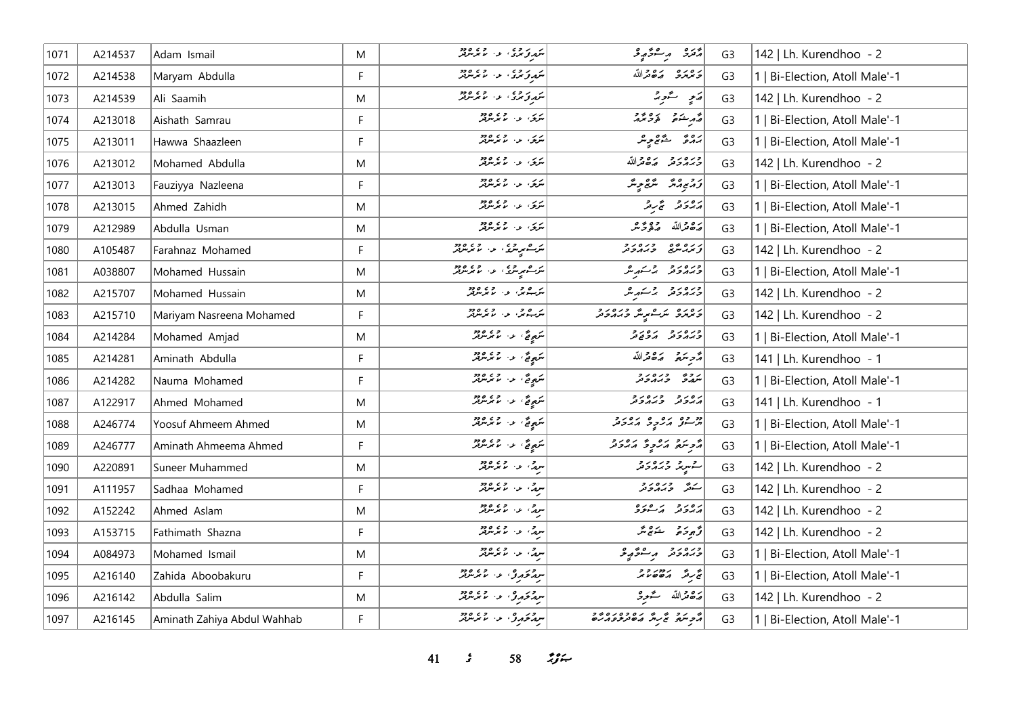| 1071 | A214537 | Adam Ismail                 | M  | شهرتوسی، او، اس سرسرتر                                            | د ده د سر د د د د                    | G <sub>3</sub> | 142   Lh. Kurendhoo - 2        |
|------|---------|-----------------------------|----|-------------------------------------------------------------------|--------------------------------------|----------------|--------------------------------|
| 1072 | A214538 | Maryam Abdulla              | F  | شروی د با ده ده                                                   | دوره رودالله                         | G <sub>3</sub> | 1   Bi-Election, Atoll Male'-1 |
| 1073 | A214539 | Ali Saamih                  | M  | شروی و اوه ده                                                     | رَمِ سَمْحِيدٌ                       | G <sub>3</sub> | 142   Lh. Kurendhoo - 2        |
| 1074 | A213018 | Aishath Samrau              | F  | پرس میں مرید دو                                                   | أشهر شنعى فوجهه                      | G <sub>3</sub> | 1   Bi-Election, Atoll Male'-1 |
| 1075 | A213011 | Hawwa Shaazleen             | F  | پری) او او دورو                                                   | پروژ شوچ پر                          | G <sub>3</sub> | 1   Bi-Election, Atoll Male'-1 |
| 1076 | A213012 | Mohamed Abdulla             | M  | سرکی، او، اما موسوفر                                              | وره رو ده والله                      | G <sub>3</sub> | 142   Lh. Kurendhoo - 2        |
| 1077 | A213013 | Fauziyya Nazleena           | F  | ىرى بەر دەھ                                                       | زۇيورۇ ئىق پەئىر                     | G <sub>3</sub> | 1   Bi-Election, Atoll Male'-1 |
| 1078 | A213015 | Ahmed Zahidh                | M  | سربی، او، او دو                                                   | پرور و گردگر                         | G <sub>3</sub> | 1   Bi-Election, Atoll Male'-1 |
| 1079 | A212989 | Abdulla Usman               | M  | پرس میں مرید دو                                                   | أرَدْ وَتَرَاللّهُ مَنْ وَتَحْتَمْرَ | G <sub>3</sub> | 1   Bi-Election, Atoll Male'-1 |
| 1080 | A105487 | Farahnaz Mohamed            | F  | لىر ھېر برى ، بىر ، مەدەبىر<br>  ئىر سىر بىرى ، بىر ، ئىر بىر بىر | دروچو ورورو                          | G <sub>3</sub> | 142   Lh. Kurendhoo - 2        |
| 1081 | A038807 | Mohamed Hussain             | M  | مرت مر مری او داده و در در در در م                                | ورەرو وسىمبەش                        | G <sub>3</sub> | 1   Bi-Election, Atoll Male'-1 |
| 1082 | A215707 | Mohamed Hussain             | M  | پر پای ور در این مورد                                             | ورەرو وسكهرش                         | G <sub>3</sub> | 142   Lh. Kurendhoo - 2        |
| 1083 | A215710 | Mariyam Nasreena Mohamed    | F  | ئىز يەمىي مەرەپ ئەرەپىر                                           | د ۱۵ د ۵ مرت مرگ و د ۱۵ د و          | G <sub>3</sub> | 142   Lh. Kurendhoo - 2        |
| 1084 | A214284 | Mohamed Amjad               | M  | سَهِيعٌ، عن الانترنترنتر                                          | כנסנכ נסנכ                           | G <sub>3</sub> | 1   Bi-Election, Atoll Male'-1 |
| 1085 | A214281 | Aminath Abdulla             | F  | <br> سَعِيقٌ، عن عام معرض                                         | مُرْحِبَتِهِ صَصْغَراللّه            | G <sub>3</sub> | 141   Lh. Kurendhoo - 1        |
| 1086 | A214282 | Nauma Mohamed               | F  | سَمِهِ نَمٌ ، ع- س س مرسر بر                                      | شرور وره دو                          | G <sub>3</sub> | 1   Bi-Election, Atoll Male'-1 |
| 1087 | A122917 | Ahmed Mohamed               | M  | سَهِيعٌ، عن المعرض                                                | גפגב בגםגב<br>גגבע בגגבע             | G <sub>3</sub> | 141   Lh. Kurendhoo - 1        |
| 1088 | A246774 | Yoosuf Ahmeem Ahmed         | M  | سَعِيقٌ عن المحمد الرحمن                                          | در ده برو و برور د                   | G <sub>3</sub> | 1   Bi-Election, Atoll Male'-1 |
| 1089 | A246777 | Aminath Ahmeema Ahmed       | F  | سَمِيعٌ، عن عمر سربر                                              | أأتوسع أروح أرورو                    | G <sub>3</sub> | 1   Bi-Election, Atoll Male'-1 |
| 1090 | A220891 | Suneer Muhammed             | M  | اسرچي او د موسود                                                  | سمبریز وبرورو                        | G <sub>3</sub> | 142   Lh. Kurendhoo - 2        |
| 1091 | A111957 | Sadhaa Mohamed              | F  | سرچ، او، اما توره دو                                              | سکو وره د و                          | G <sub>3</sub> | 142   Lh. Kurendhoo - 2        |
| 1092 | A152242 | Ahmed Aslam                 | M  | سرچ، ب- سمبرس                                                     | پرورو پرے پرو                        | G <sub>3</sub> | 142   Lh. Kurendhoo - 2        |
| 1093 | A153715 | Fathimath Shazna            | F  | سرچ، او، اس موسوچو                                                | توجو حكومتر                          | G <sub>3</sub> | 142   Lh. Kurendhoo - 2        |
| 1094 | A084973 | Mohamed Ismail              | M  | سرچين در هم شور در                                                | دره در در مورو                       | G <sub>3</sub> | 1   Bi-Election, Atoll Male'-1 |
| 1095 | A216140 | Zahida Aboobakuru           | F  | سرچمری دا میکردند                                                 | محر محمد و د<br>  محر محمد محمد محمد | G <sub>3</sub> | 1   Bi-Election, Atoll Male'-1 |
| 1096 | A216142 | Abdulla Salim               | M  | سرچمری د معرسه                                                    | أرجح فدالله كستحبر                   | G <sub>3</sub> | 142   Lh. Kurendhoo - 2        |
| 1097 | A216145 | Aminath Zahiya Abdul Wahhab | F. | سرچمری، دار عمر مرتبر                                             |                                      | G <sub>3</sub> | 1   Bi-Election, Atoll Male'-1 |

*41 s* 58 *i*<sub>S</sub><sup>2</sup>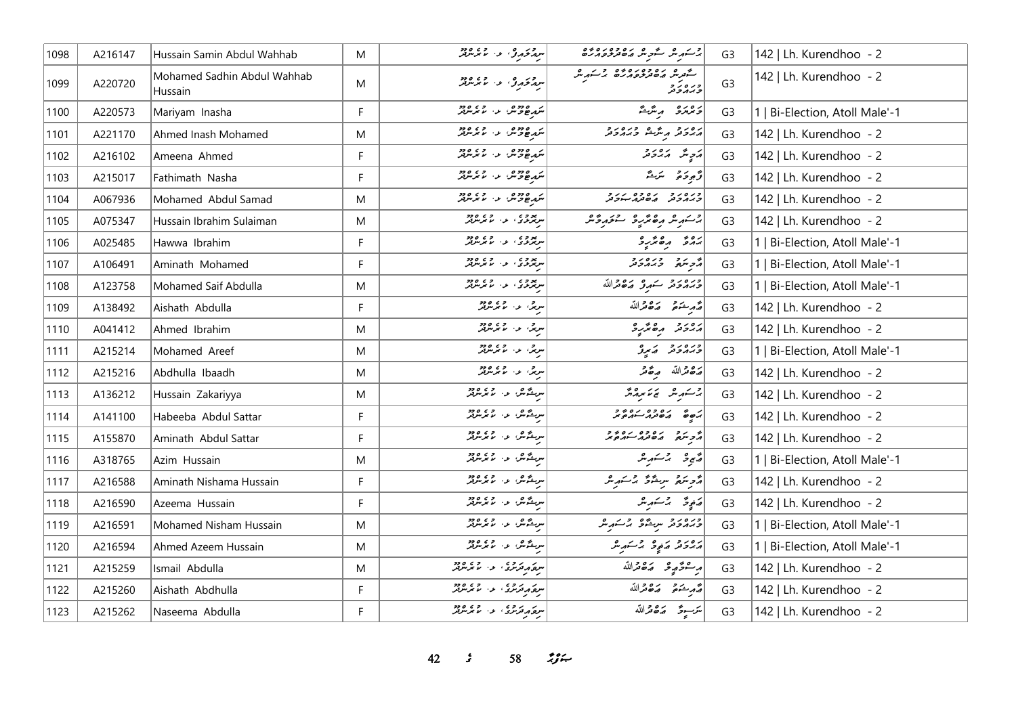| 1098 | A216147 | Hussain Samin Abdul Wahhab             | M           | سرم ځوړوم، د ، ماغه شومر                                                                           | ا د کرد مگر شور مره ده دره ده<br>مسکور مگر مگر می مورد در م                    | G <sub>3</sub> | 142   Lh. Kurendhoo - 2        |
|------|---------|----------------------------------------|-------------|----------------------------------------------------------------------------------------------------|--------------------------------------------------------------------------------|----------------|--------------------------------|
| 1099 | A220720 | Mohamed Sadhin Abdul Wahhab<br>Hussain | M           | سر محمد و، العمل العمر العمل العمل العمل العمل العمل العمل العمل العمل العمل العمل العمل العمل الع | ) محمد ه روه د وروه و مسهوره<br>د ه روه محمد د وروه الله مسهوره<br>(د بر د د د | G <sub>3</sub> | 142   Lh. Kurendhoo - 2        |
| 1100 | A220573 | Mariyam Inasha                         | F           | شهر ۱۶۵۵ و. ۲۶۵۵ و.                                                                                | دەرە بەشق                                                                      | G <sub>3</sub> | 1   Bi-Election, Atoll Male'-1 |
| 1101 | A221170 | Ahmed Inash Mohamed                    | M           | مردوده و و و و و و                                                                                 | رەر د پرسگ درەر د                                                              | G <sub>3</sub> | 142   Lh. Kurendhoo - 2        |
| 1102 | A216102 | Ameena Ahmed                           | F.          | شهر ۱۵ ورو ۱۵ ورو                                                                                  | پر چاپر پر پر چاپر چاپ                                                         | G <sub>3</sub> | 142   Lh. Kurendhoo - 2        |
| 1103 | A215017 | Fathimath Nasha                        | E           | شهر ۱۵ ورو ۱۵ ورو                                                                                  | توجوجو سكر يمي                                                                 | G <sub>3</sub> | 142   Lh. Kurendhoo - 2        |
| 1104 | A067936 | Mohamed Abdul Samad                    | M           |                                                                                                    | כנסני נסיכם נניב<br>כמגבת השתג-יכת                                             | G <sub>3</sub> | 142   Lh. Kurendhoo - 2        |
| 1105 | A075347 | Hussain Ibrahim Sulaiman               | M           | سرچری در وره وو.<br>سرچری در ماجرس                                                                 | إرمشر شروع والمعتبرة والمحافر                                                  | G <sub>3</sub> | 142   Lh. Kurendhoo - 2        |
| 1106 | A025485 | Hawwa Ibrahim                          | F.          | سرپوری در دی ور<br>سرپوری در مایوسرپور                                                             | بروی مرکار د                                                                   | G <sub>3</sub> | 1   Bi-Election, Atoll Male'-1 |
| 1107 | A106491 | Aminath Mohamed                        | F.          | سرچری در همه مرس                                                                                   | د بره د دره د د                                                                | G <sub>3</sub> | 1   Bi-Election, Atoll Male'-1 |
| 1108 | A123758 | Mohamed Saif Abdulla                   | M           | پروه د د وه وو                                                                                     | وبروبرو كورو وكافرالله                                                         | G <sub>3</sub> | 1   Bi-Election, Atoll Male'-1 |
| 1109 | A138492 | Aishath Abdulla                        | F           | سرچي او د موسوچي                                                                                   | أصمر يحتمر صاصر الله                                                           | G <sub>3</sub> | 142   Lh. Kurendhoo - 2        |
| 1110 | A041412 | Ahmed Ibrahim                          | M           | سرچی، عہاد موجود م                                                                                 | أمهوم مقترع                                                                    | G <sub>3</sub> | 142   Lh. Kurendhoo - 2        |
| 1111 | A215214 | Mohamed Areef                          | M           | سربل، عن الممرس                                                                                    | ورور و پرو                                                                     | G <sub>3</sub> | 1   Bi-Election, Atoll Male'-1 |
| 1112 | A215216 | Abdhulla Ibaadh                        | M           | سرچی او در ۱۳۵۵                                                                                    | أضفض الله صفص                                                                  | G <sub>3</sub> | 142   Lh. Kurendhoo - 2        |
| 1113 | A136212 | Hussain Zakariyya                      | M           | سرىشەش بەر مەردىق                                                                                  | برسكر محاسم المحمد                                                             | G <sub>3</sub> | 142   Lh. Kurendhoo - 2        |
| 1114 | A141100 | Habeeba Abdul Sattar                   | F.          | سرىشەش بەر مەردىق                                                                                  | 2201 0201 601                                                                  | G <sub>3</sub> | 142   Lh. Kurendhoo - 2        |
| 1115 | A155870 | Aminath Abdul Sattar                   | F.          | س شگهان او در ۱۳۵۴                                                                                 | انج رو ره ده ره دو                                                             | G <sub>3</sub> | 142   Lh. Kurendhoo - 2        |
| 1116 | A318765 | Azim Hussain                           | M           | س شگهان او در ۱۳۵۴                                                                                 | دينج د مشتمر مثر                                                               | G <sub>3</sub> | 1   Bi-Election, Atoll Male'-1 |
| 1117 | A216588 | Aminath Nishama Hussain                | F           | س شگهان او در ۱۳۵۵                                                                                 | أأتر منع سيشوش برسكريش                                                         | G <sub>3</sub> | 142   Lh. Kurendhoo - 2        |
| 1118 | A216590 | Azeema Hussain                         | F.          | سرىدىكەن ئەس كەرلىرىدىكە                                                                           | مَنْجِعٌ بِرْسَوِيعٌ                                                           | G <sub>3</sub> | 142   Lh. Kurendhoo - 2        |
| 1119 | A216591 | Mohamed Nisham Hussain                 | M           | سرینگانگان اور ماکرسرفر                                                                            | ورەر د سرشگو برسكر س                                                           | G <sub>3</sub> | 1   Bi-Election, Atoll Male'-1 |
| 1120 | A216594 | Ahmed Azeem Hussain                    | M           | سربىشىش ئەس ئەس ئۆزلەر                                                                             | روبر و در و بر شهر ش                                                           | G <sub>3</sub> | 1   Bi-Election, Atoll Male'-1 |
| 1121 | A215259 | Ismail Abdulla                         | M           | سمع د قرمری الله الله موسوفر                                                                       | أبر مصرفيو حدده قدالله                                                         | G <sub>3</sub> | 142   Lh. Kurendhoo - 2        |
| 1122 | A215260 | Aishath Abdhulla                       | F           | سر دروی<br>سره پرترس و ماسرس                                                                       | أصمر شؤون وكالله                                                               | G <sub>3</sub> | 142   Lh. Kurendhoo - 2        |
| 1123 | A215262 | Naseema Abdulla                        | $\mathsf F$ | سره در وی در وی درو                                                                                | تترسوق ضقاقدالله                                                               | G <sub>3</sub> | 142   Lh. Kurendhoo - 2        |

*42 s* 58 *<i>n*<sub>3</sub> *s*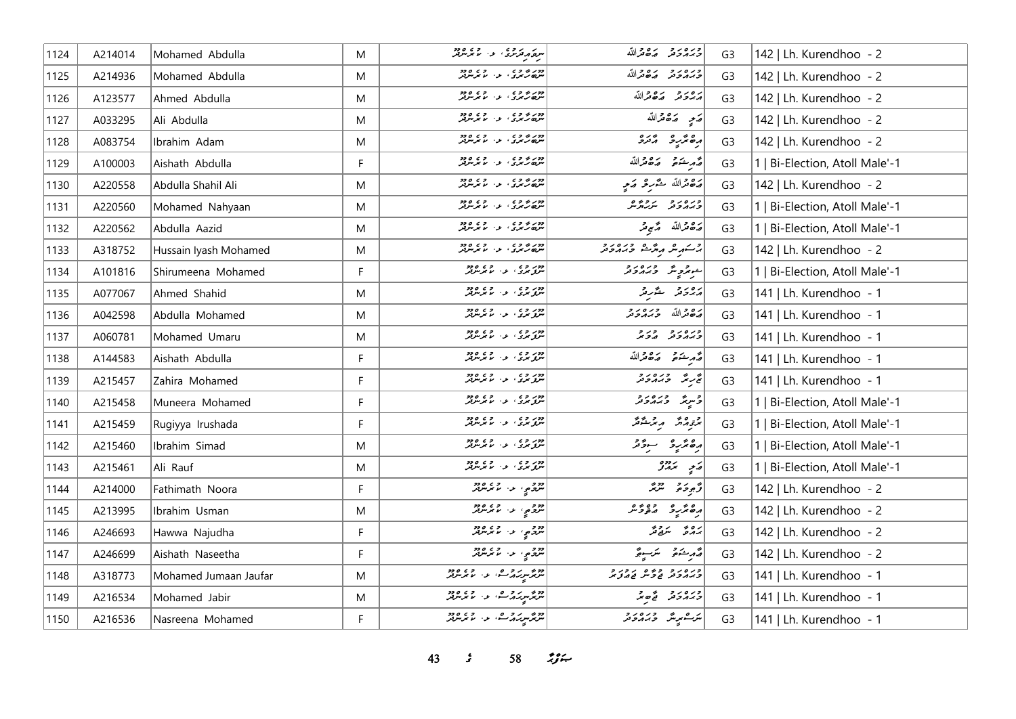| 1124 | A214014 | Mohamed Abdulla       | M | سره دره در ده دره دره<br>سره در مرد در سر سر سر در       | وره رو ده دالله                     | G <sub>3</sub> | 142   Lh. Kurendhoo - 2        |
|------|---------|-----------------------|---|----------------------------------------------------------|-------------------------------------|----------------|--------------------------------|
| 1125 | A214936 | Mohamed Abdulla       | M | دور بر و ع<br>سره رسمری او از ما مرسوبگر                 | وره رو ده دالله                     | G <sub>3</sub> | 142   Lh. Kurendhoo - 2        |
| 1126 | A123577 | Ahmed Abdulla         | M | دور بر و د .<br>سرچار بری او . اما برسربر                | برورد بردولله                       | G <sub>3</sub> | 142   Lh. Kurendhoo - 2        |
| 1127 | A033295 | Ali Abdulla           | M | دور د و د .<br>سره رسمای او . اما مرسولتر                | رَجِ رَصْحْرَاللّه                  | G <sub>3</sub> | 142   Lh. Kurendhoo - 2        |
| 1128 | A083754 | Ibrahim Adam          | M | دور د د د د د د د د د<br>سره رسري د سر سر سر             | دە ئەر ئەرە                         | G <sub>3</sub> | 142   Lh. Kurendhoo - 2        |
| 1129 | A100003 | Aishath Abdulla       | F | دور بر و د .<br>سرچار بری او . اما برسربر                | أَصَّرِ شَهْءَ صَدَّقَتْدَاللَّهُ   | G <sub>3</sub> | 1   Bi-Election, Atoll Male'-1 |
| 1130 | A220558 | Abdulla Shahil Ali    | M | دور بر و ع<br>سره رسمری او از ما مرسوبگر                 | رَصْحْراللّه حَدَّرِ حَرْمٍ ﴾ [     | G <sub>3</sub> | 142   Lh. Kurendhoo - 2        |
| 1131 | A220560 | Mohamed Nahyaan       | M | دور و و ع<br>سره گرس د در سر سر سر تر                    | ورەرو پروۋە                         | G <sub>3</sub> | 1   Bi-Election, Atoll Male'-1 |
| 1132 | A220562 | Abdulla Aazid         | M | دور و و د د د د د د د د<br>  سره رسمای از از ماسرس       | مَدْ هُ مَدْ اللّه لَهُ مَنْ مِرْ   | G <sub>3</sub> | 1   Bi-Election, Atoll Male'-1 |
| 1133 | A318752 | Hussain Iyash Mohamed | M | دور و و ع<br>سره رسمری او از اما مرسولگر                 | در مر مرکز در در در د               | G <sub>3</sub> | 142   Lh. Kurendhoo - 2        |
| 1134 | A101816 | Shirumeena Mohamed    | F | دور و د .<br>  سرق بری . د . ما برسرتر                   | جوهري ورودور                        | G <sub>3</sub> | 1   Bi-Election, Atoll Male'-1 |
| 1135 | A077067 | Ahmed Shahid          | M | دور و د د د و د د ود<br>سرو بری او از ما بگرسرفتر        | پرونز څېرنز                         | G <sub>3</sub> | 141   Lh. Kurendhoo - 1        |
| 1136 | A042598 | Abdulla Mohamed       | M | دور و ، .<br>سرو بری ، ب ، با بگرسرفر                    | أرەقراللە دىرەرد                    | G <sub>3</sub> | 141   Lh. Kurendhoo - 1        |
| 1137 | A060781 | Mohamed Umaru         | M | دور و ، .<br>سرو بری ، ب ، ما بگرسرفر                    | כנסנכ כנכ                           | G <sub>3</sub> | 141   Lh. Kurendhoo - 1        |
| 1138 | A144583 | Aishath Abdulla       | F | دور و د .<br>  سرو بری . ب . با برسربر                   | أشربت مكافرالله                     | G <sub>3</sub> | 141   Lh. Kurendhoo - 1        |
| 1139 | A215457 | Zahira Mohamed        | F | وور و د د د د د د د د د<br>سرو بری او از ما برسرفر       | پی کره دره در د                     | G <sub>3</sub> | 141   Lh. Kurendhoo - 1        |
| 1140 | A215458 | Muneera Mohamed       | F | دور و د د د و د د ود<br>سرو بری او از ما بگرسرفتر        | د پرچگ در در د                      | G <sub>3</sub> | 1   Bi-Election, Atoll Male'-1 |
| 1141 | A215459 | Rugiyya Irushada      | F | دور و د د د د د د د د د<br>سرو بری د سر بر سرفر          | ترتومه محمد مرضوضة                  | G <sub>3</sub> | 1   Bi-Election, Atoll Male'-1 |
| 1142 | A215460 | Ibrahim Simad         | M | دور و د د د و د و د و د<br>سرو بری او از ما برسرفر       | أرەنزىر ئىستى                       | G <sub>3</sub> | 1   Bi-Election, Atoll Male'-1 |
| 1143 | A215461 | Ali Rauf              | M | دور و ، .<br>سرو بری ، ب ، با بگرسرفر                    | پر پر دوه                           | G <sub>3</sub> | 1   Bi-Election, Atoll Male'-1 |
| 1144 | A214000 | Fathimath Noora       | F | מכ <sub>פ</sub> י עי מתות                                | د مجموعه مسترنگر                    | G <sub>3</sub> | 142   Lh. Kurendhoo - 2        |
| 1145 | A213995 | Ibrahim Usman         | M | מכ <sub>פ</sub> י עי מתות                                | مصريرة متوقس                        | G <sub>3</sub> | 142   Lh. Kurendhoo - 2        |
| 1146 | A246693 | Hawwa Najudha         | F | 220 و، ع- 2000<br>  سرچ یې ع- ما مرسرفر                  | برە ئەستى قر                        | G <sub>3</sub> | 142   Lh. Kurendhoo - 2        |
| 1147 | A246699 | Aishath Naseetha      | F | دو د په د ده وو.<br>سرچي د لاسر سرچ                      | قەرىشكە قىسىر ئىسىر قى              | G <sub>3</sub> | 142   Lh. Kurendhoo - 2        |
| 1148 | A318773 | Mohamed Jumaan Jaufar | M |                                                          | دره رد دوه ردرد<br>درمان فارس فامان | G <sub>3</sub> | 141   Lh. Kurendhoo - 1        |
| 1149 | A216534 | Mohamed Jabir         | M | انزیگر سر برابر در ۱۵۵۵<br>انگریگر سر برابر در سایر سربر | ورور و قدم                          | G <sub>3</sub> | 141   Lh. Kurendhoo - 1        |
| 1150 | A216536 | Nasreena Mohamed      | F | دو میر در ده .<br>مربو میر در است از مامورس              | يرك يريد من در مرد                  | G <sub>3</sub> | 141   Lh. Kurendhoo - 1        |

*43 s* 58 *<i>z*<sub>3</sub> *i*</sup>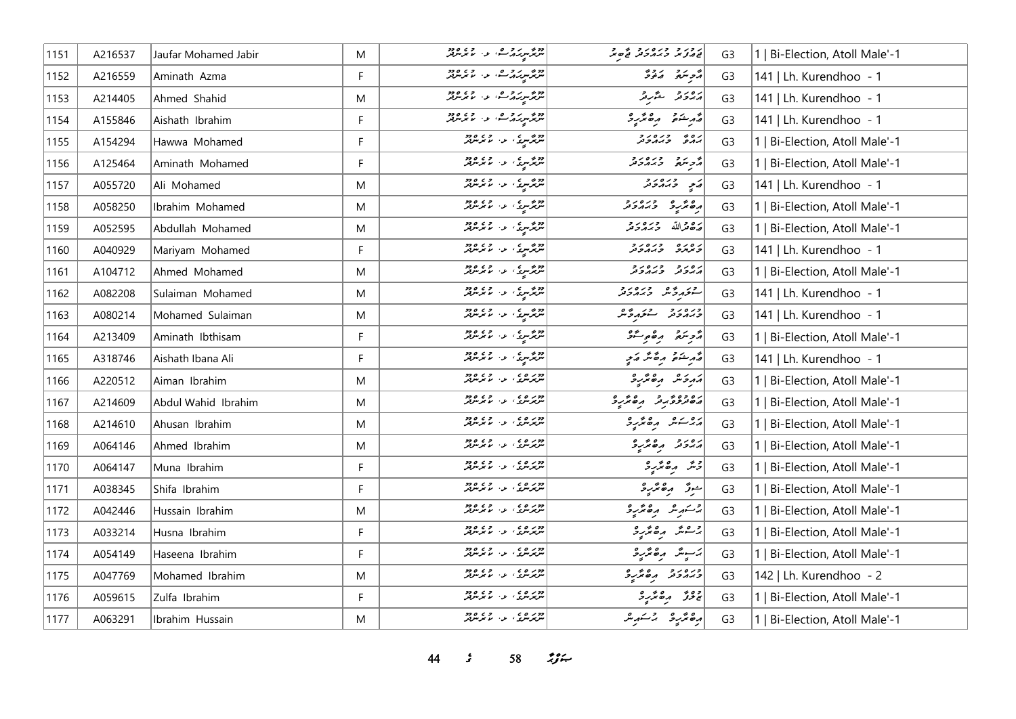| 1151    | A216537 | Jaufar Mohamed Jabir | M  | مر پر سر بر در در ۲۶۵ ورد                                                                    | בגיג כנסיג ביסיל                    | G <sub>3</sub> | 1   Bi-Election, Atoll Male'-1 |
|---------|---------|----------------------|----|----------------------------------------------------------------------------------------------|-------------------------------------|----------------|--------------------------------|
| 1152    | A216559 | Aminath Azma         | F  |                                                                                              | أمحر يتمر والمحوث                   | G <sub>3</sub> | 141   Lh. Kurendhoo - 1        |
| 1153    | A214405 | Ahmed Shahid         | M  | دوم سروره الاس والم دوم<br>  سربر سرس الله المسلم سربر                                       | برەر دىگروگە                        | G <sub>3</sub> | 141   Lh. Kurendhoo - 1        |
| 1154    | A155846 | Aishath Ibrahim      | F  | ا میر میگردید که به این در ۱۵ در در ۱۹۶۵ میلی برد.<br>مستقر برابرد که این ساله بر سربرد کرد. | أقرم شوقو المره مركب و              | G <sub>3</sub> | 141   Lh. Kurendhoo - 1        |
| 1155    | A154294 | Hawwa Mohamed        | F  | دوره ده در ورود ود                                                                           | ره دره دور<br>بروژ وبروتر           | G <sub>3</sub> | 1   Bi-Election, Atoll Male'-1 |
| 1156    | A125464 | Aminath Mohamed      | F  | دوم سری اوراد دوم<br>  سربرسری اوراد مربوبل                                                  | أثر مرد ورەرد                       | G <sub>3</sub> | 1   Bi-Election, Atoll Male'-1 |
| $ 1157$ | A055720 | Ali Mohamed          | M  | شرمرسری، عن مذہبر مریز                                                                       | په ده د د د                         | G <sub>3</sub> | 141   Lh. Kurendhoo - 1        |
| 1158    | A058250 | Ibrahim Mohamed      | M  | مریز سری، در، ۱۳۶۵ ور                                                                        | ده عربر درورد<br>اره عربر د برورد   | G <sub>3</sub> | 1   Bi-Election, Atoll Male'-1 |
| 1159    | A052595 | Abdullah Mohamed     | M  | دو د سر د ۱۵ ورود<br>  سربر سر د ۱۵ سرسرفر                                                   | رەۋاللە دىرەرد                      | G <sub>3</sub> | 1   Bi-Election, Atoll Male'-1 |
| 1160    | A040929 | Mariyam Mohamed      | F  | دوم <sub>مو</sub> رځ ، د الامریزیز                                                           | נפנס כנסנכ                          | G <sub>3</sub> | 141   Lh. Kurendhoo - 1        |
| 1161    | A104712 | Ahmed Mohamed        | M  | دوم سری اوراد دوم<br>  سربرسری اوراد مربوبل                                                  | גפני כגמביב                         | G <sub>3</sub> | 1   Bi-Election, Atoll Male'-1 |
| 1162    | A082208 | Sulaiman Mohamed     | M  | دوم سری د اور ده<br>سرچرس د اسر سرچر                                                         | متوروم ورەرو                        | G <sub>3</sub> | 141   Lh. Kurendhoo - 1        |
| 1163    | A080214 | Mohamed Sulaiman     | M  | دوم درم ده ۱۶۵٬۰۶۰ مخ                                                                        | ورەرو ئىقرىرگە                      | G <sub>3</sub> | 141   Lh. Kurendhoo - 1        |
| 1164    | A213409 | Aminath Ibthisam     | F  | اندې سري د <i>لا</i> مرس                                                                     | أترجئني مقويتك                      | G <sub>3</sub> | 1   Bi-Election, Atoll Male'-1 |
| 1165    | A318746 | Aishath Ibana Ali    | F. | ا دور در در در دور<br>مسرد در سایر سرد در سرد در ا                                           | فمرشوقه وقاشر وكمع                  | G <sub>3</sub> | 141   Lh. Kurendhoo - 1        |
| 1166    | A220512 | Aiman Ibrahim        | M  | دوره ، د وه دود                                                                              | مَهْرِ حَسَّرٍ مِنْ مِنْ حَمَّدٍ حَ | G <sub>3</sub> | 1   Bi-Election, Atoll Male'-1 |
| 1167    | A214609 | Abdul Wahid Ibrahim  | M  | دور و ، ، د ، و ، و دو<br>  سربرس ، او ، اما مرس                                             | رەدە بروشرە ئەر                     | G <sub>3</sub> | 1   Bi-Election, Atoll Male'-1 |
| 1168    | A214610 | Ahusan Ibrahim       | M  | دور و ، ، د ، و ، و دو                                                                       | أروب مده بمراجع                     | G <sub>3</sub> | 1   Bi-Election, Atoll Male'-1 |
| 1169    | A064146 | Ahmed Ibrahim        | M  | دوره ده در ورود.<br>سرپرسری او اما برسربر                                                    | ړ ور ده پر پر د                     | G <sub>3</sub> | 1   Bi-Election, Atoll Male'-1 |
| 1170    | A064147 | Muna Ibrahim         | F  | دوره ده در ورود.<br>سرپرسری او اما مرس                                                       | دْنَرْ رەڭرىرد                      | G <sub>3</sub> | 1   Bi-Election, Atoll Male'-1 |
| 1171    | A038345 | Shifa Ibrahim        | F  | دور ۵ م و ۵ و ۵۶<br>سرپرسری او از ما پوسربر                                                  | شوژ رەڭرىر                          | G <sub>3</sub> | 1   Bi-Election, Atoll Male'-1 |
| 1172    | A042446 | Hussain Ibrahim      | M  | ا دوبر و د د د د و د و د و                                                                   | برسكريش وكالجريرة                   | G <sub>3</sub> | 1   Bi-Election, Atoll Male'-1 |
| 1173    | A033214 | Husna Ibrahim        | F  | دوره در در در دود.<br>سرپرسري او اما مرس                                                     | برحشر رەئزىر                        | G <sub>3</sub> | 1   Bi-Election, Atoll Male'-1 |
| 1174    | A054149 | Haseena Ibrahim      | F  | دوره در در در دود.<br>سرپرسري او اما مرس                                                     | ىزىيەش مەھەرد                       | G <sub>3</sub> | 1   Bi-Election, Atoll Male'-1 |
| 1175    | A047769 | Mohamed Ibrahim      | M  | دوره در در در دود.<br>سرپرسري او اما مرس                                                     | כמחכת תפתיכ                         | G <sub>3</sub> | 142   Lh. Kurendhoo - 2        |
| 1176    | A059615 | Zulfa Ibrahim        | F  | دور ۵ و ۵ و ۵ و وو<br>سرپرسري او از مرسربر                                                   | ج دَرٌ , مِ مَرْرِ د                | G <sub>3</sub> | 1   Bi-Election, Atoll Male'-1 |
| 1177    | A063291 | Ibrahim Hussain      | M  | دوره ده در و در ود.<br>سرپرسری او از مرسرتر                                                  | أرە ئرىرو برىسىر                    | G <sub>3</sub> | 1   Bi-Election, Atoll Male'-1 |

*sC 58 nNw?mS*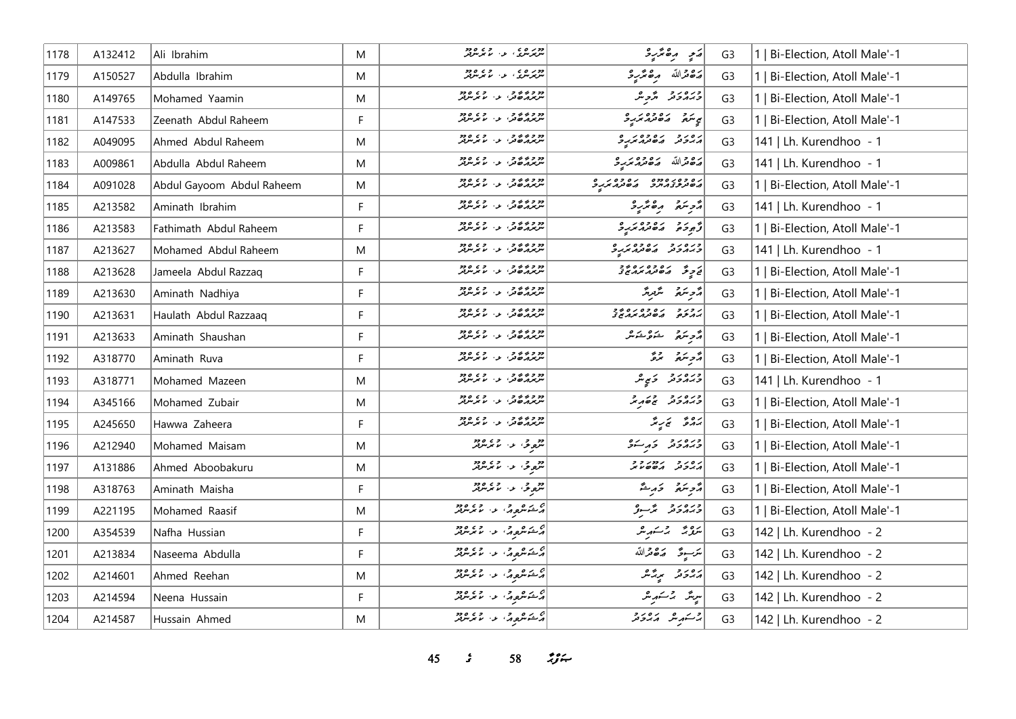| 1178 | A132412 | Ali Ibrahim               | M  | دور ۵ و ۵ و ۵ و وو<br>سرپرسري او از مربترلر                                                                                                                                                                                     | ړنې ره ټرکې                                      | G <sub>3</sub> | Bi-Election, Atoll Male'-1     |
|------|---------|---------------------------|----|---------------------------------------------------------------------------------------------------------------------------------------------------------------------------------------------------------------------------------|--------------------------------------------------|----------------|--------------------------------|
| 1179 | A150527 | Abdulla Ibrahim           | M  | دوره در در در دود.<br>سرپرسری او اما مرس                                                                                                                                                                                        | رَصْعَهْ اللّهُ مِنْ مِنْ رَحْبِهِ وَ            | G <sub>3</sub> | Bi-Election, Atoll Male'-1     |
| 1180 | A149765 | Mohamed Yaamin            | M  | دو و به و.<br>سربر پر ځور او د سرس                                                                                                                                                                                              | ورەرو گەچىگ                                      | G <sub>3</sub> | Bi-Election, Atoll Male'-1     |
| 1181 | A147533 | Zeenath Abdul Raheem      | F  | دو و به و د<br>سربر ۸٫۵ تن او او برسربر                                                                                                                                                                                         | س د و دره وه در و                                | G <sub>3</sub> | 1   Bi-Election, Atoll Male'-1 |
| 1182 | A049095 | Ahmed Abdul Raheem        | M  | دو و د د و .<br>سربر پر ه تر با بر سربر                                                                                                                                                                                         | رور د دووه د و                                   | G <sub>3</sub> | 141   Lh. Kurendhoo - 1        |
| 1183 | A009861 | Abdulla Abdul Raheem      | M  | מכביב כ<br>ייתוא הסברי עי מיא ייתוא                                                                                                                                                                                             | رە داللە ھەممەر دە                               | G <sub>3</sub> | 141   Lh. Kurendhoo - 1        |
| 1184 | A091028 | Abdul Gayoom Abdul Raheem | M  | מ כי י כי י ה כי הי<br>ייתיאה שיתו - י ה ה ייתה                                                                                                                                                                                 | גם כסגס מס גם כסגם<br>השינות באיות השינות הגיל   | G <sub>3</sub> | 1   Bi-Election, Atoll Male'-1 |
| 1185 | A213582 | Aminath Ibrahim           | F. | מ כלל כי ערי פי סמי                                                                                                                                                                                                             | أأزجنتم وهنزيرد                                  | G <sub>3</sub> | 141   Lh. Kurendhoo - 1        |
| 1186 | A213583 | Fathimath Abdul Raheem    | F  | ۶۶۵ م و د د د د د د د د د د                                                                                                                                                                                                     | أقروح ومعدومره                                   | G <sub>3</sub> | 1   Bi-Election, Atoll Male'-1 |
| 1187 | A213627 | Mohamed Abdul Raheem      | M  | מכללכ<br>ייתואו סבי עי עיתואו                                                                                                                                                                                                   | ورور د دووه د و                                  | G <sub>3</sub> | 141   Lh. Kurendhoo - 1        |
| 1188 | A213628 | Jameela Abdul Razzaq      | F. |                                                                                                                                                                                                                                 | <br>  نے چار میں مقدم محمد میں تح                | G <sub>3</sub> | 1   Bi-Election, Atoll Male'-1 |
| 1189 | A213630 | Aminath Nadhiya           | F. | מכללכ<br>ייתואו סבי עי עיתואו                                                                                                                                                                                                   | مَّحْرِ سَمَّعْ سَنَّبِرِ مَّنْ                  | G <sub>3</sub> | Bi-Election, Atoll Male'-1     |
| 1190 | A213631 | Haulath Abdul Razzaaq     | F  | دو و د د و و و و و و و و<br>سربر پر هاندار د از اما مرسرتر                                                                                                                                                                      | ג כג כ גם כם גם בב<br>גרגים השינו <i>ר יצר</i> ש | G <sub>3</sub> | 1   Bi-Election, Atoll Male'-1 |
| 1191 | A213633 | Aminath Shaushan          | F. | دو و به و.<br>سربر پر ځور او د سرس                                                                                                                                                                                              | أأرض المتوافق المحمد المستراتين                  | G <sub>3</sub> | 1   Bi-Election, Atoll Male'-1 |
| 1192 | A318770 | Aminath Ruva              | F  | מ כ כ כ כ כ<br>ייקיאו <i>ן ס</i> ב, י כ י מ יקייקה                                                                                                                                                                              | ړې په په لرو                                     | G <sub>3</sub> | 1   Bi-Election, Atoll Male'-1 |
| 1193 | A318771 | Mohamed Mazeen            | M  | دو و به و.<br>سربر پر ځور او د سرس                                                                                                                                                                                              | ورەرو كېرى                                       | G <sub>3</sub> | 141   Lh. Kurendhoo - 1        |
| 1194 | A345166 | Mohamed Zubair            | M  | מכללכ<br>ייתואו סבי עי מיתית                                                                                                                                                                                                    | כנסנכ בנגל                                       | G <sub>3</sub> | 1   Bi-Election, Atoll Male'-1 |
| 1195 | A245650 | Hawwa Zaheera             | F  | מ כי י כי י ה כי הי<br>ייתיאה שיתו - י ה ה ייתה                                                                                                                                                                                 | پروژ پریژ                                        | G <sub>3</sub> | 1   Bi-Election, Atoll Male'-1 |
| 1196 | A212940 | Mohamed Maisam            | M  | دون دار دی دود.<br>  سرچاری دار موسر مرکز                                                                                                                                                                                       | ورەرو دېرىك                                      | G <sub>3</sub> | 1   Bi-Election, Atoll Male'-1 |
| 1197 | A131886 | Ahmed Aboobakuru          | M  | در دي.<br>سره کې او د ماغر سرفر                                                                                                                                                                                                 | גפני נמניין                                      | G <sub>3</sub> | Bi-Election, Atoll Male'-1     |
| 1198 | A318763 | Aminath Maisha            | F. | دوري المستخدم وي ودوا<br>منهجة في المستخدم المستخدم                                                                                                                                                                             | مزجر متعدد المعتبة                               | G <sub>3</sub> | 1   Bi-Election, Atoll Male'-1 |
| 1199 | A221195 | Mohamed Raasif            | M  |                                                                                                                                                                                                                                 | ورەرو ئۆسىۋ                                      | G <sub>3</sub> | 1   Bi-Election, Atoll Male'-1 |
| 1200 | A354539 | Nafha Hussian             | F  | م شکره مرد از ۱۳۶۴ مرکز در ۱۳۶۵ مرکز در ۱۳۶۵ مرکز در ۱۳۶۵ مرکز در ۱۳۶۵ مرکز در ۱۳۶۵ مرکز در ۱۳۶۵ مرکز در ۱۳۶۵<br>مرکز در ۱۳۶۷ مرکز در ۱۳۶۷ مرکز در ۱۳۶۷ مرکز در ۱۳۶۵ مرکز در ۱۳۶۸ مرکز در ۱۳۶۵ مرکز در ۱۳۶۵ مرکز در ۱۳۶۵ مرکز د | بتروثه الرحشهاش                                  | G <sub>3</sub> | 142   Lh. Kurendhoo - 2        |
| 1201 | A213834 | Naseema Abdulla           | F. | م شوهر د.<br>مشتره د سرس                                                                                                                                                                                                        | <del>مَر</del> ىبوتْ   كەھەتراللە                | G <sub>3</sub> | 142   Lh. Kurendhoo - 2        |
| 1202 | A214601 | Ahmed Reehan              | M  |                                                                                                                                                                                                                                 | رەرد پرچم                                        | G <sub>3</sub> | 142   Lh. Kurendhoo - 2        |
| 1203 | A214594 | Neena Hussain             | F  | م شکره مرد از ۱۳۶۴ مرکز در ۱۳۶۵ مرکز در ۱۳۶۵ مرکز در ۱۳۶۵ مرکز در ۱۳۶۵ مرکز در ۱۳۶۵ مرکز در ۱۳۶۵ مرکز در ۱۳۶۵<br>مرکز در ۱۳۶۷ مرکز در ۱۳۶۷ مرکز در ۱۳۶۷ مرکز در ۱۳۶۵ مرکز در ۱۳۶۸ مرکز در ۱۳۶۵ مرکز در ۱۳۶۵ مرکز در ۱۳۶۵ مرکز د | سرینگر الرحمندر میں                              | G <sub>3</sub> | 142   Lh. Kurendhoo - 2        |
| 1204 | A214587 | Hussain Ahmed             | M  | ە ئەھرەرى بەر مەھمەدىن ئاسلام ئايرىلىرىدۇر.<br>مەسىم ئاسلام ئاسلام ئاسلام ئاسلام ئاسلام ئاسلام ئاسلام ئاسلام ئاسلام ئاسلام ئاسلام ئاسلام ئاسلام ئاسلام ئاسلام                                                                   | جر شهر شهر از مرد در حر                          | G <sub>3</sub> | 142   Lh. Kurendhoo - 2        |

*45 s* 58 *<i>z*<sub>3</sub> *i*</sup>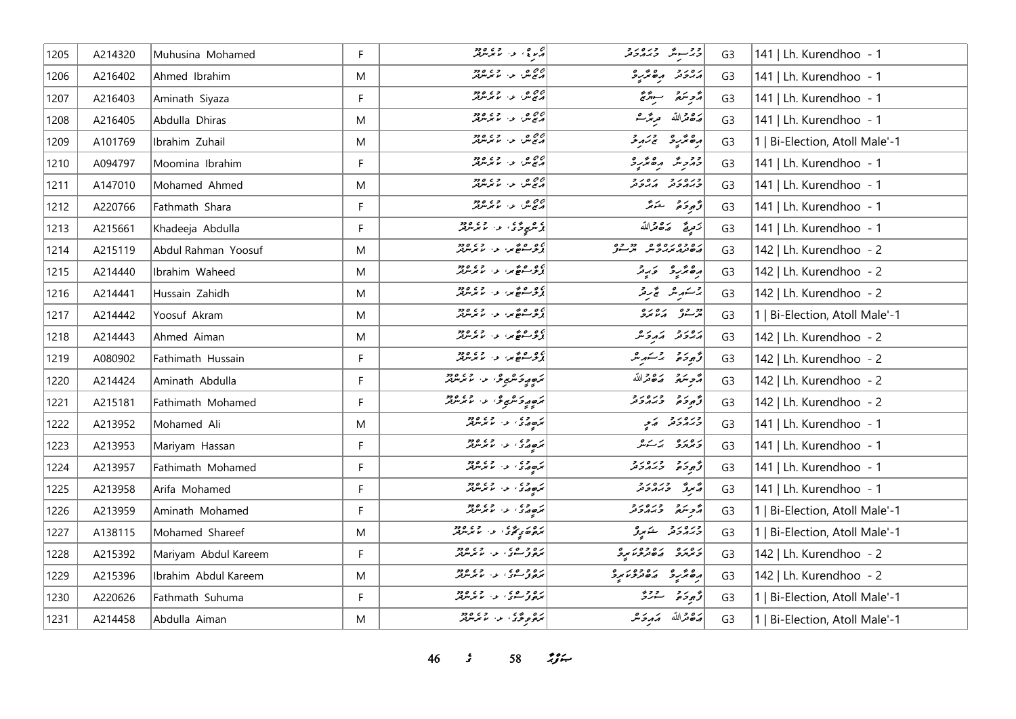| 1205 | A214320 | Muhusina Mohamed     | F           | م دي.<br>د سرچ، د ۱۰ سرسرمبر                                                                                                                                                                                                     | ووسوش ورەرو                     | G <sub>3</sub> | 141   Lh. Kurendhoo - 1        |
|------|---------|----------------------|-------------|----------------------------------------------------------------------------------------------------------------------------------------------------------------------------------------------------------------------------------|---------------------------------|----------------|--------------------------------|
| 1206 | A216402 | Ahmed Ibrahim        | M           | 20 مىلى، مەسىر مەھرىدىن كەن                                                                                                                                                                                                      | גפנים הפיתיים                   | G <sub>3</sub> | 141   Lh. Kurendhoo - 1        |
| 1207 | A216403 | Aminath Siyaza       | F           | 22 مىل، بەر يەرەدە<br>مەنبەت بەر ئىمە ئىرلىرىد                                                                                                                                                                                   | قرجر سوقريح                     | G <sub>3</sub> | 141   Lh. Kurendhoo - 1        |
| 1208 | A216405 | Abdulla Dhiras       | M           | 0.0 مر ما بر مرضور<br>  در ج مر الله مرضور                                                                                                                                                                                       | ح قوالله مرتزعه                 | G <sub>3</sub> | 141   Lh. Kurendhoo - 1        |
| 1209 | A101769 | Ibrahim Zuhail       | M           | 22 مىل، بەر بەرەدە<br>مەنبەت بەر بىر بىر بىرىدىك                                                                                                                                                                                 | رە ئرىر ئى ئەر                  | G <sub>3</sub> | 1   Bi-Election, Atoll Male'-1 |
| 1210 | A094797 | Moomina Ibrahim      | F           | 22 مىل، ئەربەر دەر<br>مەنبەل، ئەربابىر سرىلەر                                                                                                                                                                                    | در دیگر دهگرید                  | G <sub>3</sub> | 141   Lh. Kurendhoo - 1        |
| 1211 | A147010 | Mohamed Ahmed        | M           | 22 مىل، بەر بەر دەرد                                                                                                                                                                                                             | כנסנכ נסנכ<br>כגמכת הגכת        | G <sub>3</sub> | 141   Lh. Kurendhoo - 1        |
| 1212 | A220766 | Fathmath Shara       | F           | 22 مىل، مەسىر مەھ دە                                                                                                                                                                                                             | رُّجِوحَہُ شَہَرُّ              | G <sub>3</sub> | 141   Lh. Kurendhoo - 1        |
| 1213 | A215661 | Khadeeja Abdulla     | F           | ا د هموڅن <sup>.</sup> د لامرس                                                                                                                                                                                                   | تزمريح ضكاة لله                 | G <sub>3</sub> | 141   Lh. Kurendhoo - 1        |
| 1214 | A215119 | Abdul Rahman Yoosuf  | M           | پۇر ھەتتىر، ئەس ئەرەد                                                                                                                                                                                                            | נסכסנסים מכס<br>השנג גיבית תיינ | G <sub>3</sub> | 142   Lh. Kurendhoo - 2        |
| 1215 | A214440 | Ibrahim Waheed       | M           | ، و ه ه عرا د الم بر دود.<br><mark>از ژ</mark> هنگان از الم بر بردار                                                                                                                                                             | رە ئرىر ئىرىر                   | G <sub>3</sub> | 142   Lh. Kurendhoo - 2        |
| 1216 | A214441 | Hussain Zahidh       | M           |                                                                                                                                                                                                                                  | جستهریش پچ ریز                  | G <sub>3</sub> | 142   Lh. Kurendhoo - 2        |
| 1217 | A214442 | Yoosuf Akram         | M           |                                                                                                                                                                                                                                  | دو وه په ده بره ک               | G <sub>3</sub> | 1   Bi-Election, Atoll Male'-1 |
| 1218 | A214443 | Ahmed Aiman          | M           | 2006ء کھی تار میں موجود ہے۔<br>اگر تو سکھی تھے کہ میں میں موجود ہوتی ہے                                                                                                                                                          | أرور ومركبه                     | G <sub>3</sub> | 142   Lh. Kurendhoo - 2        |
| 1219 | A080902 | Fathimath Hussain    | F           | ، و ه ه عرا د الم بر دود.<br><mark>از ژ</mark> هنگان از الم بر بردار                                                                                                                                                             | د پرو پر شهر شر                 | G <sub>3</sub> | 142   Lh. Kurendhoo - 2        |
| 1220 | A214424 | Aminath Abdulla      | F           | ترەم ئەنگىرى، ئەس ئەرىرىد                                                                                                                                                                                                        | أُمُّحِ سَعَةً مَصْغَّدَاللَّهُ | G <sub>3</sub> | 142   Lh. Kurendhoo - 2        |
| 1221 | A215181 | Fathimath Mohamed    | F           | ترەمەد ئىرى بىر ئىش ئىش ئىشلار ئىشلار ئىشلار ئىشلار ئىشلار ئىشلار ئىشلار ئىشلار ئىشلار ئىشلار ئىشلار ئىشلار ئى<br>ئىشلار ئىشلار ئىشلار ئىشلار ئىشلار ئىشلار ئىشلار ئىشلار ئىشلار ئىشلار ئىشلار ئىشلار ئىشلار ئىشلار ئىشلار ئىشلا | و ده دره دره                    | G <sub>3</sub> | 142   Lh. Kurendhoo - 2        |
| 1222 | A213952 | Mohamed Ali          | M           | انمر وي .<br> نمر جه چې ان مانگرس لور                                                                                                                                                                                            | ورەر دىر                        | G <sub>3</sub> | 141   Lh. Kurendhoo - 1        |
| 1223 | A213953 | Mariyam Hassan       | F           | پر ۱۹۵۵ ور ۱۹۵۵ ور م                                                                                                                                                                                                             | دەرە برىك                       | G <sub>3</sub> | 141   Lh. Kurendhoo - 1        |
| 1224 | A213957 | Fathimath Mohamed    | F           | د ده .<br>د ه د د . د سرس                                                                                                                                                                                                        | و ده وره ده                     | G <sub>3</sub> | 141   Lh. Kurendhoo - 1        |
| 1225 | A213958 | Arifa Mohamed        | F           | بمهدى والمعموم                                                                                                                                                                                                                   | په دوره د د                     | G <sub>3</sub> | 141   Lh. Kurendhoo - 1        |
| 1226 | A213959 | Aminath Mohamed      | F           | بر وی در وی ورو                                                                                                                                                                                                                  | أأرو المرور وردور               | G <sub>3</sub> | 1   Bi-Election, Atoll Male'-1 |
| 1227 | A138115 | Mohamed Shareef      | M           | پره ده په په دور ده ده ده د                                                                                                                                                                                                      | ورەرو شەرۇ                      | G <sub>3</sub> | 1   Bi-Election, Atoll Male'-1 |
| 1228 | A215392 | Mariyam Abdul Kareem | $\mathsf F$ | ره د وي، په د دود                                                                                                                                                                                                                | و مره ده ده ده در و             | G <sub>3</sub> | 142   Lh. Kurendhoo - 2        |
| 1229 | A215396 | Ibrahim Abdul Kareem | M           | ره و وې د د وره وو.<br>بروني کې د لابرلن                                                                                                                                                                                         | ده مهره ده دور و                | G <sub>3</sub> | 142   Lh. Kurendhoo - 2        |
| 1230 | A220626 | Fathmath Suhuma      | F           | ره و ه ه ،<br>بروژ سو، ب الابر نزیر                                                                                                                                                                                              | و و دو دو د                     | G <sub>3</sub> | 1   Bi-Election, Atoll Male'-1 |
| 1231 | A214458 | Abdulla Aiman        | M           | ره دی .<br>برخوم ترکی . لا بر بر برتر                                                                                                                                                                                            | أضفض الله متصرح مثر             | G <sub>3</sub> | 1   Bi-Election, Atoll Male'-1 |

*sC 58 nNw?mS*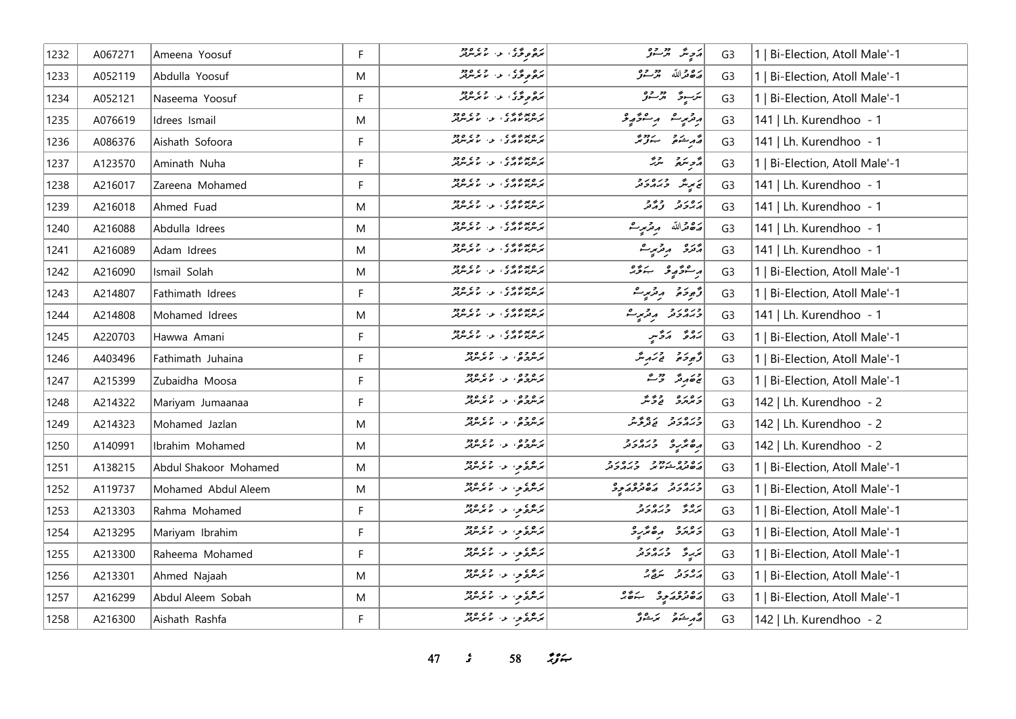| 1232 | A067271 | Ameena Yoosuf         | F  | ىرە ئەتتى، ئەس ئەرەدە                               | أەَجِبْرُ بْرْسُوْ                          | G <sub>3</sub> | 1   Bi-Election, Atoll Male'-1 |
|------|---------|-----------------------|----|-----------------------------------------------------|---------------------------------------------|----------------|--------------------------------|
| 1233 | A052119 | Abdulla Yoosuf        | M  | ده ده د د وه وده<br>مرده د د سرس                    | مَدْهُ مِنْ اللَّهُ مِنْ مِنْ وَمِنْ        | G <sub>3</sub> | Bi-Election, Atoll Male'-1     |
| 1234 | A052121 | Naseema Yoosuf        | F. | ره ده د د چروه                                      | ىئەسىر ھەر جۇ                               | G <sub>3</sub> | 1   Bi-Election, Atoll Male'-1 |
| 1235 | A076619 | Idrees Ismail         | M  |                                                     | أروزبر ومستورية                             | G <sub>3</sub> | 141   Lh. Kurendhoo - 1        |
| 1236 | A086376 | Aishath Sofoora       | F  | ر ه بره به به ده و ده<br>برس د د د د . د . د برسرتر | پی میکنده می سیزوی                          | G <sub>3</sub> | 141   Lh. Kurendhoo - 1        |
| 1237 | A123570 | Aminath Nuha          | F. | ر ه پر د د د .<br>بر سربا با اړ ی با بر سربر        | أزمر المراثر المراثر                        | G <sub>3</sub> | 1   Bi-Election, Atoll Male'-1 |
| 1238 | A216017 | Zareena Mohamed       | F. | ر ه پر د د د .<br>بر سربا با اړ د با بر سربر        | ىم پرىش ئەرەر ئ                             | G <sub>3</sub> | 141   Lh. Kurendhoo - 1        |
| 1239 | A216018 | Ahmed Fuad            | M  | ر ه پر د د د .<br>بر سربا با اړ ی . ب - با بر سربر  | برەر دەر                                    | G <sub>3</sub> | 141   Lh. Kurendhoo - 1        |
| 1240 | A216088 | Abdulla Idrees        | M  | ر ه پر د د د .<br>بر سربا با اړ کي ، - با بر سربر   | رەقەللە مەقرىبەت                            | G <sub>3</sub> | 141   Lh. Kurendhoo - 1        |
| 1241 | A216089 | Adam Idrees           | M  | ر ه پر د د د .<br>بر سربا با اړ ی . د . با بر سربر  | پژنزی پر پژنپر شر                           | G <sub>3</sub> | 141   Lh. Kurendhoo - 1        |
| 1242 | A216090 | Ismail Solah          | M  | ת סמכונים - כם סכב<br>ממתמשות ב' עי שממת            | رەۋرو بىۋە                                  | G <sub>3</sub> | 1   Bi-Election, Atoll Male'-1 |
| 1243 | A214807 | Fathimath Idrees      | F  |                                                     | ژُهِ دَهْ دِ مِرْسٍ و                       | G <sub>3</sub> | 1   Bi-Election, Atoll Male'-1 |
| 1244 | A214808 | Mohamed Idrees        | M  | ر ه بر د د د .<br>بر سربا با اړی ، بر ، با بر سربر  | دره رو پروری                                | G <sub>3</sub> | 141   Lh. Kurendhoo - 1        |
| 1245 | A220703 | Hawwa Amani           | F  |                                                     | برەپ كەۋس                                   | G <sub>3</sub> | 1   Bi-Election, Atoll Male'-1 |
| 1246 | A403496 | Fathimath Juhaina     | F  | ر و وه<br>برندچي، به الابرندي                       | وَجوحَهُ فَيَسَهِ مِنَّزٌ                   | G <sub>3</sub> | Bi-Election, Atoll Male'-1     |
| 1247 | A215399 | Zubaidha Moosa        | F. | ر و و و<br>برسرونو، بن با برسربر                    | جەمەر ئەس                                   | G <sub>3</sub> | Bi-Election, Atoll Male'-1     |
| 1248 | A214322 | Mariyam Jumaanaa      | F  | ر و و و<br>برسرونو، بن با برسربر                    | رەرە دۇنۇ                                   | G <sub>3</sub> | 142   Lh. Kurendhoo - 2        |
| 1249 | A214323 | Mohamed Jazlan        | M  | ر و و و<br>برسرونو، بر با برسربر                    | ورەر دەر دەۋر                               | G <sub>3</sub> | 142   Lh. Kurendhoo - 2        |
| 1250 | A140991 | Ibrahim Mohamed       | M  | د ه وه<br>د سرچهي، د ، ما مرس                       | ده نگرده ورورو                              | G <sub>3</sub> | 142   Lh. Kurendhoo - 2        |
| 1251 | A138215 | Abdul Shakoor Mohamed | M  | بره دي الله المستقبل                                | ره وه ردد و دره رو<br>مەھەرم شىرىمى كەرمەتر | G <sub>3</sub> | 1   Bi-Election, Atoll Male'-1 |
| 1252 | A119737 | Mohamed Abdul Aleem   | M  | بره ی می از ۲۵ ورو                                  | כממכני מסינת הפ                             | G <sub>3</sub> | 1   Bi-Election, Atoll Male'-1 |
| 1253 | A213303 | Rahma Mohamed         | F  | برخوی از انگریزی                                    | ره وره رو<br>بربرگ وبرمرونر                 | G <sub>3</sub> | 1   Bi-Election, Atoll Male'-1 |
| 1254 | A213295 | Mariyam Ibrahim       | F  | برمرغزمی، از اس بر مرتبر                            | د مرمزد مقدیر د                             | G <sub>3</sub> | 1   Bi-Election, Atoll Male'-1 |
| 1255 | A213300 | Raheema Mohamed       | F  | ار وه د او د ده ده د                                | كريدة وره رد                                | G <sub>3</sub> | Bi-Election, Atoll Male'-1     |
| 1256 | A213301 | Ahmed Najaah          | M  | ره ده د ۱۶۵، ده.<br>مرس د د سامبرس                  | رەر پەر                                     | G <sub>3</sub> | Bi-Election, Atoll Male'-1     |
| 1257 | A216299 | Abdul Aleem Sobah     | M  | بره دي الله المسلم ودو                              | رە دەر دە بەھ                               | G <sub>3</sub> | 1   Bi-Election, Atoll Male'-1 |
| 1258 | A216300 | Aishath Rashfa        | F  | ر و ،<br>برنگرفرموس از ما برنگرفتر                  | قەربىئەق ئىرىشۇ ئى                          | G <sub>3</sub> | 142   Lh. Kurendhoo - 2        |

*47 s* 58 *<i>z*<sub>3</sub> *i*</sup>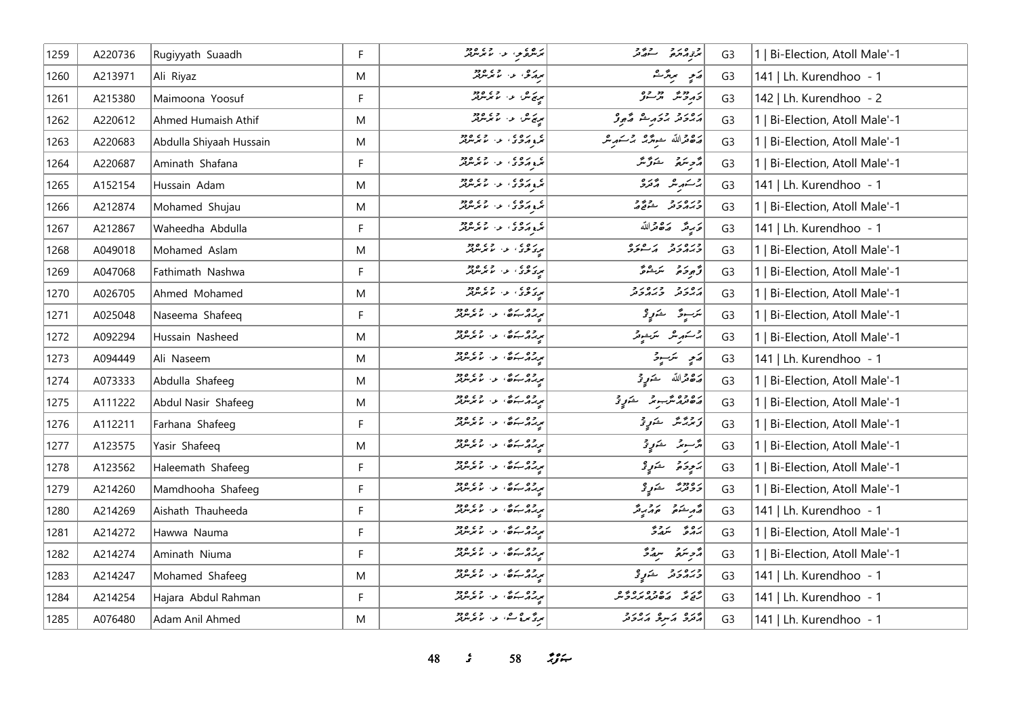| 1259 | A220736 | Rugiyyath Suaadh        | F | برنده د به در ۲۶۵،۵۲۰                      | و ه د و د و و<br>مرتو د جو د مرکز                   | G <sub>3</sub> | 1   Bi-Election, Atoll Male'-1 |
|------|---------|-------------------------|---|--------------------------------------------|-----------------------------------------------------|----------------|--------------------------------|
| 1260 | A213971 | Ali Riyaz               | M | برړی د دي.                                 | پرو پروگ                                            | G <sub>3</sub> | 141   Lh. Kurendhoo - 1        |
| 1261 | A215380 | Maimoona Yoosuf         | F | ىرىم ش ئىس مەھرىش ئۆ                       | در دور دور ده                                       | G <sub>3</sub> | 142   Lh. Kurendhoo - 2        |
| 1262 | A220612 | Ahmed Humaish Athif     | M | ىرىم ش، ئەس ئوي ھەج                        | رەر د در دۇر گەۋ                                    | G <sub>3</sub> | 1   Bi-Election, Atoll Male'-1 |
| 1263 | A220683 | Abdulla Shiyaah Hussain | M | ه ده ، د ، د ود                            | رەقراللە ھەر <i>گە جىسكەر بىر</i>                   | G <sub>3</sub> | 1   Bi-Election, Atoll Male'-1 |
| 1264 | A220687 | Aminath Shafana         | F | ه ده ه<br>برع در دی از اما برسربر          | د پر سر پروگر                                       | G <sub>3</sub> | 1   Bi-Election, Atoll Male'-1 |
| 1265 | A152154 | Hussain Adam            | M | ه ده ه<br>نرو در ده از موسربر              | جر شهر شهره المحرو                                  | G <sub>3</sub> | 141   Lh. Kurendhoo - 1        |
| 1266 | A212874 | Mohamed Shujau          | M | ه ده ه<br>برع در در ۱۶ سرس در              | وره رو د ووو<br><i>وبر دو</i> تر شو <sub>قع ه</sub> | G <sub>3</sub> | 1   Bi-Election, Atoll Male'-1 |
| 1267 | A212867 | Waheedha Abdulla        | F | ه دره در در ورود.<br>مرو در در از مرس بر   | عَرَيْتُمْ صَهْ حَمَّاللَّهُ                        | G <sub>3</sub> | 141   Lh. Kurendhoo - 1        |
| 1268 | A049018 | Mohamed Aslam           | M | مرده ده در در دود.<br>مود ترد ۱۰ ما مرس پس | ورەرو كەھرە                                         | G <sub>3</sub> | 1   Bi-Election, Atoll Male'-1 |
| 1269 | A047068 | Fathimath Nashwa        | F | بره د د د د د د                            | توجو حرم عرض                                        | G <sub>3</sub> | 1   Bi-Election, Atoll Male'-1 |
| 1270 | A026705 | Ahmed Mohamed           | M | ر و ه<br>مرکز فرق الله الله مرکز لر        | גפניק כגופניק                                       | G <sub>3</sub> | 1   Bi-Election, Atoll Male'-1 |
| 1271 | A025048 | Naseema Shafeeq         | F | برره به شه د ۱۵۵۰ ورو                      | لترسيرة التكنولوني                                  | G <sub>3</sub> | 1   Bi-Election, Atoll Male'-1 |
| 1272 | A092294 | Hussain Nasheed         | M | وه ده.<br>بربرگ <i>ر</i> ښتن د بابرس       | چرىسىم ئىر                                          | G <sub>3</sub> | 1   Bi-Election, Atoll Male'-1 |
| 1273 | A094449 | Ali Naseem              | M | وه ره.<br>بربرد جنگه د ۱۰ مرس              | رَمِي سَرَسِيرَ                                     | G <sub>3</sub> | 141   Lh. Kurendhoo - 1        |
| 1274 | A073333 | Abdulla Shafeeg         | M | د وه دره .<br>بربرگر جوها الله الله برس    | پر چ ترالله شمو <i>ر چ</i>                          | G <sub>3</sub> | 1   Bi-Election, Atoll Male'-1 |
| 1275 | A111222 | Abdul Nasir Shafeeg     | M | د وه ره.<br>بربرد ښوه، د ۱۰ سرس            | <br>  دەۋەشبەنى خىرىقى                              | G <sub>3</sub> | 1   Bi-Election, Atoll Male'-1 |
| 1276 | A112211 | Farhana Shafeeg         | F | برره شده و در دود                          | زِیرْ پَرٌ شَمَوِیْ                                 | G <sub>3</sub> | 1   Bi-Election, Atoll Male'-1 |
| 1277 | A123575 | Yasir Shafeeq           | M | د وه دره .<br>بربرگر ۱۰ سومبرس             | ئۇسىرنى كەنبى                                       | G <sub>3</sub> | 1   Bi-Election, Atoll Male'-1 |
| 1278 | A123562 | Haleemath Shafeeg       | F | برره شده و استرس                           | برَجِرةُ جَرَبٍّ                                    | G <sub>3</sub> | 1   Bi-Election, Atoll Male'-1 |
| 1279 | A214260 | Mamdhooha Shafeeg       | F | د وه دره .<br>بربرگر جوها الله الله برس    | د ه دو عبد السکو د حالي تو                          | G <sub>3</sub> | 1   Bi-Election, Atoll Male'-1 |
| 1280 | A214269 | Aishath Thauheeda       | F | د وه دره .<br>بربرگر جوها الله الله برس    | د مشهور مور د د ک                                   | G <sub>3</sub> | 141   Lh. Kurendhoo - 1        |
| 1281 | A214272 | Hawwa Nauma             | F | وه ده.<br>بربرگ <i>ر</i> ښتن د بابرس       | برە ئەردە                                           | G <sub>3</sub> | 1   Bi-Election, Atoll Male'-1 |
| 1282 | A214274 | Aminath Niuma           | F | د وه ره.<br>بربرد ښوه، د ۱۰ سرس            | הכתה תגל                                            | G <sub>3</sub> | 1   Bi-Election, Atoll Male'-1 |
| 1283 | A214247 | Mohamed Shafeeg         | M | وه دره.<br>بربرد ۶۰۰ و ۲۰۰ مرس             | ورەر دىر ئەر                                        | G <sub>3</sub> | 141   Lh. Kurendhoo - 1        |
| 1284 | A214254 | Hajara Abdul Rahman     | F | برره بره، د. دره دو<br>برره بره، د. ما برس | ور و ده ده ده وه.<br>رقع گر می هم مرکز گر           | G <sub>3</sub> | 141   Lh. Kurendhoo - 1        |
| 1285 | A076480 | Adam Anil Ahmed         | M | برد مره ک د الا بر مرد                     | پروه کمیرو کردوند                                   | G <sub>3</sub> | 141   Lh. Kurendhoo - 1        |

**48** *s* **58** *n***<sub>3</sub> <b>***n*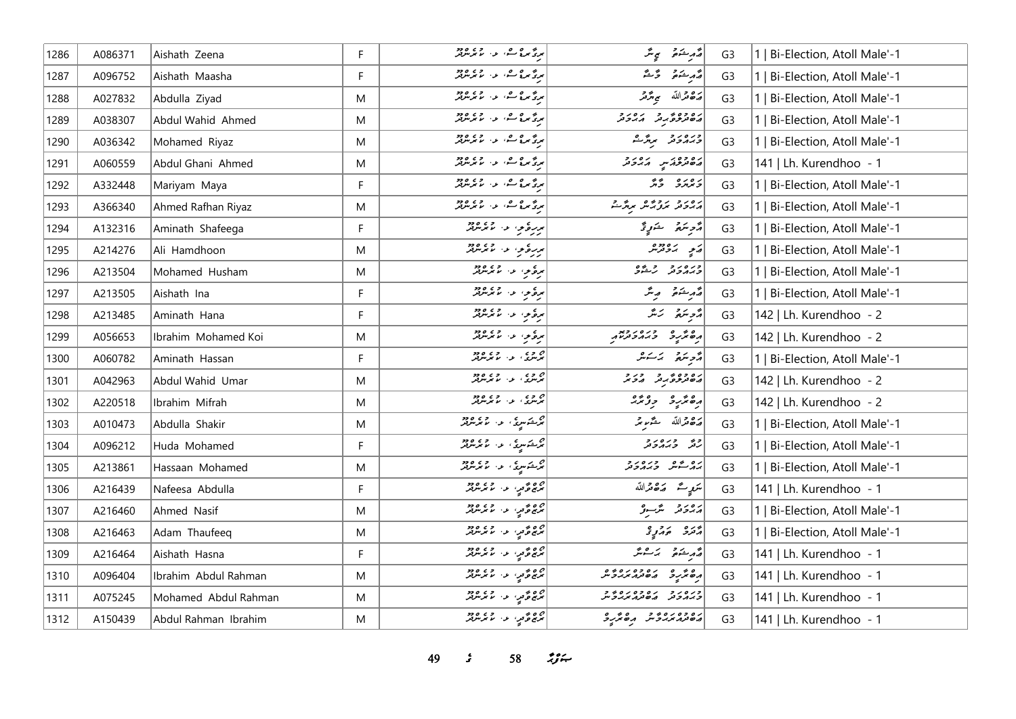| 1286 | A086371 | Aishath Zeena        | F. | برگە بوق كەرەپ ئويما ئۆسرىتىر                                           | ۇرىشقۇ بېرىگە                        | G <sub>3</sub> | 1   Bi-Election, Atoll Male'-1 |
|------|---------|----------------------|----|-------------------------------------------------------------------------|--------------------------------------|----------------|--------------------------------|
| 1287 | A096752 | Aishath Maasha       | F  | برگەرەك، بەر ئەرەدە                                                     | أَمَّامِ شَمَعَ رَّحْشَ              | G <sub>3</sub> | 1   Bi-Election, Atoll Male'-1 |
| 1288 | A027832 | Abdulla Ziyad        | M  | برد من شار ده ده ده                                                     | پر چ قرالله می <del>ب</del> ر قر     | G <sub>3</sub> | 1   Bi-Election, Atoll Male'-1 |
| 1289 | A038307 | Abdul Wahid Ahmed    | M  | برد مره ک د الا بر مرد                                                  | رە دەھرى رەرد                        | G <sub>3</sub> | 1   Bi-Election, Atoll Male'-1 |
| 1290 | A036342 | Mohamed Riyaz        | M  | برد مره ک د الا بر مرد                                                  | ورەرو بروگ                           | G <sub>3</sub> | 1   Bi-Election, Atoll Male'-1 |
| 1291 | A060559 | Abdul Ghani Ahmed    | M  | بردگیر و شهر در ۱۳۵۵                                                    | دەۋەتمىر كەردىر                      | G <sub>3</sub> | 141   Lh. Kurendhoo - 1        |
| 1292 | A332448 | Mariyam Maya         | F  | بردمی مده است.<br>بردمی مده است از ما برسربر                            | رەرە پە                              | G <sub>3</sub> | 1   Bi-Election, Atoll Male'-1 |
| 1293 | A366340 | Ahmed Rafhan Riyaz   | M  | مری مرد شد، اور اور دور                                                 | رور دی برویمر برگ <sup>م</sup> ت     | G <sub>3</sub> | 1   Bi-Election, Atoll Male'-1 |
| 1294 | A132316 | Aminath Shafeega     | F  | برره و ، او ، او ود                                                     | دَّحْرِ مَدَمٍ فَذَرٍ دَّ            | G <sub>3</sub> | 1   Bi-Election, Atoll Male'-1 |
| 1295 | A214276 | Ali Hamdhoon         | M  | مررة والمستعمل المستعملة                                                | مَعٍ بَهُ مِعْرَ مِنْ                | G <sub>3</sub> | 1   Bi-Election, Atoll Male'-1 |
| 1296 | A213504 | Mohamed Husham       | M  | <br>  بره و الله المرس                                                  | ورەرو ويەۋ                           | G <sub>3</sub> | 1   Bi-Election, Atoll Male'-1 |
| 1297 | A213505 | Aishath Ina          | F  | برة والمسلمة المسلمة                                                    | أقدم شمقم ويتر                       | G <sub>3</sub> | 1   Bi-Election, Atoll Male'-1 |
| 1298 | A213485 | Aminath Hana         | F. | برغ و المعامل المعرض و دو<br>  برغ مر المعامل المعرض المعرض             | مەجەسى ئەنگە                         | G <sub>3</sub> | 142   Lh. Kurendhoo - 2        |
| 1299 | A056653 | Ibrahim Mohamed Koi  | M  | برة والمسلمة المسلمة                                                    |                                      | G <sub>3</sub> | 142   Lh. Kurendhoo - 2        |
| 1300 | A060782 | Aminath Hassan       | F  | ام وی در وی مورد<br>  ترسری در ماترسرفر                                 | أأزوينهم بمسكس                       | G <sub>3</sub> | 1   Bi-Election, Atoll Male'-1 |
| 1301 | A042963 | Abdul Wahid Umar     | M  | ە دە .<br>ئىرسى . ئا ئىرس                                               | ره وه در ور و                        | G <sub>3</sub> | 142   Lh. Kurendhoo - 2        |
| 1302 | A220518 | Ibrahim Mifrah       | M  | ە دە .<br>ئىرسى:   ئ .   ئەترىس                                         | أرەنزرو دۇنز                         | G <sub>3</sub> | 142   Lh. Kurendhoo - 2        |
| 1303 | A010473 | Abdulla Shakir       | M  | ترځسري، عن الانگرېزيور                                                  | أرَّدُهُ مَّدَّاسٍ مُتَّدَّمِ مِّدَ  | G <sub>3</sub> | 1   Bi-Election, Atoll Male'-1 |
| 1304 | A096212 | Huda Mohamed         | F. | ام شکوری او داده<br>مرگ در استفاده به موسوله                            | وه وره رو<br>رنگ وبه دونر            | G <sub>3</sub> | 1   Bi-Election, Atoll Male'-1 |
| 1305 | A213861 | Hassaan Mohamed      | M  | ج ڪسيءَ په سمبر مريد<br>پرڪسيءَ په سمبر مريد                            | برو شهر اوره رو                      | G <sub>3</sub> | 1   Bi-Election, Atoll Male'-1 |
| 1306 | A216439 | Nafeesa Abdulla      | F  | ە ەھمىي، ئەسمەتتەرەدە<br>مەنبى ھەيي، ئەسمەتتىرىلىر                      | سَرَمٍ کُے صَ <sub>ّ</sub> قہ اللّٰہ | G <sub>3</sub> | 141   Lh. Kurendhoo - 1        |
| 1307 | A216460 | Ahmed Nasif          | M  | ج چ چ مي، عرد المستوفر<br>  سرچ چ مي، عرد الله سربسرفر                  | رەرو ش-د <sub>ۇ</sub>                | G <sub>3</sub> | 1   Bi-Election, Atoll Male'-1 |
| 1308 | A216463 | Adam Thaufeeq        | M  | ە ە ھ <sub>ە</sub> بەلىرىن ھە مەھ<br>ئىر ئىم ھەمىرىن ئىس ئىرلىرىدىن ھەم | دره دروه                             | G <sub>3</sub> | 1   Bi-Election, Atoll Male'-1 |
| 1309 | A216464 | Aishath Hasna        | F  | 00 مۇمەر، بەر 2005.<br>مەنبەھ قىي، بەر سىمبىرلىر                        | أقمد ينقو برعيق                      | G <sub>3</sub> | 141   Lh. Kurendhoo - 1        |
| 1310 | A096404 | Ibrahim Abdul Rahman | M  | پرچ وَّ پر ، د ، پرچ وجو                                                |                                      | G <sub>3</sub> | 141   Lh. Kurendhoo - 1        |
| 1311 | A075245 | Mohamed Abdul Rahman | M  | دە ئەتەر، ئەس ئەدە                                                      | כנסנכ נסכסנספים<br>קממכת מסתמאיכית   | G <sub>3</sub> | 141   Lh. Kurendhoo - 1        |
| 1312 | A150439 | Abdul Rahman Ibrahim | M  | ص ص ح مي، عن المسلم من ص ص ح م                                          | גם כם גם ביבי הפיציב                 | G <sub>3</sub> | 141   Lh. Kurendhoo - 1        |

*49 s* 58 *i*<sub>S</sub> $\approx$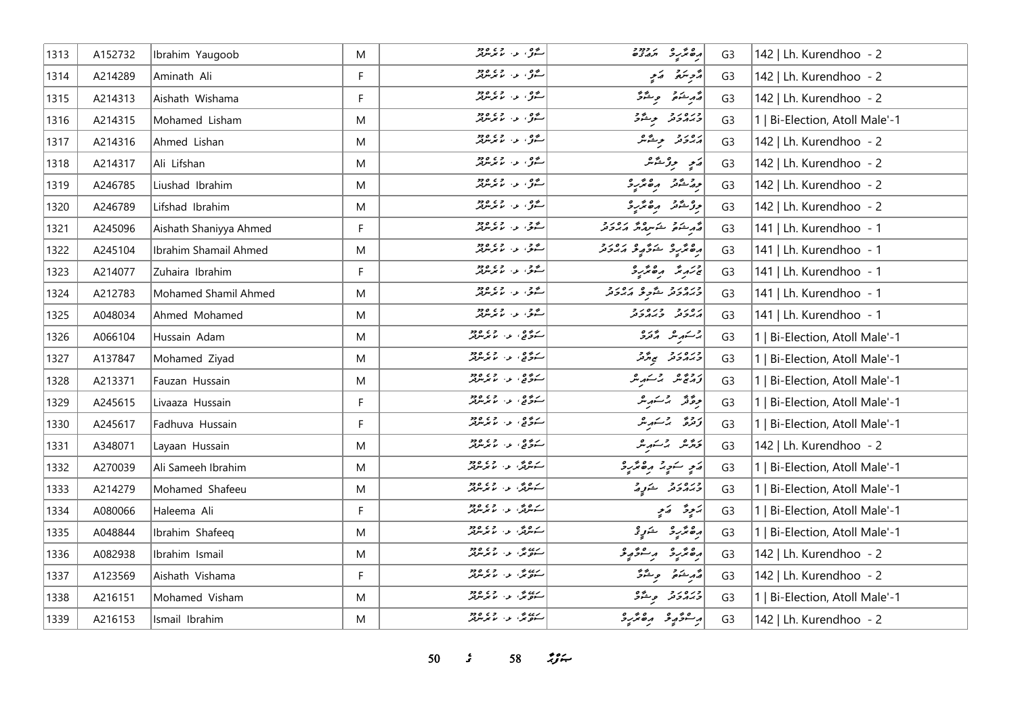| 1313 | A152732 | Ibrahim Yaugoob        | M | روه د در دور<br>سول د بابوس                            | ופת כיור ביורד<br>הפתקב תהצים       | G <sub>3</sub> | 142   Lh. Kurendhoo - 2        |
|------|---------|------------------------|---|--------------------------------------------------------|-------------------------------------|----------------|--------------------------------|
| 1314 | A214289 | Aminath Ali            | F | روه.<br>سگو، او اس ما مرسومتر                          | أزوينهم أرمو                        | G <sub>3</sub> | 142   Lh. Kurendhoo - 2        |
| 1315 | A214313 | Aishath Wishama        | F |                                                        | أَيُّ مِنْ يَمْسُونَ مِنْ يَمْرُونَ | G <sub>3</sub> | 142   Lh. Kurendhoo - 2        |
| 1316 | A214315 | Mohamed Lisham         | M |                                                        | ورەرو بوشۇ                          | G <sub>3</sub> | 1   Bi-Election, Atoll Male'-1 |
| 1317 | A214316 | Ahmed Lishan           | M | مصور المعرض مع دين دي.<br>ستوفي الموس المعرض مع ديكر   | پرونز بوشگر                         | G <sub>3</sub> | 142   Lh. Kurendhoo - 2        |
| 1318 | A214317 | Ali Lifshan            | M | روه د روورو<br>سول د رموس                              | ړی ووځه                             | G <sub>3</sub> | 142   Lh. Kurendhoo - 2        |
| 1319 | A246785 | Liushad Ibrahim        | M | مەم بەر <i>مەن دە</i> م                                | دور شود رە ئرىرو                    | G <sub>3</sub> | 142   Lh. Kurendhoo - 2        |
| 1320 | A246789 | Lifshad Ibrahim        | M | ر ده .<br>سرگان دار موسوفر                             | در شور په مورد کل                   | G <sub>3</sub> | 142   Lh. Kurendhoo - 2        |
| 1321 | A245096 | Aishath Shaniyya Ahmed | F | شوی از اندیکر میزد                                     | أقهر شكافي المستحدث والمردور        | G <sub>3</sub> | 141   Lh. Kurendhoo - 1        |
| 1322 | A245104 | Ibrahim Shamail Ahmed  | M | شوی از اندیز میتواند                                   | رەڭرىق شۇرىق مەددىر                 | G <sub>3</sub> | 141   Lh. Kurendhoo - 1        |
| 1323 | A214077 | Zuhaira Ibrahim        | F | ا شو.<br>استو. ع. ما مرسومبر                           | جزیر پر مقدر د                      | G <sub>3</sub> | 141   Lh. Kurendhoo - 1        |
| 1324 | A212783 | Mohamed Shamil Ahmed   | M | مصري المرس دي مصر ديور<br>  سنگيري الله الله معرض معرض | ورەر د شور ئەرەر د                  | G <sub>3</sub> | 141   Lh. Kurendhoo - 1        |
| 1325 | A048034 | Ahmed Mohamed          | M | روم د د ۱۶۵ <i>۵ وه</i>                                | د ۱۵ د ۲۵ د و                       | G <sub>3</sub> | 141   Lh. Kurendhoo - 1        |
| 1326 | A066104 | Hussain Adam           | M | سۇقى، بەر مەھەم                                        | بر کے مربر مرکز کر                  | G <sub>3</sub> | 1   Bi-Election, Atoll Male'-1 |
| 1327 | A137847 | Mohamed Ziyad          | M | سەۋە ، بەر دەھ                                         | כנסנכ<br>כ <i>ה</i> גכת הת          | G <sub>3</sub> | Bi-Election, Atoll Male'-1     |
| 1328 | A213371 | Fauzan Hussain         | M | سەۋە ، بەر قەرەد                                       | رومى شەكەر ھ                        | G <sub>3</sub> | Bi-Election, Atoll Male'-1     |
| 1329 | A245615 | Livaaza Hussain        | F | رىمى ئەرەپەرە دەپلەر<br>سەن ئۇنى ئەرىپەرلىر            | مِرَةَ مَّذَ يَا يَسْتَهْرِيْنَ     | G <sub>3</sub> | 1   Bi-Election, Atoll Male'-1 |
| 1330 | A245617 | Fadhuva Hussain        | F | ر ده و.<br>ستوگها او از ما مرس                         | ترفرة الرحيم بثرا                   | G <sub>3</sub> | 1   Bi-Election, Atoll Male'-1 |
| 1331 | A348071 | Layaan Hussain         | M | ر ده و.<br>سکوگها او از اما مرس تور                    | كرومر بركتهر مر                     | G <sub>3</sub> | 142   Lh. Kurendhoo - 2        |
| 1332 | A270039 | Ali Sameeh Ibrahim     | M | سەھەتى بەر بولمەتلەر                                   | ړَي سَوِيرُ رِهْتَرِيدُ             | G <sub>3</sub> | 1   Bi-Election, Atoll Male'-1 |
| 1333 | A214279 | Mohamed Shafeeu        | M | ک مرکزی او در ۱۶۵ ور                                   | ورەر ئۇرۇ                           | G <sub>3</sub> | 1   Bi-Election, Atoll Male'-1 |
| 1334 | A080066 | Haleema Ali            | F | سەندىگە، بەر بەر بەر دە                                | پَنځِنَّ = اِپَنځِي                 | G <sub>3</sub> | 1   Bi-Election, Atoll Male'-1 |
| 1335 | A048844 | Ibrahim Shafeeq        | M | سەھەتى بەر بولمەتلەر                                   | رەپرىر ئىن ئۇ                       | G <sub>3</sub> | 1   Bi-Election, Atoll Male'-1 |
| 1336 | A082938 | Ibrahim Ismail         | M | رده ش. د. د ۲۶ وو                                      | أرە ئېرىدە بە ئاھرىيد               | G <sub>3</sub> | 142   Lh. Kurendhoo - 2        |
| 1337 | A123569 | Aishath Vishama        | F | رده می .<br>ستونتر، ب . با بوسهر                       | لأرشك وشكر                          | G <sub>3</sub> | 142   Lh. Kurendhoo - 2        |
| 1338 | A216151 | Mohamed Visham         | M | رده می د ماند می ود.<br>ستونگر، او ماند میرموتند       | ورەرو پەشك                          | G <sub>3</sub> | 1   Bi-Election, Atoll Male'-1 |
| 1339 | A216153 | Ismail Ibrahim         | M | رے پر دی ہ دو<br>ستونگ دار میں مربو                    | أرعونه وممرو                        | G <sub>3</sub> | 142   Lh. Kurendhoo - 2        |

*s*  $58$  *n***<sub>2</sub>** *n*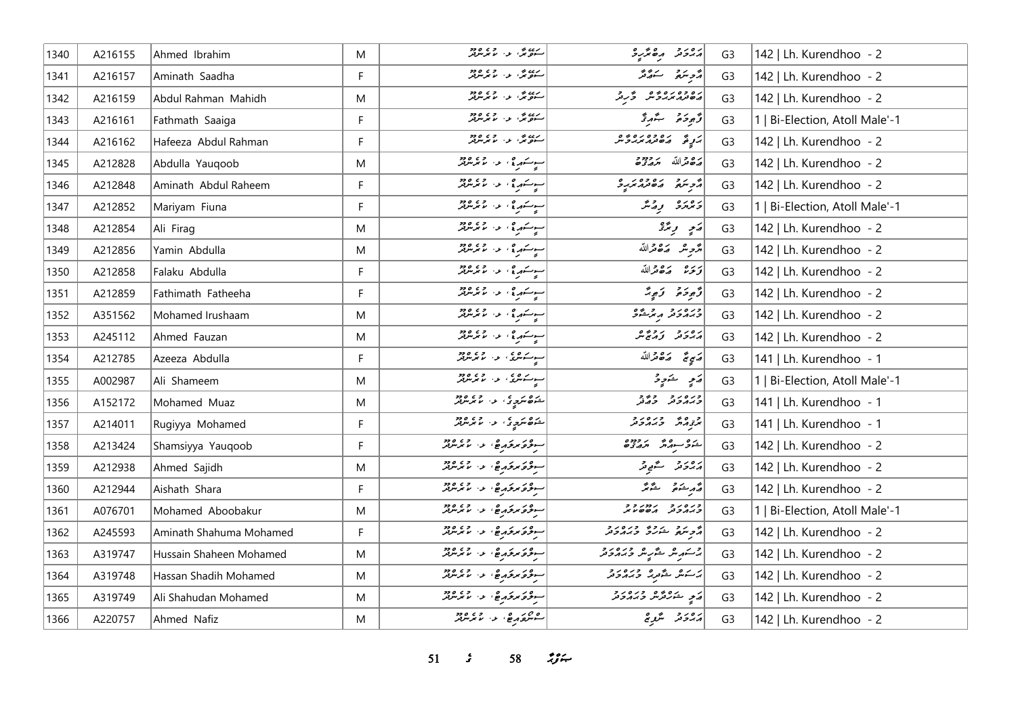| 1340 | A216155 | Ahmed Ibrahim           | M  | رے ہی۔<br>سنویں اور اما بوس                            | رور ده پر په                                                                                         | G <sub>3</sub> | 142   Lh. Kurendhoo - 2        |
|------|---------|-------------------------|----|--------------------------------------------------------|------------------------------------------------------------------------------------------------------|----------------|--------------------------------|
| 1341 | A216157 | Aminath Saadha          | F  | رده، بخد از ۲۵۵۵<br>سنومگر، بز، ما بوسرلو              | د پر پر پر پر                                                                                        | G <sub>3</sub> | 142   Lh. Kurendhoo - 2        |
| 1342 | A216159 | Abdul Rahman Mahidh     | M  | رده، بر در ۲۶۵۵<br>سوه بر در سربر برد                  | رە دەرەبور ئەر                                                                                       | G <sub>3</sub> | 142   Lh. Kurendhoo - 2        |
| 1343 | A216161 | Fathmath Saaiga         | F  | رده ش د روه ده<br>سوه ش د روبربربر                     | د پر د شهر د کار                                                                                     | G <sub>3</sub> | 1   Bi-Election, Atoll Male'-1 |
| 1344 | A216162 | Hafeeza Abdul Rahman    | F. | ردن ش د روه دو                                         | ر په ده ده ده ده و                                                                                   | G <sub>3</sub> | 142   Lh. Kurendhoo - 2        |
| 1345 | A212828 | Abdulla Yauqoob         | M  | سوسکار ؟ ، عزا بر بر برود.<br>پیرسکار ؟ ، عزا بر برود. | بره دالله بردود                                                                                      | G <sub>3</sub> | 142   Lh. Kurendhoo - 2        |
| 1346 | A212848 | Aminath Abdul Raheem    | F. | سوسکهر وي از انداز در ۱۹۶۵ وروپا                       | أمجم متعدد من المحمد المحمد المحمد المحمد المحمد المحمد المحمد المحمد المحمد المحمد المحمد المحمد ال | G <sub>3</sub> | 142   Lh. Kurendhoo - 2        |
| 1347 | A212852 | Mariyam Fiuna           | E  | سوسکار ؟ ، او ، او ما جرینولور                         | د ورو په د                                                                                           | G <sub>3</sub> | 1   Bi-Election, Atoll Male'-1 |
| 1348 | A212854 | Ali Firag               | M  | سوسکهره به الاس ۱۶۵۵<br>سوسکهره به الاس مرس            | ړی دیږ                                                                                               | G <sub>3</sub> | 142   Lh. Kurendhoo - 2        |
| 1349 | A212856 | Yamin Abdulla           | M  | سوسکار ؟ ، عزا بر بر برود.<br>پیرسکار ؟ ، عزا بر برود. | أمرَّحِ مَنْ مَدَّاللَّهُ                                                                            | G <sub>3</sub> | 142   Lh. Kurendhoo - 2        |
| 1350 | A212858 | Falaku Abdulla          | F  | سوسکور جي اور د ۱۵۵۵<br>په سوسکور جي اور سوچرسوچر      | ترتره الكافدالله                                                                                     | G <sub>3</sub> | 142   Lh. Kurendhoo - 2        |
| 1351 | A212859 | Fathimath Fatheeha      | F  | سوسکهر پی از ان ۱۶۵ وجود ا                             | وَّحِوَدَهُ ﴾ وَجِيدً                                                                                | G <sub>3</sub> | 142   Lh. Kurendhoo - 2        |
| 1352 | A351562 | Mohamed Irushaam        | M  | سوسکهر ج ، او دارد و در ۱۶ در د                        | ورەرو روشى                                                                                           | G <sub>3</sub> | 142   Lh. Kurendhoo - 2        |
| 1353 | A245112 | Ahmed Fauzan            | M  | اسوسکوری اور در ۲۶۵ ورو                                | رەرد روپر                                                                                            | G <sub>3</sub> | 142   Lh. Kurendhoo - 2        |
| 1354 | A212785 | Azeeza Abdulla          | F. | سوسکیلوی او در موجود د                                 | رسمي صحى مركزة الله                                                                                  | G <sub>3</sub> | 141   Lh. Kurendhoo - 1        |
| 1355 | A002987 | Ali Shameem             | M  | سوسکاندی، اور اور ۱۶۵۵                                 | ړَ په شَوِوْ                                                                                         | G <sub>3</sub> | 1   Bi-Election, Atoll Male'-1 |
| 1356 | A152172 | Mohamed Muaz            | M  | شەھ سەيرى بول بول ھەد                                  | כנסנכ כבב<br>כ <i>ה</i> תכת כבת                                                                      | G <sub>3</sub> | 141   Lh. Kurendhoo - 1        |
| 1357 | A214011 | Rugiyya Mohamed         | F  | شوھ سرچ کې د سر سرچر                                   | و وه و دره د و<br>بر <sub>نج م</sub> رکز و برمرونر                                                   | G <sub>3</sub> | 141   Lh. Kurendhoo - 1        |
| 1358 | A213424 | Shamsiyya Yauqoob       | F. | سوفره برقرم ها المستحمد المسترجمة                      | גם כב גבבבם<br>גבר תורת ותנגבים                                                                      | G <sub>3</sub> | 142   Lh. Kurendhoo - 2        |
| 1359 | A212938 | Ahmed Sajidh            | M  | سوفى مركز كم ها المستوفى ودو                           | پرورو گے۔<br>  پرونر گے۔                                                                             | G <sub>3</sub> | 142   Lh. Kurendhoo - 2        |
| 1360 | A212944 | Aishath Shara           | F  | سوفره برفرم ها والمستر مرد                             | رو شه تو ستوس                                                                                        | G <sub>3</sub> | 142   Lh. Kurendhoo - 2        |
| 1361 | A076701 | Mohamed Aboobakur       | M  | سوفى مركز كم ها الما مرسر للمر                         | כנסנכ נמנכב                                                                                          | G <sub>3</sub> | 1   Bi-Election, Atoll Male'-1 |
| 1362 | A245593 | Aminath Shahuma Mohamed | F. | سوقة مرقرم عن المعرض                                   | أثر بروا المرور وبرورو                                                                               | G <sub>3</sub> | 142   Lh. Kurendhoo - 2        |
| 1363 | A319747 | Hussain Shaheen Mohamed | M  | سوقة برقرم عن المعرض                                   | ج سکر سگر سگر سکر و جرم دی در د                                                                      | G <sub>3</sub> | 142   Lh. Kurendhoo - 2        |
| 1364 | A319748 | Hassan Shadih Mohamed   | M  | - وكر مركز مركز المستخرج مع المراكز                    | بر ده څورو وره دو                                                                                    | G <sub>3</sub> | 142   Lh. Kurendhoo - 2        |
| 1365 | A319749 | Ali Shahudan Mohamed    | M  | سوقة مرقرم عن الممر مرتد                               | در پره ده و دره د و                                                                                  | G <sub>3</sub> | 142   Lh. Kurendhoo - 2        |
| 1366 | A220757 | Ahmed Nafiz             | M  | 220 م م م م بر 230 م مر                                | پروتر - سُرِي                                                                                        | G <sub>3</sub> | 142   Lh. Kurendhoo - 2        |

**s**  $58$  *i***f**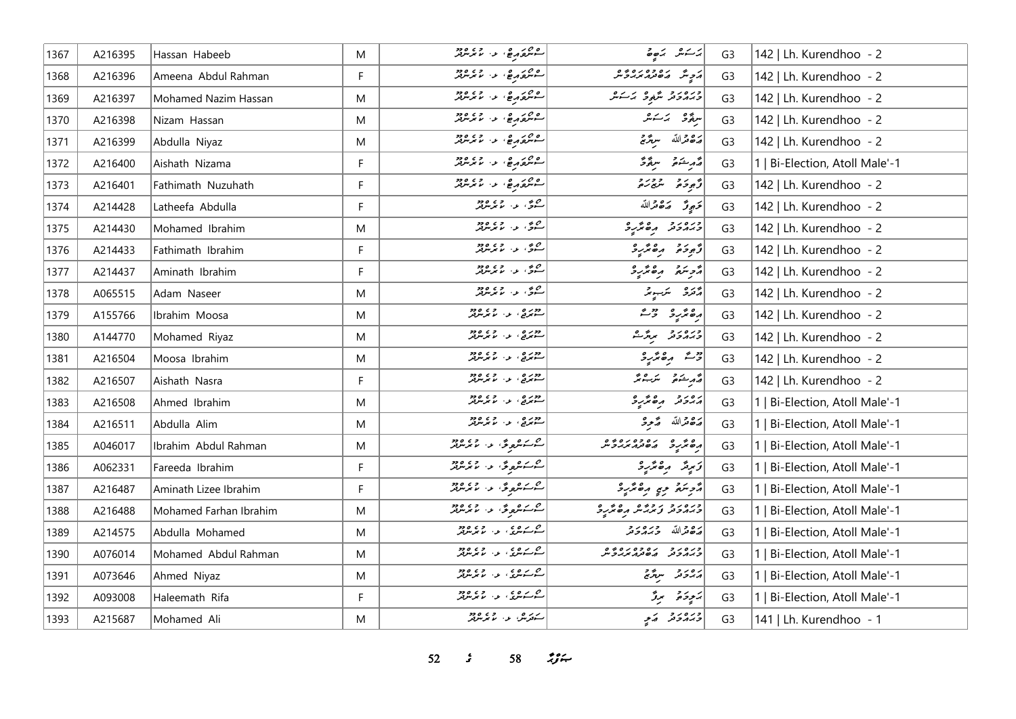| 1367 | A216395 | Hassan Habeeb          | M  | مورد ده د از ۲۵۵ ورو<br>سورتورها د الامر مریز                                                                     | $\frac{3}{2}$                                    | G <sub>3</sub> | 142   Lh. Kurendhoo - 2        |
|------|---------|------------------------|----|-------------------------------------------------------------------------------------------------------------------|--------------------------------------------------|----------------|--------------------------------|
| 1368 | A216396 | Ameena Abdul Rahman    | F  | ەم دەرە.<br>سوسرى مۇرىغ، ئەس مەسرىلىر                                                                             | ر و ده ده ده وه                                  | G <sub>3</sub> | 142   Lh. Kurendhoo - 2        |
| 1369 | A216397 | Mohamed Nazim Hassan   | M  |                                                                                                                   | ورەرو ئەرەبەتكە                                  | G <sub>3</sub> | 142   Lh. Kurendhoo - 2        |
| 1370 | A216398 | Nizam Hassan           | M  |                                                                                                                   | سۇق بەسكىر                                       | G <sub>3</sub> | 142   Lh. Kurendhoo - 2        |
| 1371 | A216399 | Abdulla Niyaz          | M  | مشروبه والمستحمل                                                                                                  | مَدْهَ قَرَاللّهُ مُعَرَّجٌ                      | G <sub>3</sub> | 142   Lh. Kurendhoo - 2        |
| 1372 | A216400 | Aishath Nizama         | F. | פרו פי ג' מידע בי                                                                                                 | رام عُمْدَة مِنْ يَوْمَحْ                        | G <sub>3</sub> | 1   Bi-Election, Atoll Male'-1 |
| 1373 | A216401 | Fathimath Nuzuhath     | F  | פת הפי עי תי מים בר                                                                                               | د پر د بر د بر د                                 | G <sub>3</sub> | 142   Lh. Kurendhoo - 2        |
| 1374 | A214428 | Latheefa Abdulla       | F  | مرسم دي و دي.<br>سرگان او د اما مرس                                                                               | تجبجوتر الكافدة الله                             | G <sub>3</sub> | 142   Lh. Kurendhoo - 2        |
| 1375 | A214430 | Mohamed Ibrahim        | M  | مىق، ئەس <i>مەنگە</i> ر                                                                                           | ورەرو مەھرىرو                                    | G <sub>3</sub> | 142   Lh. Kurendhoo - 2        |
| 1376 | A214433 | Fathimath Ibrahim      | F  | مره دي.<br>سرگان او اس مرس                                                                                        | أزوده مقترد                                      | G <sub>3</sub> | 142   Lh. Kurendhoo - 2        |
| 1377 | A214437 | Aminath Ibrahim        | F. |                                                                                                                   | أأزجتم وكالمربو                                  | G <sub>3</sub> | 142   Lh. Kurendhoo - 2        |
| 1378 | A065515 | Adam Naseer            | M  | مري .<br>سرگان دار موسوفر                                                                                         | أراده الكرسومر                                   | G <sub>3</sub> | 142   Lh. Kurendhoo - 2        |
| 1379 | A155766 | Ibrahim Moosa          | M  | دوره .<br>ستوف <sub>ع</sub> ی عه ما بوسرفر                                                                        | أرە ئۆرە بىق                                     | G <sub>3</sub> | 142   Lh. Kurendhoo - 2        |
| 1380 | A144770 | Mohamed Riyaz          | M  | دوره . د ووو<br>سیمرن <sub>ی</sub> د میگرمونو                                                                     | ورەرو بروگ                                       | G <sub>3</sub> | 142   Lh. Kurendhoo - 2        |
| 1381 | A216504 | Moosa Ibrahim          | M  | دوره .<br>سیمرنع ، د . ما مرس                                                                                     | د شهر موسمر د                                    | G <sub>3</sub> | 142   Lh. Kurendhoo - 2        |
| 1382 | A216507 | Aishath Nasra          | F. | دوره . د وه دود                                                                                                   | قەربىئەمۇر سىز يىتى                              | G <sub>3</sub> | 142   Lh. Kurendhoo - 2        |
| 1383 | A216508 | Ahmed Ibrahim          | M  | دوره ، د وه دود<br>ستولج ، د الانوليزيز                                                                           | رورو مهرود                                       | G <sub>3</sub> | 1   Bi-Election, Atoll Male'-1 |
| 1384 | A216511 | Abdulla Alim           | M  | دوره .<br>سیمربع ، د . ما مرسربر                                                                                  | مَدْهُ مَّدْ مَّ مِّرْحَمْ                       | G <sub>3</sub> | 1   Bi-Election, Atoll Male'-1 |
| 1385 | A046017 | Ibrahim Abdul Rahman   | M  | ا مەسكەنگەن ئەرەپ مەھرىس بىر<br>ساسىسكىنلىقى ئىسكى ئىسكىتىلىكى ئىسكىتىلىكى ئىسكىتىلىكى ئىسكىتىلىكى ئاسكىتىلىكى ئى | 04010701 040                                     | G <sub>3</sub> | 1   Bi-Election, Atoll Male'-1 |
| 1386 | A062331 | Fareeda Ibrahim        | F  |                                                                                                                   | زىرىتر بەھترىرى                                  | G <sub>3</sub> | 1   Bi-Election, Atoll Male'-1 |
| 1387 | A216487 | Aminath Lizee Ibrahim  | F. | سىسكىھرىقى مەسىمىتىرىغە                                                                                           | أروبتم وي رەئزېر                                 | G <sub>3</sub> | 1   Bi-Election, Atoll Male'-1 |
| 1388 | A216488 | Mohamed Farhan Ibrahim | M  | سىمەسىموگە، مەسمەسىرىدىن                                                                                          | ورەرو روپەش مەھەر 2                              | G <sub>3</sub> | 1   Bi-Election, Atoll Male'-1 |
| 1389 | A214575 | Abdulla Mohamed        | M  | م که شوی د استان دور                                                                                              | رە قراللە ئەرەبە                                 | G <sub>3</sub> | 1   Bi-Election, Atoll Male'-1 |
| 1390 | A076014 | Mohamed Abdul Rahman   | M  | <u>مى ئەھرى بەر جەھ ھەد</u>                                                                                       | כנסנכ נסכסנסגים<br>כגונכנ גם <i>נוגיגל</i> יניינ | G <sub>3</sub> | 1   Bi-Election, Atoll Male'-1 |
| 1391 | A073646 | Ahmed Niyaz            | M  | <u>مركز مركزي المركز ودو</u>                                                                                      | גפני ייתול                                       | G <sub>3</sub> | 1   Bi-Election, Atoll Male'-1 |
| 1392 | A093008 | Haleemath Rifa         | F  |                                                                                                                   | پر پر پر تر تر تر تر                             | G <sub>3</sub> | 1   Bi-Election, Atoll Male'-1 |
| 1393 | A215687 | Mohamed Ali            | M  | ے پر پھر اور وہ وہ                                                                                                | ورەر د كەي                                       | G <sub>3</sub> | 141   Lh. Kurendhoo - 1        |

**s**  $58$  *n***<sub>2</sub>**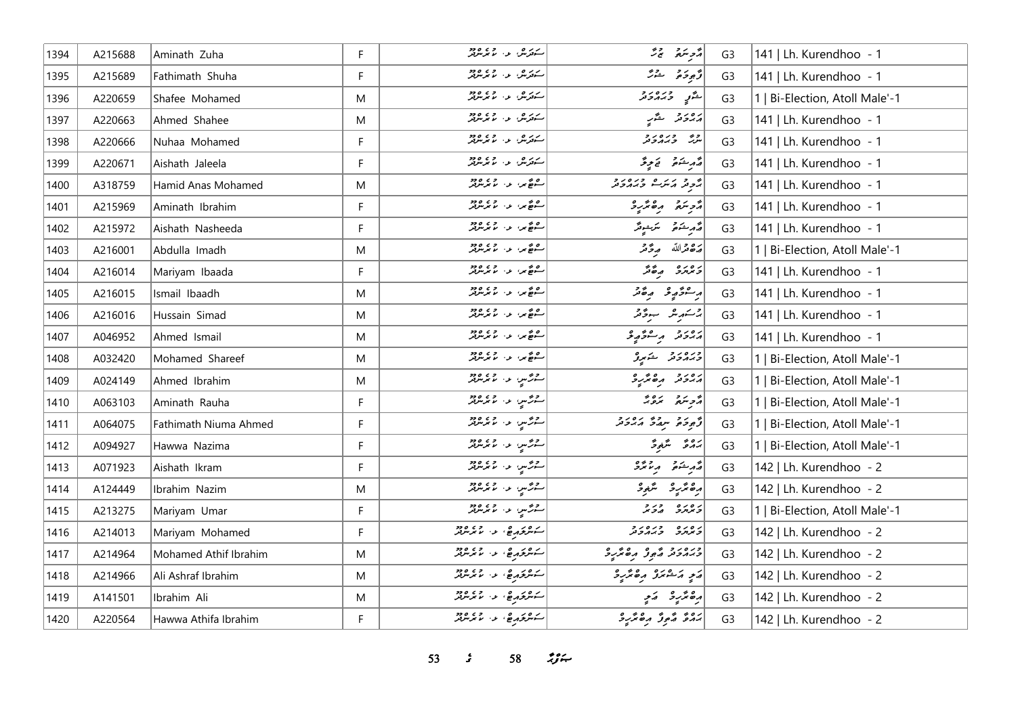| 1394 | A215688 | Aminath Zuha          | F | ے پر شہر ہے کہ میں<br>سکھر شہر اور اس کا میں میں میں میں                                             | أزوينده بالحا                                                                                       | G <sub>3</sub> | 141   Lh. Kurendhoo - 1        |
|------|---------|-----------------------|---|------------------------------------------------------------------------------------------------------|-----------------------------------------------------------------------------------------------------|----------------|--------------------------------|
| 1395 | A215689 | Fathimath Shuha       | F | ر در مهر در ۲۶۵،۵۶۰<br>سنترس او با موسوفر                                                            | توجوجو الشرش                                                                                        | G <sub>3</sub> | 141   Lh. Kurendhoo - 1        |
| 1396 | A220659 | Shafee Mohamed        | M | ے پر شہر ہے کہ میں<br>سکھر شہر اور اس کا میں میں میں میں                                             | رحم وره رو                                                                                          | G <sub>3</sub> | 1   Bi-Election, Atoll Male'-1 |
| 1397 | A220663 | Ahmed Shahee          | M | سکورش او او دو                                                                                       | پرویرو گے پ                                                                                         | G <sub>3</sub> | 141   Lh. Kurendhoo - 1        |
| 1398 | A220666 | Nuhaa Mohamed         | F | سكەرش ئەر مەھەم                                                                                      | رو وره رو<br>سرگ وبرورونو                                                                           | G <sub>3</sub> | 141   Lh. Kurendhoo - 1        |
| 1399 | A220671 | Aishath Jaleela       | F | شەتەش بەر بەيدىن ھەج                                                                                 | مەرخەم يې توپ                                                                                       | G <sub>3</sub> | 141   Lh. Kurendhoo - 1        |
| 1400 | A318759 | Hamid Anas Mohamed    | M | ه ده در در ۲۶۵ ورو<br>سرچ بن او اما برس                                                              | يحوفر مكرام وره رو                                                                                  | G <sub>3</sub> | 141   Lh. Kurendhoo - 1        |
| 1401 | A215969 | Aminath Ibrahim       | F |                                                                                                      | دوسمه مقترعه                                                                                        | G <sub>3</sub> | 141   Lh. Kurendhoo - 1        |
| 1402 | A215972 | Aishath Nasheeda      | F |                                                                                                      | روم الشرائع من المسلم المسلم المسلم المسلم المسلم المسلم المسلم المسلم المسلم العلم المسلم المسلم ا | G <sub>3</sub> | 141   Lh. Kurendhoo - 1        |
| 1403 | A216001 | Abdulla Imadh         | M | ے بھی اور اور دور                                                                                    | أرَة مَرَاللّه مِرْدَّمَرْ                                                                          | G <sub>3</sub> | 1   Bi-Election, Atoll Male'-1 |
| 1404 | A216014 | Mariyam Ibaada        | F |                                                                                                      | د ۱۵ د می مگر                                                                                       | G <sub>3</sub> | 141   Lh. Kurendhoo - 1        |
| 1405 | A216015 | Ismail Ibaadh         | M | ره نه سره دي و د ود<br>سره ني از اسر مرکز                                                            | پر شو په په په په تو                                                                                | G <sub>3</sub> | 141   Lh. Kurendhoo - 1        |
| 1406 | A216016 | Hussain Simad         | M | ره نه سره دي و د ود<br>سره ني از اسر مرکز                                                            | پر کشمیر میں سوتھر<br>  پر کشمیر                                                                    | G <sub>3</sub> | 141   Lh. Kurendhoo - 1        |
| 1407 | A046952 | Ahmed Ismail          | M | ا شەھىر، بەر بەردە دە                                                                                | رەر دە بەر ئەھمەتچ                                                                                  | G <sub>3</sub> | 141   Lh. Kurendhoo - 1        |
| 1408 | A032420 | Mohamed Shareef       | M | شەھكىر، بەر بەر ئەيدىلەر                                                                             | ورەرو شەرۇ                                                                                          | G <sub>3</sub> | 1   Bi-Election, Atoll Male'-1 |
| 1409 | A024149 | Ahmed Ibrahim         | M | هرمحسي، عن مرسر مر                                                                                   | أربور وكالمراجح                                                                                     | G <sub>3</sub> | 1   Bi-Election, Atoll Male'-1 |
| 1410 | A063103 | Aminath Rauha         | F | مشر من العمل العمل العمل العمل العمل السابقة<br> -                                                   | أأزجر سيره بمناه بمستحدثه                                                                           | G <sub>3</sub> | 1   Bi-Election, Atoll Male'-1 |
| 1411 | A064075 | Fathimath Niuma Ahmed | F | شرشين الماء الموسر قر                                                                                | ژّە ئەھ سەئە ئەر ئەر                                                                                | G <sub>3</sub> | 1   Bi-Election, Atoll Male'-1 |
| 1412 | A094927 | Hawwa Nazima          | F | 22 س ر. مورد دو                                                                                      | بروۋ سڭرەۋ                                                                                          | G <sub>3</sub> | 1   Bi-Election, Atoll Male'-1 |
| 1413 | A071923 | Aishath Ikram         | F | ر در سر، در ۱۳۵۵.<br>سرگ <i>س، د</i> ر ۱۳۶۷ کرد                                                      | أقرم شوه والمعترف                                                                                   | G <sub>3</sub> | 142   Lh. Kurendhoo - 2        |
| 1414 | A124449 | Ibrahim Nazim         | M | ا مشر د است ده ده در ۱۶۵ م                                                                           | وەتمەر ئىستىم                                                                                       | G <sub>3</sub> | 142   Lh. Kurendhoo - 2        |
| 1415 | A213275 | Mariyam Umar          | F | ر دی <sub>مب</sub> د <sub>ا</sub> دی ود                                                              | ניםנים בניב                                                                                         | G <sub>3</sub> | 1   Bi-Election, Atoll Male'-1 |
| 1416 | A214013 | Mariyam Mohamed       | F | شرع درج، عن المعرض                                                                                   | د ۱۵ ده ور د د                                                                                      | G <sub>3</sub> | 142   Lh. Kurendhoo - 2        |
| 1417 | A214964 | Mohamed Athif Ibrahim | M | سرهر قرير هو د در دور در در در ا                                                                     | ورورد مهور مهمر                                                                                     | G <sub>3</sub> | 142   Lh. Kurendhoo - 2        |
| 1418 | A214966 | Ali Ashraf Ibrahim    | M | سكر محركة المستخدم المستر من المستر من المستر من المستر من المستر من المستر من المستر من المستر من ا | مَعٍ مَشْعَرُ مِعْقَرِ وَ                                                                           | G <sub>3</sub> | 142   Lh. Kurendhoo - 2        |
| 1419 | A141501 | Ibrahim Ali           | M | سكوكر مع المستخدم المستخدم المستخدم                                                                  | رە ئرىۋە كەيپ                                                                                       | G <sub>3</sub> | 142   Lh. Kurendhoo - 2        |
| 1420 | A220564 | Hawwa Athifa Ibrahim  | F | سەمرى ھەر دەھ                                                                                        | يَهُمْ مُعْ فِرَ مِعْ مُرْبِرْ                                                                      | G <sub>3</sub> | 142   Lh. Kurendhoo - 2        |

 $\frac{1}{5}$   $58$   $\frac{19}{5}$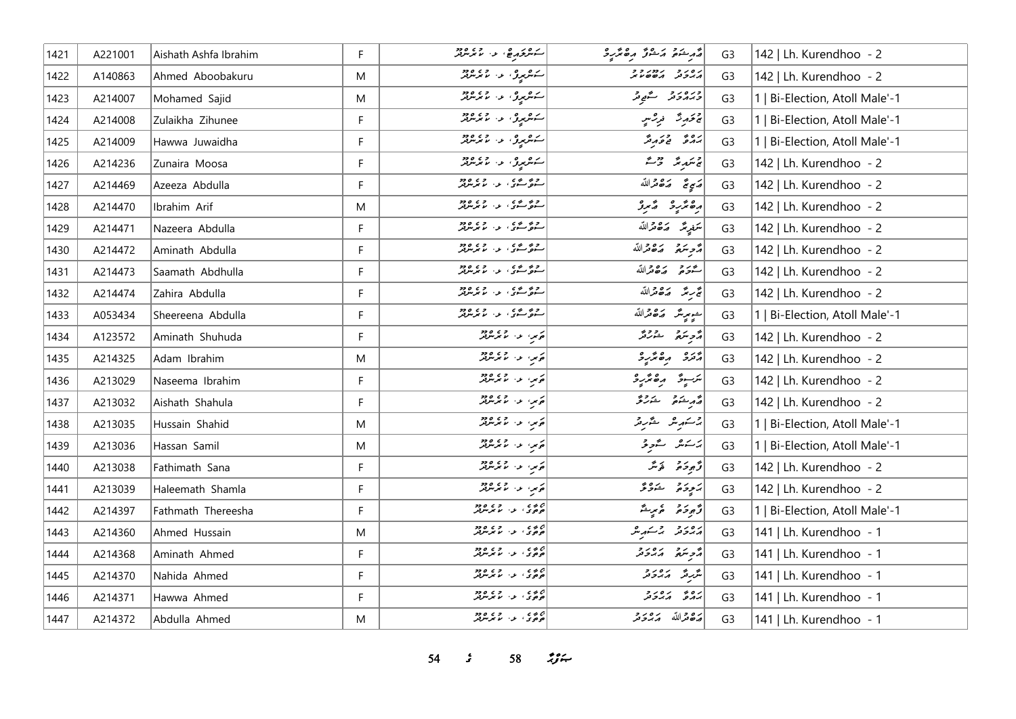| 1421 | A221001 | Aishath Ashfa Ibrahim | F. | سىشرىخ مەھلىمى ئەسىر مەھرىدىكىمى ئاسىر ئىس                                                           | أقهر ينكفي وكالحميل وهاتر والمحر | G <sub>3</sub> | 142   Lh. Kurendhoo - 2        |
|------|---------|-----------------------|----|------------------------------------------------------------------------------------------------------|----------------------------------|----------------|--------------------------------|
| 1422 | A140863 | Ahmed Aboobakuru      | M  | سەھرىرى ئەرەپرىدىن                                                                                   |                                  | G <sub>3</sub> | 142   Lh. Kurendhoo - 2        |
| 1423 | A214007 | Mohamed Sajid         | M  | سەھرىرى ئەر ئامرىكرىنىڭ                                                                              | ورەرو گەيەتر                     | G <sub>3</sub> | 1   Bi-Election, Atoll Male'-1 |
| 1424 | A214008 | Zulaikha Zihunee      | F  | شوروی د ماندماند                                                                                     | ج تحارِ شَرَ فَرِسْتِي           | G <sub>3</sub> | 1   Bi-Election, Atoll Male'-1 |
| 1425 | A214009 | Hawwa Juwaidha        | F  | سومبرو، او، ام مرسر پر                                                                               | پروژ دی وروژ                     | G <sub>3</sub> | 1   Bi-Election, Atoll Male'-1 |
| 1426 | A214236 | Zunaira Moosa         | F. | ر مارس د المستخدم المستخدم المستخدم المستخدم المستخدم المستخدم المستخدم المستخدم المستخدم المستخدم ا | ج سَمبر مَرَّ مَرَّ مَ           | G <sub>3</sub> | 142   Lh. Kurendhoo - 2        |
| 1427 | A214469 | Azeeza Abdulla        | F. | ر د همه د او د د بر بر بر در د                                                                       | #ي تج ترك قمر الله               | G <sub>3</sub> | 142   Lh. Kurendhoo - 2        |
| 1428 | A214470 | Ibrahim Arif          | M  | ر د همه د او د ۱۳۵۴                                                                                  | رەنزىرد كەبرۇ                    | G <sub>3</sub> | 142   Lh. Kurendhoo - 2        |
| 1429 | A214471 | Nazeera Abdulla       | F  | روستى ئىقتى، بىر، سىم بىر بىرە دو                                                                    | سَمْدِيمَ صَـ2هقرالله            | G <sub>3</sub> | 142   Lh. Kurendhoo - 2        |
| 1430 | A214472 | Aminath Abdulla       | F. | روم کړي په ۱۶۵،۶۶                                                                                    | أمراج يتمعى مكافحة الله          | G <sub>3</sub> | 142   Lh. Kurendhoo - 2        |
| 1431 | A214473 | Saamath Abdhulla      | F  | ر د همه د او د د بر بر بر در د                                                                       | حرو روورالله                     | G <sub>3</sub> | 142   Lh. Kurendhoo - 2        |
| 1432 | A214474 | Zahira Abdulla        | F. | روم کړي په ۱۶۵،۶۶                                                                                    | تجربتم وكافقرالله                | G <sub>3</sub> | 142   Lh. Kurendhoo - 2        |
| 1433 | A053434 | Sheereena Abdulla     | F  | روه شوی از ۱۵۵۰ ورو                                                                                  | مسموستر ك <b>ە</b> ھەتراللە      | G <sub>3</sub> | 1   Bi-Election, Atoll Male'-1 |
| 1434 | A123572 | Aminath Shuhuda       | F  | په سي، سه سر سر سر مر                                                                                | مرحو سر مرحوم مشاركتر            | G <sub>3</sub> | 142   Lh. Kurendhoo - 2        |
| 1435 | A214325 | Adam Ibrahim          | M  | پرس اور دوره<br>  پرس اور استرس                                                                      | أوره دەترىرد                     | G <sub>3</sub> | 142   Lh. Kurendhoo - 2        |
| 1436 | A213029 | Naseema Ibrahim       | F. | توس: ع- الأخر من قائل                                                                                | يربې په موه ټرېږد                | G <sub>3</sub> | 142   Lh. Kurendhoo - 2        |
| 1437 | A213032 | Aishath Shahula       | F. | په سي، سي سي سي د دور<br>  په سي سي سر مر سر مر                                                      | ە ئەر ئىشقى ئىشلىرىگى            | G <sub>3</sub> | 142   Lh. Kurendhoo - 2        |
| 1438 | A213035 | Hussain Shahid        | M  | ترس المال 29,000                                                                                     | 2سكىرىش ئىشرىتى                  | G <sub>3</sub> | 1   Bi-Election, Atoll Male'-1 |
| 1439 | A213036 | Hassan Samil          | M  | در، دارده دود.<br>  در او استرس                                                                      | ىزىكە ئەرق                       | G <sub>3</sub> | 1   Bi-Election, Atoll Male'-1 |
| 1440 | A213038 | Fathimath Sana        | F  | پی دارد در                                                                                           | قەبۇر قۇيىگە                     | G <sub>3</sub> | 142   Lh. Kurendhoo - 2        |
| 1441 | A213039 | Haleemath Shamla      | F  | ار به در در دور<br>افزیدا از مانگریزی                                                                | پر پر پر وی                      | G <sub>3</sub> | 142   Lh. Kurendhoo - 2        |
| 1442 | A214397 | Fathmath Thereesha    | F. | ۵ ۵ ۵<br>  ۵ ۵ وی ۱ ع و سر سربر                                                                      | وٌمودَمْ مُرِيشٌ                 | G <sub>3</sub> | 1   Bi-Election, Atoll Male'-1 |
| 1443 | A214360 | Ahmed Hussain         | M  | ام ده ده ده ده ده ده ده<br>  هواد د از استرس                                                         | أرەر دىم ئەسەر ش                 | G <sub>3</sub> | 141   Lh. Kurendhoo - 1        |
| 1444 | A214368 | Aminath Ahmed         | F  | ان دی.<br>حوفری، او، اما موسوفر                                                                      | د سره د د د د                    | G <sub>3</sub> | 141   Lh. Kurendhoo - 1        |
| 1445 | A214370 | Nahida Ahmed          | F. |                                                                                                      | مَرْرِقَدِ الْمَارُوقر           | G <sub>3</sub> | 141   Lh. Kurendhoo - 1        |
| 1446 | A214371 | Hawwa Ahmed           | F  | ام ده ده ده ده ده ده ده<br>  هواد د از استرس                                                         | رەپ رەرد                         | G <sub>3</sub> | 141   Lh. Kurendhoo - 1        |
| 1447 | A214372 | Abdulla Ahmed         | M  | ج د د د د د د د د د<br>حوکي د سرس                                                                    | مَدْهُ مَدْ مَدْرَمَّر           | G <sub>3</sub> | 141   Lh. Kurendhoo - 1        |

*s*  $58$  *n***<sub>2</sub>**  $\frac{1}{2}$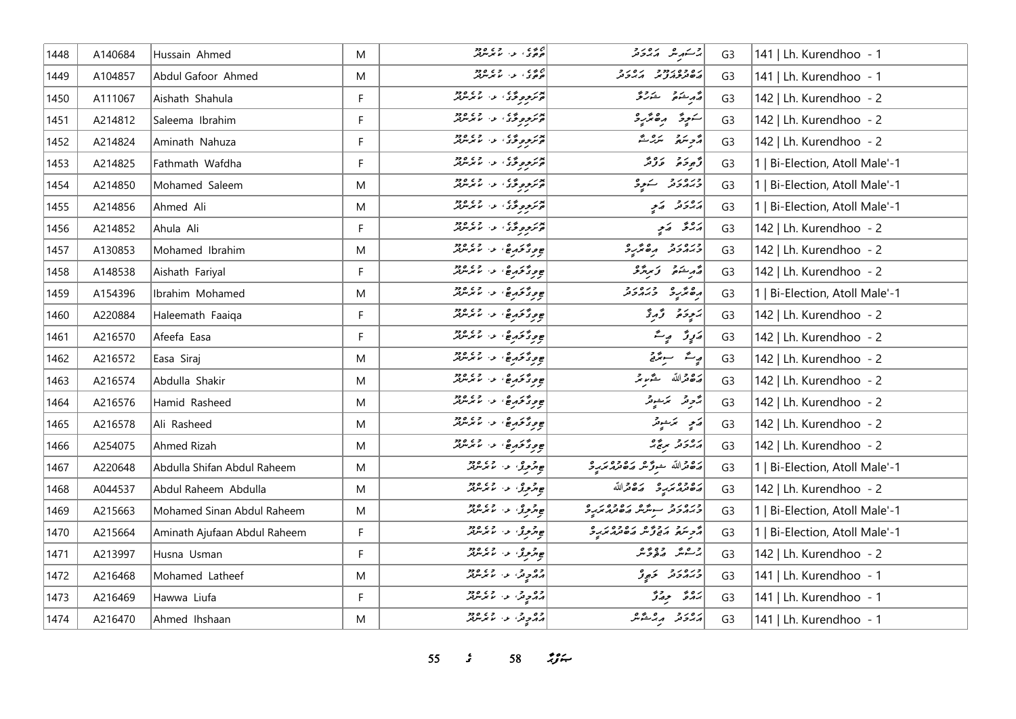| 1448 | A140684 | Hussain Ahmed                | M  | ج پ ج ، د د ج ج ج وج<br>  ج ج ک ، د ، س م مرس                           | ا مستهر شده بر در د<br>ایر ستهر شد از مرکز مر | G <sub>3</sub> | 141   Lh. Kurendhoo - 1        |
|------|---------|------------------------------|----|-------------------------------------------------------------------------|-----------------------------------------------|----------------|--------------------------------|
| 1449 | A104857 | Abdul Gafoor Ahmed           | M  | د د د .<br>  د د . د . س مرس بر                                         | נס כסנכבר נסנב<br>השיניכת ציב הגבינ           | G <sub>3</sub> | 141   Lh. Kurendhoo - 1        |
| 1450 | A111067 | Aishath Shahula              | F  | پوتر موروسی، او ، ما بر سربر<br>  موتر موروسی، او ، اما بر سربر         | مەرشىق شەرقى                                  | G <sub>3</sub> | 142   Lh. Kurendhoo - 2        |
| 1451 | A214812 | Saleema Ibrahim              | F. | بور<br><mark>ئۆتۈمۈنگ</mark> ى، بەر بەيدىللەر                           | سَرِوْ رەھرىرو                                | G <sub>3</sub> | 142   Lh. Kurendhoo - 2        |
| 1452 | A214824 | Aminath Nahuza               | F  | بور<br>قومرموموموگان الله موسرفر                                        | رحمة متركسة                                   | G <sub>3</sub> | 142   Lh. Kurendhoo - 2        |
| 1453 | A214825 | Fathmath Wafdha              | F. | بور <sub>وپوځ</sub> ی، د خوړه ده.<br>مرموپوځی، د مامرس                  | د بره ده د بر                                 | G <sub>3</sub> | 1   Bi-Election, Atoll Male'-1 |
| 1454 | A214850 | Mohamed Saleem               | M  |                                                                         | ورەرو سەرو                                    | G <sub>3</sub> | 1   Bi-Election, Atoll Male'-1 |
| 1455 | A214856 | Ahmed Ali                    | M  | پوتروپروژی په دی ورو<br>  پوتروپروژی په لامریزند                        | ړ ور د کام                                    | G <sub>3</sub> | 1   Bi-Election, Atoll Male'-1 |
| 1456 | A214852 | Ahula Ali                    | F. | پوتر مورځۍ ، د ، د ه ه ده د                                             | أروقى أربي                                    | G <sub>3</sub> | 142   Lh. Kurendhoo - 2        |
| 1457 | A130853 | Mohamed Ibrahim              | M  | <br>  ج د د کور ج ، د ، لا مرسربر                                       | ورورو مصرور                                   | G <sub>3</sub> | 142   Lh. Kurendhoo - 2        |
| 1458 | A148538 | Aishath Fariyal              | F. |                                                                         | شهر شنعتی و سر پژو                            | G <sub>3</sub> | 142   Lh. Kurendhoo - 2        |
| 1459 | A154396 | Ibrahim Mohamed              | M  | <br>  جوړځوړه ، ع ، ع مرس                                               | رەپرىر دىرەرد                                 | G <sub>3</sub> | 1   Bi-Election, Atoll Male'-1 |
| 1460 | A220884 | Haleemath Faaiqa             | F  | ج <i>و ڈ څرم</i> څا و د مرسربر                                          | يَجِوَةُ وَالْمُرِدَّ                         | G <sub>3</sub> | 142   Lh. Kurendhoo - 2        |
| 1461 | A216570 | Afeefa Easa                  | F  | <br> ج ورگورځ، به اسم سرس                                               | رَرِڙَ پِٽَ                                   | G <sub>3</sub> | 142   Lh. Kurendhoo - 2        |
| 1462 | A216572 | Easa Siraj                   | M  | ج و د محمد جي الله د د د د د                                            | ریشتر سوئیتی                                  | G <sub>3</sub> | 142   Lh. Kurendhoo - 2        |
| 1463 | A216574 | Abdulla Shakir               | M  | <br> ج و د حرم جي عن المعمد العرب                                       | أضفض الله مشموعه                              | G <sub>3</sub> | 142   Lh. Kurendhoo - 2        |
| 1464 | A216576 | Hamid Rasheed                | M  | ج و د محمد جي الله د ده.<br>المحمد محمد جي الله المحمد الله محمد الله د | پڑویژ - ٹرنشویژ-                              | G <sub>3</sub> | 142   Lh. Kurendhoo - 2        |
| 1465 | A216578 | Ali Rasheed                  | M  | <br> ج و د حرم ج ، ع ، ع مرسر بر                                        | پر موسیقی پر                                  | G <sub>3</sub> | 142   Lh. Kurendhoo - 2        |
| 1466 | A254075 | Ahmed Rizah                  | M  | ج و د محمد هي الله الله و د د د                                         | پروژو برچ پر                                  | G <sub>3</sub> | 142   Lh. Kurendhoo - 2        |
| 1467 | A220648 | Abdulla Shifan Abdul Raheem  | M  | جو مرحوري الله المستوفير                                                | رە داللە جو <i>زەر مەدەب</i> رە               | G <sub>3</sub> | 1   Bi-Election, Atoll Male'-1 |
| 1468 | A044537 | Abdul Raheem Abdulla         | M  | جو هر ورو، اور استخدام در در در در در استرات                            | ره وه بر مدر صدر الله                         | G <sub>3</sub> | 142   Lh. Kurendhoo - 2        |
| 1469 | A215663 | Mohamed Sinan Abdul Raheem   | M  | جو گروری در استمبر مرد                                                  | ورەروب سوش مەدەرەر                            | G <sub>3</sub> | 1   Bi-Election, Atoll Male'-1 |
| 1470 | A215664 | Aminath Ajufaan Abdul Raheem | F. | جو هروژ، د. گرمگرفتر                                                    |                                               | G <sub>3</sub> | 1   Bi-Election, Atoll Male'-1 |
| 1471 | A213997 | Husna Usman                  | F  | جو مرحوري الله المعام مع معرضه                                          | ج عبر مورد و                                  | G <sub>3</sub> | 142   Lh. Kurendhoo - 2        |
| 1472 | A216468 | Mohamed Latheef              | M  | دو در ۱۶۵٬۵۶                                                            | ورەرو كەبى                                    | G <sub>3</sub> | 141   Lh. Kurendhoo - 1        |
| 1473 | A216469 | Hawwa Liufa                  | F  | روه د د اور ده ده<br>مرکز د ماسرس                                       | برە جەۋ                                       | G <sub>3</sub> | 141   Lh. Kurendhoo - 1        |
| 1474 | A216470 | Ahmed Ihshaan                | M  | ده د په ۱۶ ورود<br>  د ډېره او او موسر                                  | أمهوس مهاشته                                  | G <sub>3</sub> | 141   Lh. Kurendhoo - 1        |

 $\frac{2}{3}$   $58$   $\frac{29}{3}$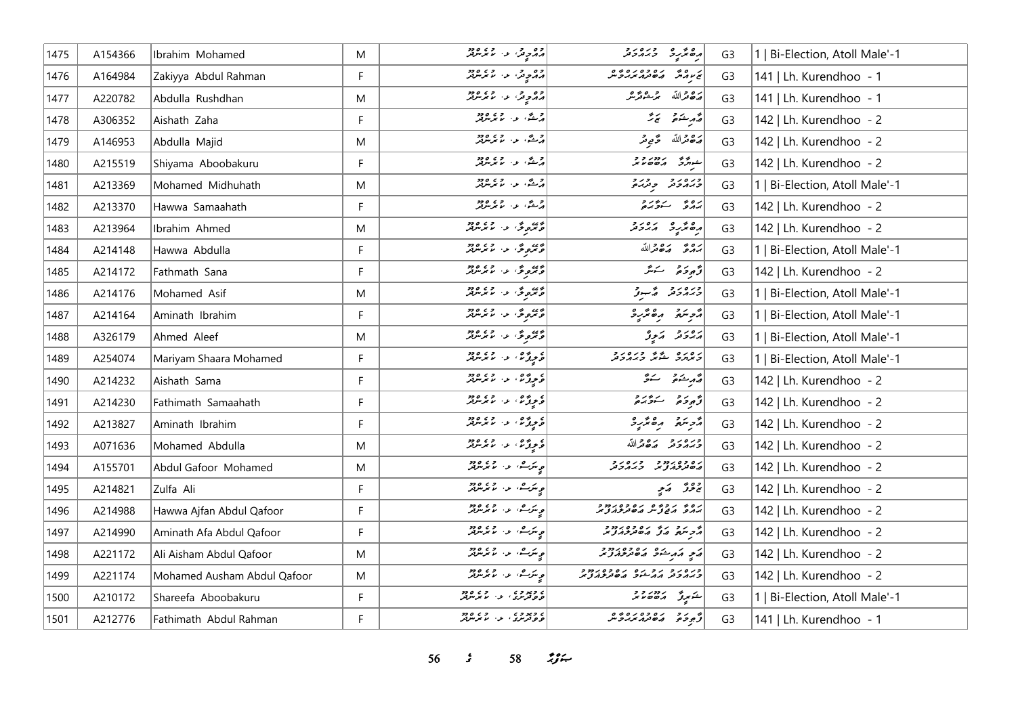| 1475 | A154366 | Ibrahim Mohamed             | M         | وه و چې او دا ده دو.<br>  پر ټر چون او دا اما مرس         | دە ئەرە دىرەرد                                                | G3             | 1   Bi-Election, Atoll Male'-1 |
|------|---------|-----------------------------|-----------|-----------------------------------------------------------|---------------------------------------------------------------|----------------|--------------------------------|
| 1476 | A164984 | Zakiyya Abdul Rahman        | F.        | ده د ده ۱۰ تا بر سر در                                    | CARCOCOLOGIE                                                  | G <sub>3</sub> | 141   Lh. Kurendhoo - 1        |
| 1477 | A220782 | Abdulla Rushdhan            | M         | وه د چې او ده ده ده ده ده<br>  پر ټر چوکې او د اما مرسرين | رەقراللە مەشەر                                                | G <sub>3</sub> | 141   Lh. Kurendhoo - 1        |
| 1478 | A306352 | Aishath Zaha                | F.        | ا د شگاه د از ما بر سرچر                                  | ۇرمىنى ئ                                                      | G <sub>3</sub> | 142   Lh. Kurendhoo - 2        |
| 1479 | A146953 | Abdulla Majid               | M         | و شده از ده دود.<br>در شده از موسولار                     | مَدْ حَمْدَاللّه حَ مِي مَرْ                                  | G <sub>3</sub> | 142   Lh. Kurendhoo - 2        |
| 1480 | A215519 | Shiyama Aboobakuru          | F.        | ج شگاء در ما مرکز دود.<br>مرکش او در ما مرکز مرکز         | 77/27/29/29                                                   | G <sub>3</sub> | 142   Lh. Kurendhoo - 2        |
| 1481 | A213369 | Mohamed Midhuhath           | M         | ج شگاء در در دود<br>پرشگاء ۱۰ ما مرسوبو                   | ورەر د<br>دېرمرحتر بالارد                                     | G <sub>3</sub> | 1   Bi-Election, Atoll Male'-1 |
| 1482 | A213370 | Hawwa Samaahath             | F.        |                                                           | رەپ رىرى                                                      | G <sub>3</sub> | 142   Lh. Kurendhoo - 2        |
| 1483 | A213964 | Ibrahim Ahmed               | M         | ه بره محمد از ۲۵۵ و در ا                                  | ده نده ده د در د                                              | G <sub>3</sub> | 142   Lh. Kurendhoo - 2        |
| 1484 | A214148 | Hawwa Abdulla               | F         | دى دى<br>  دىگرەنگى، دارىم بىر سربىر                      | بروء روورالله                                                 | G <sub>3</sub> | 1   Bi-Election, Atoll Male'-1 |
| 1485 | A214172 | Fathmath Sana               | F.        | دى دى.<br>  دىگرى ئى مەممىرىلىر                           | ژَهِ دَهْ جَسَدَ                                              | G <sub>3</sub> | 142   Lh. Kurendhoo - 2        |
| 1486 | A214176 | Mohamed Asif                | M         | دى مەرگە، مەسىر مەدە                                      | ورەرو ھەبدۇ                                                   | G <sub>3</sub> | 1   Bi-Election, Atoll Male'-1 |
| 1487 | A214164 | Aminath Ibrahim             | F         | ه بره محمد از ۲۵۵۵<br>د بره محمد از ما برس بر             | أترجمني مقتربة                                                | G <sub>3</sub> | 1   Bi-Election, Atoll Male'-1 |
| 1488 | A326179 | Ahmed Aleef                 | M         | دى دې د تا تا پرسرېر                                      | أرور وترو                                                     | G <sub>3</sub> | 1   Bi-Election, Atoll Male'-1 |
| 1489 | A254074 | Mariyam Shaara Mohamed      | F         | ە بەرگە، بەر يەرەد                                        | د ه د ه په په د د ه د د                                       | G <sub>3</sub> | 1   Bi-Election, Atoll Male'-1 |
| 1490 | A214232 | Aishath Sama                | F         | ه و وي.<br>د ويژن د با برندو                              | قەربىئە ئەڭ                                                   | G <sub>3</sub> | 142   Lh. Kurendhoo - 2        |
| 1491 | A214230 | Fathimath Samaahath         | F         | ە بەرە، بەر يەرەد                                         | و ده سنځده                                                    | G <sub>3</sub> | 142   Lh. Kurendhoo - 2        |
| 1492 | A213827 | Aminath Ibrahim             | F.        | ع پر ده در ده دود.<br>د پروگران او ما مرسرفتر             | أمرستمر مقتربة                                                | G <sub>3</sub> | 142   Lh. Kurendhoo - 2        |
| 1493 | A071636 | Mohamed Abdulla             | M         | ع و ژه، د ، می ورد<br>د و ژه، د ، ما مرسربر               | وره رو ده و الله                                              | G <sub>3</sub> | 142   Lh. Kurendhoo - 2        |
| 1494 | A155701 | Abdul Gafoor Mohamed        | M         | ە ئىرك، ئەسلىم ئىرلىر                                     | גם כסגמני - כגם גב<br>השיטות וליודי - הגוריה                  | G <sub>3</sub> | 142   Lh. Kurendhoo - 2        |
| 1495 | A214821 | Zulfa Ali                   | F         | ە ئىرك، ئەسلىم ئىرلىرى<br>مەنبەر ئىسلىم ئىرلىرى           | چوگر کھیے                                                     | G <sub>3</sub> | 142   Lh. Kurendhoo - 2        |
| 1496 | A214988 | Hawwa Ajfan Abdul Qafoor    | F.        | ج سکرے، اور، اس میں میں<br>اس سکر سے مسلم میں مسر میں     | גם ז' גרום גם בסגמנים<br>ג'ולים והים צ'יית וליים בתיבות צ'ייק | G <sub>3</sub> | 142   Lh. Kurendhoo - 2        |
| 1497 | A214990 | Aminath Afa Abdul Qafoor    | F         | ە ئىرگ، ئەسلىمى <i>ھە</i> ج                               | ם מר מר מסתכתובת<br>גריתה ג'ל גישות בגול                      | G <sub>3</sub> | 142   Lh. Kurendhoo - 2        |
| 1498 | A221172 | Ali Aisham Abdul Qafoor     | M         | ە ئىرگ، ئەسلىمى <i>ھەرە</i>                               | پَهِ پَهرِ شَوَ په په دو د                                    | G <sub>3</sub> | 142   Lh. Kurendhoo - 2        |
| 1499 | A221174 | Mohamed Ausham Abdul Qafoor | ${\sf M}$ | ە ئەرگ، ئەسىم ئەھەم                                       | כנסנכ נכנס נסכם נככי<br>כממכת ממייכ מסתכמצית                  | G <sub>3</sub> | 142   Lh. Kurendhoo - 2        |
| 1500 | A210172 | Shareefa Aboobakuru         | F         | د بروه معدد و د و د و د                                   | شكرى رەم دو                                                   | G <sub>3</sub> | 1   Bi-Election, Atoll Male'-1 |
| 1501 | A212776 | Fathimath Abdul Rahman      | F.        | د د پر د د د د د د د د د<br>  و و ترس د ۱۰ س س س          | و د د ده ده ده وه.<br>د وجود ماه دم در د ش                    | G <sub>3</sub> | 141   Lh. Kurendhoo - 1        |

 $\frac{1}{5}$   $58$   $\frac{10}{5}$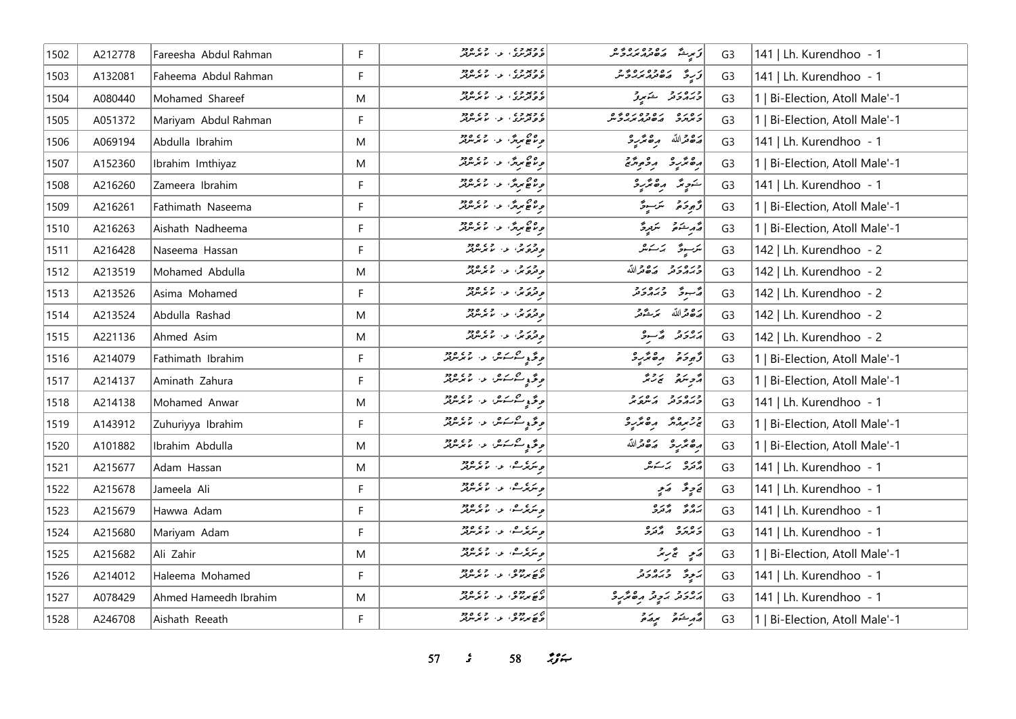| 1502 | A212778 | Fareesha Abdul Rahman | F. | ه ويووه .<br>و و ترس . او . اما برس تر                           | كم يوسط مصر مصر مصر مصر مصر المركز                 | G <sub>3</sub> | 141   Lh. Kurendhoo - 1        |
|------|---------|-----------------------|----|------------------------------------------------------------------|----------------------------------------------------|----------------|--------------------------------|
| 1503 | A132081 | Faheema Abdul Rahman  | F  | ه ویووه<br>در درسری از اما مرسوبتر                               | ر ه و ه ر ه د و و<br>پره تر پر بر بر س<br>ۇ رِ رُّ | G <sub>3</sub> | 141   Lh. Kurendhoo - 1        |
| 1504 | A080440 | Mohamed Shareef       | M  | ه ويووه .<br>ووترس . د . ما برس                                  | ورەرو شەرو                                         | G <sub>3</sub> | 1   Bi-Election, Atoll Male'-1 |
| 1505 | A051372 | Mariyam Abdul Rahman  | F  | ) ویووی در وی ووو<br><mark>  <i>و و ترس</i> که</mark> از ماسمبرس | נ סנים ניסיפים ניסיביים.<br>המיתה השינות מגיביים   | G <sub>3</sub> | 1   Bi-Election, Atoll Male'-1 |
| 1506 | A069194 | Abdulla Ibrahim       | M  | ورم ھا مریز ، اور اور دور د                                      | أرَدْ مَرْاللَّهُ مِنْ مِرْسِرْدَ                  | G <sub>3</sub> | 141   Lh. Kurendhoo - 1        |
| 1507 | A152360 | Ibrahim Imthiyaz      | M  | ه ۵۵ مردگان او ۵۵ ورد<br>در مان عروگان استرس                     | رە ئۈر ئەر ئەر                                     | G <sub>3</sub> | 1   Bi-Election, Atoll Male'-1 |
| 1508 | A216260 | Zameera Ibrahim       | F  | ه ۵۵ مرسم الله ۶۶۵ ورو<br>مرسم مرس                               | شوپد رهندرد                                        | G <sub>3</sub> | 141   Lh. Kurendhoo - 1        |
| 1509 | A216261 | Fathimath Naseema     | F. | ه ۵۵ مردش از ۵۵ ورود<br>در عاصر در است مرد مرد                   | أوالمجر فتحريب مكرسوقه                             | G <sub>3</sub> | 1   Bi-Election, Atoll Male'-1 |
| 1510 | A216263 | Aishath Nadheema      | F. | ه ۵۵ مرتز، د. دره ۶۶۵ ور                                         | مەر شەر ئىستىرگى                                   | G <sub>3</sub> | 1   Bi-Election, Atoll Male'-1 |
| 1511 | A216428 | Naseema Hassan        | F  | و در و .<br>وترویز، د . ما برس                                   | يرسوی   پرسکر                                      | G <sub>3</sub> | 142   Lh. Kurendhoo - 2        |
| 1512 | A213519 | Mohamed Abdulla       | M  | وترو .<br>وترويز، الا الايرس                                     | وره رو ده دالله                                    | G <sub>3</sub> | 142   Lh. Kurendhoo - 2        |
| 1513 | A213526 | Asima Mohamed         | F. | ور و د د.<br>وترونر، د ، مانرس                                   | چېنې د دره رو                                      | G <sub>3</sub> | 142   Lh. Kurendhoo - 2        |
| 1514 | A213524 | Abdulla Rashad        | M  | و در د.<br>وترونز، د. مانرمزیز                                   | أرَدْهُ مَّدْ سَرْئَةً مِّدْ                       | G <sub>3</sub> | 142   Lh. Kurendhoo - 2        |
| 1515 | A221136 | Ahmed Asim            | M  | و در چې او د ده ده.<br>د ترونکې او د اما ترسرفر                  | גם גב הבייב                                        | G <sub>3</sub> | 142   Lh. Kurendhoo - 2        |
| 1516 | A214079 | Fathimath Ibrahim     | F. | موځه په شکستور له د موسومتر لر                                   | رًّمِ دَمَّ رەمَّرْر                               | G <sub>3</sub> | 1   Bi-Election, Atoll Male'-1 |
| 1517 | A214137 | Aminath Zahura        | F  | مونځ د سکستگر، او ، ساند د د ا                                   | أوالله المنافر المحمد                              | G <sub>3</sub> | 1   Bi-Election, Atoll Male'-1 |
| 1518 | A214138 | Mohamed Anwar         | M  | ە قەبۇ سىمسەش كەر بولمەتلەر                                      | כנסנכ גםנכ                                         | G <sub>3</sub> | 141   Lh. Kurendhoo - 1        |
| 1519 | A143912 | Zuhuriyya Ibrahim     | F  | .<br>د ځې شرستی د لامرس                                          | 3 مرمد مقدره                                       | G <sub>3</sub> | 1   Bi-Election, Atoll Male'-1 |
| 1520 | A101882 | Ibrahim Abdulla       | M  | <br>  د څو په سوسکون لوي لامورسرور                               | أرە ئرىرە مەھەراللە                                | G <sub>3</sub> | 1   Bi-Election, Atoll Male'-1 |
| 1521 | A215677 | Adam Hassan           | M  | ە ئىرىگە ئەرەپ يەرەپ ھەر                                         | ەرە بەسەر                                          | G <sub>3</sub> | 141   Lh. Kurendhoo - 1        |
| 1522 | A215678 | Jameela Ali           | F  | ە ئىرىگە ئىگە ئەرەدە<br>مەنگەنىڭ، ئەرگە ئىرلىرلىر                | تحاوی تھے کہ می                                    | G <sub>3</sub> | 141   Lh. Kurendhoo - 1        |
| 1523 | A215679 | Hawwa Adam            | F. | ە ئىركەت بەر بەيدىن ئەرە                                         | رە ئەرە                                            | G <sub>3</sub> | 141   Lh. Kurendhoo - 1        |
| 1524 | A215680 | Mariyam Adam          | F  | ە ئىرىگە ئەرەپ مەھرىس بىر                                        | נים נים לינים<br>בי <i>נ</i> ו <i>נים ה</i> בנים   | G <sub>3</sub> | 141   Lh. Kurendhoo - 1        |
| 1525 | A215682 | Ali Zahir             | M  | ە ئىرىگەشتە بەر بەيدىن ئەرەد                                     | رَمِي تَحْرِيْرُ                                   | G <sub>3</sub> | 1   Bi-Election, Atoll Male'-1 |
| 1526 | A214012 | Haleema Mohamed       | F. | ەر دەھ .<br>ھەيملاش بى ئايمەللەر                                 | پر پوځ د د د د د                                   | G <sub>3</sub> | 141   Lh. Kurendhoo - 1        |
| 1527 | A078429 | Ahmed Hameedh Ibrahim | M  | ے ر دو .<br>ویچ برلائق او . الا برللوٹر                          | أرورو بروتر رەترىرو                                | G <sub>3</sub> | 141   Lh. Kurendhoo - 1        |
| 1528 | A246708 | Aishath Reeath        | F. | ہے پر دوہ ۔ دے ہ دو<br>ویچ <i>پر با</i> ش کا پر سربر             |                                                    | G <sub>3</sub> | 1   Bi-Election, Atoll Male'-1 |

**s**  $58$   $\frac{6}{5}$